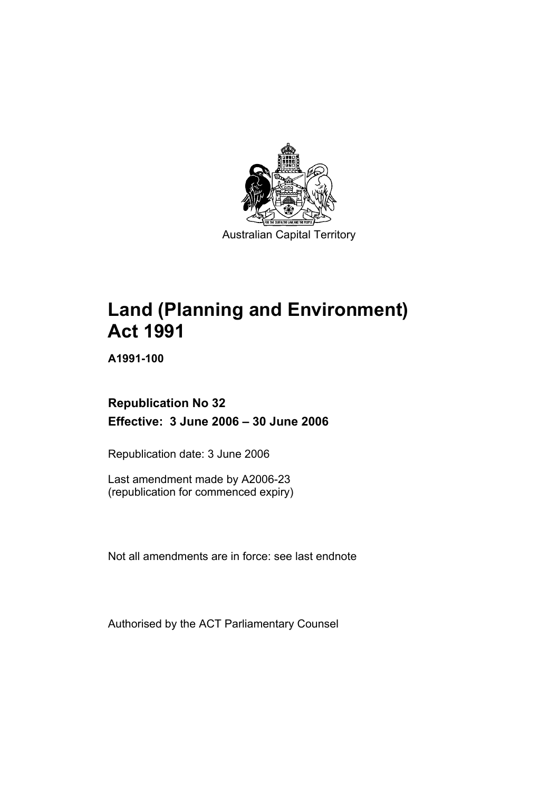

Australian Capital Territory

# **Land (Planning and Environment) Act 1991**

**A1991-100** 

## **Republication No 32 Effective: 3 June 2006 – 30 June 2006**

Republication date: 3 June 2006

Last amendment made by A2006-23 (republication for commenced expiry)

Not all amendments are in force: see last endnote

Authorised by the ACT Parliamentary Counsel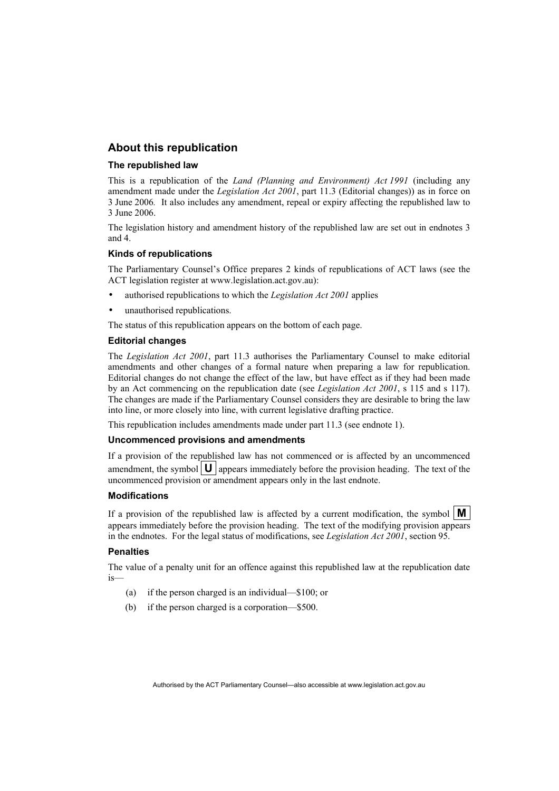#### **About this republication**

#### **The republished law**

This is a republication of the *Land (Planning and Environment) Act 1991* (including any amendment made under the *Legislation Act 2001*, part 11.3 (Editorial changes)) as in force on 3 June 2006*.* It also includes any amendment, repeal or expiry affecting the republished law to 3 June 2006.

The legislation history and amendment history of the republished law are set out in endnotes 3 and 4.

#### **Kinds of republications**

The Parliamentary Counsel's Office prepares 2 kinds of republications of ACT laws (see the ACT legislation register at www.legislation.act.gov.au):

- authorised republications to which the *Legislation Act 2001* applies
- unauthorised republications.

The status of this republication appears on the bottom of each page.

#### **Editorial changes**

The *Legislation Act 2001*, part 11.3 authorises the Parliamentary Counsel to make editorial amendments and other changes of a formal nature when preparing a law for republication. Editorial changes do not change the effect of the law, but have effect as if they had been made by an Act commencing on the republication date (see *Legislation Act 2001*, s 115 and s 117). The changes are made if the Parliamentary Counsel considers they are desirable to bring the law into line, or more closely into line, with current legislative drafting practice.

This republication includes amendments made under part 11.3 (see endnote 1).

#### **Uncommenced provisions and amendments**

If a provision of the republished law has not commenced or is affected by an uncommenced amendment, the symbol  $\mathbf{U}$  appears immediately before the provision heading. The text of the uncommenced provision or amendment appears only in the last endnote.

#### **Modifications**

If a provision of the republished law is affected by a current modification, the symbol  $\mathbf{M}$ appears immediately before the provision heading. The text of the modifying provision appears in the endnotes. For the legal status of modifications, see *Legislation Act 2001*, section 95.

#### **Penalties**

The value of a penalty unit for an offence against this republished law at the republication date is—

- (a) if the person charged is an individual—\$100; or
- (b) if the person charged is a corporation—\$500.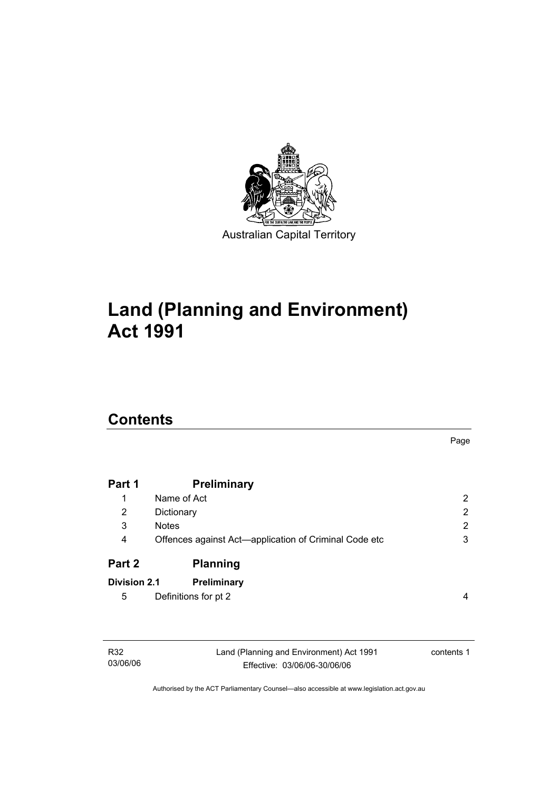

# **Land (Planning and Environment) Act 1991**

# **Contents**

03/06/06

|                     |                                                       | Page                  |
|---------------------|-------------------------------------------------------|-----------------------|
| Part 1              | <b>Preliminary</b>                                    |                       |
| 1                   | Name of Act                                           | $\mathbf{2}^{\prime}$ |
| 2                   | Dictionary                                            | 2                     |
| 3                   | <b>Notes</b>                                          | 2                     |
| 4                   | Offences against Act-application of Criminal Code etc | 3                     |
| Part 2              | <b>Planning</b>                                       |                       |
| <b>Division 2.1</b> | Preliminary                                           |                       |
| 5                   | Definitions for pt 2                                  | 4                     |
|                     |                                                       |                       |
| R32                 | Land (Planning and Environment) Act 1991              | contents 1            |

Authorised by the ACT Parliamentary Counsel—also accessible at www.legislation.act.gov.au

Effective: 03/06/06-30/06/06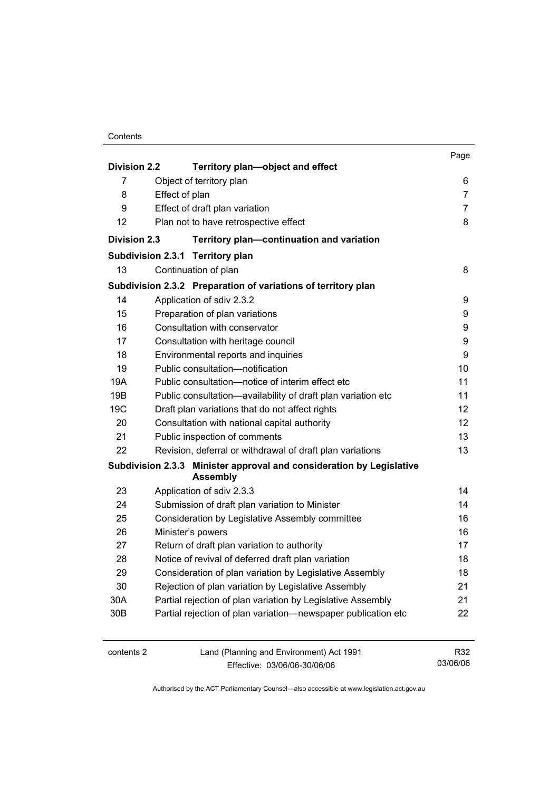|                     |                                                                                         | Page |
|---------------------|-----------------------------------------------------------------------------------------|------|
| <b>Division 2.2</b> | Territory plan-object and effect                                                        |      |
| 7                   | Object of territory plan                                                                | 6    |
| 8                   | Effect of plan                                                                          | 7    |
| 9                   | Effect of draft plan variation                                                          | 7    |
| 12                  | Plan not to have retrospective effect                                                   | 8    |
| <b>Division 2.3</b> | Territory plan-continuation and variation                                               |      |
|                     | <b>Territory plan</b><br><b>Subdivision 2.3.1</b>                                       |      |
| 13                  | Continuation of plan                                                                    | 8    |
|                     | Subdivision 2.3.2 Preparation of variations of territory plan                           |      |
| 14                  | Application of sdiv 2.3.2                                                               | 9    |
| 15                  | Preparation of plan variations                                                          | 9    |
| 16                  | Consultation with conservator                                                           | 9    |
| 17                  | Consultation with heritage council                                                      | 9    |
| 18                  | Environmental reports and inquiries                                                     | 9    |
| 19                  | Public consultation-notification                                                        | 10   |
| 19A                 | Public consultation-notice of interim effect etc                                        | 11   |
| 19B                 | Public consultation-availability of draft plan variation etc                            | 11   |
| 19 <sub>C</sub>     | Draft plan variations that do not affect rights                                         | 12   |
| 20                  | Consultation with national capital authority                                            | 12   |
| 21                  | Public inspection of comments                                                           | 13   |
| 22                  | Revision, deferral or withdrawal of draft plan variations                               | 13   |
|                     | Subdivision 2.3.3 Minister approval and consideration by Legislative<br><b>Assembly</b> |      |
| 23                  | Application of sdiv 2.3.3                                                               | 14   |
| 24                  | Submission of draft plan variation to Minister                                          | 14   |
| 25                  | Consideration by Legislative Assembly committee                                         | 16   |
| 26                  | Minister's powers                                                                       | 16   |
| 27                  | Return of draft plan variation to authority                                             | 17   |
| 28                  | Notice of revival of deferred draft plan variation                                      | 18   |
| 29                  | Consideration of plan variation by Legislative Assembly                                 | 18   |
| 30                  | Rejection of plan variation by Legislative Assembly                                     | 21   |
| 30A                 | Partial rejection of plan variation by Legislative Assembly                             | 21   |
| 30B                 | Partial rejection of plan variation-newspaper publication etc                           | 22   |
| contents 2          | Land (Planning and Environment) Act 1991                                                | R32  |

Effective: 03/06/06-30/06/06

03/06/06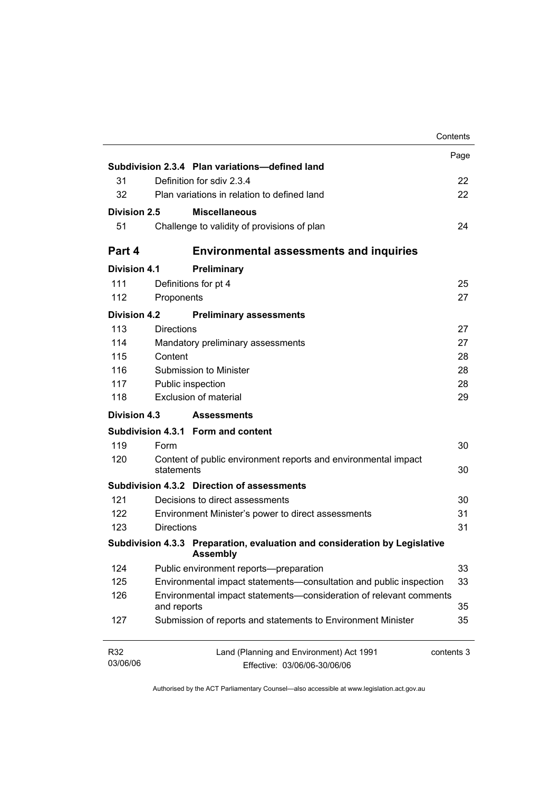|                     |                   |                                                                                               | Contents   |
|---------------------|-------------------|-----------------------------------------------------------------------------------------------|------------|
|                     |                   |                                                                                               | Page       |
|                     |                   | Subdivision 2.3.4 Plan variations-defined land                                                |            |
| 31                  |                   | Definition for sdiv 2.3.4                                                                     | 22         |
| 32                  |                   | Plan variations in relation to defined land                                                   | 22         |
| Division 2.5        |                   | <b>Miscellaneous</b>                                                                          |            |
| 51                  |                   | Challenge to validity of provisions of plan                                                   | 24         |
| Part 4              |                   | <b>Environmental assessments and inquiries</b>                                                |            |
| <b>Division 4.1</b> |                   | Preliminary                                                                                   |            |
| 111                 |                   | Definitions for pt 4                                                                          | 25         |
| 112                 | Proponents        |                                                                                               | 27         |
| <b>Division 4.2</b> |                   | <b>Preliminary assessments</b>                                                                |            |
| 113                 | <b>Directions</b> |                                                                                               | 27         |
| 114                 |                   | Mandatory preliminary assessments                                                             | 27         |
| 115                 | Content           |                                                                                               | 28         |
| 116                 |                   | Submission to Minister                                                                        | 28         |
| 117                 |                   | Public inspection                                                                             | 28         |
| 118                 |                   | <b>Exclusion of material</b>                                                                  | 29         |
| Division 4.3        |                   | <b>Assessments</b>                                                                            |            |
|                     |                   | Subdivision 4.3.1 Form and content                                                            |            |
| 119                 | Form              |                                                                                               | 30         |
| 120                 | statements        | Content of public environment reports and environmental impact                                | 30         |
|                     |                   | Subdivision 4.3.2 Direction of assessments                                                    |            |
| 121                 |                   | Decisions to direct assessments                                                               | 30         |
| 122                 |                   | Environment Minister's power to direct assessments                                            | 31         |
| 123                 | <b>Directions</b> |                                                                                               | 31         |
|                     |                   | Subdivision 4.3.3 Preparation, evaluation and consideration by Legislative<br><b>Assembly</b> |            |
| 124                 |                   | Public environment reports-preparation                                                        | 33         |
| 125                 |                   | Environmental impact statements-consultation and public inspection                            | 33         |
| 126                 | and reports       | Environmental impact statements-consideration of relevant comments                            | 35         |
| 127                 |                   | Submission of reports and statements to Environment Minister                                  | 35         |
| R32                 |                   | Land (Planning and Environment) Act 1991                                                      | contents 3 |
| 03/06/06            |                   | Effective: 03/06/06-30/06/06                                                                  |            |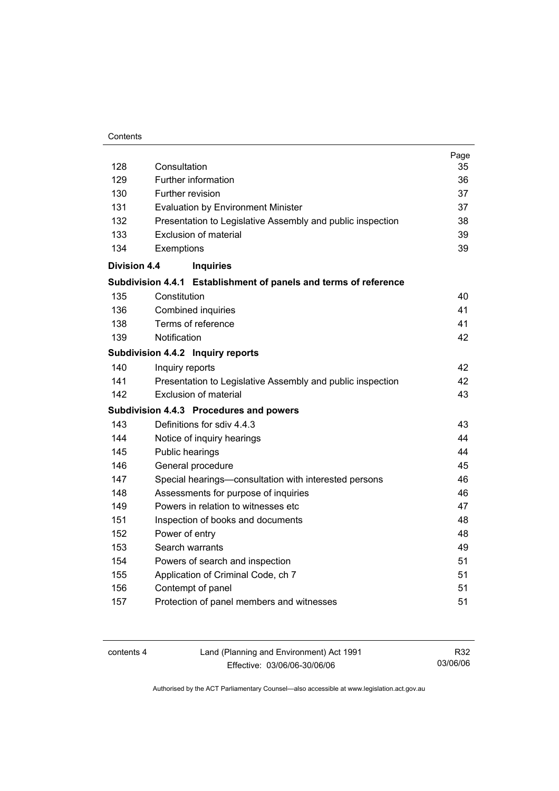#### **Contents**

| 128                 | Consultation                                                     | Page<br>35 |
|---------------------|------------------------------------------------------------------|------------|
| 129                 | Further information                                              | 36         |
| 130                 | Further revision                                                 | 37         |
| 131                 | <b>Evaluation by Environment Minister</b>                        | 37         |
| 132                 | Presentation to Legislative Assembly and public inspection       | 38         |
| 133                 | Exclusion of material                                            | 39         |
| 134                 | Exemptions                                                       | 39         |
| <b>Division 4.4</b> | <b>Inquiries</b>                                                 |            |
|                     | Subdivision 4.4.1 Establishment of panels and terms of reference |            |
| 135                 | Constitution                                                     | 40         |
| 136                 | Combined inquiries                                               | 41         |
| 138                 | Terms of reference                                               | 41         |
| 139                 | Notification                                                     | 42         |
|                     | Subdivision 4.4.2 Inquiry reports                                |            |
| 140                 | Inquiry reports                                                  | 42         |
| 141                 | Presentation to Legislative Assembly and public inspection       | 42         |
| 142                 | <b>Exclusion of material</b>                                     | 43         |
|                     | Subdivision 4.4.3 Procedures and powers                          |            |
| 143                 | Definitions for sdiv 4.4.3                                       | 43         |
| 144                 | Notice of inquiry hearings                                       | 44         |
| 145                 | Public hearings                                                  | 44         |
| 146                 | General procedure                                                | 45         |
| 147                 | Special hearings-consultation with interested persons            | 46         |
| 148                 | Assessments for purpose of inquiries                             | 46         |
| 149                 | Powers in relation to witnesses etc                              | 47         |
| 151                 | Inspection of books and documents                                | 48         |
| 152                 | Power of entry                                                   | 48         |
| 153                 | Search warrants                                                  | 49         |
| 154                 | Powers of search and inspection                                  | 51         |
| 155                 | Application of Criminal Code, ch 7                               | 51         |
| 156                 | Contempt of panel                                                | 51         |
| 157                 | Protection of panel members and witnesses                        | 51         |
|                     |                                                                  |            |

| contents 4 | Land (Planning and Environment) Act 1991 | R32      |
|------------|------------------------------------------|----------|
|            | Effective: 03/06/06-30/06/06             | 03/06/06 |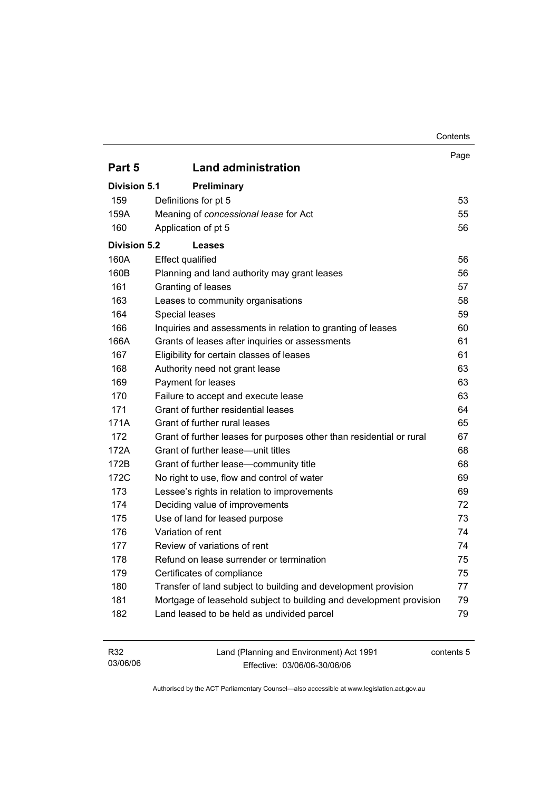|                                                                      | Contents |
|----------------------------------------------------------------------|----------|
|                                                                      | Page     |
| <b>Land administration</b>                                           |          |
| <b>Preliminary</b>                                                   |          |
| Definitions for pt 5                                                 | 53       |
| Meaning of concessional lease for Act                                | 55       |
| Application of pt 5                                                  | 56       |
| <b>Leases</b>                                                        |          |
| <b>Effect qualified</b>                                              | 56       |
| Planning and land authority may grant leases                         | 56       |
| Granting of leases                                                   | 57       |
| Leases to community organisations                                    | 58       |
| Special leases                                                       | 59       |
| Inquiries and assessments in relation to granting of leases          | 60       |
| Grants of leases after inquiries or assessments                      | 61       |
| Eligibility for certain classes of leases                            | 61       |
| Authority need not grant lease                                       | 63       |
| Payment for leases                                                   | 63       |
| Failure to accept and execute lease                                  | 63       |
| Grant of further residential leases                                  | 64       |
| Grant of further rural leases                                        | 65       |
| Grant of further leases for purposes other than residential or rural | 67       |
| Grant of further lease-unit titles                                   | 68       |
| Grant of further lease-community title                               | 68       |
| No right to use, flow and control of water                           | 69       |
| Lessee's rights in relation to improvements                          | 69       |
| Deciding value of improvements                                       | 72       |
| Use of land for leased purpose                                       | 73       |
| Variation of rent                                                    | 74       |
| Review of variations of rent                                         | 74       |
| Refund on lease surrender or termination                             | 75       |
| Certificates of compliance                                           | 75       |
| Transfer of land subject to building and development provision       | 77       |
| Mortgage of leasehold subject to building and development provision  | 79       |
| Land leased to be held as undivided parcel                           | 79       |
|                                                                      |          |

| R <sub>32</sub> | Land (Planning and Environment) Act 1991 | contents 5 |
|-----------------|------------------------------------------|------------|
| 03/06/06        | Effective: 03/06/06-30/06/06             |            |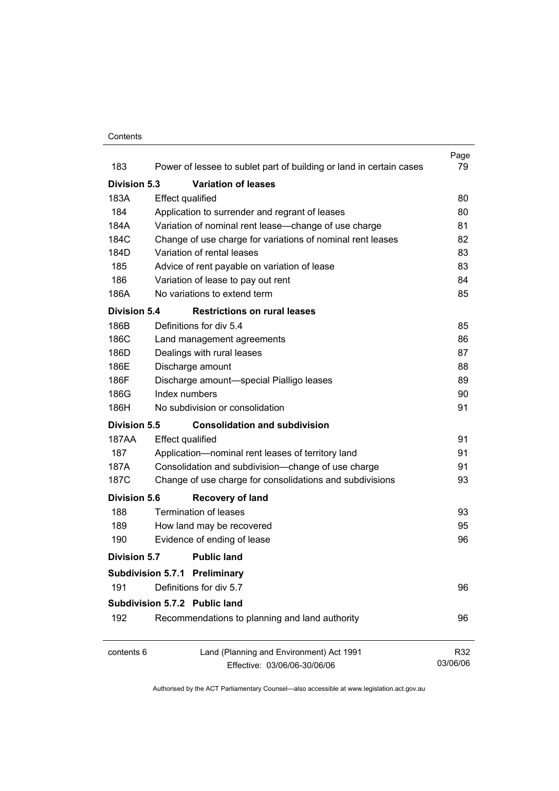#### **Contents**

|                     |                                                                     | Page     |
|---------------------|---------------------------------------------------------------------|----------|
| 183                 | Power of lessee to sublet part of building or land in certain cases | 79       |
| Division 5.3        | <b>Variation of leases</b>                                          |          |
| 183A                | <b>Effect qualified</b>                                             | 80       |
| 184                 | Application to surrender and regrant of leases                      | 80       |
| 184A                | Variation of nominal rent lease-change of use charge                | 81       |
| 184C                | Change of use charge for variations of nominal rent leases          | 82       |
| 184D                | Variation of rental leases                                          | 83       |
| 185                 | Advice of rent payable on variation of lease                        | 83       |
| 186                 | Variation of lease to pay out rent                                  | 84       |
| 186A                | No variations to extend term                                        | 85       |
| <b>Division 5.4</b> | <b>Restrictions on rural leases</b>                                 |          |
| 186B                | Definitions for div 5.4                                             | 85       |
| 186C                | Land management agreements                                          | 86       |
| 186D                | Dealings with rural leases                                          | 87       |
| 186E                | Discharge amount                                                    | 88       |
| 186F                | Discharge amount-special Pialligo leases                            | 89       |
| 186G                | Index numbers                                                       | 90       |
| 186H                | No subdivision or consolidation                                     | 91       |
| Division 5.5        | <b>Consolidation and subdivision</b>                                |          |
| 187AA               | <b>Effect qualified</b>                                             | 91       |
| 187                 | Application-nominal rent leases of territory land                   | 91       |
| 187A                | Consolidation and subdivision--change of use charge                 | 91       |
| 187C                | Change of use charge for consolidations and subdivisions            | 93       |
| <b>Division 5.6</b> | <b>Recovery of land</b>                                             |          |
| 188                 | Termination of leases                                               | 93       |
| 189                 | How land may be recovered                                           | 95       |
| 190                 | Evidence of ending of lease                                         | 96       |
| Division 5.7        | <b>Public land</b>                                                  |          |
|                     | <b>Subdivision 5.7.1 Preliminary</b>                                |          |
| 191                 | Definitions for div 5.7                                             | 96       |
|                     | Subdivision 5.7.2 Public land                                       |          |
| 192                 | Recommendations to planning and land authority                      | 96       |
| contents 6          | Land (Planning and Environment) Act 1991                            | R32      |
|                     | Effective: 03/06/06-30/06/06                                        | 03/06/06 |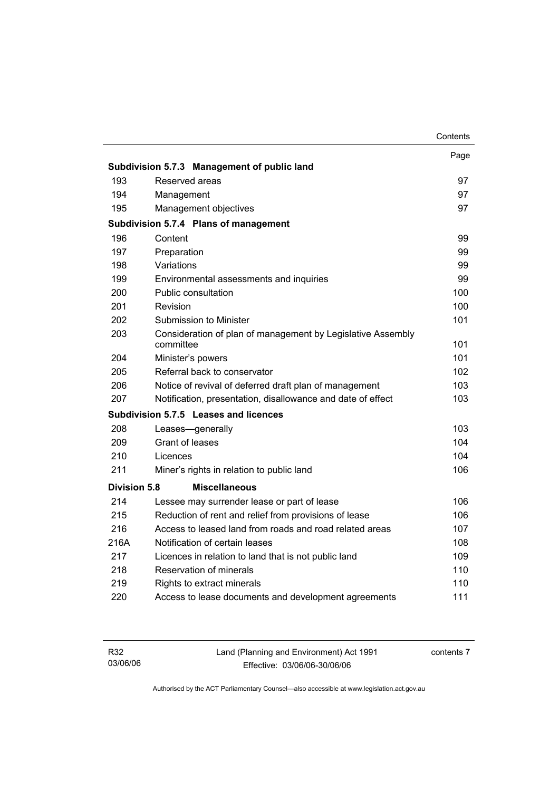|                     |                                                                          | Contents |
|---------------------|--------------------------------------------------------------------------|----------|
|                     |                                                                          | Page     |
|                     | Subdivision 5.7.3 Management of public land                              |          |
| 193                 | Reserved areas                                                           | 97       |
| 194                 | Management                                                               | 97       |
| 195                 | Management objectives                                                    | 97       |
|                     | Subdivision 5.7.4 Plans of management                                    |          |
| 196                 | Content                                                                  | 99       |
| 197                 | Preparation                                                              | 99       |
| 198                 | Variations                                                               | 99       |
| 199                 | Environmental assessments and inquiries                                  | 99       |
| 200                 | Public consultation                                                      | 100      |
| 201                 | Revision                                                                 | 100      |
| 202                 | Submission to Minister                                                   | 101      |
| 203                 | Consideration of plan of management by Legislative Assembly<br>committee | 101      |
| 204                 | Minister's powers                                                        | 101      |
| 205                 | Referral back to conservator                                             | 102      |
| 206                 | Notice of revival of deferred draft plan of management                   | 103      |
| 207                 | Notification, presentation, disallowance and date of effect              | 103      |
|                     | Subdivision 5.7.5 Leases and licences                                    |          |
| 208                 | Leases-generally                                                         | 103      |
| 209                 | <b>Grant of leases</b>                                                   | 104      |
| 210                 | Licences                                                                 | 104      |
| 211                 | Miner's rights in relation to public land                                | 106      |
| <b>Division 5.8</b> | <b>Miscellaneous</b>                                                     |          |
| 214                 | Lessee may surrender lease or part of lease                              | 106      |
| 215                 | Reduction of rent and relief from provisions of lease                    | 106      |
| 216                 | Access to leased land from roads and road related areas                  | 107      |
| 216A                | Notification of certain leases                                           | 108      |
| 217                 | Licences in relation to land that is not public land                     | 109      |
| 218                 | Reservation of minerals                                                  | 110      |
| 219                 | Rights to extract minerals                                               | 110      |
| 220                 | Access to lease documents and development agreements                     | 111      |
|                     |                                                                          |          |

| R32      | Land (Planning and Environment) Act 1991 | contents 7 |
|----------|------------------------------------------|------------|
| 03/06/06 | Effective: 03/06/06-30/06/06             |            |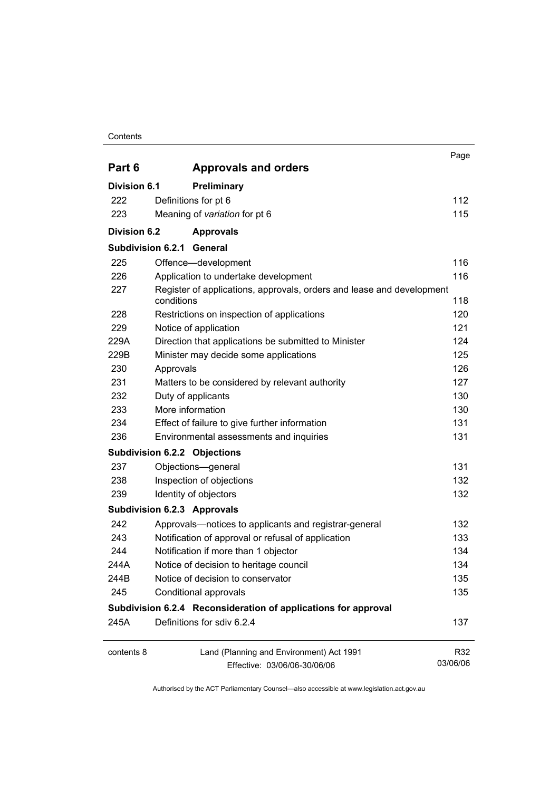#### **Contents**

|                     |                                                                                     | Page            |
|---------------------|-------------------------------------------------------------------------------------|-----------------|
| Part 6              | <b>Approvals and orders</b>                                                         |                 |
| <b>Division 6.1</b> | Preliminary                                                                         |                 |
| 222                 | Definitions for pt 6                                                                | 112             |
| 223                 | Meaning of variation for pt 6                                                       | 115             |
| <b>Division 6.2</b> | <b>Approvals</b>                                                                    |                 |
| Subdivision 6.2.1   | General                                                                             |                 |
| 225                 | Offence-development                                                                 | 116             |
| 226                 | Application to undertake development                                                | 116             |
| 227                 | Register of applications, approvals, orders and lease and development<br>conditions | 118             |
| 228                 | Restrictions on inspection of applications                                          | 120             |
| 229                 | Notice of application                                                               | 121             |
| 229A                | Direction that applications be submitted to Minister                                | 124             |
| 229B                | Minister may decide some applications                                               | 125             |
| 230                 | Approvals                                                                           | 126             |
| 231                 | Matters to be considered by relevant authority                                      | 127             |
| 232                 | Duty of applicants                                                                  | 130             |
| 233                 | More information                                                                    | 130             |
| 234                 | Effect of failure to give further information                                       | 131             |
| 236                 | Environmental assessments and inquiries                                             | 131             |
|                     | <b>Subdivision 6.2.2 Objections</b>                                                 |                 |
| 237                 | Objections-general                                                                  | 131             |
| 238                 | Inspection of objections                                                            | 132             |
| 239                 | Identity of objectors                                                               | 132             |
|                     | <b>Subdivision 6.2.3 Approvals</b>                                                  |                 |
| 242                 | Approvals-notices to applicants and registrar-general                               | 132             |
| 243                 | Notification of approval or refusal of application                                  | 133             |
| 244                 | Notification if more than 1 objector                                                | 134             |
| 244A                | Notice of decision to heritage council                                              | 134             |
| 244B                | Notice of decision to conservator                                                   | 135             |
| 245                 | Conditional approvals                                                               | 135             |
|                     | Subdivision 6.2.4 Reconsideration of applications for approval                      |                 |
| 245A                | Definitions for sdiv 6.2.4                                                          | 137             |
| contents 8          | Land (Planning and Environment) Act 1991<br>Effective: 03/06/06-30/06/06            | R32<br>03/06/06 |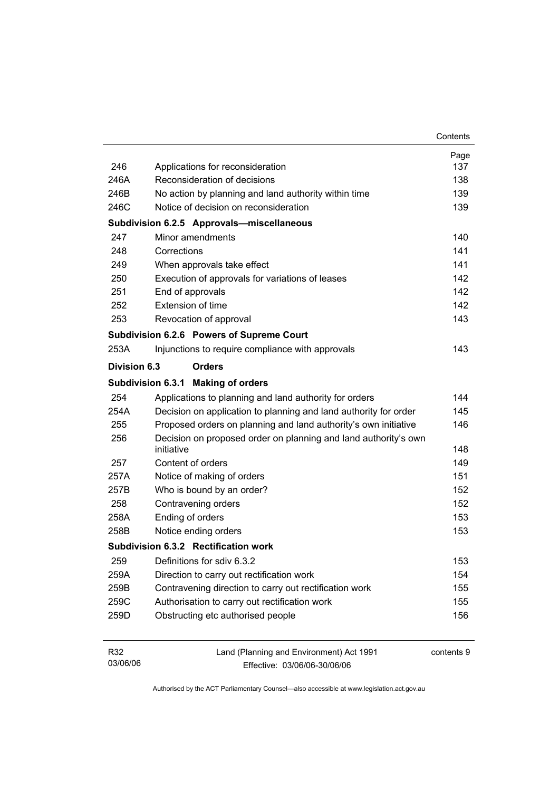|              |                                                                               | Contents   |
|--------------|-------------------------------------------------------------------------------|------------|
|              |                                                                               | Page       |
| 246          | Applications for reconsideration                                              | 137        |
| 246A         | Reconsideration of decisions                                                  | 138        |
| 246B         | No action by planning and land authority within time                          | 139        |
| 246C         | Notice of decision on reconsideration                                         | 139        |
|              | Subdivision 6.2.5 Approvals-miscellaneous                                     |            |
| 247          | Minor amendments                                                              | 140        |
| 248          | Corrections                                                                   | 141        |
| 249          | When approvals take effect                                                    | 141        |
| 250          | Execution of approvals for variations of leases                               | 142        |
| 251          | End of approvals                                                              | 142        |
| 252          | <b>Extension of time</b>                                                      | 142        |
| 253          | Revocation of approval                                                        | 143        |
|              | Subdivision 6.2.6 Powers of Supreme Court                                     |            |
| 253A         | Injunctions to require compliance with approvals                              | 143        |
| Division 6.3 | <b>Orders</b>                                                                 |            |
|              | Subdivision 6.3.1 Making of orders                                            |            |
| 254          | Applications to planning and land authority for orders                        | 144        |
| 254A         | Decision on application to planning and land authority for order              | 145        |
| 255          | Proposed orders on planning and land authority's own initiative               | 146        |
| 256          | Decision on proposed order on planning and land authority's own<br>initiative | 148        |
| 257          | Content of orders                                                             | 149        |
| 257A         | Notice of making of orders                                                    | 151        |
| 257B         | Who is bound by an order?                                                     | 152        |
| 258          | Contravening orders                                                           | 152        |
| 258A         | Ending of orders                                                              | 153        |
| 258B         | Notice ending orders                                                          | 153        |
|              | Subdivision 6.3.2 Rectification work                                          |            |
| 259          | Definitions for sdiv 6.3.2                                                    | 153        |
| 259A         | Direction to carry out rectification work                                     | 154        |
| 259B         | Contravening direction to carry out rectification work                        | 155        |
| 259C         | Authorisation to carry out rectification work                                 | 155        |
| 259D         | Obstructing etc authorised people                                             | 156        |
|              |                                                                               |            |
| R32          | Land (Planning and Environment) Act 1991                                      | contents 9 |

03/06/06

Authorised by the ACT Parliamentary Counsel—also accessible at www.legislation.act.gov.au

Effective: 03/06/06-30/06/06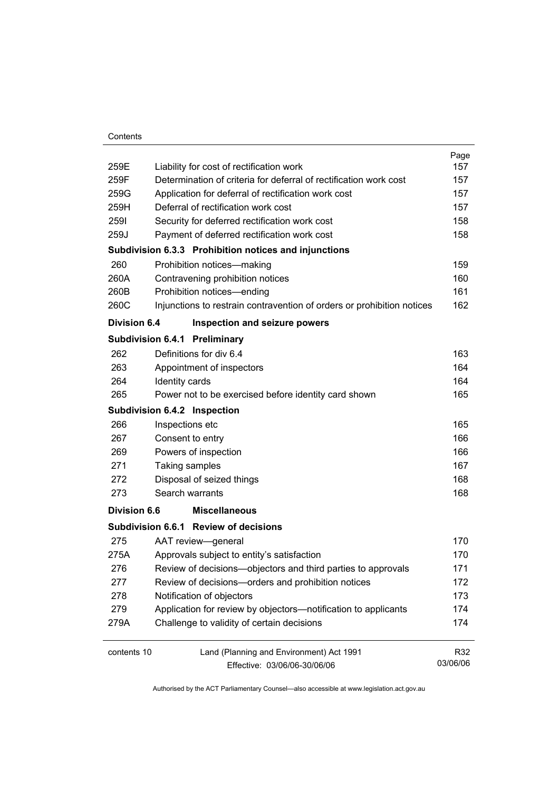| 259E                | Liability for cost of rectification work                               | Page<br>157 |
|---------------------|------------------------------------------------------------------------|-------------|
| 259F                | Determination of criteria for deferral of rectification work cost      | 157         |
| 259G                | Application for deferral of rectification work cost                    | 157         |
| 259H                | Deferral of rectification work cost                                    | 157         |
| 2591                | Security for deferred rectification work cost                          | 158         |
| 259J                | Payment of deferred rectification work cost                            | 158         |
|                     | Subdivision 6.3.3 Prohibition notices and injunctions                  |             |
| 260                 | Prohibition notices-making                                             | 159         |
| 260A                | Contravening prohibition notices                                       | 160         |
| 260B                | Prohibition notices-ending                                             | 161         |
| 260C                | Injunctions to restrain contravention of orders or prohibition notices | 162         |
| <b>Division 6.4</b> | Inspection and seizure powers                                          |             |
|                     | <b>Subdivision 6.4.1 Preliminary</b>                                   |             |
| 262                 | Definitions for div 6.4                                                | 163         |
| 263                 | Appointment of inspectors                                              | 164         |
| 264                 | Identity cards                                                         | 164         |
| 265                 | Power not to be exercised before identity card shown                   | 165         |
|                     | Subdivision 6.4.2 Inspection                                           |             |
| 266                 | Inspections etc                                                        | 165         |
| 267                 | Consent to entry                                                       | 166         |
| 269                 | Powers of inspection                                                   | 166         |
| 271                 | Taking samples                                                         | 167         |
| 272                 | Disposal of seized things                                              | 168         |
| 273                 | Search warrants                                                        | 168         |
|                     |                                                                        |             |
| <b>Division 6.6</b> | <b>Miscellaneous</b>                                                   |             |
|                     | Subdivision 6.6.1 Review of decisions                                  |             |
| 275                 | AAT review-general                                                     | 170         |
| 275A                | Approvals subject to entity's satisfaction                             | 170         |
| 276                 | Review of decisions-objectors and third parties to approvals           | 171         |
| 277                 | Review of decisions-orders and prohibition notices                     | 172         |
| 278                 | Notification of objectors                                              | 173         |
| 279                 | Application for review by objectors-notification to applicants         | 174         |
| 279A                | Challenge to validity of certain decisions                             | 174         |
| contents 10         | Land (Planning and Environment) Act 1991                               | R32         |
|                     | Effective: 03/06/06-30/06/06                                           | 03/06/06    |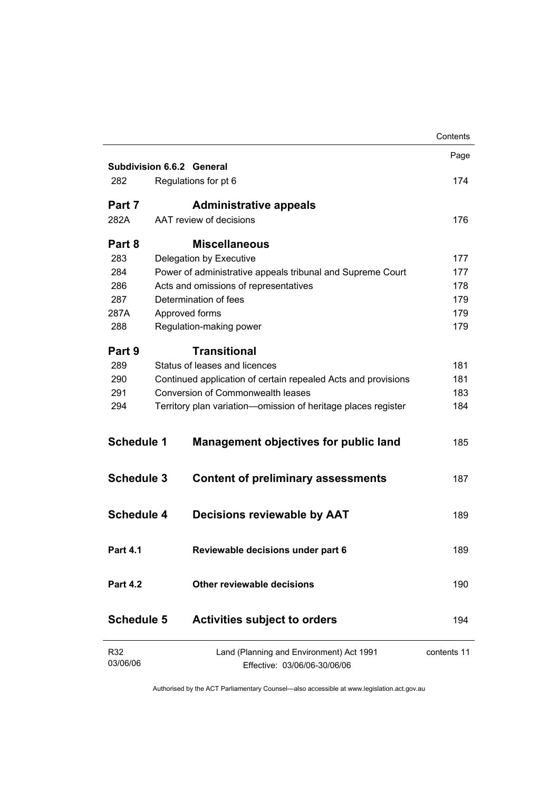|                   |                                                                          | Contents    |
|-------------------|--------------------------------------------------------------------------|-------------|
|                   |                                                                          | Page        |
|                   | <b>Subdivision 6.6.2 General</b>                                         |             |
| 282               | Regulations for pt 6                                                     | 174         |
| Part 7            | <b>Administrative appeals</b>                                            |             |
| 282A              | AAT review of decisions                                                  | 176         |
| Part 8            | <b>Miscellaneous</b>                                                     |             |
| 283               | Delegation by Executive                                                  | 177         |
| 284               | Power of administrative appeals tribunal and Supreme Court               | 177         |
| 286               | Acts and omissions of representatives                                    | 178         |
| 287               | Determination of fees                                                    | 179         |
| 287A              | Approved forms                                                           | 179         |
| 288               | Regulation-making power                                                  | 179         |
| Part 9            | <b>Transitional</b>                                                      |             |
| 289               | Status of leases and licences                                            | 181         |
| 290               | Continued application of certain repealed Acts and provisions            | 181         |
| 291               | Conversion of Commonwealth leases                                        | 183         |
| 294               | Territory plan variation-omission of heritage places register            | 184         |
| <b>Schedule 1</b> | <b>Management objectives for public land</b>                             | 185         |
| <b>Schedule 3</b> | <b>Content of preliminary assessments</b>                                | 187         |
| <b>Schedule 4</b> | <b>Decisions reviewable by AAT</b>                                       | 189         |
| <b>Part 4.1</b>   | Reviewable decisions under part 6                                        | 189         |
| <b>Part 4.2</b>   | Other reviewable decisions                                               | 190         |
| <b>Schedule 5</b> | <b>Activities subject to orders</b>                                      | 194         |
| R32<br>03/06/06   | Land (Planning and Environment) Act 1991<br>Effective: 03/06/06-30/06/06 | contents 11 |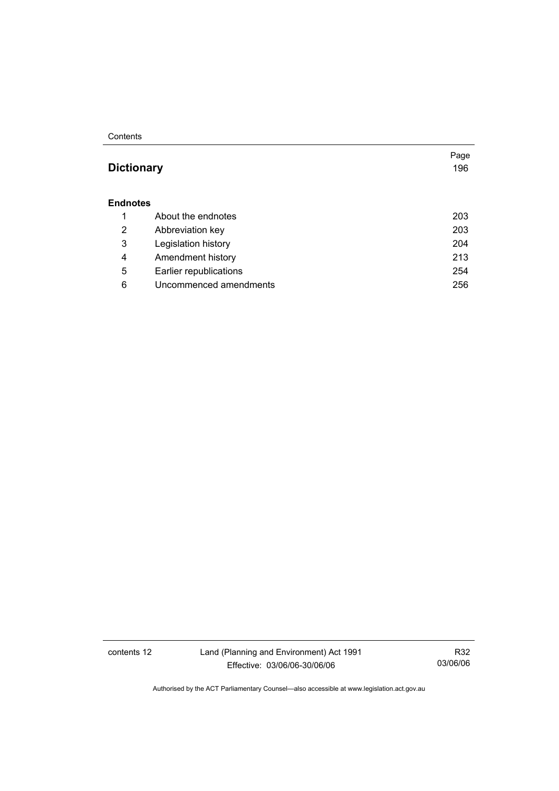#### **Contents**

## **Dictionary** 196

Page

#### **Endnotes**

|   | About the endnotes     | 203 |
|---|------------------------|-----|
| 2 | Abbreviation key       | 203 |
| 3 | Legislation history    | 204 |
| 4 | Amendment history      | 213 |
| 5 | Earlier republications | 254 |
| 6 | Uncommenced amendments | 256 |

contents 12 Land (Planning and Environment) Act 1991 Effective: 03/06/06-30/06/06

R32 03/06/06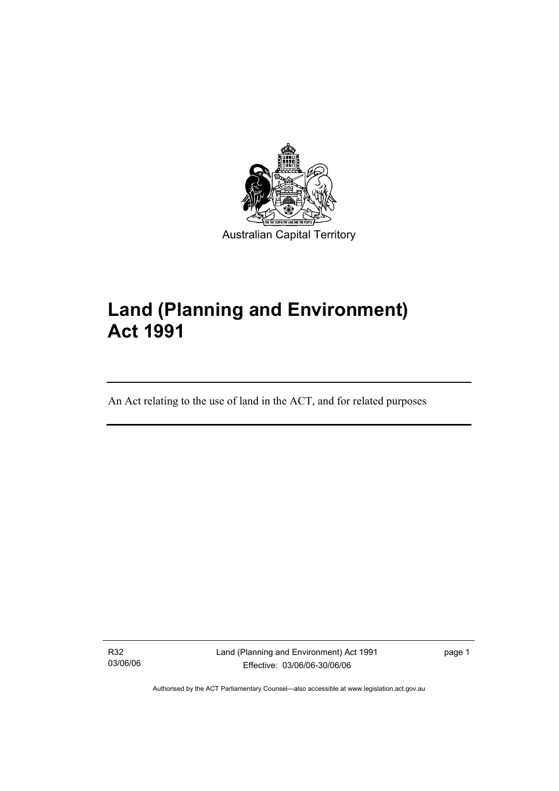

# **Land (Planning and Environment) Act 1991**

An Act relating to the use of land in the ACT, and for related purposes

R32 03/06/06

I

Land (Planning and Environment) Act 1991 Effective: 03/06/06-30/06/06

page 1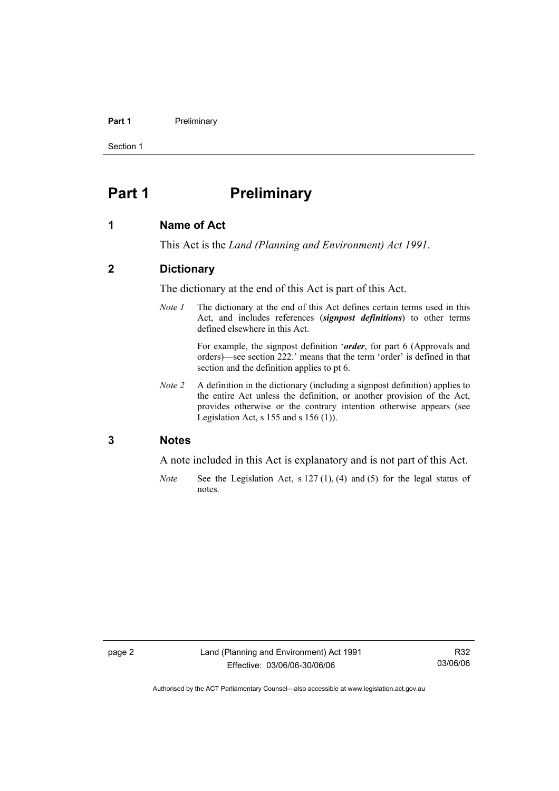#### **Part 1** Preliminary

Section 1

## **Part 1** Preliminary

#### **1 Name of Act**

This Act is the *Land (Planning and Environment) Act 1991*.

#### **2 Dictionary**

The dictionary at the end of this Act is part of this Act.

*Note 1* The dictionary at the end of this Act defines certain terms used in this Act, and includes references (*signpost definitions*) to other terms defined elsewhere in this Act.

> For example, the signpost definition '*order*, for part 6 (Approvals and orders)—see section 222.' means that the term 'order' is defined in that section and the definition applies to pt 6.

*Note 2* A definition in the dictionary (including a signpost definition) applies to the entire Act unless the definition, or another provision of the Act, provides otherwise or the contrary intention otherwise appears (see Legislation Act,  $s$  155 and  $s$  156 (1)).

#### **3 Notes**

A note included in this Act is explanatory and is not part of this Act.

*Note* See the Legislation Act, s 127 (1), (4) and (5) for the legal status of notes.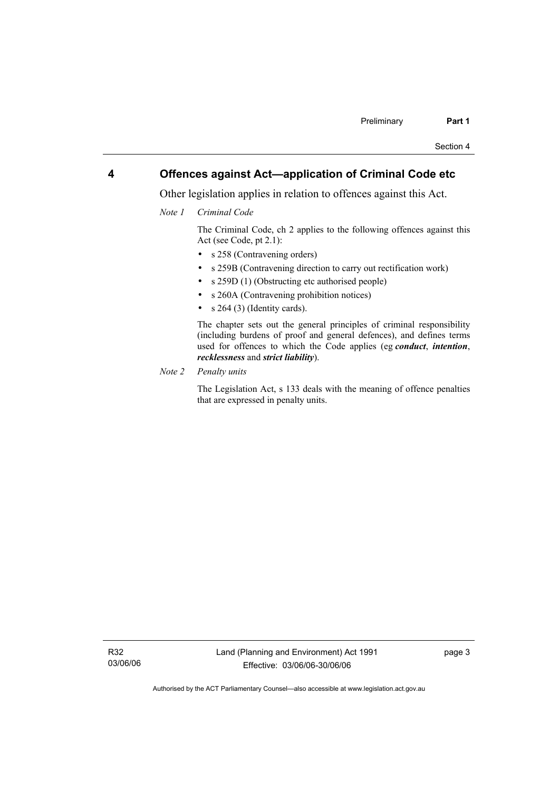#### **4 Offences against Act—application of Criminal Code etc**

Other legislation applies in relation to offences against this Act.

*Note 1 Criminal Code* 

 The Criminal Code, ch 2 applies to the following offences against this Act (see Code, pt 2.1):

- s 258 (Contravening orders)
- s 259B (Contravening direction to carry out rectification work)
- s 259D (1) (Obstructing etc authorised people)
- s 260A (Contravening prohibition notices)
- $s \; 264 \; (3)$  (Identity cards).

 The chapter sets out the general principles of criminal responsibility (including burdens of proof and general defences), and defines terms used for offences to which the Code applies (eg *conduct*, *intention*, *recklessness* and *strict liability*).

*Note 2 Penalty units*

 The Legislation Act, s 133 deals with the meaning of offence penalties that are expressed in penalty units.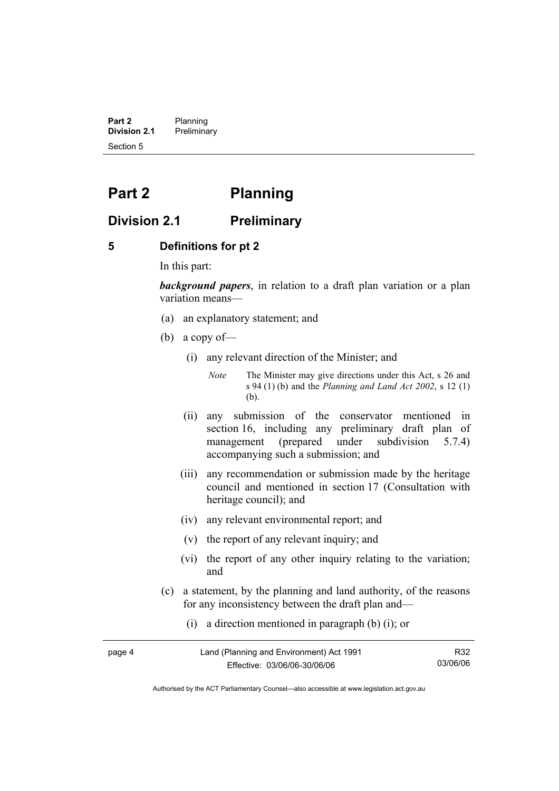**Part 2** Planning<br>**Division 2.1** Prelimina **Division 2.1** Preliminary Section 5

## **Part 2 Planning**

### **Division 2.1 Preliminary**

#### **5 Definitions for pt 2**

In this part:

*background papers*, in relation to a draft plan variation or a plan variation means—

- (a) an explanatory statement; and
- (b) a copy of—
	- (i) any relevant direction of the Minister; and

*Note* The Minister may give directions under this Act, s 26 and s 94 (1) (b) and the *Planning and Land Act 2002*, s 12 (1) (b).

- (ii) any submission of the conservator mentioned in section 16, including any preliminary draft plan of management (prepared under subdivision 5.7.4) accompanying such a submission; and
- (iii) any recommendation or submission made by the heritage council and mentioned in section 17 (Consultation with heritage council); and
- (iv) any relevant environmental report; and
- (v) the report of any relevant inquiry; and
- (vi) the report of any other inquiry relating to the variation; and
- (c) a statement, by the planning and land authority, of the reasons for any inconsistency between the draft plan and—
	- (i) a direction mentioned in paragraph (b) (i); or

| page 4 | Land (Planning and Environment) Act 1991 | R32      |
|--------|------------------------------------------|----------|
|        | Effective: 03/06/06-30/06/06             | 03/06/06 |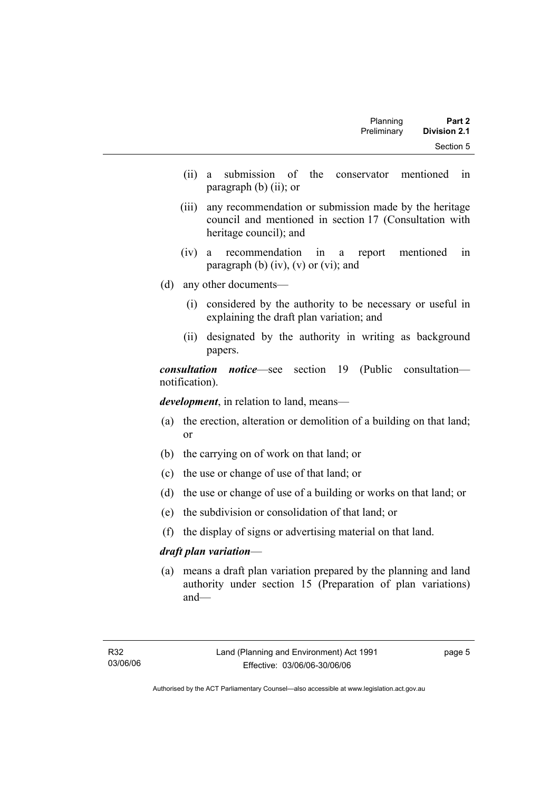| Part 2              | Planning    |  |
|---------------------|-------------|--|
| <b>Division 2.1</b> | Preliminary |  |
| Section 5           |             |  |

- (ii) a submission of the conservator mentioned in paragraph (b) (ii); or
- (iii) any recommendation or submission made by the heritage council and mentioned in section 17 (Consultation with heritage council); and
- (iv) a recommendation in a report mentioned in paragraph (b)  $(iv)$ ,  $(v)$  or  $(vi)$ ; and
- (d) any other documents—
	- (i) considered by the authority to be necessary or useful in explaining the draft plan variation; and
	- (ii) designated by the authority in writing as background papers.

*consultation notice*—see section 19 (Public consultation notification).

*development*, in relation to land, means—

- (a) the erection, alteration or demolition of a building on that land; or
- (b) the carrying on of work on that land; or
- (c) the use or change of use of that land; or
- (d) the use or change of use of a building or works on that land; or
- (e) the subdivision or consolidation of that land; or
- (f) the display of signs or advertising material on that land.

#### *draft plan variation*—

 (a) means a draft plan variation prepared by the planning and land authority under section 15 (Preparation of plan variations) and—

page 5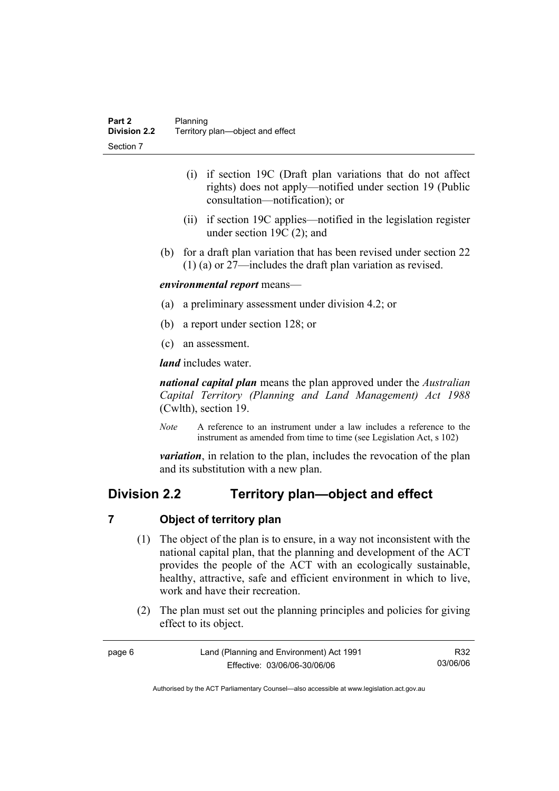- (i) if section 19C (Draft plan variations that do not affect rights) does not apply—notified under section 19 (Public consultation—notification); or
- (ii) if section 19C applies—notified in the legislation register under section 19C (2); and
- (b) for a draft plan variation that has been revised under section 22 (1) (a) or 27—includes the draft plan variation as revised.

#### *environmental report* means—

- (a) a preliminary assessment under division 4.2; or
- (b) a report under section 128; or
- (c) an assessment.

*land* includes water.

*national capital plan* means the plan approved under the *Australian Capital Territory (Planning and Land Management) Act 1988* (Cwlth), section 19.

*Note* A reference to an instrument under a law includes a reference to the instrument as amended from time to time (see Legislation Act, s 102)

*variation*, in relation to the plan, includes the revocation of the plan and its substitution with a new plan.

## **Division 2.2 Territory plan—object and effect**

#### **7 Object of territory plan**

- (1) The object of the plan is to ensure, in a way not inconsistent with the national capital plan, that the planning and development of the ACT provides the people of the ACT with an ecologically sustainable, healthy, attractive, safe and efficient environment in which to live, work and have their recreation.
- (2) The plan must set out the planning principles and policies for giving effect to its object.

| page 6 | Land (Planning and Environment) Act 1991 | R32      |
|--------|------------------------------------------|----------|
|        | Effective: 03/06/06-30/06/06             | 03/06/06 |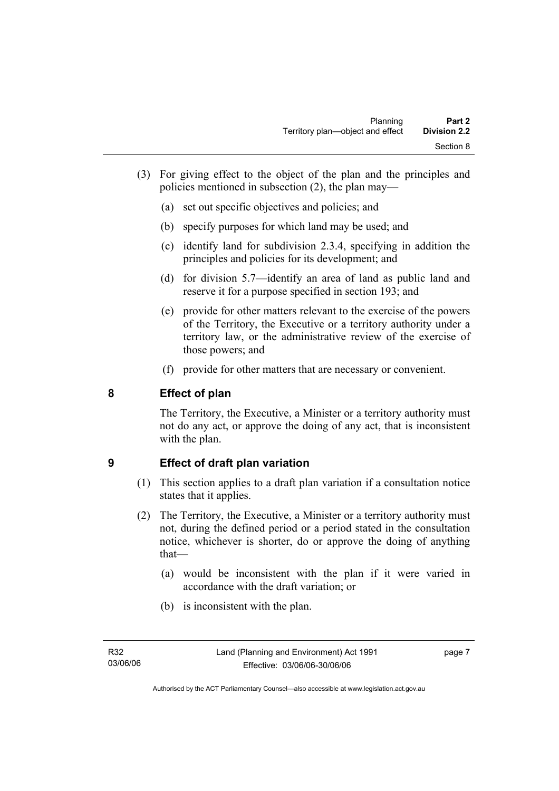- (3) For giving effect to the object of the plan and the principles and policies mentioned in subsection (2), the plan may—
	- (a) set out specific objectives and policies; and
	- (b) specify purposes for which land may be used; and
	- (c) identify land for subdivision 2.3.4, specifying in addition the principles and policies for its development; and
	- (d) for division 5.7—identify an area of land as public land and reserve it for a purpose specified in section 193; and
	- (e) provide for other matters relevant to the exercise of the powers of the Territory, the Executive or a territory authority under a territory law, or the administrative review of the exercise of those powers; and
	- (f) provide for other matters that are necessary or convenient.

## **8 Effect of plan**

The Territory, the Executive, a Minister or a territory authority must not do any act, or approve the doing of any act, that is inconsistent with the plan.

### **9 Effect of draft plan variation**

- (1) This section applies to a draft plan variation if a consultation notice states that it applies.
- (2) The Territory, the Executive, a Minister or a territory authority must not, during the defined period or a period stated in the consultation notice, whichever is shorter, do or approve the doing of anything that—
	- (a) would be inconsistent with the plan if it were varied in accordance with the draft variation; or
	- (b) is inconsistent with the plan.

page 7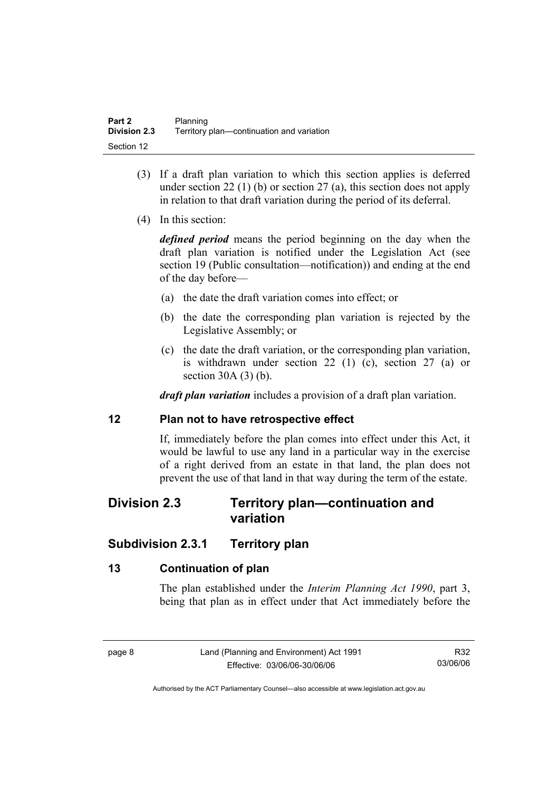- (3) If a draft plan variation to which this section applies is deferred under section 22 (1) (b) or section 27 (a), this section does not apply in relation to that draft variation during the period of its deferral.
- (4) In this section:

*defined period* means the period beginning on the day when the draft plan variation is notified under the Legislation Act (see section 19 (Public consultation—notification)) and ending at the end of the day before—

- (a) the date the draft variation comes into effect; or
- (b) the date the corresponding plan variation is rejected by the Legislative Assembly; or
- (c) the date the draft variation, or the corresponding plan variation, is withdrawn under section 22 (1) (c), section 27 (a) or section 30A (3) (b).

*draft plan variation* includes a provision of a draft plan variation.

#### **12 Plan not to have retrospective effect**

If, immediately before the plan comes into effect under this Act, it would be lawful to use any land in a particular way in the exercise of a right derived from an estate in that land, the plan does not prevent the use of that land in that way during the term of the estate.

## **Division 2.3 Territory plan—continuation and variation**

## **Subdivision 2.3.1 Territory plan**

### **13 Continuation of plan**

The plan established under the *Interim Planning Act 1990*, part 3, being that plan as in effect under that Act immediately before the

R32 03/06/06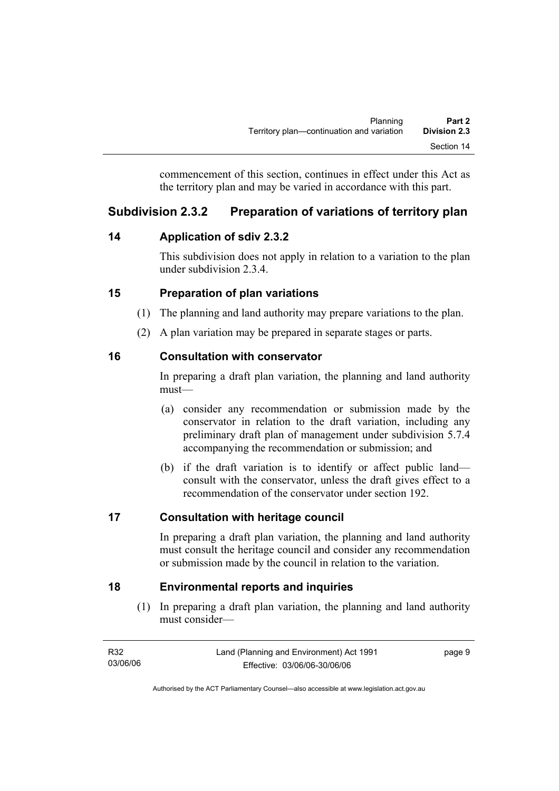commencement of this section, continues in effect under this Act as the territory plan and may be varied in accordance with this part.

## **Subdivision 2.3.2 Preparation of variations of territory plan**

## **14 Application of sdiv 2.3.2**

This subdivision does not apply in relation to a variation to the plan under subdivision 2.3.4.

## **15 Preparation of plan variations**

- (1) The planning and land authority may prepare variations to the plan.
- (2) A plan variation may be prepared in separate stages or parts.

## **16 Consultation with conservator**

In preparing a draft plan variation, the planning and land authority must—

- (a) consider any recommendation or submission made by the conservator in relation to the draft variation, including any preliminary draft plan of management under subdivision 5.7.4 accompanying the recommendation or submission; and
- (b) if the draft variation is to identify or affect public land consult with the conservator, unless the draft gives effect to a recommendation of the conservator under section 192.

## **17 Consultation with heritage council**

In preparing a draft plan variation, the planning and land authority must consult the heritage council and consider any recommendation or submission made by the council in relation to the variation.

## **18 Environmental reports and inquiries**

 (1) In preparing a draft plan variation, the planning and land authority must consider—

| R32      | Land (Planning and Environment) Act 1991 | page 9 |
|----------|------------------------------------------|--------|
| 03/06/06 | Effective: 03/06/06-30/06/06             |        |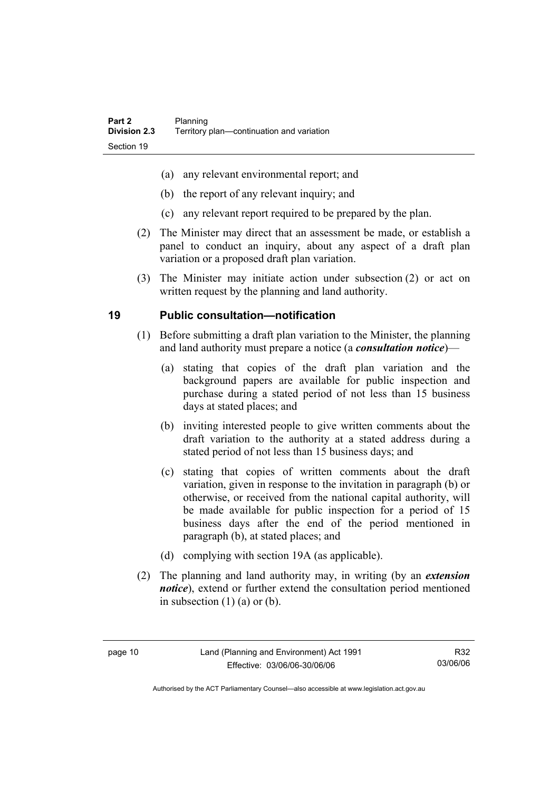- (a) any relevant environmental report; and
- (b) the report of any relevant inquiry; and
- (c) any relevant report required to be prepared by the plan.
- (2) The Minister may direct that an assessment be made, or establish a panel to conduct an inquiry, about any aspect of a draft plan variation or a proposed draft plan variation.
- (3) The Minister may initiate action under subsection (2) or act on written request by the planning and land authority.

## **19 Public consultation—notification**

- (1) Before submitting a draft plan variation to the Minister, the planning and land authority must prepare a notice (a *consultation notice*)—
	- (a) stating that copies of the draft plan variation and the background papers are available for public inspection and purchase during a stated period of not less than 15 business days at stated places; and
	- (b) inviting interested people to give written comments about the draft variation to the authority at a stated address during a stated period of not less than 15 business days; and
	- (c) stating that copies of written comments about the draft variation, given in response to the invitation in paragraph (b) or otherwise, or received from the national capital authority, will be made available for public inspection for a period of 15 business days after the end of the period mentioned in paragraph (b), at stated places; and
	- (d) complying with section 19A (as applicable).
- (2) The planning and land authority may, in writing (by an *extension notice*), extend or further extend the consultation period mentioned in subsection  $(1)$   $(a)$  or  $(b)$ .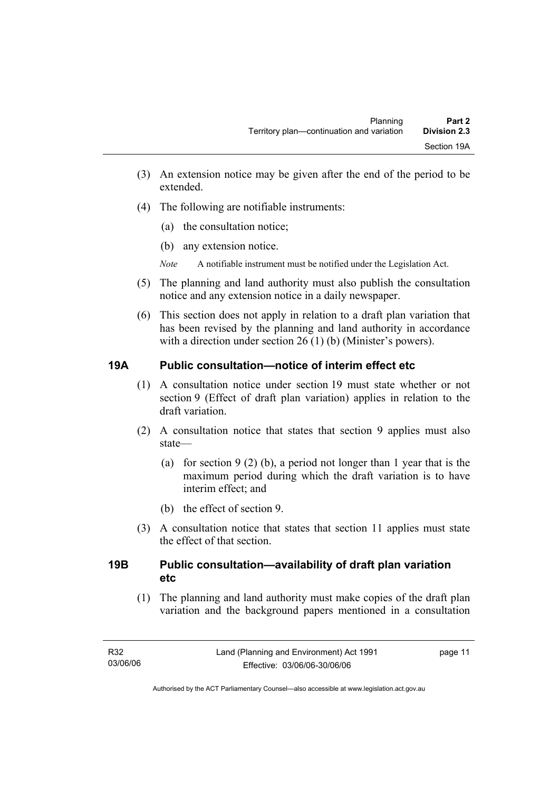- (3) An extension notice may be given after the end of the period to be extended.
- (4) The following are notifiable instruments:
	- (a) the consultation notice;
	- (b) any extension notice.
	- *Note* A notifiable instrument must be notified under the Legislation Act.
- (5) The planning and land authority must also publish the consultation notice and any extension notice in a daily newspaper.
- (6) This section does not apply in relation to a draft plan variation that has been revised by the planning and land authority in accordance with a direction under section 26 (1) (b) (Minister's powers).

### **19A Public consultation—notice of interim effect etc**

- (1) A consultation notice under section 19 must state whether or not section 9 (Effect of draft plan variation) applies in relation to the draft variation.
- (2) A consultation notice that states that section 9 applies must also state—
	- (a) for section 9 (2) (b), a period not longer than 1 year that is the maximum period during which the draft variation is to have interim effect; and
	- (b) the effect of section 9.
- (3) A consultation notice that states that section 11 applies must state the effect of that section.

### **19B Public consultation—availability of draft plan variation etc**

(1) The planning and land authority must make copies of the draft plan variation and the background papers mentioned in a consultation

page 11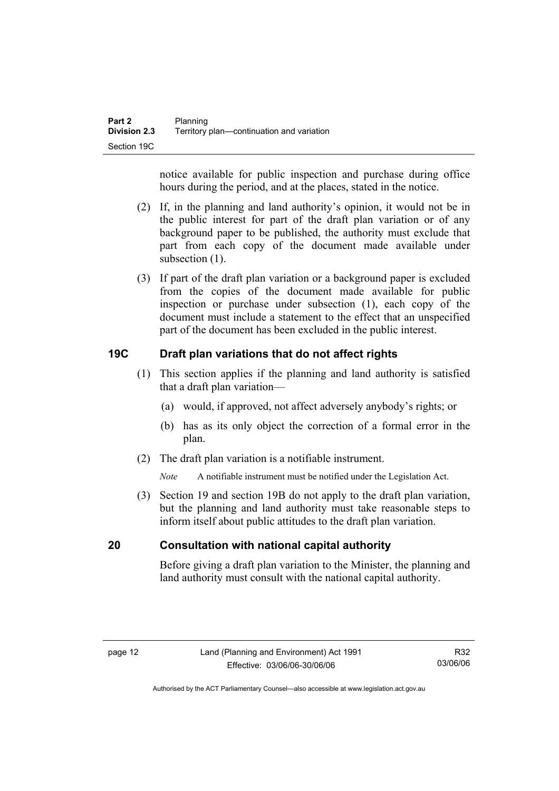notice available for public inspection and purchase during office hours during the period, and at the places, stated in the notice.

- (2) If, in the planning and land authority's opinion, it would not be in the public interest for part of the draft plan variation or of any background paper to be published, the authority must exclude that part from each copy of the document made available under subsection  $(1)$ .
- (3) If part of the draft plan variation or a background paper is excluded from the copies of the document made available for public inspection or purchase under subsection (1), each copy of the document must include a statement to the effect that an unspecified part of the document has been excluded in the public interest.

### **19C Draft plan variations that do not affect rights**

- (1) This section applies if the planning and land authority is satisfied that a draft plan variation—
	- (a) would, if approved, not affect adversely anybody's rights; or
	- (b) has as its only object the correction of a formal error in the plan.
- (2) The draft plan variation is a notifiable instrument.

*Note* A notifiable instrument must be notified under the Legislation Act.

 (3) Section 19 and section 19B do not apply to the draft plan variation, but the planning and land authority must take reasonable steps to inform itself about public attitudes to the draft plan variation.

#### **20 Consultation with national capital authority**

Before giving a draft plan variation to the Minister, the planning and land authority must consult with the national capital authority.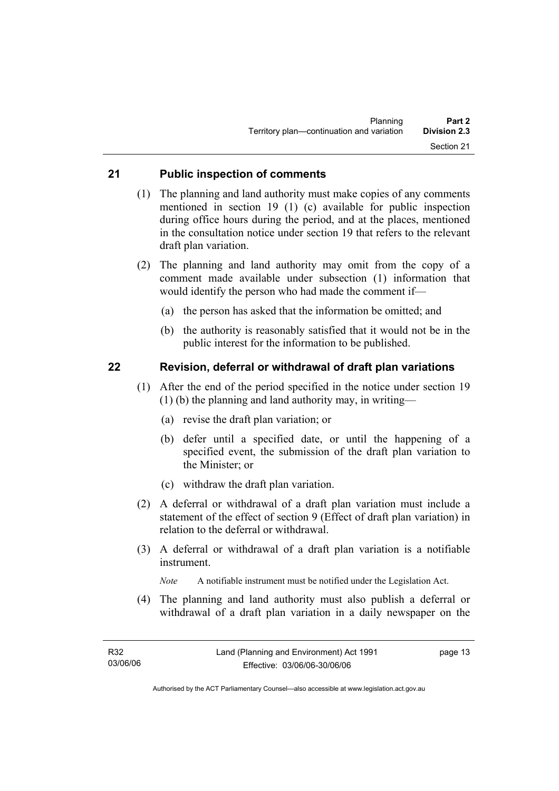#### **21 Public inspection of comments**

- (1) The planning and land authority must make copies of any comments mentioned in section 19 (1) (c) available for public inspection during office hours during the period, and at the places, mentioned in the consultation notice under section 19 that refers to the relevant draft plan variation.
- (2) The planning and land authority may omit from the copy of a comment made available under subsection (1) information that would identify the person who had made the comment if—
	- (a) the person has asked that the information be omitted; and
	- (b) the authority is reasonably satisfied that it would not be in the public interest for the information to be published.

#### **22 Revision, deferral or withdrawal of draft plan variations**

- (1) After the end of the period specified in the notice under section 19 (1) (b) the planning and land authority may, in writing—
	- (a) revise the draft plan variation; or
	- (b) defer until a specified date, or until the happening of a specified event, the submission of the draft plan variation to the Minister; or
	- (c) withdraw the draft plan variation.
- (2) A deferral or withdrawal of a draft plan variation must include a statement of the effect of section 9 (Effect of draft plan variation) in relation to the deferral or withdrawal.
- (3) A deferral or withdrawal of a draft plan variation is a notifiable instrument.

*Note* A notifiable instrument must be notified under the Legislation Act.

(4) The planning and land authority must also publish a deferral or withdrawal of a draft plan variation in a daily newspaper on the

page 13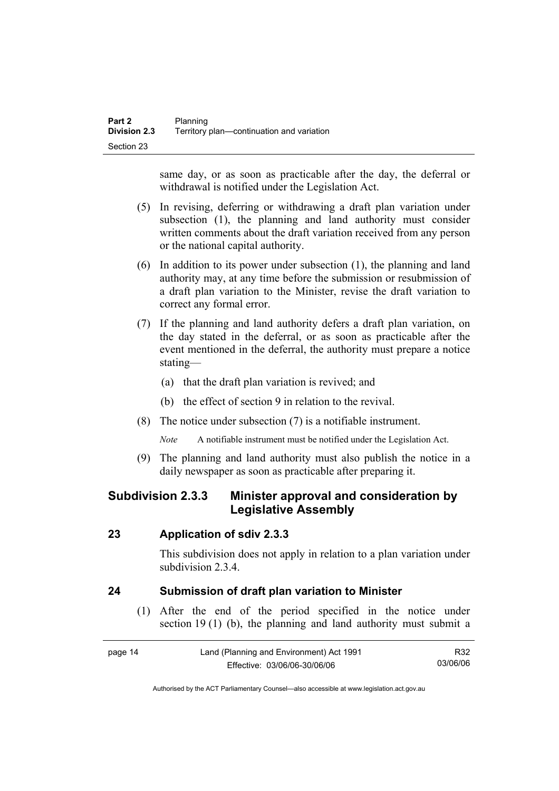same day, or as soon as practicable after the day, the deferral or withdrawal is notified under the Legislation Act.

- (5) In revising, deferring or withdrawing a draft plan variation under subsection (1), the planning and land authority must consider written comments about the draft variation received from any person or the national capital authority.
- (6) In addition to its power under subsection (1), the planning and land authority may, at any time before the submission or resubmission of a draft plan variation to the Minister, revise the draft variation to correct any formal error.
- (7) If the planning and land authority defers a draft plan variation, on the day stated in the deferral, or as soon as practicable after the event mentioned in the deferral, the authority must prepare a notice stating—
	- (a) that the draft plan variation is revived; and
	- (b) the effect of section 9 in relation to the revival.
- (8) The notice under subsection (7) is a notifiable instrument.

*Note* A notifiable instrument must be notified under the Legislation Act.

(9) The planning and land authority must also publish the notice in a daily newspaper as soon as practicable after preparing it.

## **Subdivision 2.3.3 Minister approval and consideration by Legislative Assembly**

#### **23 Application of sdiv 2.3.3**

This subdivision does not apply in relation to a plan variation under subdivision 2.3.4

### **24 Submission of draft plan variation to Minister**

 (1) After the end of the period specified in the notice under section 19 (1) (b), the planning and land authority must submit a

| page 14 | Land (Planning and Environment) Act 1991 | R32      |
|---------|------------------------------------------|----------|
|         | Effective: 03/06/06-30/06/06             | 03/06/06 |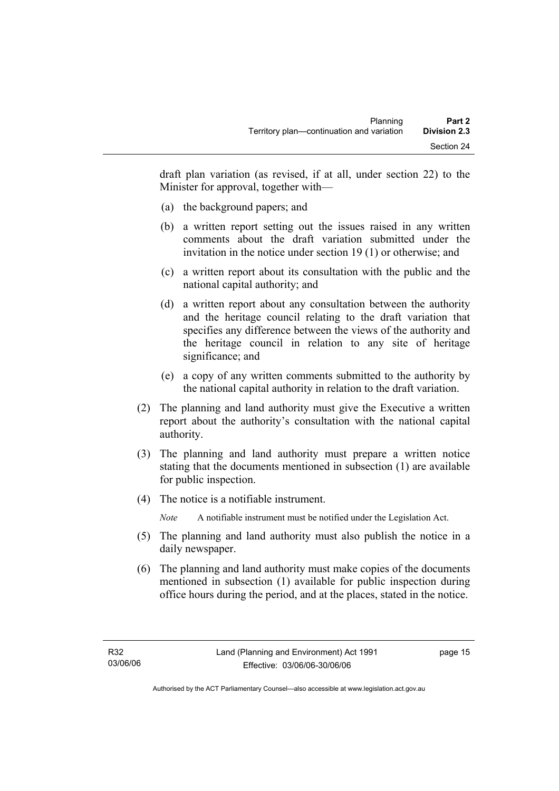draft plan variation (as revised, if at all, under section 22) to the Minister for approval, together with—

- (a) the background papers; and
- (b) a written report setting out the issues raised in any written comments about the draft variation submitted under the invitation in the notice under section 19 (1) or otherwise; and
- (c) a written report about its consultation with the public and the national capital authority; and
- (d) a written report about any consultation between the authority and the heritage council relating to the draft variation that specifies any difference between the views of the authority and the heritage council in relation to any site of heritage significance; and
- (e) a copy of any written comments submitted to the authority by the national capital authority in relation to the draft variation.
- (2) The planning and land authority must give the Executive a written report about the authority's consultation with the national capital authority.
- (3) The planning and land authority must prepare a written notice stating that the documents mentioned in subsection (1) are available for public inspection.
- (4) The notice is a notifiable instrument.

*Note* A notifiable instrument must be notified under the Legislation Act.

- (5) The planning and land authority must also publish the notice in a daily newspaper.
- (6) The planning and land authority must make copies of the documents mentioned in subsection (1) available for public inspection during office hours during the period, and at the places, stated in the notice.

page 15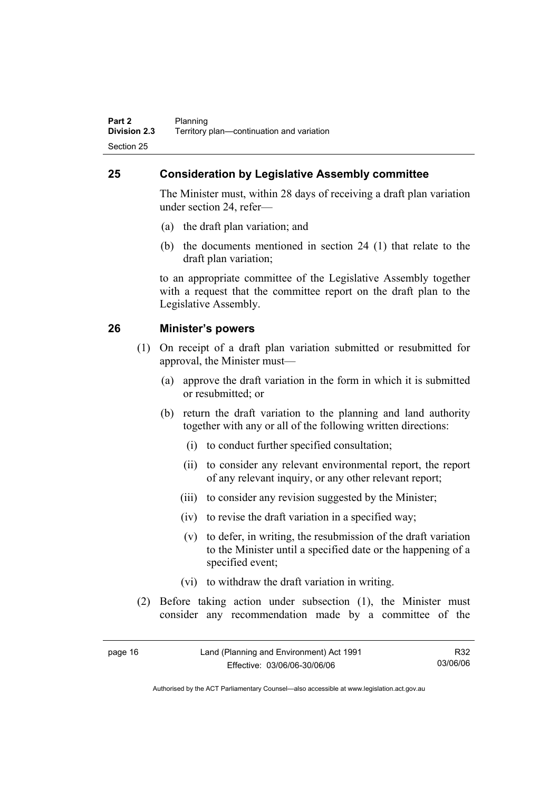## **25 Consideration by Legislative Assembly committee**

The Minister must, within 28 days of receiving a draft plan variation under section 24, refer—

- (a) the draft plan variation; and
- (b) the documents mentioned in section 24 (1) that relate to the draft plan variation;

to an appropriate committee of the Legislative Assembly together with a request that the committee report on the draft plan to the Legislative Assembly.

#### **26 Minister's powers**

- (1) On receipt of a draft plan variation submitted or resubmitted for approval, the Minister must—
	- (a) approve the draft variation in the form in which it is submitted or resubmitted; or
	- (b) return the draft variation to the planning and land authority together with any or all of the following written directions:
		- (i) to conduct further specified consultation;
		- (ii) to consider any relevant environmental report, the report of any relevant inquiry, or any other relevant report;
		- (iii) to consider any revision suggested by the Minister;
		- (iv) to revise the draft variation in a specified way;
		- (v) to defer, in writing, the resubmission of the draft variation to the Minister until a specified date or the happening of a specified event;
		- (vi) to withdraw the draft variation in writing.
- (2) Before taking action under subsection (1), the Minister must consider any recommendation made by a committee of the

| page 16 | Land (Planning and Environment) Act 1991 | R32      |
|---------|------------------------------------------|----------|
|         | Effective: 03/06/06-30/06/06             | 03/06/06 |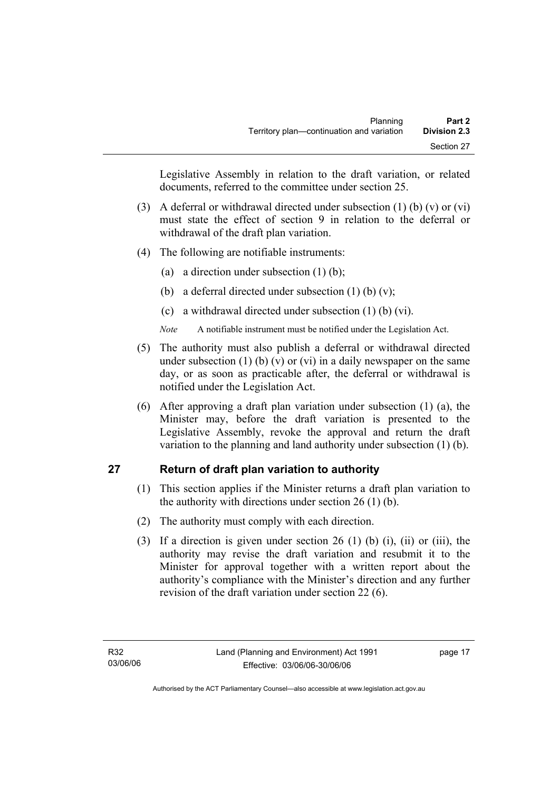Legislative Assembly in relation to the draft variation, or related documents, referred to the committee under section 25.

- (3) A deferral or withdrawal directed under subsection (1) (b) (v) or (vi) must state the effect of section 9 in relation to the deferral or withdrawal of the draft plan variation.
- (4) The following are notifiable instruments:
	- (a) a direction under subsection (1) (b);
	- (b) a deferral directed under subsection  $(1)$  (b)  $(v)$ ;
	- (c) a withdrawal directed under subsection (1) (b) (vi).
	- *Note* A notifiable instrument must be notified under the Legislation Act.
- (5) The authority must also publish a deferral or withdrawal directed under subsection (1) (b) (v) or (vi) in a daily newspaper on the same day, or as soon as practicable after, the deferral or withdrawal is notified under the Legislation Act.
- (6) After approving a draft plan variation under subsection (1) (a), the Minister may, before the draft variation is presented to the Legislative Assembly, revoke the approval and return the draft variation to the planning and land authority under subsection (1) (b).

### **27 Return of draft plan variation to authority**

- (1) This section applies if the Minister returns a draft plan variation to the authority with directions under section 26 (1) (b).
- (2) The authority must comply with each direction.
- (3) If a direction is given under section 26 (1) (b) (i), (ii) or (iii), the authority may revise the draft variation and resubmit it to the Minister for approval together with a written report about the authority's compliance with the Minister's direction and any further revision of the draft variation under section 22 (6).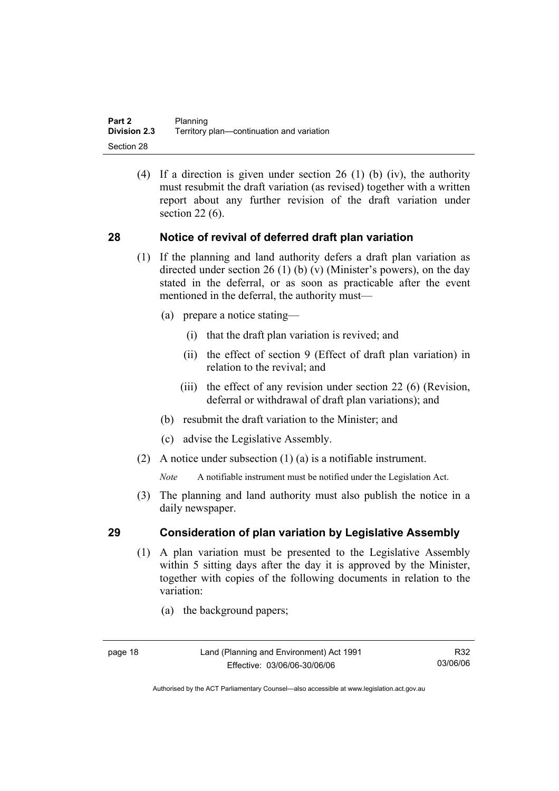(4) If a direction is given under section 26 (1) (b) (iv), the authority must resubmit the draft variation (as revised) together with a written report about any further revision of the draft variation under section 22 (6).

#### **28 Notice of revival of deferred draft plan variation**

- (1) If the planning and land authority defers a draft plan variation as directed under section 26 (1) (b) (v) (Minister's powers), on the day stated in the deferral, or as soon as practicable after the event mentioned in the deferral, the authority must—
	- (a) prepare a notice stating—
		- (i) that the draft plan variation is revived; and
		- (ii) the effect of section 9 (Effect of draft plan variation) in relation to the revival; and
		- (iii) the effect of any revision under section 22 (6) (Revision, deferral or withdrawal of draft plan variations); and
	- (b) resubmit the draft variation to the Minister; and
	- (c) advise the Legislative Assembly.
- (2) A notice under subsection (1) (a) is a notifiable instrument.

*Note* A notifiable instrument must be notified under the Legislation Act.

(3) The planning and land authority must also publish the notice in a daily newspaper.

#### **29 Consideration of plan variation by Legislative Assembly**

- (1) A plan variation must be presented to the Legislative Assembly within 5 sitting days after the day it is approved by the Minister, together with copies of the following documents in relation to the variation:
	- (a) the background papers;

R32 03/06/06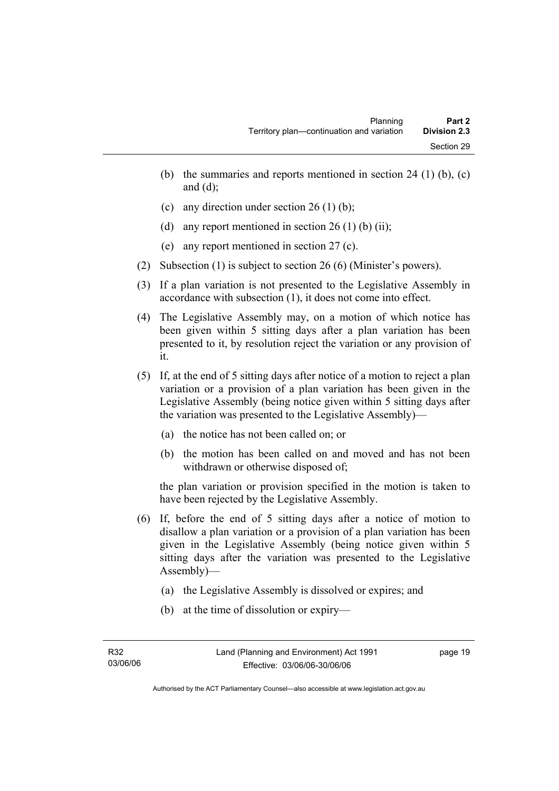- (b) the summaries and reports mentioned in section 24 (1) (b),  $(c)$ and  $(d)$ ;
- (c) any direction under section 26 (1) (b);
- (d) any report mentioned in section  $26(1)$  (b) (ii);
- (e) any report mentioned in section 27 (c).
- (2) Subsection (1) is subject to section 26 (6) (Minister's powers).
- (3) If a plan variation is not presented to the Legislative Assembly in accordance with subsection (1), it does not come into effect.
- (4) The Legislative Assembly may, on a motion of which notice has been given within 5 sitting days after a plan variation has been presented to it, by resolution reject the variation or any provision of it.
- (5) If, at the end of 5 sitting days after notice of a motion to reject a plan variation or a provision of a plan variation has been given in the Legislative Assembly (being notice given within 5 sitting days after the variation was presented to the Legislative Assembly)—
	- (a) the notice has not been called on; or
	- (b) the motion has been called on and moved and has not been withdrawn or otherwise disposed of;

the plan variation or provision specified in the motion is taken to have been rejected by the Legislative Assembly.

- (6) If, before the end of 5 sitting days after a notice of motion to disallow a plan variation or a provision of a plan variation has been given in the Legislative Assembly (being notice given within 5 sitting days after the variation was presented to the Legislative Assembly)—
	- (a) the Legislative Assembly is dissolved or expires; and
	- (b) at the time of dissolution or expiry—

page 19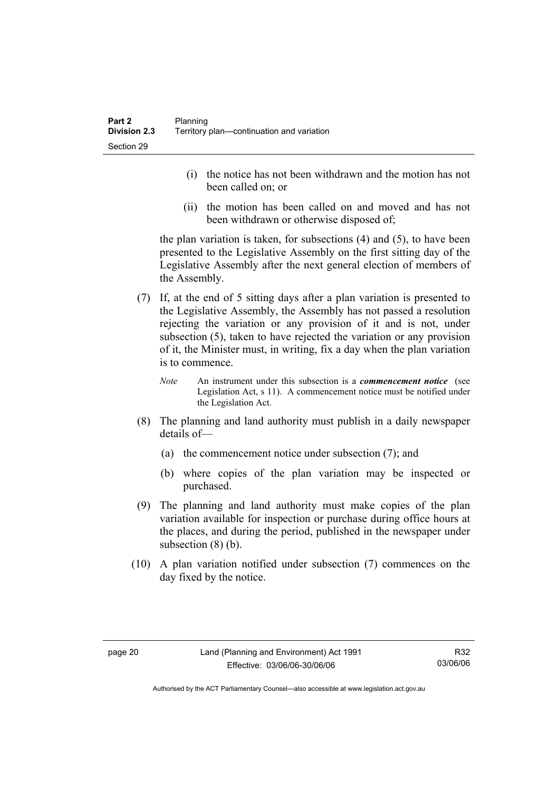- (i) the notice has not been withdrawn and the motion has not been called on; or
- (ii) the motion has been called on and moved and has not been withdrawn or otherwise disposed of;

the plan variation is taken, for subsections (4) and (5), to have been presented to the Legislative Assembly on the first sitting day of the Legislative Assembly after the next general election of members of the Assembly.

- (7) If, at the end of 5 sitting days after a plan variation is presented to the Legislative Assembly, the Assembly has not passed a resolution rejecting the variation or any provision of it and is not, under subsection (5), taken to have rejected the variation or any provision of it, the Minister must, in writing, fix a day when the plan variation is to commence.
	- *Note* An instrument under this subsection is a *commencement notice* (see Legislation Act, s 11). A commencement notice must be notified under the Legislation Act.
- (8) The planning and land authority must publish in a daily newspaper details of—
	- (a) the commencement notice under subsection (7); and
	- (b) where copies of the plan variation may be inspected or purchased.
- (9) The planning and land authority must make copies of the plan variation available for inspection or purchase during office hours at the places, and during the period, published in the newspaper under subsection  $(8)$  (b).
- (10) A plan variation notified under subsection (7) commences on the day fixed by the notice.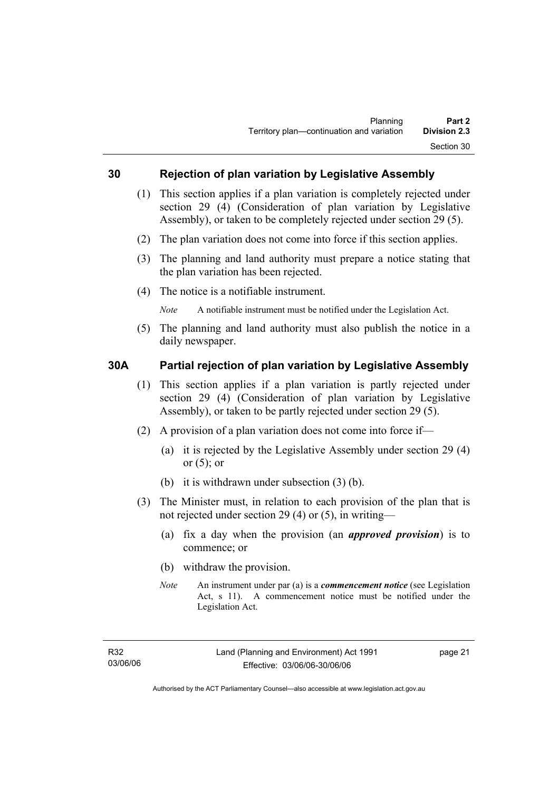#### **30 Rejection of plan variation by Legislative Assembly**

- (1) This section applies if a plan variation is completely rejected under section 29 (4) (Consideration of plan variation by Legislative Assembly), or taken to be completely rejected under section 29 (5).
- (2) The plan variation does not come into force if this section applies.
- (3) The planning and land authority must prepare a notice stating that the plan variation has been rejected.
- (4) The notice is a notifiable instrument.

*Note* A notifiable instrument must be notified under the Legislation Act.

(5) The planning and land authority must also publish the notice in a daily newspaper.

#### **30A Partial rejection of plan variation by Legislative Assembly**

- (1) This section applies if a plan variation is partly rejected under section 29 (4) (Consideration of plan variation by Legislative Assembly), or taken to be partly rejected under section 29 (5).
- (2) A provision of a plan variation does not come into force if—
	- (a) it is rejected by the Legislative Assembly under section 29 (4) or  $(5)$ ; or
	- (b) it is withdrawn under subsection (3) (b).
- (3) The Minister must, in relation to each provision of the plan that is not rejected under section 29 (4) or (5), in writing—
	- (a) fix a day when the provision (an *approved provision*) is to commence; or
	- (b) withdraw the provision.
	- *Note* An instrument under par (a) is a *commencement notice* (see Legislation Act, s 11). A commencement notice must be notified under the Legislation Act.

page 21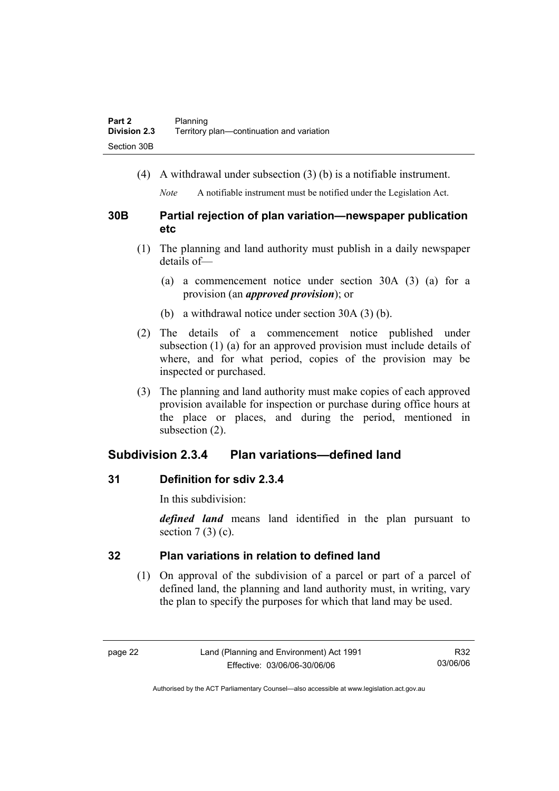(4) A withdrawal under subsection (3) (b) is a notifiable instrument.

*Note* A notifiable instrument must be notified under the Legislation Act.

### **30B Partial rejection of plan variation—newspaper publication etc**

- (1) The planning and land authority must publish in a daily newspaper details of—
	- (a) a commencement notice under section 30A (3) (a) for a provision (an *approved provision*); or
	- (b) a withdrawal notice under section 30A (3) (b).
- (2) The details of a commencement notice published under subsection (1) (a) for an approved provision must include details of where, and for what period, copies of the provision may be inspected or purchased.
- (3) The planning and land authority must make copies of each approved provision available for inspection or purchase during office hours at the place or places, and during the period, mentioned in subsection (2).

## **Subdivision 2.3.4 Plan variations—defined land**

### **31 Definition for sdiv 2.3.4**

In this subdivision:

*defined land* means land identified in the plan pursuant to section  $7(3)(c)$ .

## **32 Plan variations in relation to defined land**

 (1) On approval of the subdivision of a parcel or part of a parcel of defined land, the planning and land authority must, in writing, vary the plan to specify the purposes for which that land may be used.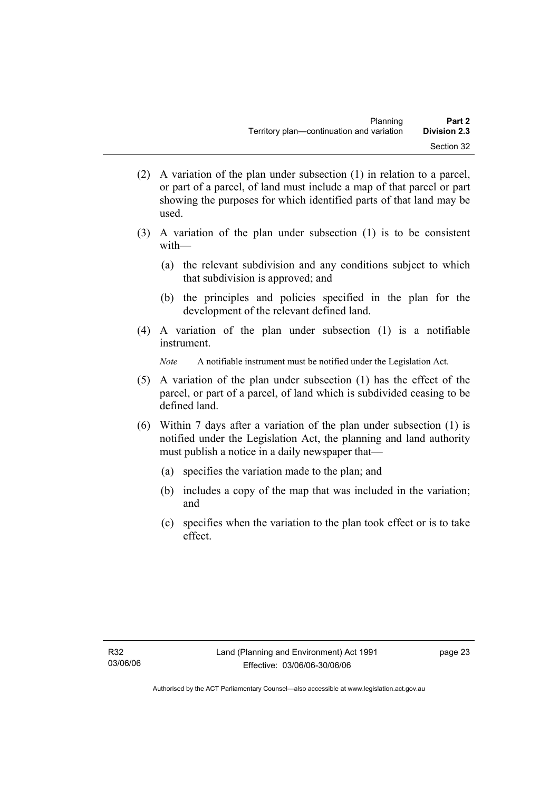- (2) A variation of the plan under subsection (1) in relation to a parcel, or part of a parcel, of land must include a map of that parcel or part showing the purposes for which identified parts of that land may be used.
- (3) A variation of the plan under subsection (1) is to be consistent with—
	- (a) the relevant subdivision and any conditions subject to which that subdivision is approved; and
	- (b) the principles and policies specified in the plan for the development of the relevant defined land.
- (4) A variation of the plan under subsection (1) is a notifiable instrument.

*Note* A notifiable instrument must be notified under the Legislation Act.

- (5) A variation of the plan under subsection (1) has the effect of the parcel, or part of a parcel, of land which is subdivided ceasing to be defined land.
- (6) Within 7 days after a variation of the plan under subsection (1) is notified under the Legislation Act, the planning and land authority must publish a notice in a daily newspaper that—
	- (a) specifies the variation made to the plan; and
	- (b) includes a copy of the map that was included in the variation; and
	- (c) specifies when the variation to the plan took effect or is to take effect.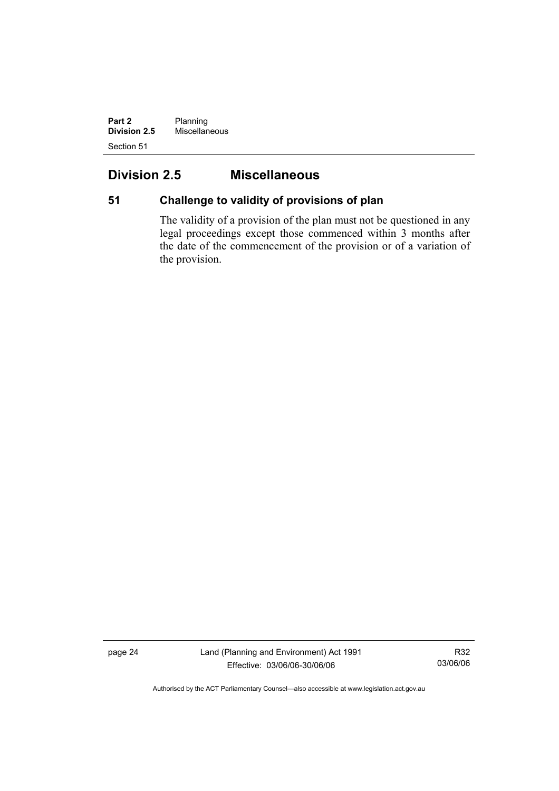**Part 2** Planning **Division 2.5** Miscellaneous Section 51

# **Division 2.5 Miscellaneous**

# **51 Challenge to validity of provisions of plan**

The validity of a provision of the plan must not be questioned in any legal proceedings except those commenced within 3 months after the date of the commencement of the provision or of a variation of the provision.

page 24 Land (Planning and Environment) Act 1991 Effective: 03/06/06-30/06/06

R32 03/06/06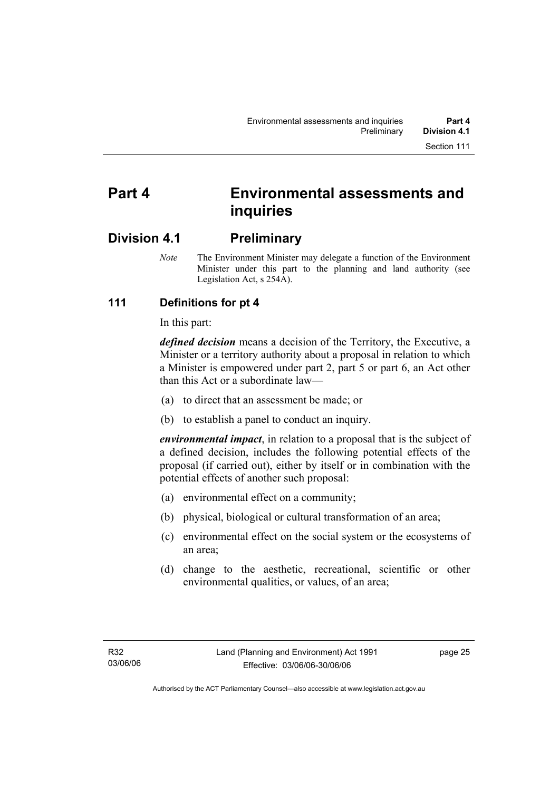# **Part 4 Environmental assessments and inquiries**

# **Division 4.1 Preliminary**

*Note* The Environment Minister may delegate a function of the Environment Minister under this part to the planning and land authority (see Legislation Act, s 254A).

# **111 Definitions for pt 4**

In this part:

*defined decision* means a decision of the Territory, the Executive, a Minister or a territory authority about a proposal in relation to which a Minister is empowered under part 2, part 5 or part 6, an Act other than this Act or a subordinate law—

- (a) to direct that an assessment be made; or
- (b) to establish a panel to conduct an inquiry.

*environmental impact*, in relation to a proposal that is the subject of a defined decision, includes the following potential effects of the proposal (if carried out), either by itself or in combination with the potential effects of another such proposal:

- (a) environmental effect on a community;
- (b) physical, biological or cultural transformation of an area;
- (c) environmental effect on the social system or the ecosystems of an area;
- (d) change to the aesthetic, recreational, scientific or other environmental qualities, or values, of an area;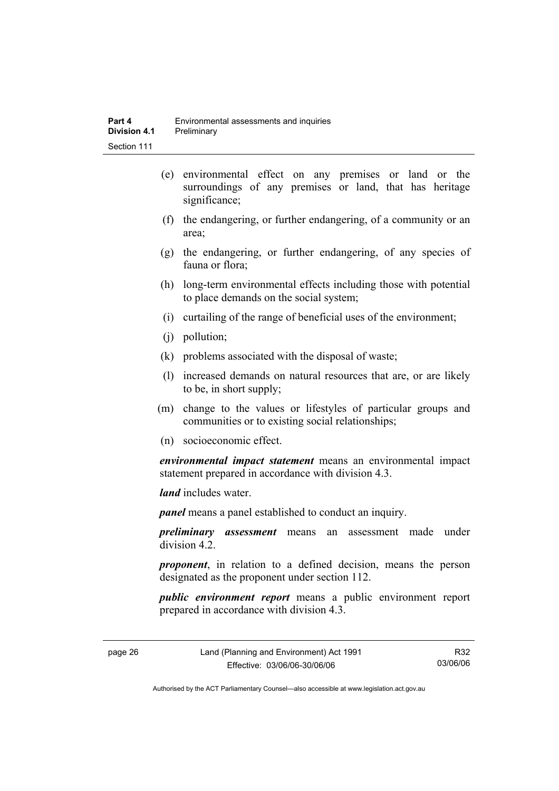- (e) environmental effect on any premises or land or the surroundings of any premises or land, that has heritage significance;
- (f) the endangering, or further endangering, of a community or an area;
- (g) the endangering, or further endangering, of any species of fauna or flora;
- (h) long-term environmental effects including those with potential to place demands on the social system;
- (i) curtailing of the range of beneficial uses of the environment;
- (j) pollution;
- (k) problems associated with the disposal of waste;
- (l) increased demands on natural resources that are, or are likely to be, in short supply;
- (m) change to the values or lifestyles of particular groups and communities or to existing social relationships;
- (n) socioeconomic effect.

*environmental impact statement* means an environmental impact statement prepared in accordance with division 4.3.

*land* includes water.

*panel* means a panel established to conduct an inquiry.

*preliminary assessment* means an assessment made under division 4.2.

*proponent*, in relation to a defined decision, means the person designated as the proponent under section 112.

*public environment report* means a public environment report prepared in accordance with division 4.3.

page 26 Land (Planning and Environment) Act 1991 Effective: 03/06/06-30/06/06

R32 03/06/06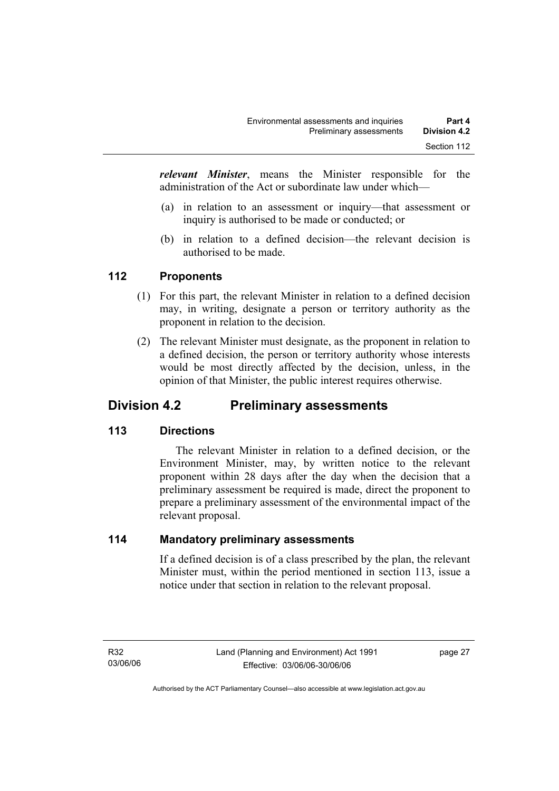*relevant Minister*, means the Minister responsible for the administration of the Act or subordinate law under which—

- (a) in relation to an assessment or inquiry—that assessment or inquiry is authorised to be made or conducted; or
- (b) in relation to a defined decision—the relevant decision is authorised to be made.

# **112 Proponents**

- (1) For this part, the relevant Minister in relation to a defined decision may, in writing, designate a person or territory authority as the proponent in relation to the decision.
- (2) The relevant Minister must designate, as the proponent in relation to a defined decision, the person or territory authority whose interests would be most directly affected by the decision, unless, in the opinion of that Minister, the public interest requires otherwise.

# **Division 4.2 Preliminary assessments**

# **113 Directions**

 The relevant Minister in relation to a defined decision, or the Environment Minister, may, by written notice to the relevant proponent within 28 days after the day when the decision that a preliminary assessment be required is made, direct the proponent to prepare a preliminary assessment of the environmental impact of the relevant proposal.

# **114 Mandatory preliminary assessments**

If a defined decision is of a class prescribed by the plan, the relevant Minister must, within the period mentioned in section 113, issue a notice under that section in relation to the relevant proposal.

page 27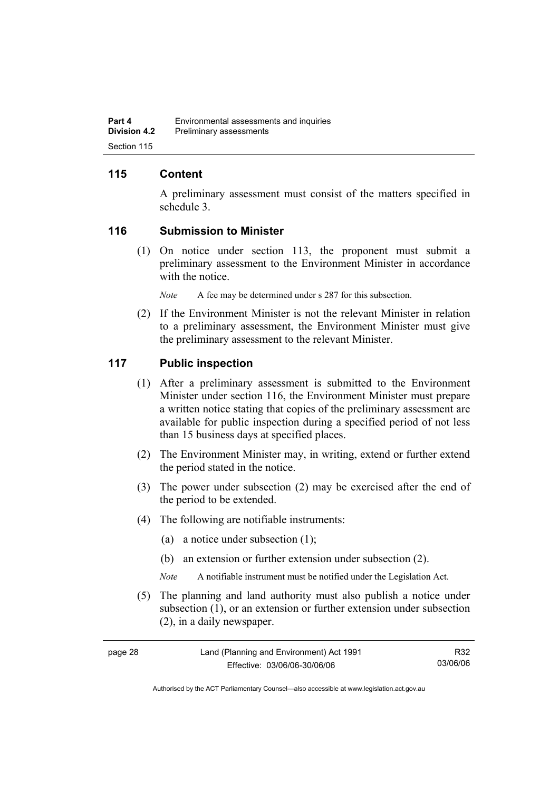# **115 Content**

A preliminary assessment must consist of the matters specified in schedule 3.

#### **116 Submission to Minister**

 (1) On notice under section 113, the proponent must submit a preliminary assessment to the Environment Minister in accordance with the notice.

*Note* A fee may be determined under s 287 for this subsection.

 (2) If the Environment Minister is not the relevant Minister in relation to a preliminary assessment, the Environment Minister must give the preliminary assessment to the relevant Minister.

#### **117 Public inspection**

- (1) After a preliminary assessment is submitted to the Environment Minister under section 116, the Environment Minister must prepare a written notice stating that copies of the preliminary assessment are available for public inspection during a specified period of not less than 15 business days at specified places.
- (2) The Environment Minister may, in writing, extend or further extend the period stated in the notice.
- (3) The power under subsection (2) may be exercised after the end of the period to be extended.
- (4) The following are notifiable instruments:
	- (a) a notice under subsection (1);
	- (b) an extension or further extension under subsection (2).
	- *Note* A notifiable instrument must be notified under the Legislation Act.
- (5) The planning and land authority must also publish a notice under subsection (1), or an extension or further extension under subsection (2), in a daily newspaper.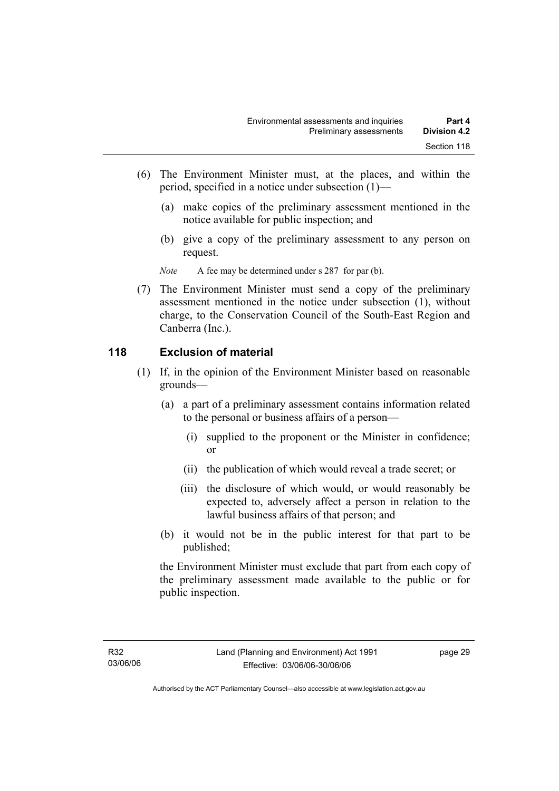- (6) The Environment Minister must, at the places, and within the period, specified in a notice under subsection (1)—
	- (a) make copies of the preliminary assessment mentioned in the notice available for public inspection; and
	- (b) give a copy of the preliminary assessment to any person on request.

*Note* A fee may be determined under s 287 for par (b).

 (7) The Environment Minister must send a copy of the preliminary assessment mentioned in the notice under subsection (1), without charge, to the Conservation Council of the South-East Region and Canberra (Inc.).

#### **118 Exclusion of material**

- (1) If, in the opinion of the Environment Minister based on reasonable grounds—
	- (a) a part of a preliminary assessment contains information related to the personal or business affairs of a person—
		- (i) supplied to the proponent or the Minister in confidence; or
		- (ii) the publication of which would reveal a trade secret; or
		- (iii) the disclosure of which would, or would reasonably be expected to, adversely affect a person in relation to the lawful business affairs of that person; and
	- (b) it would not be in the public interest for that part to be published;

the Environment Minister must exclude that part from each copy of the preliminary assessment made available to the public or for public inspection.

page 29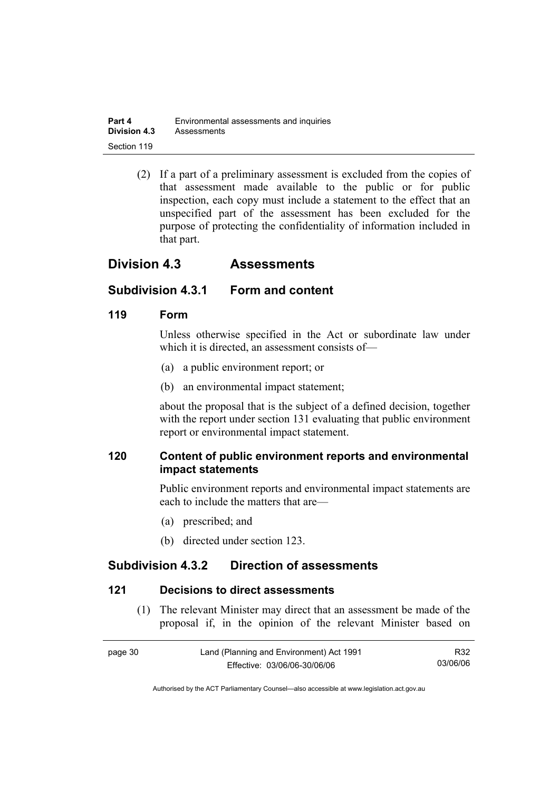| Part 4              | Environmental assessments and inquiries |
|---------------------|-----------------------------------------|
| <b>Division 4.3</b> | Assessments                             |
| Section 119         |                                         |

 (2) If a part of a preliminary assessment is excluded from the copies of that assessment made available to the public or for public inspection, each copy must include a statement to the effect that an unspecified part of the assessment has been excluded for the purpose of protecting the confidentiality of information included in that part.

# **Division 4.3 Assessments**

# **Subdivision 4.3.1 Form and content**

#### **119 Form**

Unless otherwise specified in the Act or subordinate law under which it is directed, an assessment consists of—

- (a) a public environment report; or
- (b) an environmental impact statement;

about the proposal that is the subject of a defined decision, together with the report under section 131 evaluating that public environment report or environmental impact statement.

# **120 Content of public environment reports and environmental impact statements**

Public environment reports and environmental impact statements are each to include the matters that are—

- (a) prescribed; and
- (b) directed under section 123.

# **Subdivision 4.3.2 Direction of assessments**

#### **121 Decisions to direct assessments**

 (1) The relevant Minister may direct that an assessment be made of the proposal if, in the opinion of the relevant Minister based on

| page 30 | Land (Planning and Environment) Act 1991 | R32      |
|---------|------------------------------------------|----------|
|         | Effective: 03/06/06-30/06/06             | 03/06/06 |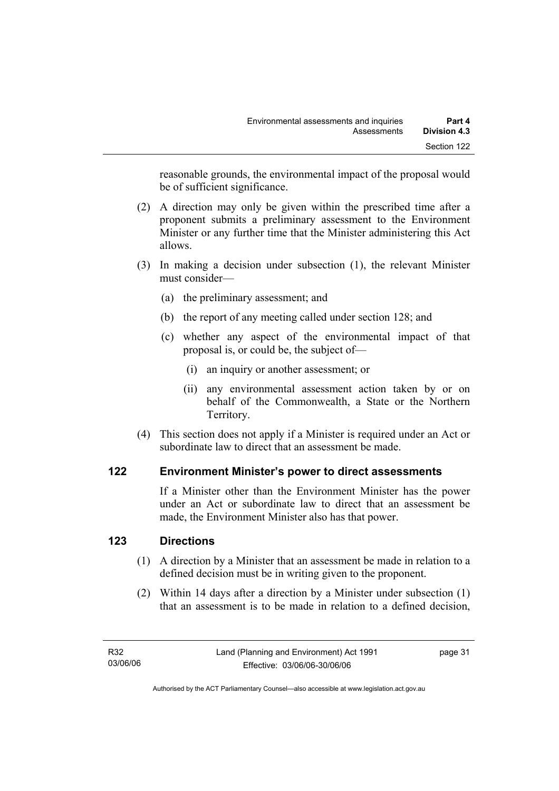reasonable grounds, the environmental impact of the proposal would be of sufficient significance.

- (2) A direction may only be given within the prescribed time after a proponent submits a preliminary assessment to the Environment Minister or any further time that the Minister administering this Act allows.
- (3) In making a decision under subsection (1), the relevant Minister must consider—
	- (a) the preliminary assessment; and
	- (b) the report of any meeting called under section 128; and
	- (c) whether any aspect of the environmental impact of that proposal is, or could be, the subject of—
		- (i) an inquiry or another assessment; or
		- (ii) any environmental assessment action taken by or on behalf of the Commonwealth, a State or the Northern Territory.
- (4) This section does not apply if a Minister is required under an Act or subordinate law to direct that an assessment be made.

# **122 Environment Minister's power to direct assessments**

If a Minister other than the Environment Minister has the power under an Act or subordinate law to direct that an assessment be made, the Environment Minister also has that power.

# **123 Directions**

- (1) A direction by a Minister that an assessment be made in relation to a defined decision must be in writing given to the proponent.
- (2) Within 14 days after a direction by a Minister under subsection (1) that an assessment is to be made in relation to a defined decision,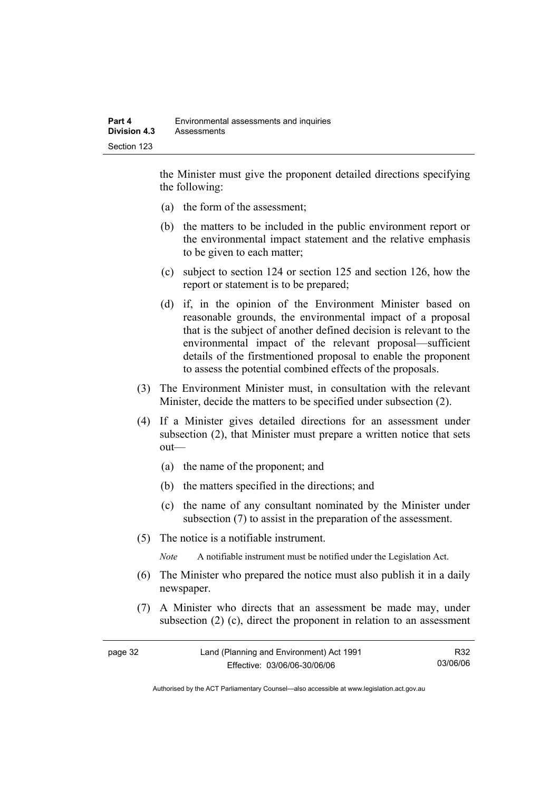the Minister must give the proponent detailed directions specifying the following:

- (a) the form of the assessment;
- (b) the matters to be included in the public environment report or the environmental impact statement and the relative emphasis to be given to each matter;
- (c) subject to section 124 or section 125 and section 126, how the report or statement is to be prepared;
- (d) if, in the opinion of the Environment Minister based on reasonable grounds, the environmental impact of a proposal that is the subject of another defined decision is relevant to the environmental impact of the relevant proposal—sufficient details of the firstmentioned proposal to enable the proponent to assess the potential combined effects of the proposals.
- (3) The Environment Minister must, in consultation with the relevant Minister, decide the matters to be specified under subsection (2).
- (4) If a Minister gives detailed directions for an assessment under subsection (2), that Minister must prepare a written notice that sets out—
	- (a) the name of the proponent; and
	- (b) the matters specified in the directions; and
	- (c) the name of any consultant nominated by the Minister under subsection (7) to assist in the preparation of the assessment.
- (5) The notice is a notifiable instrument.

*Note* A notifiable instrument must be notified under the Legislation Act.

- (6) The Minister who prepared the notice must also publish it in a daily newspaper.
- (7) A Minister who directs that an assessment be made may, under subsection (2) (c), direct the proponent in relation to an assessment

| page 32 | Land (Planning and Environment) Act 1991 | R32      |
|---------|------------------------------------------|----------|
|         | Effective: 03/06/06-30/06/06             | 03/06/06 |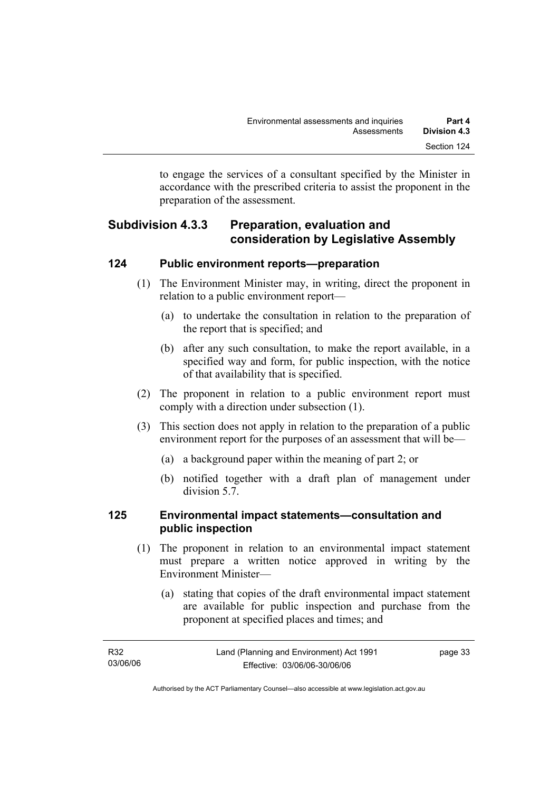to engage the services of a consultant specified by the Minister in accordance with the prescribed criteria to assist the proponent in the preparation of the assessment.

# **Subdivision 4.3.3 Preparation, evaluation and consideration by Legislative Assembly**

#### **124 Public environment reports—preparation**

- (1) The Environment Minister may, in writing, direct the proponent in relation to a public environment report—
	- (a) to undertake the consultation in relation to the preparation of the report that is specified; and
	- (b) after any such consultation, to make the report available, in a specified way and form, for public inspection, with the notice of that availability that is specified.
- (2) The proponent in relation to a public environment report must comply with a direction under subsection (1).
- (3) This section does not apply in relation to the preparation of a public environment report for the purposes of an assessment that will be—
	- (a) a background paper within the meaning of part 2; or
	- (b) notified together with a draft plan of management under division 5.7.

# **125 Environmental impact statements—consultation and public inspection**

- (1) The proponent in relation to an environmental impact statement must prepare a written notice approved in writing by the Environment Minister—
	- (a) stating that copies of the draft environmental impact statement are available for public inspection and purchase from the proponent at specified places and times; and

| R32      | Land (Planning and Environment) Act 1991 | page 33 |
|----------|------------------------------------------|---------|
| 03/06/06 | Effective: 03/06/06-30/06/06             |         |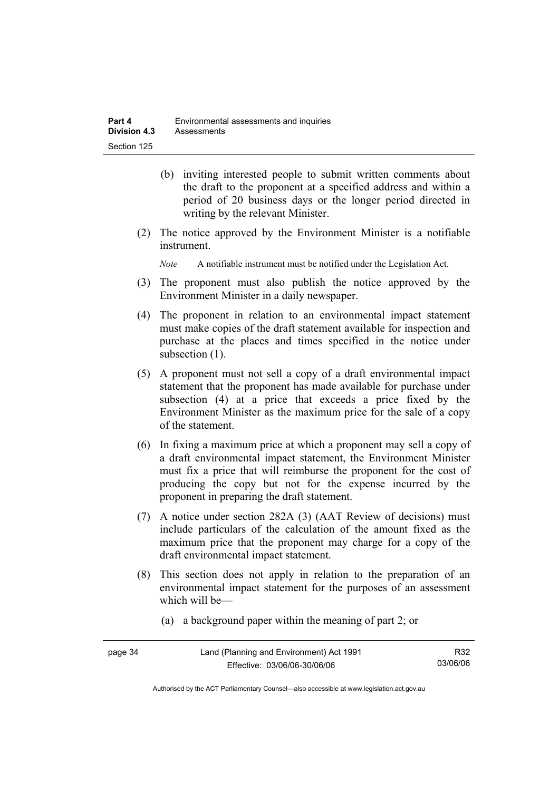- (b) inviting interested people to submit written comments about the draft to the proponent at a specified address and within a period of 20 business days or the longer period directed in writing by the relevant Minister.
- (2) The notice approved by the Environment Minister is a notifiable instrument.

*Note* A notifiable instrument must be notified under the Legislation Act.

- (3) The proponent must also publish the notice approved by the Environment Minister in a daily newspaper.
- (4) The proponent in relation to an environmental impact statement must make copies of the draft statement available for inspection and purchase at the places and times specified in the notice under subsection  $(1)$ .
- (5) A proponent must not sell a copy of a draft environmental impact statement that the proponent has made available for purchase under subsection (4) at a price that exceeds a price fixed by the Environment Minister as the maximum price for the sale of a copy of the statement.
- (6) In fixing a maximum price at which a proponent may sell a copy of a draft environmental impact statement, the Environment Minister must fix a price that will reimburse the proponent for the cost of producing the copy but not for the expense incurred by the proponent in preparing the draft statement.
- (7) A notice under section 282A (3) (AAT Review of decisions) must include particulars of the calculation of the amount fixed as the maximum price that the proponent may charge for a copy of the draft environmental impact statement.
- (8) This section does not apply in relation to the preparation of an environmental impact statement for the purposes of an assessment which will be—
	- (a) a background paper within the meaning of part 2; or

| page 34 | Land (Planning and Environment) Act 1991 | R32      |
|---------|------------------------------------------|----------|
|         | Effective: 03/06/06-30/06/06             | 03/06/06 |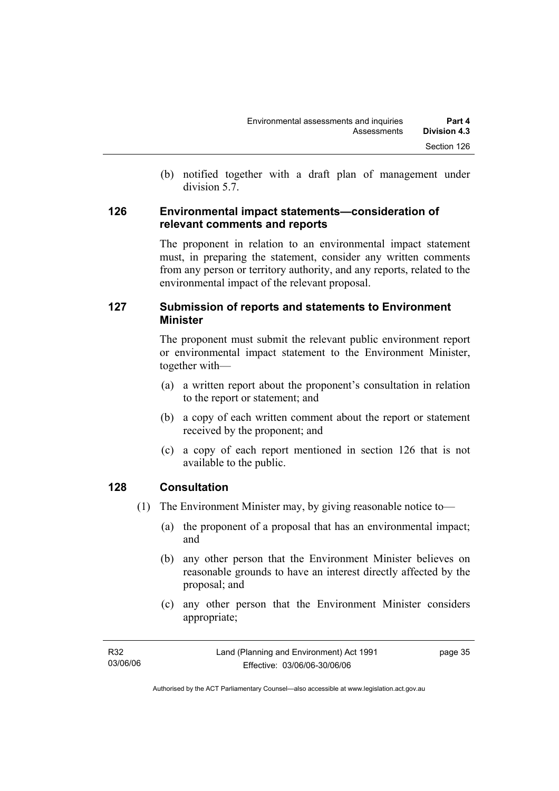(b) notified together with a draft plan of management under division 5.7.

#### **126 Environmental impact statements—consideration of relevant comments and reports**

The proponent in relation to an environmental impact statement must, in preparing the statement, consider any written comments from any person or territory authority, and any reports, related to the environmental impact of the relevant proposal.

# **127 Submission of reports and statements to Environment Minister**

The proponent must submit the relevant public environment report or environmental impact statement to the Environment Minister, together with—

- (a) a written report about the proponent's consultation in relation to the report or statement; and
- (b) a copy of each written comment about the report or statement received by the proponent; and
- (c) a copy of each report mentioned in section 126 that is not available to the public.

# **128 Consultation**

- (1) The Environment Minister may, by giving reasonable notice to—
	- (a) the proponent of a proposal that has an environmental impact; and
	- (b) any other person that the Environment Minister believes on reasonable grounds to have an interest directly affected by the proposal; and
	- (c) any other person that the Environment Minister considers appropriate;

| R32      | Land (Planning and Environment) Act 1991 | page 35 |
|----------|------------------------------------------|---------|
| 03/06/06 | Effective: 03/06/06-30/06/06             |         |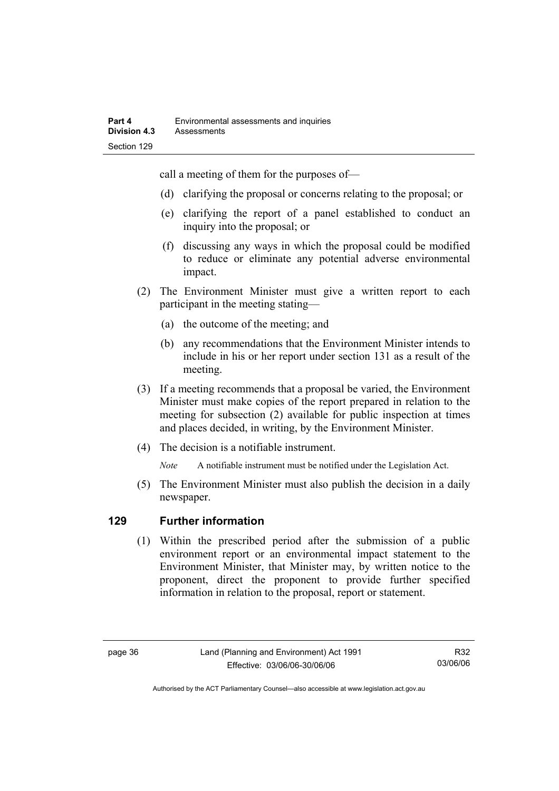call a meeting of them for the purposes of—

- (d) clarifying the proposal or concerns relating to the proposal; or
- (e) clarifying the report of a panel established to conduct an inquiry into the proposal; or
- (f) discussing any ways in which the proposal could be modified to reduce or eliminate any potential adverse environmental impact.
- (2) The Environment Minister must give a written report to each participant in the meeting stating—
	- (a) the outcome of the meeting; and
	- (b) any recommendations that the Environment Minister intends to include in his or her report under section 131 as a result of the meeting.
- (3) If a meeting recommends that a proposal be varied, the Environment Minister must make copies of the report prepared in relation to the meeting for subsection (2) available for public inspection at times and places decided, in writing, by the Environment Minister.
- (4) The decision is a notifiable instrument.

*Note* A notifiable instrument must be notified under the Legislation Act.

(5) The Environment Minister must also publish the decision in a daily newspaper.

# **129 Further information**

 (1) Within the prescribed period after the submission of a public environment report or an environmental impact statement to the Environment Minister, that Minister may, by written notice to the proponent, direct the proponent to provide further specified information in relation to the proposal, report or statement.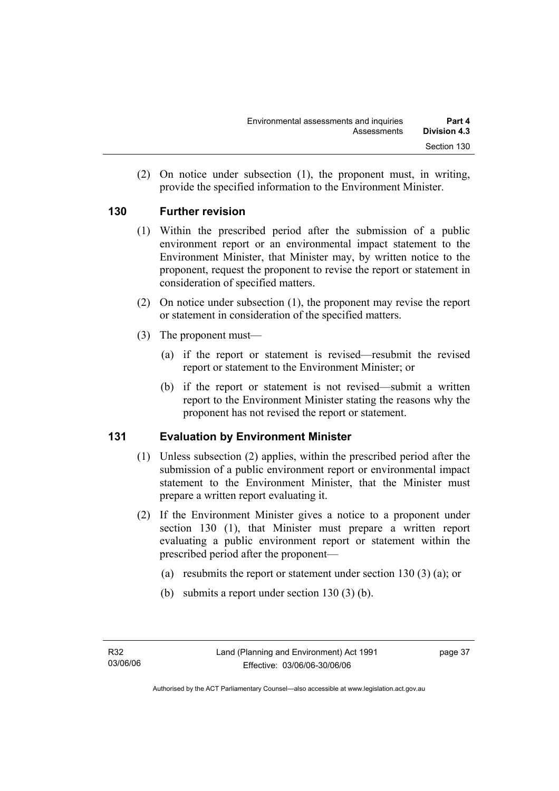(2) On notice under subsection (1), the proponent must, in writing, provide the specified information to the Environment Minister.

# **130 Further revision**

- (1) Within the prescribed period after the submission of a public environment report or an environmental impact statement to the Environment Minister, that Minister may, by written notice to the proponent, request the proponent to revise the report or statement in consideration of specified matters.
- (2) On notice under subsection (1), the proponent may revise the report or statement in consideration of the specified matters.
- (3) The proponent must—
	- (a) if the report or statement is revised—resubmit the revised report or statement to the Environment Minister; or
	- (b) if the report or statement is not revised—submit a written report to the Environment Minister stating the reasons why the proponent has not revised the report or statement.

# **131 Evaluation by Environment Minister**

- (1) Unless subsection (2) applies, within the prescribed period after the submission of a public environment report or environmental impact statement to the Environment Minister, that the Minister must prepare a written report evaluating it.
- (2) If the Environment Minister gives a notice to a proponent under section 130 (1), that Minister must prepare a written report evaluating a public environment report or statement within the prescribed period after the proponent—
	- (a) resubmits the report or statement under section 130 (3) (a); or
	- (b) submits a report under section 130 (3) (b).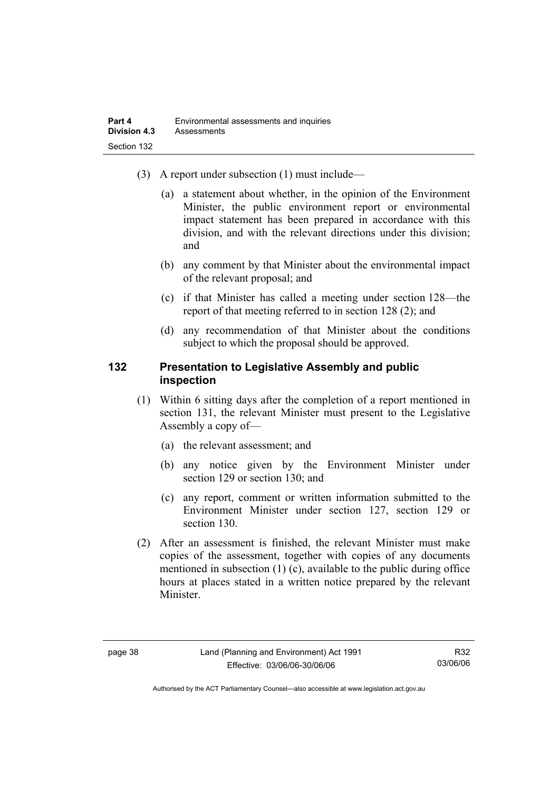- (3) A report under subsection (1) must include—
	- (a) a statement about whether, in the opinion of the Environment Minister, the public environment report or environmental impact statement has been prepared in accordance with this division, and with the relevant directions under this division; and
	- (b) any comment by that Minister about the environmental impact of the relevant proposal; and
	- (c) if that Minister has called a meeting under section 128—the report of that meeting referred to in section 128 (2); and
	- (d) any recommendation of that Minister about the conditions subject to which the proposal should be approved.

#### **132 Presentation to Legislative Assembly and public inspection**

- (1) Within 6 sitting days after the completion of a report mentioned in section 131, the relevant Minister must present to the Legislative Assembly a copy of—
	- (a) the relevant assessment; and
	- (b) any notice given by the Environment Minister under section 129 or section 130; and
	- (c) any report, comment or written information submitted to the Environment Minister under section 127, section 129 or section 130.
- (2) After an assessment is finished, the relevant Minister must make copies of the assessment, together with copies of any documents mentioned in subsection (1) (c), available to the public during office hours at places stated in a written notice prepared by the relevant Minister.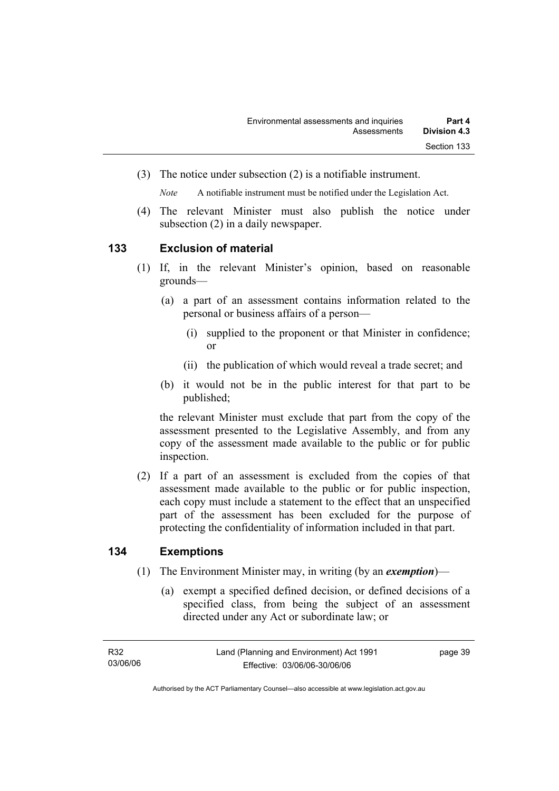(3) The notice under subsection (2) is a notifiable instrument.

*Note* A notifiable instrument must be notified under the Legislation Act.

(4) The relevant Minister must also publish the notice under subsection (2) in a daily newspaper.

#### **133 Exclusion of material**

- (1) If, in the relevant Minister's opinion, based on reasonable grounds—
	- (a) a part of an assessment contains information related to the personal or business affairs of a person—
		- (i) supplied to the proponent or that Minister in confidence; or
		- (ii) the publication of which would reveal a trade secret; and
	- (b) it would not be in the public interest for that part to be published;

the relevant Minister must exclude that part from the copy of the assessment presented to the Legislative Assembly, and from any copy of the assessment made available to the public or for public inspection.

 (2) If a part of an assessment is excluded from the copies of that assessment made available to the public or for public inspection, each copy must include a statement to the effect that an unspecified part of the assessment has been excluded for the purpose of protecting the confidentiality of information included in that part.

# **134 Exemptions**

- (1) The Environment Minister may, in writing (by an *exemption*)—
	- (a) exempt a specified defined decision, or defined decisions of a specified class, from being the subject of an assessment directed under any Act or subordinate law; or

page 39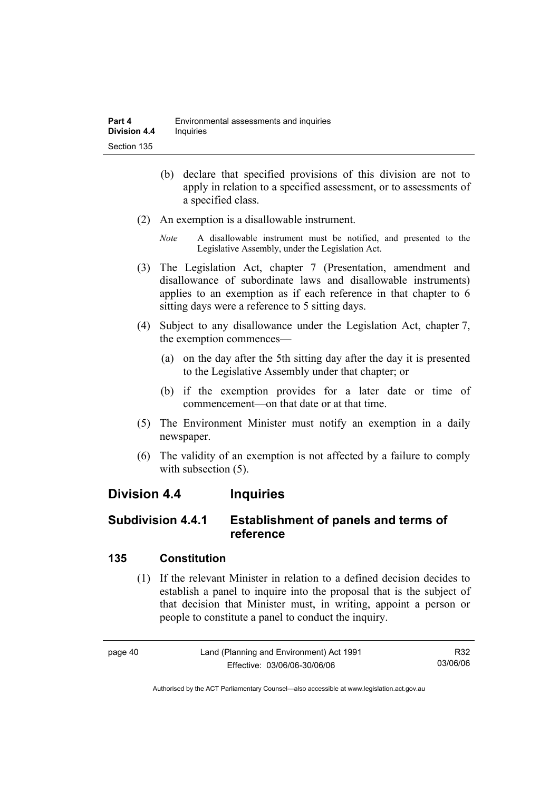- (b) declare that specified provisions of this division are not to apply in relation to a specified assessment, or to assessments of a specified class.
- (2) An exemption is a disallowable instrument.
	- *Note* A disallowable instrument must be notified, and presented to the Legislative Assembly, under the Legislation Act.
- (3) The Legislation Act, chapter 7 (Presentation, amendment and disallowance of subordinate laws and disallowable instruments) applies to an exemption as if each reference in that chapter to 6 sitting days were a reference to 5 sitting days.
- (4) Subject to any disallowance under the Legislation Act, chapter 7, the exemption commences—
	- (a) on the day after the 5th sitting day after the day it is presented to the Legislative Assembly under that chapter; or
	- (b) if the exemption provides for a later date or time of commencement—on that date or at that time.
- (5) The Environment Minister must notify an exemption in a daily newspaper.
- (6) The validity of an exemption is not affected by a failure to comply with subsection  $(5)$ .

# **Division 4.4 Inquiries**

# **Subdivision 4.4.1 Establishment of panels and terms of reference**

# **135 Constitution**

 (1) If the relevant Minister in relation to a defined decision decides to establish a panel to inquire into the proposal that is the subject of that decision that Minister must, in writing, appoint a person or people to constitute a panel to conduct the inquiry.

page 40 Land (Planning and Environment) Act 1991 Effective: 03/06/06-30/06/06 R32 03/06/06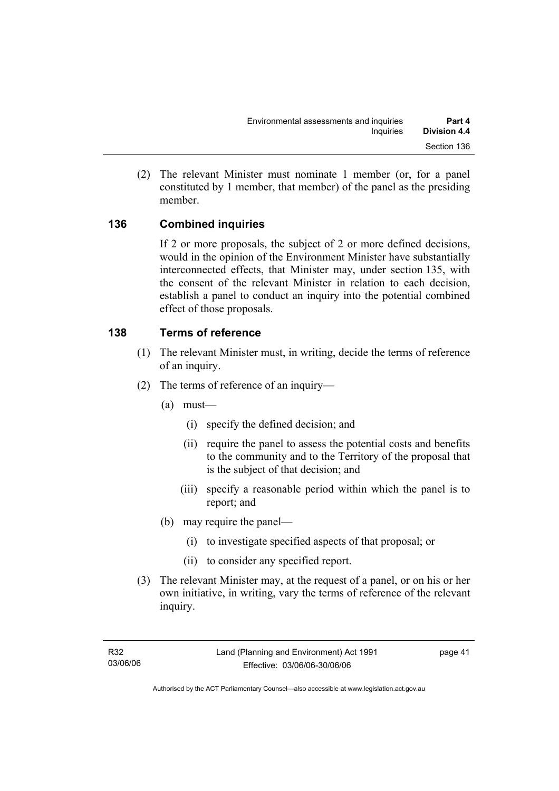(2) The relevant Minister must nominate 1 member (or, for a panel constituted by 1 member, that member) of the panel as the presiding member.

# **136 Combined inquiries**

If 2 or more proposals, the subject of 2 or more defined decisions, would in the opinion of the Environment Minister have substantially interconnected effects, that Minister may, under section 135, with the consent of the relevant Minister in relation to each decision, establish a panel to conduct an inquiry into the potential combined effect of those proposals.

# **138 Terms of reference**

- (1) The relevant Minister must, in writing, decide the terms of reference of an inquiry.
- (2) The terms of reference of an inquiry—
	- (a) must—
		- (i) specify the defined decision; and
		- (ii) require the panel to assess the potential costs and benefits to the community and to the Territory of the proposal that is the subject of that decision; and
		- (iii) specify a reasonable period within which the panel is to report; and
	- (b) may require the panel—
		- (i) to investigate specified aspects of that proposal; or
		- (ii) to consider any specified report.
- (3) The relevant Minister may, at the request of a panel, or on his or her own initiative, in writing, vary the terms of reference of the relevant inquiry.

page 41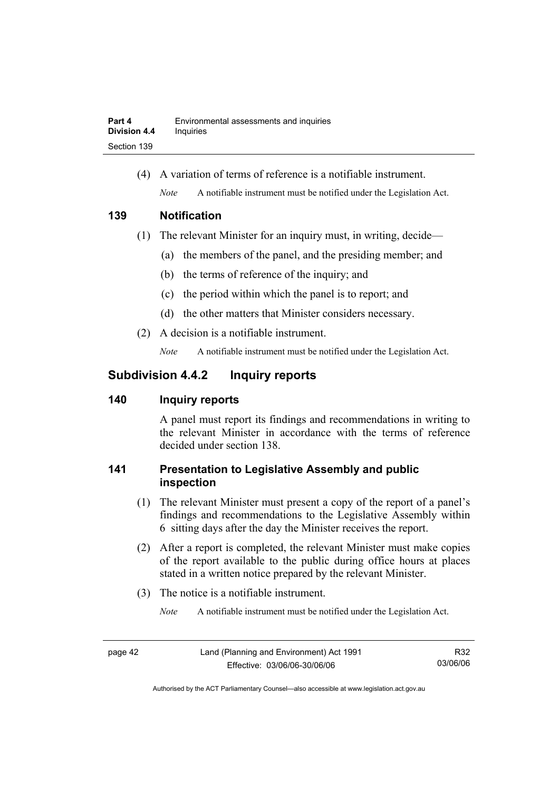(4) A variation of terms of reference is a notifiable instrument. *Note* A notifiable instrument must be notified under the Legislation Act.

#### **139 Notification**

- (1) The relevant Minister for an inquiry must, in writing, decide—
	- (a) the members of the panel, and the presiding member; and
	- (b) the terms of reference of the inquiry; and
	- (c) the period within which the panel is to report; and
	- (d) the other matters that Minister considers necessary.
- (2) A decision is a notifiable instrument.

*Note* A notifiable instrument must be notified under the Legislation Act.

# **Subdivision 4.4.2 Inquiry reports**

# **140 Inquiry reports**

A panel must report its findings and recommendations in writing to the relevant Minister in accordance with the terms of reference decided under section 138.

# **141 Presentation to Legislative Assembly and public inspection**

- (1) The relevant Minister must present a copy of the report of a panel's findings and recommendations to the Legislative Assembly within 6 sitting days after the day the Minister receives the report.
- (2) After a report is completed, the relevant Minister must make copies of the report available to the public during office hours at places stated in a written notice prepared by the relevant Minister.
- (3) The notice is a notifiable instrument.

*Note* A notifiable instrument must be notified under the Legislation Act.

R32 03/06/06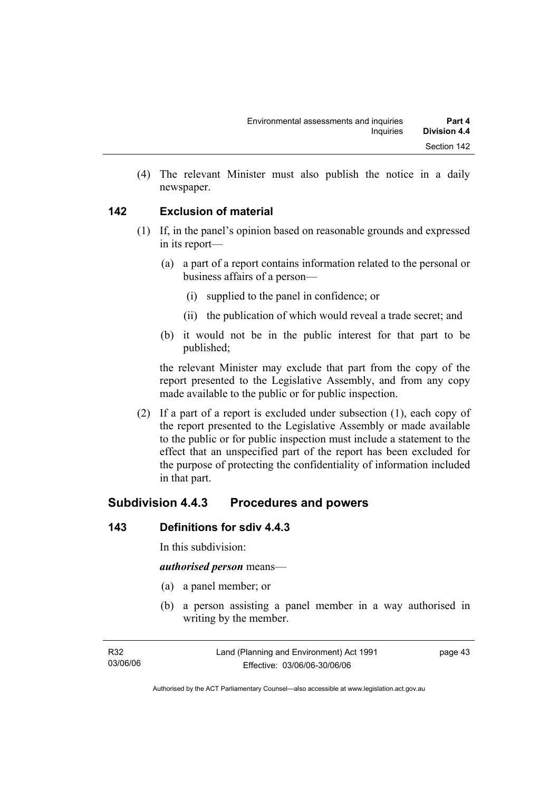(4) The relevant Minister must also publish the notice in a daily newspaper.

# **142 Exclusion of material**

- (1) If, in the panel's opinion based on reasonable grounds and expressed in its report—
	- (a) a part of a report contains information related to the personal or business affairs of a person—
		- (i) supplied to the panel in confidence; or
		- (ii) the publication of which would reveal a trade secret; and
	- (b) it would not be in the public interest for that part to be published;

the relevant Minister may exclude that part from the copy of the report presented to the Legislative Assembly, and from any copy made available to the public or for public inspection.

 (2) If a part of a report is excluded under subsection (1), each copy of the report presented to the Legislative Assembly or made available to the public or for public inspection must include a statement to the effect that an unspecified part of the report has been excluded for the purpose of protecting the confidentiality of information included in that part.

# **Subdivision 4.4.3 Procedures and powers**

# **143 Definitions for sdiv 4.4.3**

In this subdivision:

#### *authorised person* means—

- (a) a panel member; or
- (b) a person assisting a panel member in a way authorised in writing by the member.

page 43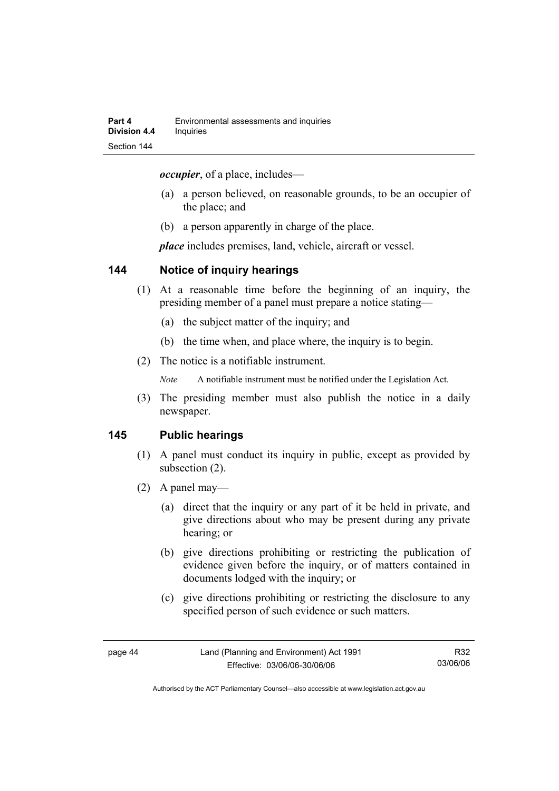*occupier*, of a place, includes—

- (a) a person believed, on reasonable grounds, to be an occupier of the place; and
- (b) a person apparently in charge of the place.

*place* includes premises, land, vehicle, aircraft or vessel.

#### **144 Notice of inquiry hearings**

- (1) At a reasonable time before the beginning of an inquiry, the presiding member of a panel must prepare a notice stating—
	- (a) the subject matter of the inquiry; and
	- (b) the time when, and place where, the inquiry is to begin.
- (2) The notice is a notifiable instrument.

*Note* A notifiable instrument must be notified under the Legislation Act.

(3) The presiding member must also publish the notice in a daily newspaper.

#### **145 Public hearings**

- (1) A panel must conduct its inquiry in public, except as provided by subsection (2).
- (2) A panel may—
	- (a) direct that the inquiry or any part of it be held in private, and give directions about who may be present during any private hearing; or
	- (b) give directions prohibiting or restricting the publication of evidence given before the inquiry, or of matters contained in documents lodged with the inquiry; or
	- (c) give directions prohibiting or restricting the disclosure to any specified person of such evidence or such matters.

R32 03/06/06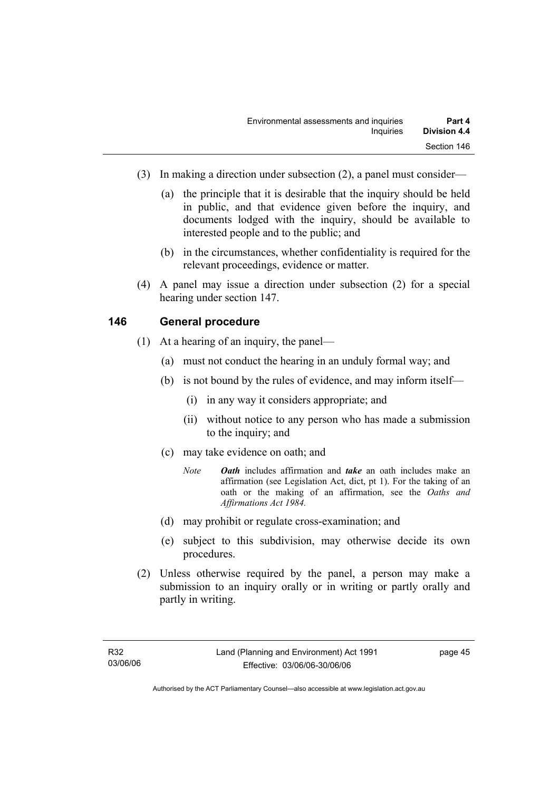- (3) In making a direction under subsection (2), a panel must consider—
	- (a) the principle that it is desirable that the inquiry should be held in public, and that evidence given before the inquiry, and documents lodged with the inquiry, should be available to interested people and to the public; and
	- (b) in the circumstances, whether confidentiality is required for the relevant proceedings, evidence or matter.
- (4) A panel may issue a direction under subsection (2) for a special hearing under section 147.

#### **146 General procedure**

- (1) At a hearing of an inquiry, the panel—
	- (a) must not conduct the hearing in an unduly formal way; and
	- (b) is not bound by the rules of evidence, and may inform itself—
		- (i) in any way it considers appropriate; and
		- (ii) without notice to any person who has made a submission to the inquiry; and
	- (c) may take evidence on oath; and
		- *Note Oath* includes affirmation and *take* an oath includes make an affirmation (see Legislation Act, dict, pt 1). For the taking of an oath or the making of an affirmation, see the *Oaths and Affirmations Act 1984.*
	- (d) may prohibit or regulate cross-examination; and
	- (e) subject to this subdivision, may otherwise decide its own procedures.
- (2) Unless otherwise required by the panel, a person may make a submission to an inquiry orally or in writing or partly orally and partly in writing.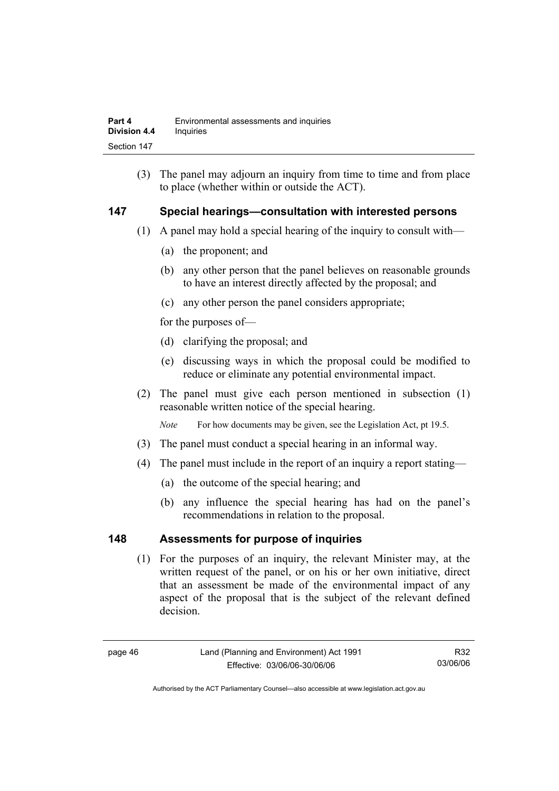(3) The panel may adjourn an inquiry from time to time and from place to place (whether within or outside the ACT).

#### **147 Special hearings—consultation with interested persons**

- (1) A panel may hold a special hearing of the inquiry to consult with—
	- (a) the proponent; and
	- (b) any other person that the panel believes on reasonable grounds to have an interest directly affected by the proposal; and
	- (c) any other person the panel considers appropriate;

for the purposes of—

- (d) clarifying the proposal; and
- (e) discussing ways in which the proposal could be modified to reduce or eliminate any potential environmental impact.
- (2) The panel must give each person mentioned in subsection (1) reasonable written notice of the special hearing.

*Note* For how documents may be given, see the Legislation Act, pt 19.5.

- (3) The panel must conduct a special hearing in an informal way.
- (4) The panel must include in the report of an inquiry a report stating—
	- (a) the outcome of the special hearing; and
	- (b) any influence the special hearing has had on the panel's recommendations in relation to the proposal.

#### **148 Assessments for purpose of inquiries**

 (1) For the purposes of an inquiry, the relevant Minister may, at the written request of the panel, or on his or her own initiative, direct that an assessment be made of the environmental impact of any aspect of the proposal that is the subject of the relevant defined decision.

R32 03/06/06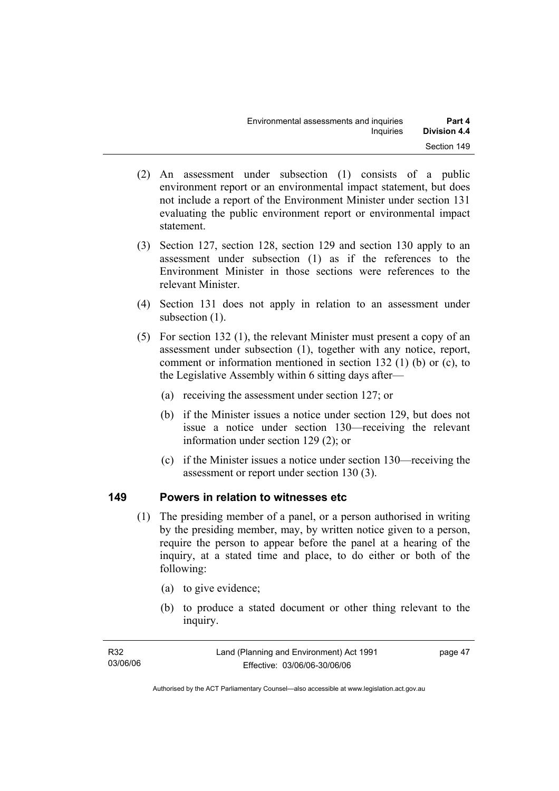- (2) An assessment under subsection (1) consists of a public environment report or an environmental impact statement, but does not include a report of the Environment Minister under section 131 evaluating the public environment report or environmental impact statement.
- (3) Section 127, section 128, section 129 and section 130 apply to an assessment under subsection (1) as if the references to the Environment Minister in those sections were references to the relevant Minister.
- (4) Section 131 does not apply in relation to an assessment under subsection  $(1)$ .
- (5) For section 132 (1), the relevant Minister must present a copy of an assessment under subsection (1), together with any notice, report, comment or information mentioned in section 132 (1) (b) or (c), to the Legislative Assembly within 6 sitting days after—
	- (a) receiving the assessment under section 127; or
	- (b) if the Minister issues a notice under section 129, but does not issue a notice under section 130—receiving the relevant information under section 129 (2); or
	- (c) if the Minister issues a notice under section 130—receiving the assessment or report under section 130 (3).

#### **149 Powers in relation to witnesses etc**

- (1) The presiding member of a panel, or a person authorised in writing by the presiding member, may, by written notice given to a person, require the person to appear before the panel at a hearing of the inquiry, at a stated time and place, to do either or both of the following:
	- (a) to give evidence;
	- (b) to produce a stated document or other thing relevant to the inquiry.

| R32      | Land (Planning and Environment) Act 1991 | page 47 |
|----------|------------------------------------------|---------|
| 03/06/06 | Effective: 03/06/06-30/06/06             |         |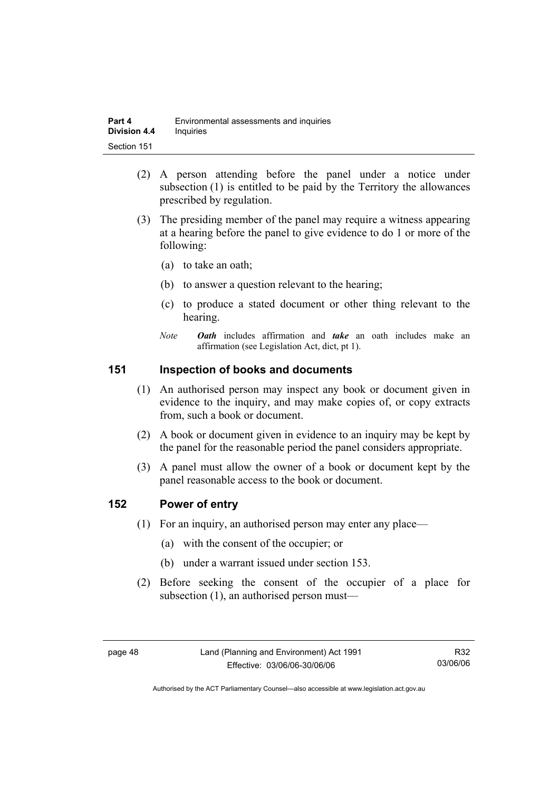| Part 4              | Environmental assessments and inquiries |
|---------------------|-----------------------------------------|
| <b>Division 4.4</b> | Inquiries                               |
| Section 151         |                                         |

- (2) A person attending before the panel under a notice under subsection (1) is entitled to be paid by the Territory the allowances prescribed by regulation.
- (3) The presiding member of the panel may require a witness appearing at a hearing before the panel to give evidence to do 1 or more of the following:
	- (a) to take an oath;
	- (b) to answer a question relevant to the hearing;
	- (c) to produce a stated document or other thing relevant to the hearing.
	- *Note Oath* includes affirmation and *take* an oath includes make an affirmation (see Legislation Act, dict, pt 1).

#### **151 Inspection of books and documents**

- (1) An authorised person may inspect any book or document given in evidence to the inquiry, and may make copies of, or copy extracts from, such a book or document.
- (2) A book or document given in evidence to an inquiry may be kept by the panel for the reasonable period the panel considers appropriate.
- (3) A panel must allow the owner of a book or document kept by the panel reasonable access to the book or document.

#### **152 Power of entry**

- (1) For an inquiry, an authorised person may enter any place—
	- (a) with the consent of the occupier; or
	- (b) under a warrant issued under section 153.
- (2) Before seeking the consent of the occupier of a place for subsection (1), an authorised person must—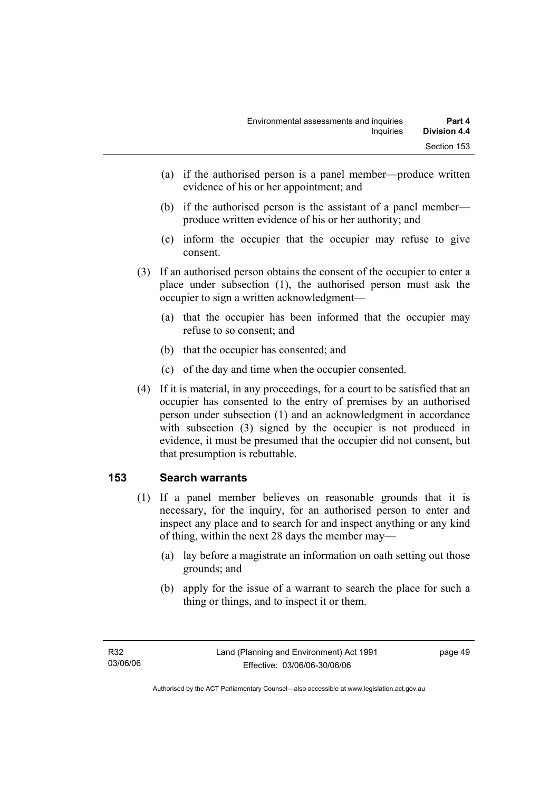- (a) if the authorised person is a panel member—produce written evidence of his or her appointment; and
- (b) if the authorised person is the assistant of a panel member produce written evidence of his or her authority; and
- (c) inform the occupier that the occupier may refuse to give consent.
- (3) If an authorised person obtains the consent of the occupier to enter a place under subsection (1), the authorised person must ask the occupier to sign a written acknowledgment—
	- (a) that the occupier has been informed that the occupier may refuse to so consent; and
	- (b) that the occupier has consented; and
	- (c) of the day and time when the occupier consented.
- (4) If it is material, in any proceedings, for a court to be satisfied that an occupier has consented to the entry of premises by an authorised person under subsection (1) and an acknowledgment in accordance with subsection (3) signed by the occupier is not produced in evidence, it must be presumed that the occupier did not consent, but that presumption is rebuttable.

# **153 Search warrants**

- (1) If a panel member believes on reasonable grounds that it is necessary, for the inquiry, for an authorised person to enter and inspect any place and to search for and inspect anything or any kind of thing, within the next 28 days the member may—
	- (a) lay before a magistrate an information on oath setting out those grounds; and
	- (b) apply for the issue of a warrant to search the place for such a thing or things, and to inspect it or them.

page 49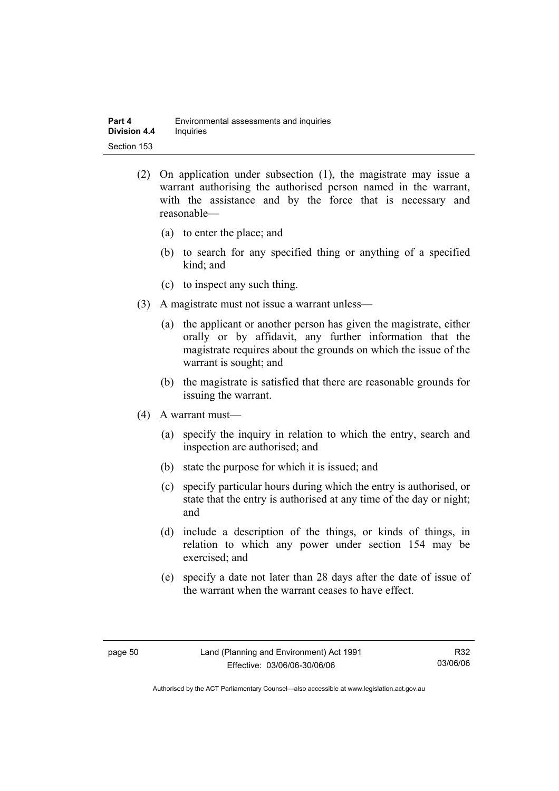- (2) On application under subsection (1), the magistrate may issue a warrant authorising the authorised person named in the warrant, with the assistance and by the force that is necessary and reasonable—
	- (a) to enter the place; and
	- (b) to search for any specified thing or anything of a specified kind; and
	- (c) to inspect any such thing.
- (3) A magistrate must not issue a warrant unless—
	- (a) the applicant or another person has given the magistrate, either orally or by affidavit, any further information that the magistrate requires about the grounds on which the issue of the warrant is sought; and
	- (b) the magistrate is satisfied that there are reasonable grounds for issuing the warrant.
- (4) A warrant must—
	- (a) specify the inquiry in relation to which the entry, search and inspection are authorised; and
	- (b) state the purpose for which it is issued; and
	- (c) specify particular hours during which the entry is authorised, or state that the entry is authorised at any time of the day or night; and
	- (d) include a description of the things, or kinds of things, in relation to which any power under section 154 may be exercised; and
	- (e) specify a date not later than 28 days after the date of issue of the warrant when the warrant ceases to have effect.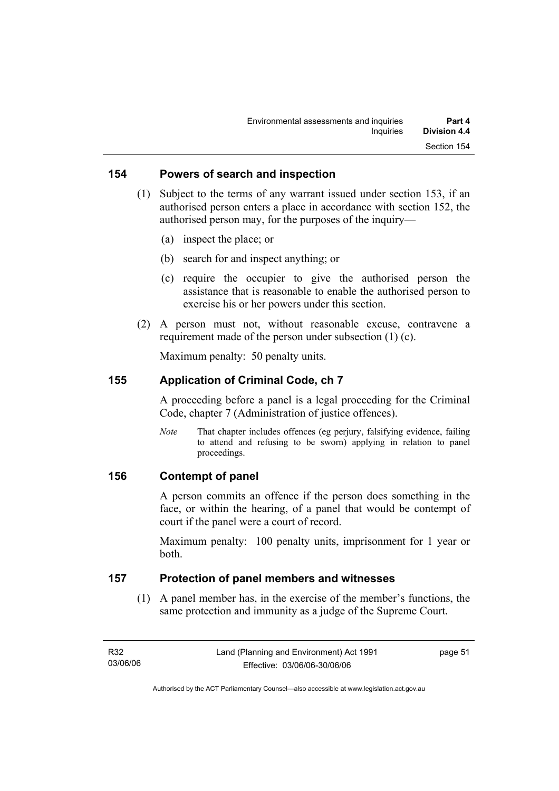#### **154 Powers of search and inspection**

- (1) Subject to the terms of any warrant issued under section 153, if an authorised person enters a place in accordance with section 152, the authorised person may, for the purposes of the inquiry—
	- (a) inspect the place; or
	- (b) search for and inspect anything; or
	- (c) require the occupier to give the authorised person the assistance that is reasonable to enable the authorised person to exercise his or her powers under this section.
- (2) A person must not, without reasonable excuse, contravene a requirement made of the person under subsection (1) (c).

Maximum penalty: 50 penalty units.

#### **155 Application of Criminal Code, ch 7**

A proceeding before a panel is a legal proceeding for the Criminal Code, chapter 7 (Administration of justice offences).

*Note* That chapter includes offences (eg perjury, falsifying evidence, failing to attend and refusing to be sworn) applying in relation to panel proceedings.

#### **156 Contempt of panel**

A person commits an offence if the person does something in the face, or within the hearing, of a panel that would be contempt of court if the panel were a court of record.

Maximum penalty: 100 penalty units, imprisonment for 1 year or both.

#### **157 Protection of panel members and witnesses**

 (1) A panel member has, in the exercise of the member's functions, the same protection and immunity as a judge of the Supreme Court.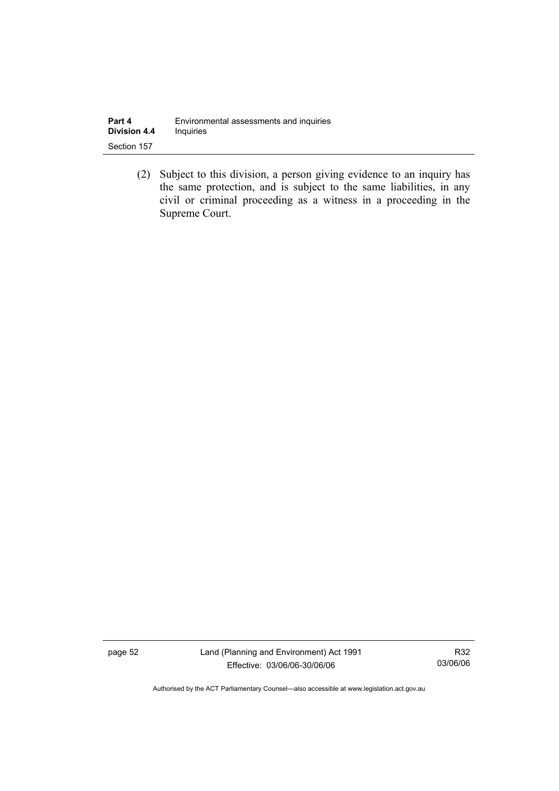| Part 4              | Environmental assessments and inquiries |
|---------------------|-----------------------------------------|
| <b>Division 4.4</b> | <b>Inquiries</b>                        |
| Section 157         |                                         |

 (2) Subject to this division, a person giving evidence to an inquiry has the same protection, and is subject to the same liabilities, in any civil or criminal proceeding as a witness in a proceeding in the Supreme Court.

page 52 Land (Planning and Environment) Act 1991 Effective: 03/06/06-30/06/06

R32 03/06/06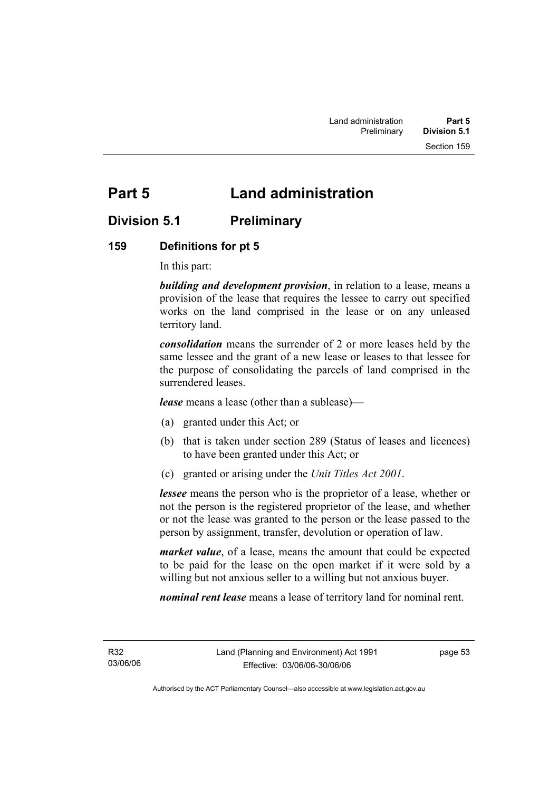# **Part 5 Land administration**

# **Division 5.1 Preliminary**

#### **159 Definitions for pt 5**

In this part:

*building and development provision*, in relation to a lease, means a provision of the lease that requires the lessee to carry out specified works on the land comprised in the lease or on any unleased territory land.

*consolidation* means the surrender of 2 or more leases held by the same lessee and the grant of a new lease or leases to that lessee for the purpose of consolidating the parcels of land comprised in the surrendered leases.

*lease* means a lease (other than a sublease)—

- (a) granted under this Act; or
- (b) that is taken under section 289 (Status of leases and licences) to have been granted under this Act; or
- (c) granted or arising under the *Unit Titles Act 2001*.

*lessee* means the person who is the proprietor of a lease, whether or not the person is the registered proprietor of the lease, and whether or not the lease was granted to the person or the lease passed to the person by assignment, transfer, devolution or operation of law.

*market value*, of a lease, means the amount that could be expected to be paid for the lease on the open market if it were sold by a willing but not anxious seller to a willing but not anxious buyer.

*nominal rent lease* means a lease of territory land for nominal rent.

R32 03/06/06 page 53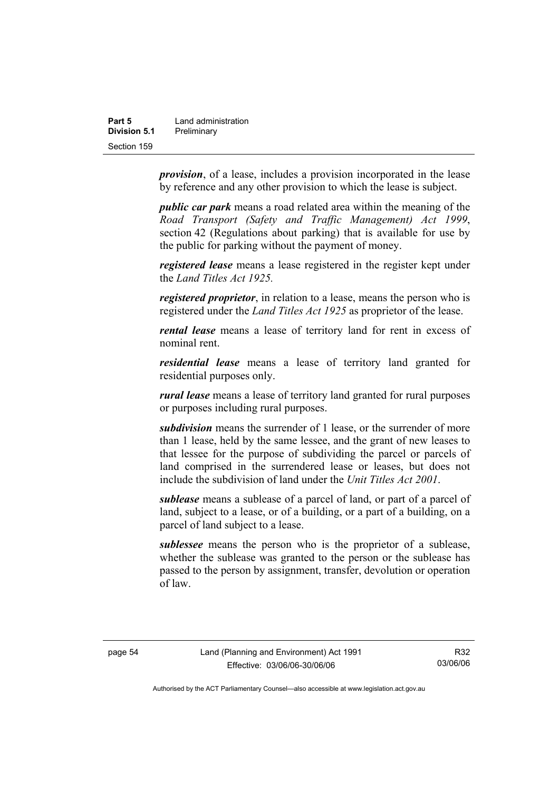| Part 5       | Land administration |
|--------------|---------------------|
| Division 5.1 | Preliminary         |
| Section 159  |                     |

*provision*, of a lease, includes a provision incorporated in the lease by reference and any other provision to which the lease is subject.

*public car park* means a road related area within the meaning of the *Road Transport (Safety and Traffic Management) Act 1999*, section 42 (Regulations about parking) that is available for use by the public for parking without the payment of money.

*registered lease* means a lease registered in the register kept under the *Land Titles Act 1925.*

*registered proprietor*, in relation to a lease, means the person who is registered under the *Land Titles Act 1925* as proprietor of the lease.

*rental lease* means a lease of territory land for rent in excess of nominal rent.

*residential lease* means a lease of territory land granted for residential purposes only.

*rural lease* means a lease of territory land granted for rural purposes or purposes including rural purposes.

*subdivision* means the surrender of 1 lease, or the surrender of more than 1 lease, held by the same lessee, and the grant of new leases to that lessee for the purpose of subdividing the parcel or parcels of land comprised in the surrendered lease or leases, but does not include the subdivision of land under the *Unit Titles Act 2001*.

*sublease* means a sublease of a parcel of land, or part of a parcel of land, subject to a lease, or of a building, or a part of a building, on a parcel of land subject to a lease.

*sublessee* means the person who is the proprietor of a sublease, whether the sublease was granted to the person or the sublease has passed to the person by assignment, transfer, devolution or operation of law.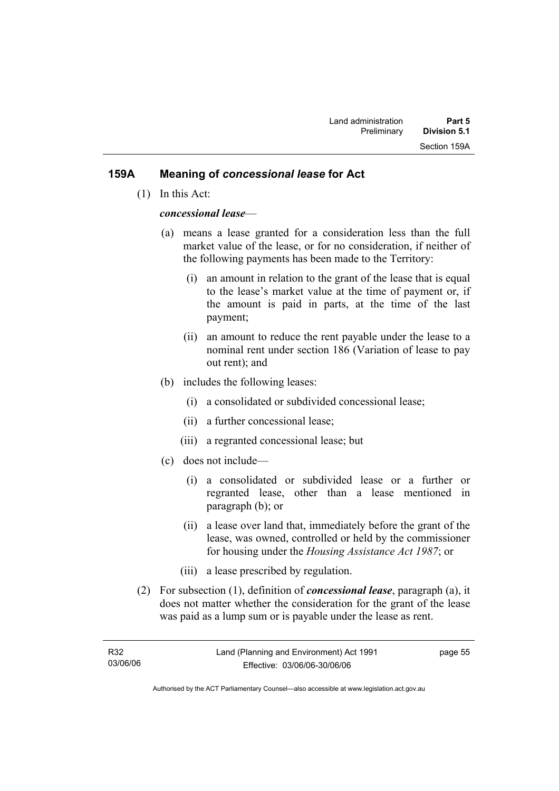#### **159A Meaning of** *concessional lease* **for Act**

(1) In this Act:

#### *concessional lease*—

- (a) means a lease granted for a consideration less than the full market value of the lease, or for no consideration, if neither of the following payments has been made to the Territory:
	- (i) an amount in relation to the grant of the lease that is equal to the lease's market value at the time of payment or, if the amount is paid in parts, at the time of the last payment;
	- (ii) an amount to reduce the rent payable under the lease to a nominal rent under section 186 (Variation of lease to pay out rent); and
- (b) includes the following leases:
	- (i) a consolidated or subdivided concessional lease;
	- (ii) a further concessional lease;
	- (iii) a regranted concessional lease; but
- (c) does not include—
	- (i) a consolidated or subdivided lease or a further or regranted lease, other than a lease mentioned in paragraph (b); or
	- (ii) a lease over land that, immediately before the grant of the lease, was owned, controlled or held by the commissioner for housing under the *Housing Assistance Act 1987*; or
	- (iii) a lease prescribed by regulation.
- (2) For subsection (1), definition of *concessional lease*, paragraph (a), it does not matter whether the consideration for the grant of the lease was paid as a lump sum or is payable under the lease as rent.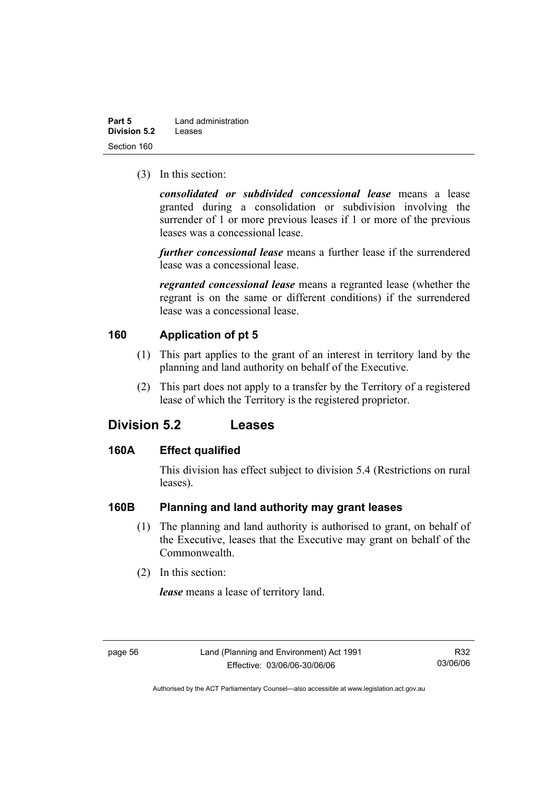| Part 5       | Land administration |
|--------------|---------------------|
| Division 5.2 | Leases              |
| Section 160  |                     |

(3) In this section:

*consolidated or subdivided concessional lease* means a lease granted during a consolidation or subdivision involving the surrender of 1 or more previous leases if 1 or more of the previous leases was a concessional lease.

*further concessional lease* means a further lease if the surrendered lease was a concessional lease.

*regranted concessional lease* means a regranted lease (whether the regrant is on the same or different conditions) if the surrendered lease was a concessional lease.

#### **160 Application of pt 5**

- (1) This part applies to the grant of an interest in territory land by the planning and land authority on behalf of the Executive.
- (2) This part does not apply to a transfer by the Territory of a registered lease of which the Territory is the registered proprietor.

# **Division 5.2 Leases**

#### **160A Effect qualified**

This division has effect subject to division 5.4 (Restrictions on rural leases).

#### **160B Planning and land authority may grant leases**

- (1) The planning and land authority is authorised to grant, on behalf of the Executive, leases that the Executive may grant on behalf of the Commonwealth.
- (2) In this section:

*lease* means a lease of territory land.

R32 03/06/06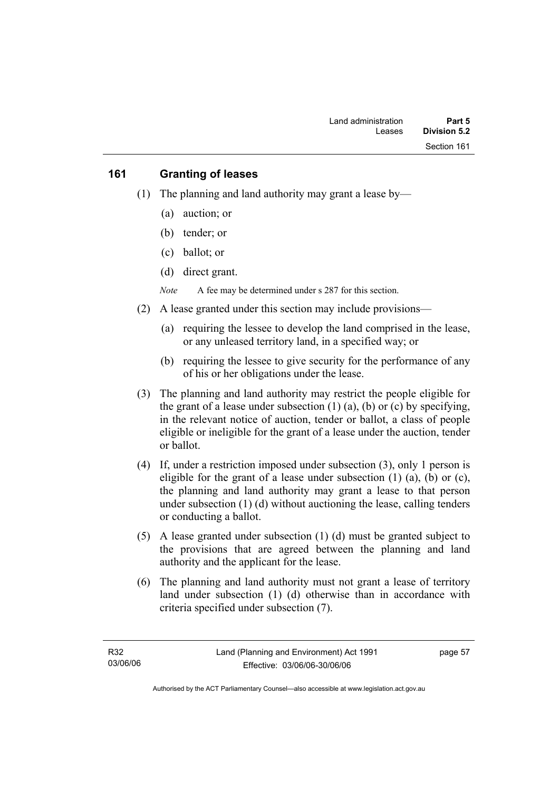#### **161 Granting of leases**

- (1) The planning and land authority may grant a lease by—
	- (a) auction; or
	- (b) tender; or
	- (c) ballot; or
	- (d) direct grant.

*Note* A fee may be determined under s 287 for this section.

- (2) A lease granted under this section may include provisions—
	- (a) requiring the lessee to develop the land comprised in the lease, or any unleased territory land, in a specified way; or
	- (b) requiring the lessee to give security for the performance of any of his or her obligations under the lease.
- (3) The planning and land authority may restrict the people eligible for the grant of a lease under subsection  $(1)$   $(a)$ ,  $(b)$  or  $(c)$  by specifying, in the relevant notice of auction, tender or ballot, a class of people eligible or ineligible for the grant of a lease under the auction, tender or ballot.
- (4) If, under a restriction imposed under subsection (3), only 1 person is eligible for the grant of a lease under subsection  $(1)$   $(a)$ ,  $(b)$  or  $(c)$ , the planning and land authority may grant a lease to that person under subsection (1) (d) without auctioning the lease, calling tenders or conducting a ballot.
- (5) A lease granted under subsection (1) (d) must be granted subject to the provisions that are agreed between the planning and land authority and the applicant for the lease.
- (6) The planning and land authority must not grant a lease of territory land under subsection (1) (d) otherwise than in accordance with criteria specified under subsection (7).

page 57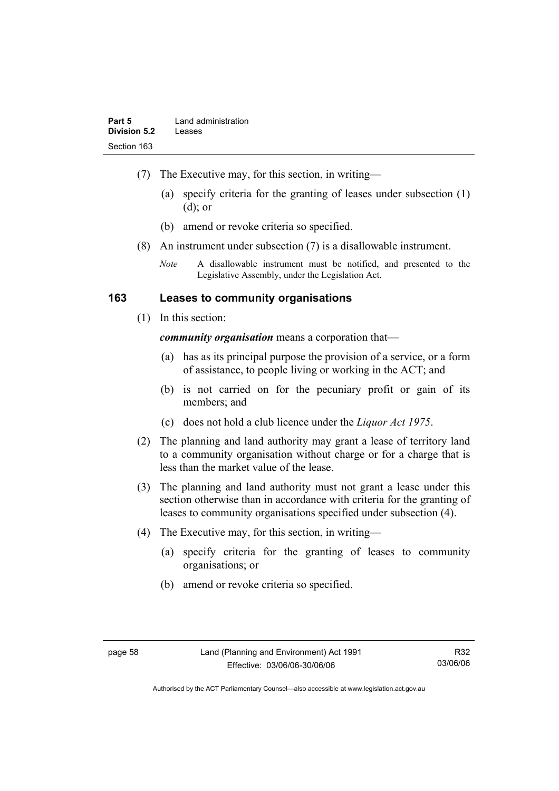- (7) The Executive may, for this section, in writing—
	- (a) specify criteria for the granting of leases under subsection (1) (d); or
	- (b) amend or revoke criteria so specified.
- (8) An instrument under subsection (7) is a disallowable instrument.
	- *Note* A disallowable instrument must be notified, and presented to the Legislative Assembly, under the Legislation Act.

#### **163 Leases to community organisations**

(1) In this section:

*community organisation* means a corporation that—

- (a) has as its principal purpose the provision of a service, or a form of assistance, to people living or working in the ACT; and
- (b) is not carried on for the pecuniary profit or gain of its members; and
- (c) does not hold a club licence under the *Liquor Act 1975*.
- (2) The planning and land authority may grant a lease of territory land to a community organisation without charge or for a charge that is less than the market value of the lease.
- (3) The planning and land authority must not grant a lease under this section otherwise than in accordance with criteria for the granting of leases to community organisations specified under subsection (4).
- (4) The Executive may, for this section, in writing—
	- (a) specify criteria for the granting of leases to community organisations; or
	- (b) amend or revoke criteria so specified.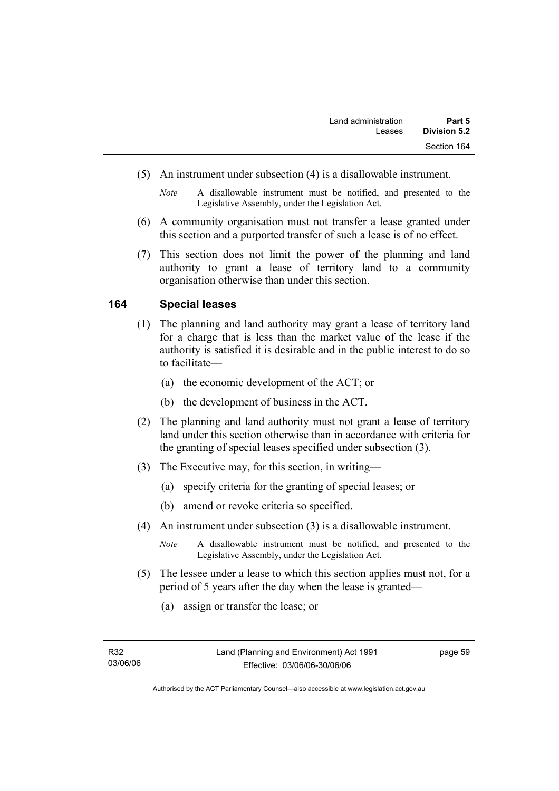- (5) An instrument under subsection (4) is a disallowable instrument.
	- *Note* A disallowable instrument must be notified, and presented to the Legislative Assembly, under the Legislation Act.
- (6) A community organisation must not transfer a lease granted under this section and a purported transfer of such a lease is of no effect.
- (7) This section does not limit the power of the planning and land authority to grant a lease of territory land to a community organisation otherwise than under this section.

#### **164 Special leases**

- (1) The planning and land authority may grant a lease of territory land for a charge that is less than the market value of the lease if the authority is satisfied it is desirable and in the public interest to do so to facilitate—
	- (a) the economic development of the ACT; or
	- (b) the development of business in the ACT.
- (2) The planning and land authority must not grant a lease of territory land under this section otherwise than in accordance with criteria for the granting of special leases specified under subsection (3).
- (3) The Executive may, for this section, in writing—
	- (a) specify criteria for the granting of special leases; or
	- (b) amend or revoke criteria so specified.
- (4) An instrument under subsection (3) is a disallowable instrument.
	- *Note* A disallowable instrument must be notified, and presented to the Legislative Assembly, under the Legislation Act.
- (5) The lessee under a lease to which this section applies must not, for a period of 5 years after the day when the lease is granted—
	- (a) assign or transfer the lease; or

page 59

Authorised by the ACT Parliamentary Counsel—also accessible at www.legislation.act.gov.au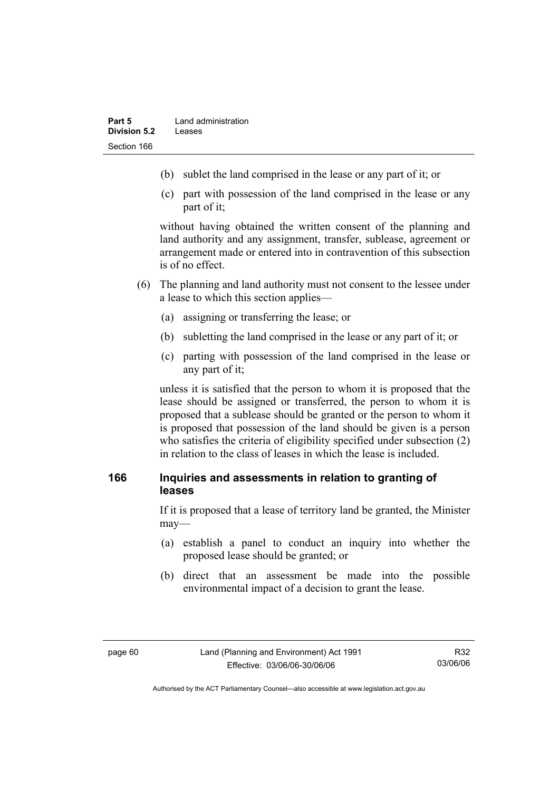- (b) sublet the land comprised in the lease or any part of it; or
- (c) part with possession of the land comprised in the lease or any part of it;

without having obtained the written consent of the planning and land authority and any assignment, transfer, sublease, agreement or arrangement made or entered into in contravention of this subsection is of no effect.

- (6) The planning and land authority must not consent to the lessee under a lease to which this section applies—
	- (a) assigning or transferring the lease; or
	- (b) subletting the land comprised in the lease or any part of it; or
	- (c) parting with possession of the land comprised in the lease or any part of it;

unless it is satisfied that the person to whom it is proposed that the lease should be assigned or transferred, the person to whom it is proposed that a sublease should be granted or the person to whom it is proposed that possession of the land should be given is a person who satisfies the criteria of eligibility specified under subsection (2) in relation to the class of leases in which the lease is included.

## **166 Inquiries and assessments in relation to granting of leases**

If it is proposed that a lease of territory land be granted, the Minister may—

- (a) establish a panel to conduct an inquiry into whether the proposed lease should be granted; or
- (b) direct that an assessment be made into the possible environmental impact of a decision to grant the lease.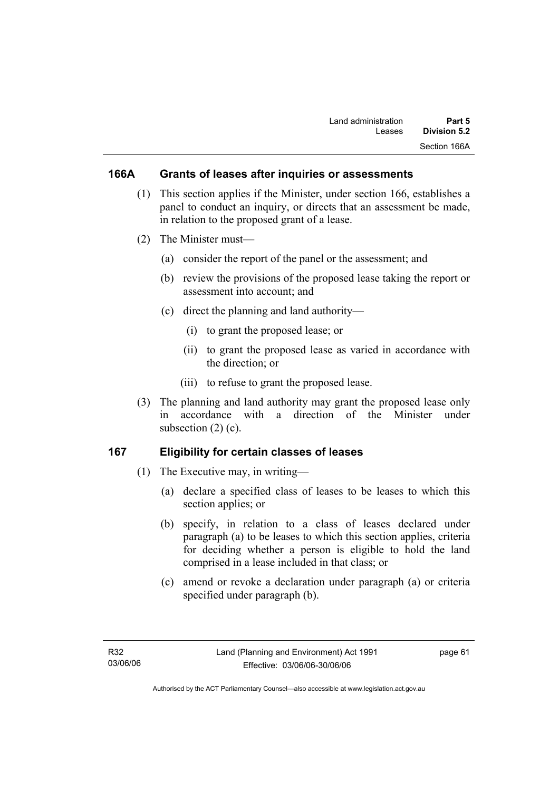## **166A Grants of leases after inquiries or assessments**

- (1) This section applies if the Minister, under section 166, establishes a panel to conduct an inquiry, or directs that an assessment be made, in relation to the proposed grant of a lease.
- (2) The Minister must—
	- (a) consider the report of the panel or the assessment; and
	- (b) review the provisions of the proposed lease taking the report or assessment into account; and
	- (c) direct the planning and land authority—
		- (i) to grant the proposed lease; or
		- (ii) to grant the proposed lease as varied in accordance with the direction; or
		- (iii) to refuse to grant the proposed lease.
- (3) The planning and land authority may grant the proposed lease only in accordance with a direction of the Minister under subsection  $(2)$   $(c)$ .

## **167 Eligibility for certain classes of leases**

- (1) The Executive may, in writing—
	- (a) declare a specified class of leases to be leases to which this section applies; or
	- (b) specify, in relation to a class of leases declared under paragraph (a) to be leases to which this section applies, criteria for deciding whether a person is eligible to hold the land comprised in a lease included in that class; or
	- (c) amend or revoke a declaration under paragraph (a) or criteria specified under paragraph (b).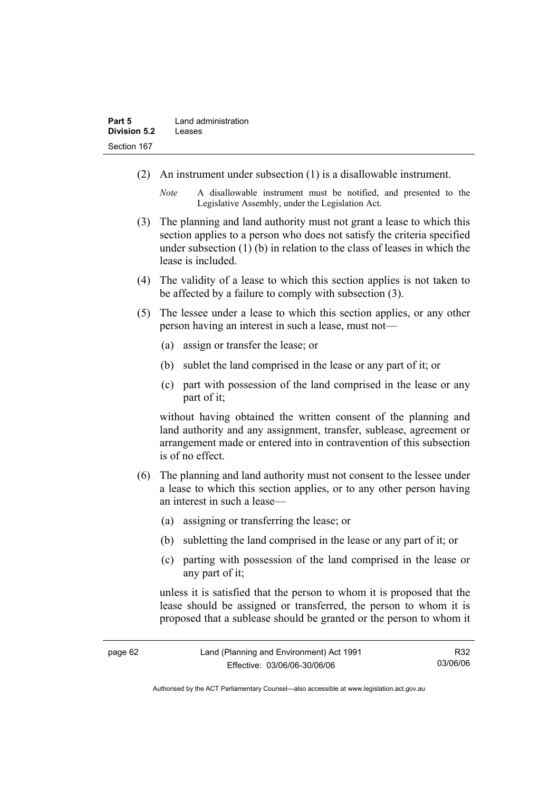- (2) An instrument under subsection (1) is a disallowable instrument.
	- *Note* A disallowable instrument must be notified, and presented to the Legislative Assembly, under the Legislation Act.
- (3) The planning and land authority must not grant a lease to which this section applies to a person who does not satisfy the criteria specified under subsection (1) (b) in relation to the class of leases in which the lease is included.
- (4) The validity of a lease to which this section applies is not taken to be affected by a failure to comply with subsection (3).
- (5) The lessee under a lease to which this section applies, or any other person having an interest in such a lease, must not—
	- (a) assign or transfer the lease; or
	- (b) sublet the land comprised in the lease or any part of it; or
	- (c) part with possession of the land comprised in the lease or any part of it;

without having obtained the written consent of the planning and land authority and any assignment, transfer, sublease, agreement or arrangement made or entered into in contravention of this subsection is of no effect.

- (6) The planning and land authority must not consent to the lessee under a lease to which this section applies, or to any other person having an interest in such a lease—
	- (a) assigning or transferring the lease; or
	- (b) subletting the land comprised in the lease or any part of it; or
	- (c) parting with possession of the land comprised in the lease or any part of it;

unless it is satisfied that the person to whom it is proposed that the lease should be assigned or transferred, the person to whom it is proposed that a sublease should be granted or the person to whom it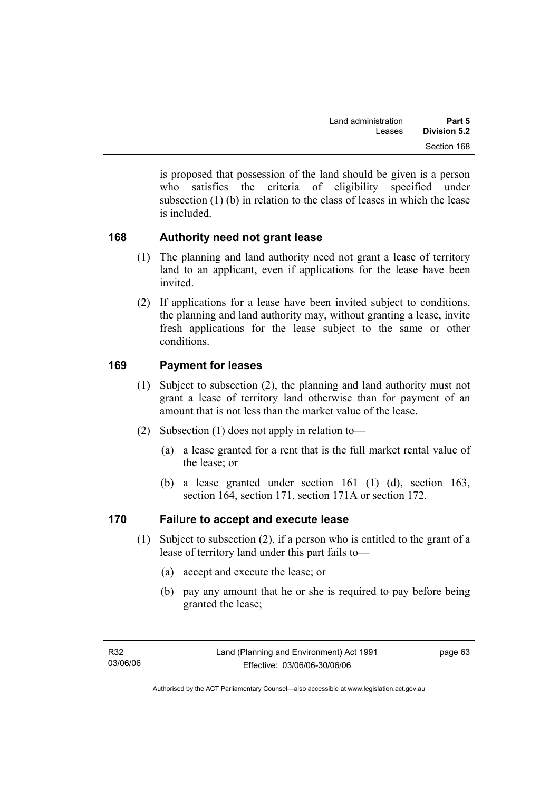is proposed that possession of the land should be given is a person who satisfies the criteria of eligibility specified under subsection (1) (b) in relation to the class of leases in which the lease is included.

## **168 Authority need not grant lease**

- (1) The planning and land authority need not grant a lease of territory land to an applicant, even if applications for the lease have been invited.
- (2) If applications for a lease have been invited subject to conditions, the planning and land authority may, without granting a lease, invite fresh applications for the lease subject to the same or other conditions.

## **169 Payment for leases**

- (1) Subject to subsection (2), the planning and land authority must not grant a lease of territory land otherwise than for payment of an amount that is not less than the market value of the lease.
- (2) Subsection (1) does not apply in relation to—
	- (a) a lease granted for a rent that is the full market rental value of the lease; or
	- (b) a lease granted under section 161 (1) (d), section 163, section 164, section 171, section 171A or section 172.

## **170 Failure to accept and execute lease**

- (1) Subject to subsection (2), if a person who is entitled to the grant of a lease of territory land under this part fails to—
	- (a) accept and execute the lease; or
	- (b) pay any amount that he or she is required to pay before being granted the lease;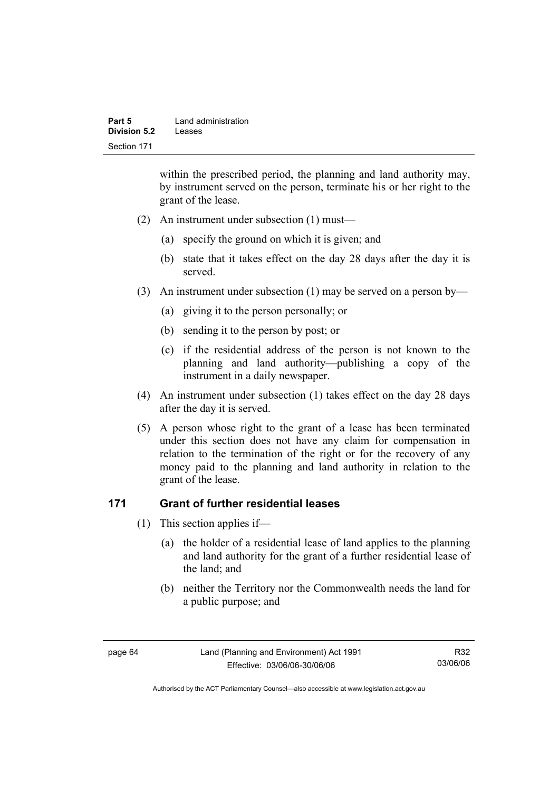| Part 5       | Land administration |
|--------------|---------------------|
| Division 5.2 | Leases              |
| Section 171  |                     |

within the prescribed period, the planning and land authority may, by instrument served on the person, terminate his or her right to the grant of the lease.

- (2) An instrument under subsection (1) must—
	- (a) specify the ground on which it is given; and
	- (b) state that it takes effect on the day 28 days after the day it is served.
- (3) An instrument under subsection (1) may be served on a person by—
	- (a) giving it to the person personally; or
	- (b) sending it to the person by post; or
	- (c) if the residential address of the person is not known to the planning and land authority—publishing a copy of the instrument in a daily newspaper.
- (4) An instrument under subsection (1) takes effect on the day 28 days after the day it is served.
- (5) A person whose right to the grant of a lease has been terminated under this section does not have any claim for compensation in relation to the termination of the right or for the recovery of any money paid to the planning and land authority in relation to the grant of the lease.

#### **171 Grant of further residential leases**

- (1) This section applies if—
	- (a) the holder of a residential lease of land applies to the planning and land authority for the grant of a further residential lease of the land; and
	- (b) neither the Territory nor the Commonwealth needs the land for a public purpose; and

Authorised by the ACT Parliamentary Counsel—also accessible at www.legislation.act.gov.au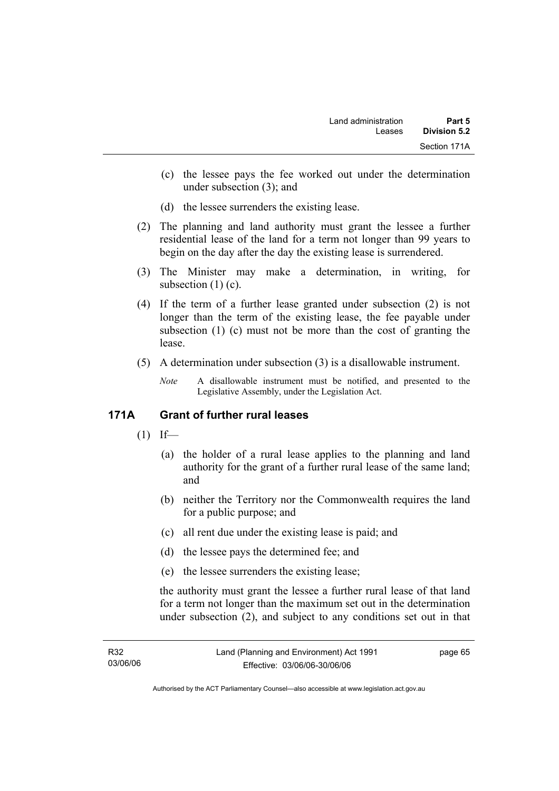- (c) the lessee pays the fee worked out under the determination under subsection (3); and
- (d) the lessee surrenders the existing lease.
- (2) The planning and land authority must grant the lessee a further residential lease of the land for a term not longer than 99 years to begin on the day after the day the existing lease is surrendered.
- (3) The Minister may make a determination, in writing, for subsection  $(1)(c)$ .
- (4) If the term of a further lease granted under subsection (2) is not longer than the term of the existing lease, the fee payable under subsection (1) (c) must not be more than the cost of granting the lease.
- (5) A determination under subsection (3) is a disallowable instrument.
	- *Note* A disallowable instrument must be notified, and presented to the Legislative Assembly, under the Legislation Act.

## **171A Grant of further rural leases**

- $(1)$  If—
	- (a) the holder of a rural lease applies to the planning and land authority for the grant of a further rural lease of the same land; and
	- (b) neither the Territory nor the Commonwealth requires the land for a public purpose; and
	- (c) all rent due under the existing lease is paid; and
	- (d) the lessee pays the determined fee; and
	- (e) the lessee surrenders the existing lease;

the authority must grant the lessee a further rural lease of that land for a term not longer than the maximum set out in the determination under subsection (2), and subject to any conditions set out in that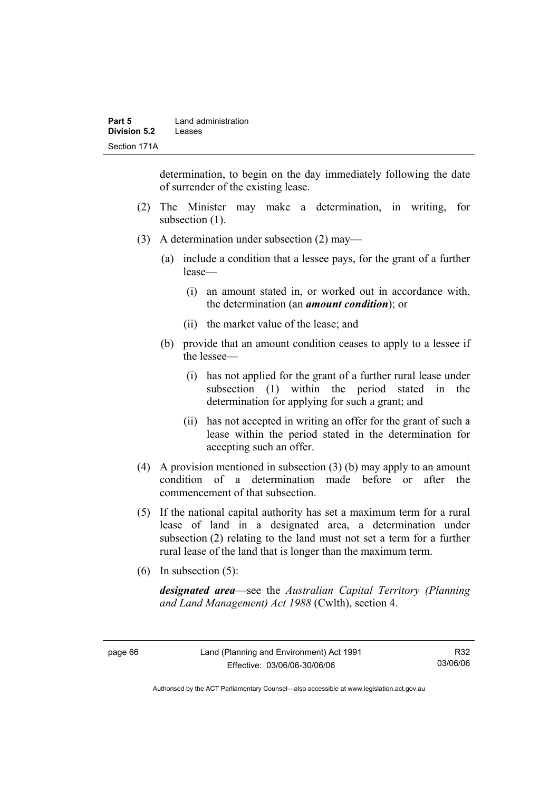determination, to begin on the day immediately following the date of surrender of the existing lease.

- (2) The Minister may make a determination, in writing, for subsection (1).
- (3) A determination under subsection (2) may—
	- (a) include a condition that a lessee pays, for the grant of a further lease—
		- (i) an amount stated in, or worked out in accordance with, the determination (an *amount condition*); or
		- (ii) the market value of the lease; and
	- (b) provide that an amount condition ceases to apply to a lessee if the lessee—
		- (i) has not applied for the grant of a further rural lease under subsection (1) within the period stated in the determination for applying for such a grant; and
		- (ii) has not accepted in writing an offer for the grant of such a lease within the period stated in the determination for accepting such an offer.
- (4) A provision mentioned in subsection (3) (b) may apply to an amount condition of a determination made before or after the commencement of that subsection.
- (5) If the national capital authority has set a maximum term for a rural lease of land in a designated area, a determination under subsection (2) relating to the land must not set a term for a further rural lease of the land that is longer than the maximum term.
- (6) In subsection (5):

*designated area*—see the *Australian Capital Territory (Planning and Land Management) Act 1988* (Cwlth), section 4.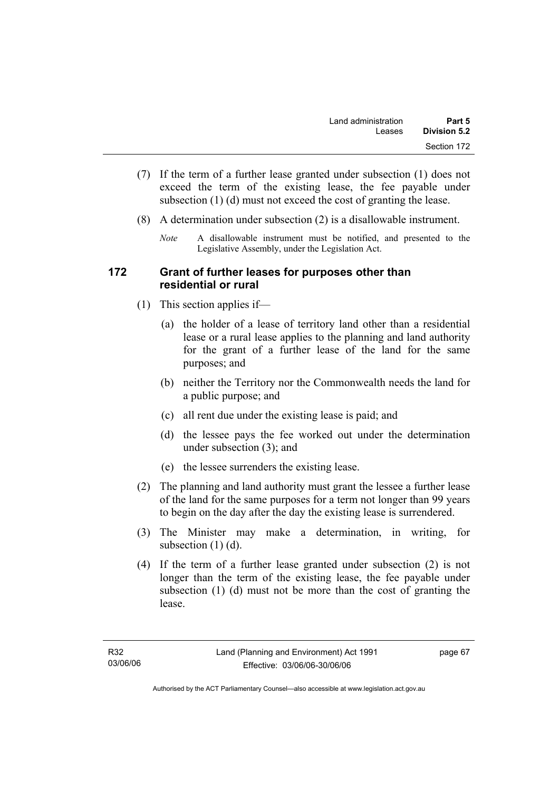- (7) If the term of a further lease granted under subsection (1) does not exceed the term of the existing lease, the fee payable under subsection (1) (d) must not exceed the cost of granting the lease.
- (8) A determination under subsection (2) is a disallowable instrument.
	- *Note* A disallowable instrument must be notified, and presented to the Legislative Assembly, under the Legislation Act.

#### **172 Grant of further leases for purposes other than residential or rural**

- (1) This section applies if—
	- (a) the holder of a lease of territory land other than a residential lease or a rural lease applies to the planning and land authority for the grant of a further lease of the land for the same purposes; and
	- (b) neither the Territory nor the Commonwealth needs the land for a public purpose; and
	- (c) all rent due under the existing lease is paid; and
	- (d) the lessee pays the fee worked out under the determination under subsection (3); and
	- (e) the lessee surrenders the existing lease.
- (2) The planning and land authority must grant the lessee a further lease of the land for the same purposes for a term not longer than 99 years to begin on the day after the day the existing lease is surrendered.
- (3) The Minister may make a determination, in writing, for subsection  $(1)$   $(d)$ .
- (4) If the term of a further lease granted under subsection (2) is not longer than the term of the existing lease, the fee payable under subsection (1) (d) must not be more than the cost of granting the lease.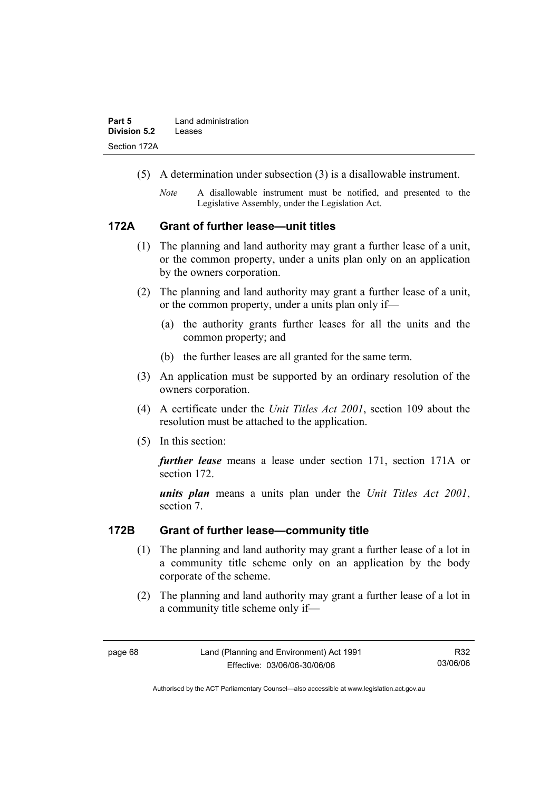- (5) A determination under subsection (3) is a disallowable instrument.
	- *Note* A disallowable instrument must be notified, and presented to the Legislative Assembly, under the Legislation Act.

## **172A Grant of further lease—unit titles**

- (1) The planning and land authority may grant a further lease of a unit, or the common property, under a units plan only on an application by the owners corporation.
- (2) The planning and land authority may grant a further lease of a unit, or the common property, under a units plan only if—
	- (a) the authority grants further leases for all the units and the common property; and
	- (b) the further leases are all granted for the same term.
- (3) An application must be supported by an ordinary resolution of the owners corporation.
- (4) A certificate under the *Unit Titles Act 2001*, section 109 about the resolution must be attached to the application.
- (5) In this section:

*further lease* means a lease under section 171, section 171A or section 172.

*units plan* means a units plan under the *Unit Titles Act 2001*, section 7.

#### **172B Grant of further lease—community title**

- (1) The planning and land authority may grant a further lease of a lot in a community title scheme only on an application by the body corporate of the scheme.
- (2) The planning and land authority may grant a further lease of a lot in a community title scheme only if—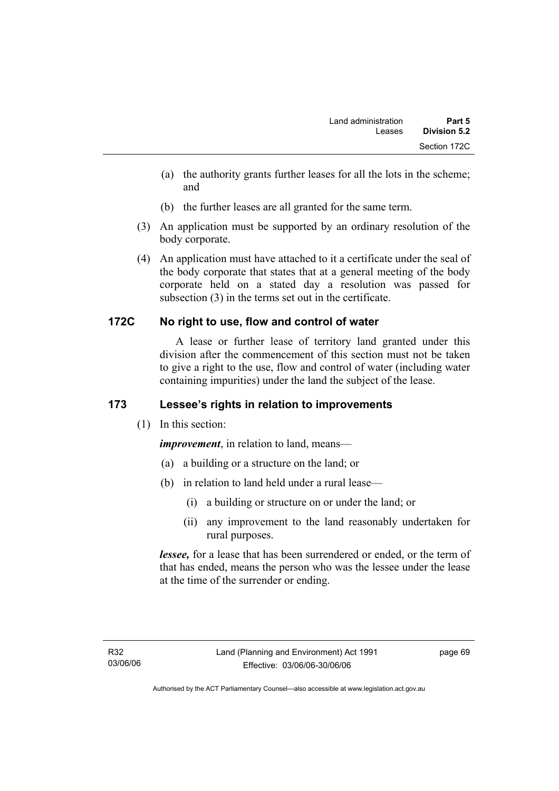- (a) the authority grants further leases for all the lots in the scheme; and
- (b) the further leases are all granted for the same term.
- (3) An application must be supported by an ordinary resolution of the body corporate.
- (4) An application must have attached to it a certificate under the seal of the body corporate that states that at a general meeting of the body corporate held on a stated day a resolution was passed for subsection (3) in the terms set out in the certificate.

## **172C No right to use, flow and control of water**

 A lease or further lease of territory land granted under this division after the commencement of this section must not be taken to give a right to the use, flow and control of water (including water containing impurities) under the land the subject of the lease.

# **173 Lessee's rights in relation to improvements**

(1) In this section:

*improvement*, in relation to land, means—

- (a) a building or a structure on the land; or
- (b) in relation to land held under a rural lease—
	- (i) a building or structure on or under the land; or
	- (ii) any improvement to the land reasonably undertaken for rural purposes.

*lessee,* for a lease that has been surrendered or ended, or the term of that has ended, means the person who was the lessee under the lease at the time of the surrender or ending.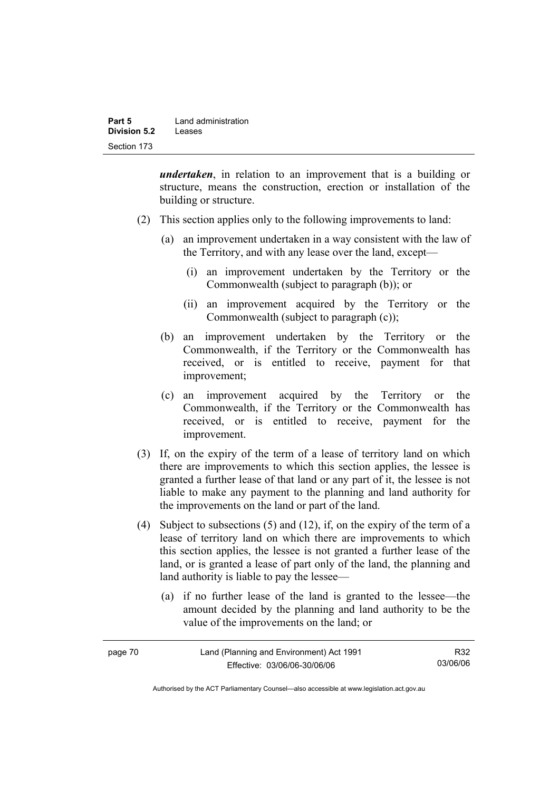| Part 5       | Land administration |
|--------------|---------------------|
| Division 5.2 | Leases              |
| Section 173  |                     |

*undertaken*, in relation to an improvement that is a building or structure, means the construction, erection or installation of the building or structure.

- (2) This section applies only to the following improvements to land:
	- (a) an improvement undertaken in a way consistent with the law of the Territory, and with any lease over the land, except—
		- (i) an improvement undertaken by the Territory or the Commonwealth (subject to paragraph (b)); or
		- (ii) an improvement acquired by the Territory or the Commonwealth (subject to paragraph (c));
	- (b) an improvement undertaken by the Territory or the Commonwealth, if the Territory or the Commonwealth has received, or is entitled to receive, payment for that improvement;
	- (c) an improvement acquired by the Territory or the Commonwealth, if the Territory or the Commonwealth has received, or is entitled to receive, payment for the improvement.
- (3) If, on the expiry of the term of a lease of territory land on which there are improvements to which this section applies, the lessee is granted a further lease of that land or any part of it, the lessee is not liable to make any payment to the planning and land authority for the improvements on the land or part of the land.
- (4) Subject to subsections (5) and (12), if, on the expiry of the term of a lease of territory land on which there are improvements to which this section applies, the lessee is not granted a further lease of the land, or is granted a lease of part only of the land, the planning and land authority is liable to pay the lessee—
	- (a) if no further lease of the land is granted to the lessee—the amount decided by the planning and land authority to be the value of the improvements on the land; or

| page 70 | Land (Planning and Environment) Act 1991 | R32      |
|---------|------------------------------------------|----------|
|         | Effective: 03/06/06-30/06/06             | 03/06/06 |

Authorised by the ACT Parliamentary Counsel—also accessible at www.legislation.act.gov.au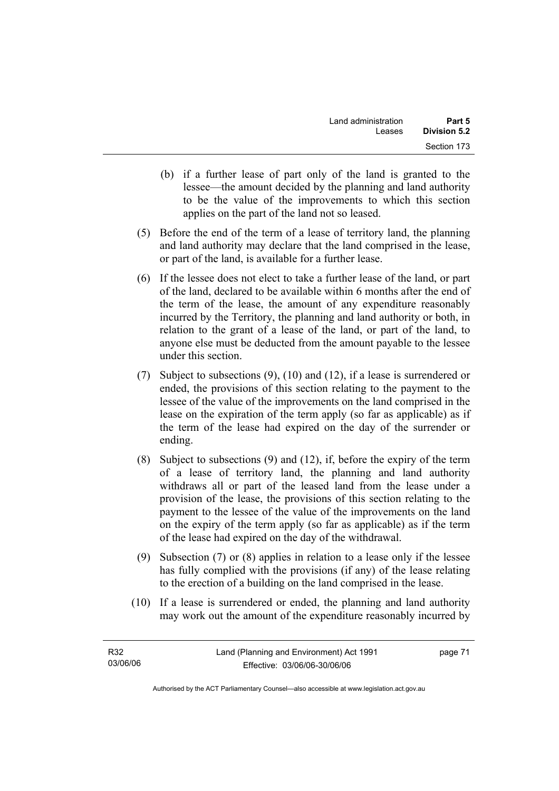- (b) if a further lease of part only of the land is granted to the lessee—the amount decided by the planning and land authority to be the value of the improvements to which this section applies on the part of the land not so leased.
- (5) Before the end of the term of a lease of territory land, the planning and land authority may declare that the land comprised in the lease, or part of the land, is available for a further lease.
- (6) If the lessee does not elect to take a further lease of the land, or part of the land, declared to be available within 6 months after the end of the term of the lease, the amount of any expenditure reasonably incurred by the Territory, the planning and land authority or both, in relation to the grant of a lease of the land, or part of the land, to anyone else must be deducted from the amount payable to the lessee under this section.
- (7) Subject to subsections (9), (10) and (12), if a lease is surrendered or ended, the provisions of this section relating to the payment to the lessee of the value of the improvements on the land comprised in the lease on the expiration of the term apply (so far as applicable) as if the term of the lease had expired on the day of the surrender or ending.
- (8) Subject to subsections (9) and (12), if, before the expiry of the term of a lease of territory land, the planning and land authority withdraws all or part of the leased land from the lease under a provision of the lease, the provisions of this section relating to the payment to the lessee of the value of the improvements on the land on the expiry of the term apply (so far as applicable) as if the term of the lease had expired on the day of the withdrawal.
- (9) Subsection (7) or (8) applies in relation to a lease only if the lessee has fully complied with the provisions (if any) of the lease relating to the erection of a building on the land comprised in the lease.
- (10) If a lease is surrendered or ended, the planning and land authority may work out the amount of the expenditure reasonably incurred by

| R32      | Land (Planning and Environment) Act 1991 | page 71 |
|----------|------------------------------------------|---------|
| 03/06/06 | Effective: 03/06/06-30/06/06             |         |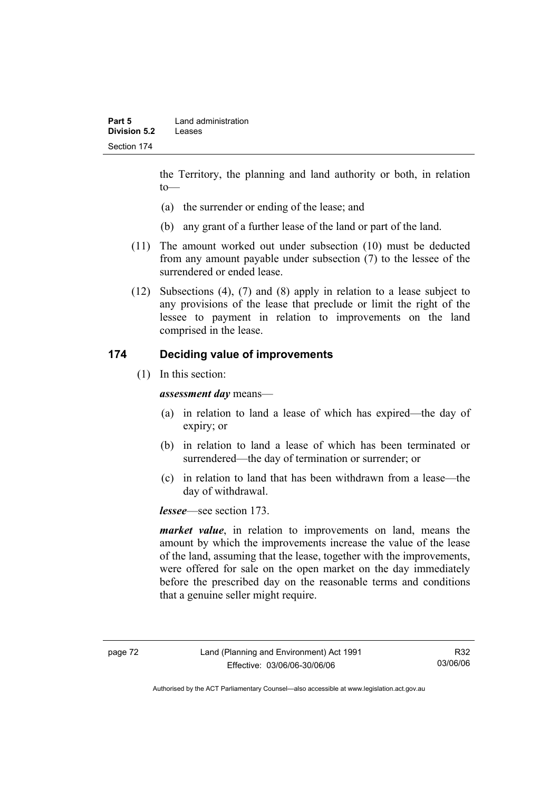the Territory, the planning and land authority or both, in relation to—

- (a) the surrender or ending of the lease; and
- (b) any grant of a further lease of the land or part of the land.
- (11) The amount worked out under subsection (10) must be deducted from any amount payable under subsection (7) to the lessee of the surrendered or ended lease.
- (12) Subsections (4), (7) and (8) apply in relation to a lease subject to any provisions of the lease that preclude or limit the right of the lessee to payment in relation to improvements on the land comprised in the lease.

## **174 Deciding value of improvements**

(1) In this section:

*assessment day* means—

- (a) in relation to land a lease of which has expired—the day of expiry; or
- (b) in relation to land a lease of which has been terminated or surrendered—the day of termination or surrender; or
- (c) in relation to land that has been withdrawn from a lease—the day of withdrawal.

*lessee*—see section 173.

*market value*, in relation to improvements on land, means the amount by which the improvements increase the value of the lease of the land, assuming that the lease, together with the improvements, were offered for sale on the open market on the day immediately before the prescribed day on the reasonable terms and conditions that a genuine seller might require.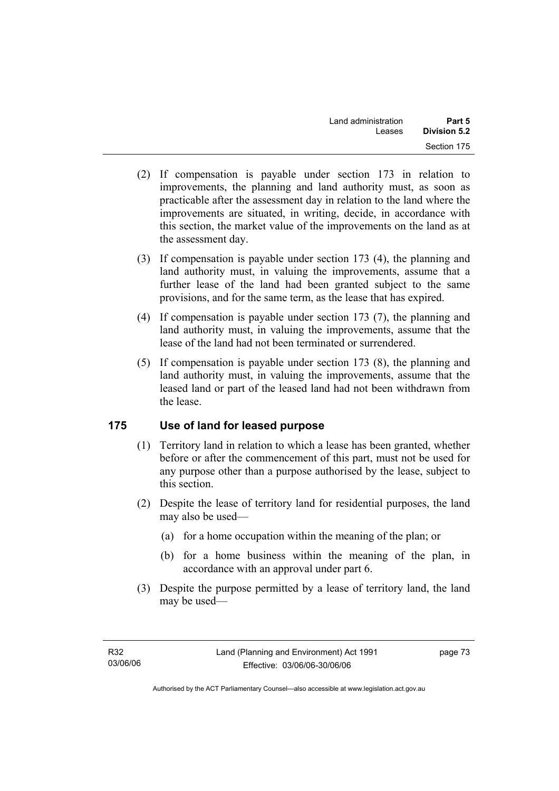- (2) If compensation is payable under section 173 in relation to improvements, the planning and land authority must, as soon as practicable after the assessment day in relation to the land where the improvements are situated, in writing, decide, in accordance with this section, the market value of the improvements on the land as at the assessment day.
- (3) If compensation is payable under section 173 (4), the planning and land authority must, in valuing the improvements, assume that a further lease of the land had been granted subject to the same provisions, and for the same term, as the lease that has expired.
- (4) If compensation is payable under section 173 (7), the planning and land authority must, in valuing the improvements, assume that the lease of the land had not been terminated or surrendered.
- (5) If compensation is payable under section 173 (8), the planning and land authority must, in valuing the improvements, assume that the leased land or part of the leased land had not been withdrawn from the lease.

## **175 Use of land for leased purpose**

- (1) Territory land in relation to which a lease has been granted, whether before or after the commencement of this part, must not be used for any purpose other than a purpose authorised by the lease, subject to this section.
- (2) Despite the lease of territory land for residential purposes, the land may also be used—
	- (a) for a home occupation within the meaning of the plan; or
	- (b) for a home business within the meaning of the plan, in accordance with an approval under part 6.
- (3) Despite the purpose permitted by a lease of territory land, the land may be used—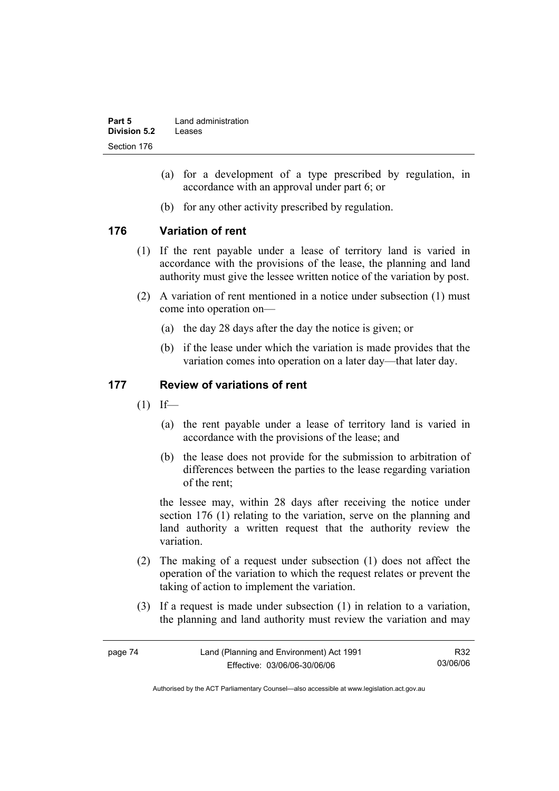| Part 5       | Land administration |
|--------------|---------------------|
| Division 5.2 | Leases              |
| Section 176  |                     |

- (a) for a development of a type prescribed by regulation, in accordance with an approval under part 6; or
- (b) for any other activity prescribed by regulation.

## **176 Variation of rent**

- (1) If the rent payable under a lease of territory land is varied in accordance with the provisions of the lease, the planning and land authority must give the lessee written notice of the variation by post.
- (2) A variation of rent mentioned in a notice under subsection (1) must come into operation on—
	- (a) the day 28 days after the day the notice is given; or
	- (b) if the lease under which the variation is made provides that the variation comes into operation on a later day—that later day.

## **177 Review of variations of rent**

- $(1)$  If—
	- (a) the rent payable under a lease of territory land is varied in accordance with the provisions of the lease; and
	- (b) the lease does not provide for the submission to arbitration of differences between the parties to the lease regarding variation of the rent;

the lessee may, within 28 days after receiving the notice under section 176 (1) relating to the variation, serve on the planning and land authority a written request that the authority review the variation.

- (2) The making of a request under subsection (1) does not affect the operation of the variation to which the request relates or prevent the taking of action to implement the variation.
- (3) If a request is made under subsection (1) in relation to a variation, the planning and land authority must review the variation and may

| page 74 | Land (Planning and Environment) Act 1991 | R32      |
|---------|------------------------------------------|----------|
|         | Effective: 03/06/06-30/06/06             | 03/06/06 |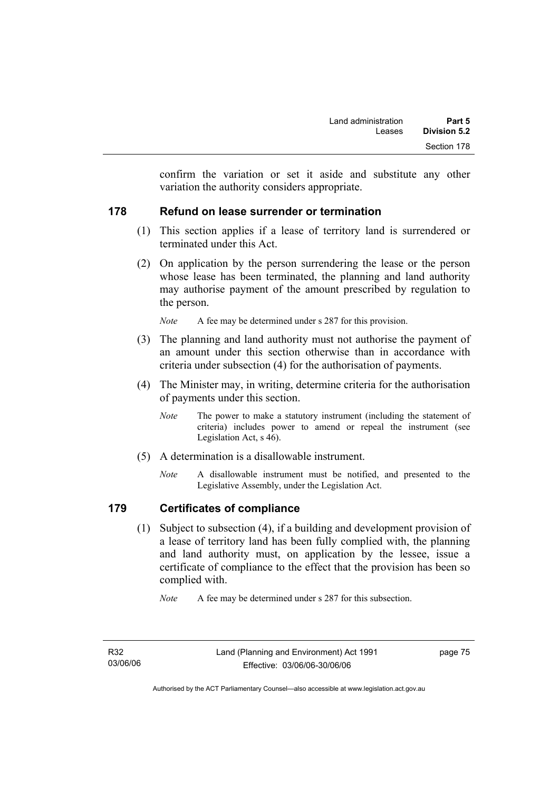confirm the variation or set it aside and substitute any other variation the authority considers appropriate.

## **178 Refund on lease surrender or termination**

- (1) This section applies if a lease of territory land is surrendered or terminated under this Act.
- (2) On application by the person surrendering the lease or the person whose lease has been terminated, the planning and land authority may authorise payment of the amount prescribed by regulation to the person.

*Note* A fee may be determined under s 287 for this provision.

- (3) The planning and land authority must not authorise the payment of an amount under this section otherwise than in accordance with criteria under subsection (4) for the authorisation of payments.
- (4) The Minister may, in writing, determine criteria for the authorisation of payments under this section.
	- *Note* The power to make a statutory instrument (including the statement of criteria) includes power to amend or repeal the instrument (see Legislation Act, s 46).
- (5) A determination is a disallowable instrument.
	- *Note* A disallowable instrument must be notified, and presented to the Legislative Assembly, under the Legislation Act.

## **179 Certificates of compliance**

 (1) Subject to subsection (4), if a building and development provision of a lease of territory land has been fully complied with, the planning and land authority must, on application by the lessee, issue a certificate of compliance to the effect that the provision has been so complied with.

*Note* A fee may be determined under s 287 for this subsection.

Authorised by the ACT Parliamentary Counsel—also accessible at www.legislation.act.gov.au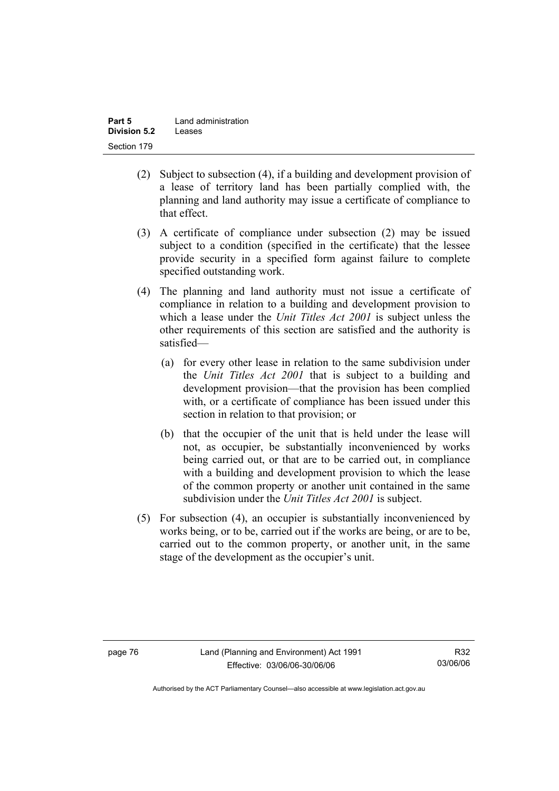| Part 5       | Land administration |
|--------------|---------------------|
| Division 5.2 | Leases              |
| Section 179  |                     |

- (2) Subject to subsection (4), if a building and development provision of a lease of territory land has been partially complied with, the planning and land authority may issue a certificate of compliance to that effect.
- (3) A certificate of compliance under subsection (2) may be issued subject to a condition (specified in the certificate) that the lessee provide security in a specified form against failure to complete specified outstanding work.
- (4) The planning and land authority must not issue a certificate of compliance in relation to a building and development provision to which a lease under the *Unit Titles Act 2001* is subject unless the other requirements of this section are satisfied and the authority is satisfied—
	- (a) for every other lease in relation to the same subdivision under the *Unit Titles Act 2001* that is subject to a building and development provision—that the provision has been complied with, or a certificate of compliance has been issued under this section in relation to that provision; or
	- (b) that the occupier of the unit that is held under the lease will not, as occupier, be substantially inconvenienced by works being carried out, or that are to be carried out, in compliance with a building and development provision to which the lease of the common property or another unit contained in the same subdivision under the *Unit Titles Act 2001* is subject.
- (5) For subsection (4), an occupier is substantially inconvenienced by works being, or to be, carried out if the works are being, or are to be, carried out to the common property, or another unit, in the same stage of the development as the occupier's unit.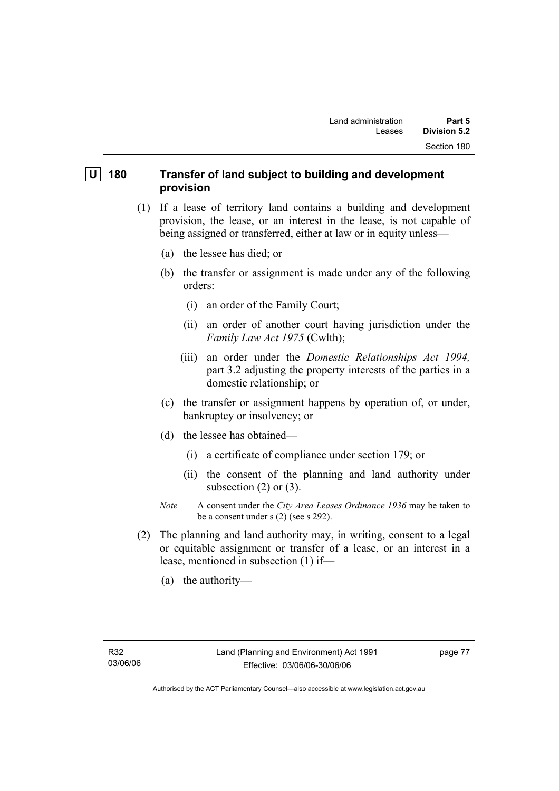## **U** 180 Transfer of land subject to building and development **provision**

- (1) If a lease of territory land contains a building and development provision, the lease, or an interest in the lease, is not capable of being assigned or transferred, either at law or in equity unless—
	- (a) the lessee has died; or
	- (b) the transfer or assignment is made under any of the following orders:
		- (i) an order of the Family Court;
		- (ii) an order of another court having jurisdiction under the *Family Law Act 1975* (Cwlth);
		- (iii) an order under the *Domestic Relationships Act 1994,*  part 3.2 adjusting the property interests of the parties in a domestic relationship; or
	- (c) the transfer or assignment happens by operation of, or under, bankruptcy or insolvency; or
	- (d) the lessee has obtained—
		- (i) a certificate of compliance under section 179; or
		- (ii) the consent of the planning and land authority under subsection  $(2)$  or  $(3)$ .
	- *Note* A consent under the *City Area Leases Ordinance 1936* may be taken to be a consent under s (2) (see s 292).
- (2) The planning and land authority may, in writing, consent to a legal or equitable assignment or transfer of a lease, or an interest in a lease, mentioned in subsection (1) if—
	- (a) the authority—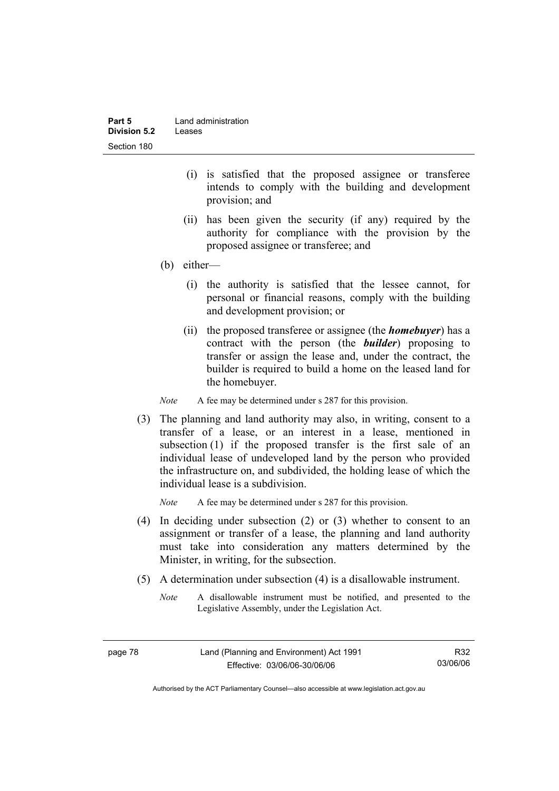| Part 5       | Land administration |
|--------------|---------------------|
| Division 5.2 | Leases              |
| Section 180  |                     |

- (i) is satisfied that the proposed assignee or transferee intends to comply with the building and development provision; and
- (ii) has been given the security (if any) required by the authority for compliance with the provision by the proposed assignee or transferee; and
- (b) either—
	- (i) the authority is satisfied that the lessee cannot, for personal or financial reasons, comply with the building and development provision; or
	- (ii) the proposed transferee or assignee (the *homebuyer*) has a contract with the person (the *builder*) proposing to transfer or assign the lease and, under the contract, the builder is required to build a home on the leased land for the homebuyer.

*Note* A fee may be determined under s 287 for this provision.

 (3) The planning and land authority may also, in writing, consent to a transfer of a lease, or an interest in a lease, mentioned in subsection (1) if the proposed transfer is the first sale of an individual lease of undeveloped land by the person who provided the infrastructure on, and subdivided, the holding lease of which the individual lease is a subdivision.

*Note* A fee may be determined under s 287 for this provision.

- (4) In deciding under subsection (2) or (3) whether to consent to an assignment or transfer of a lease, the planning and land authority must take into consideration any matters determined by the Minister, in writing, for the subsection.
- (5) A determination under subsection (4) is a disallowable instrument.
	- *Note* A disallowable instrument must be notified, and presented to the Legislative Assembly, under the Legislation Act.

R32 03/06/06

Authorised by the ACT Parliamentary Counsel—also accessible at www.legislation.act.gov.au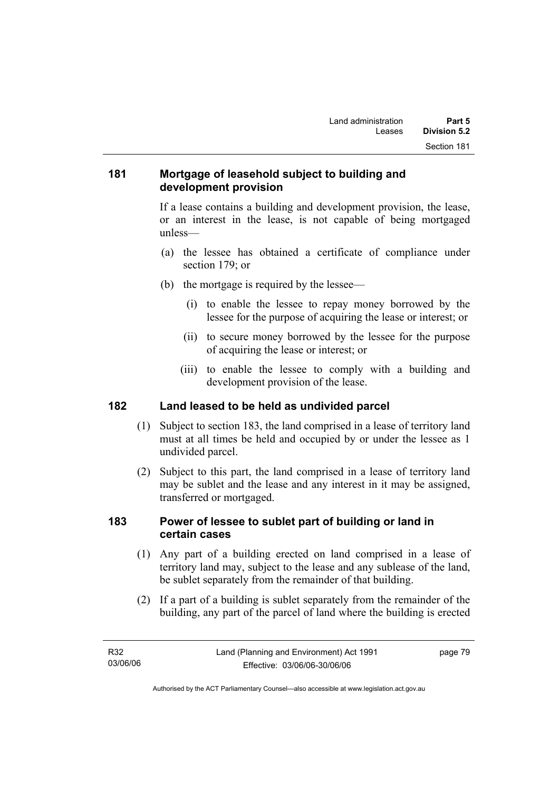## **181 Mortgage of leasehold subject to building and development provision**

If a lease contains a building and development provision, the lease, or an interest in the lease, is not capable of being mortgaged unless—

- (a) the lessee has obtained a certificate of compliance under section 179; or
- (b) the mortgage is required by the lessee—
	- (i) to enable the lessee to repay money borrowed by the lessee for the purpose of acquiring the lease or interest; or
	- (ii) to secure money borrowed by the lessee for the purpose of acquiring the lease or interest; or
	- (iii) to enable the lessee to comply with a building and development provision of the lease.

## **182 Land leased to be held as undivided parcel**

- (1) Subject to section 183, the land comprised in a lease of territory land must at all times be held and occupied by or under the lessee as 1 undivided parcel.
- (2) Subject to this part, the land comprised in a lease of territory land may be sublet and the lease and any interest in it may be assigned, transferred or mortgaged.

## **183 Power of lessee to sublet part of building or land in certain cases**

- (1) Any part of a building erected on land comprised in a lease of territory land may, subject to the lease and any sublease of the land, be sublet separately from the remainder of that building.
- (2) If a part of a building is sublet separately from the remainder of the building, any part of the parcel of land where the building is erected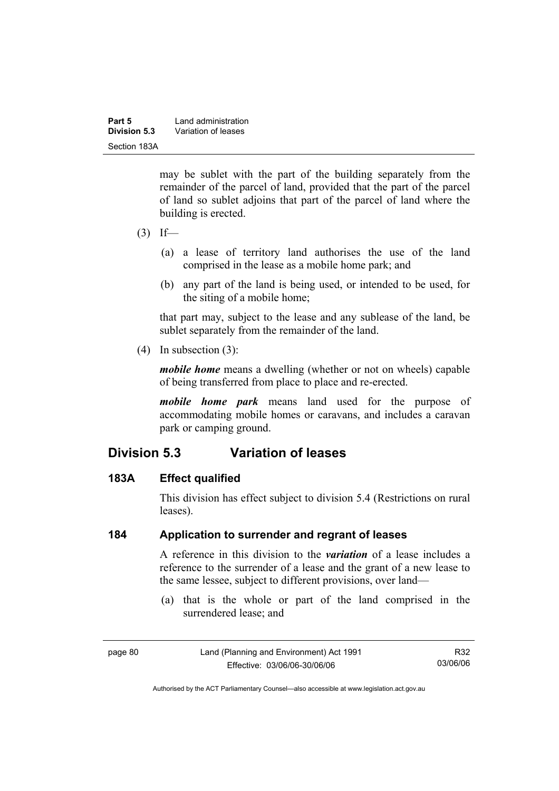| Part 5       | Land administration |
|--------------|---------------------|
| Division 5.3 | Variation of leases |
| Section 183A |                     |

may be sublet with the part of the building separately from the remainder of the parcel of land, provided that the part of the parcel of land so sublet adjoins that part of the parcel of land where the building is erected.

- $(3)$  If—
	- (a) a lease of territory land authorises the use of the land comprised in the lease as a mobile home park; and
	- (b) any part of the land is being used, or intended to be used, for the siting of a mobile home;

that part may, subject to the lease and any sublease of the land, be sublet separately from the remainder of the land.

(4) In subsection (3):

*mobile home* means a dwelling (whether or not on wheels) capable of being transferred from place to place and re-erected.

*mobile home park* means land used for the purpose of accommodating mobile homes or caravans, and includes a caravan park or camping ground.

# **Division 5.3 Variation of leases**

## **183A Effect qualified**

This division has effect subject to division 5.4 (Restrictions on rural leases).

## **184 Application to surrender and regrant of leases**

A reference in this division to the *variation* of a lease includes a reference to the surrender of a lease and the grant of a new lease to the same lessee, subject to different provisions, over land—

 (a) that is the whole or part of the land comprised in the surrendered lease; and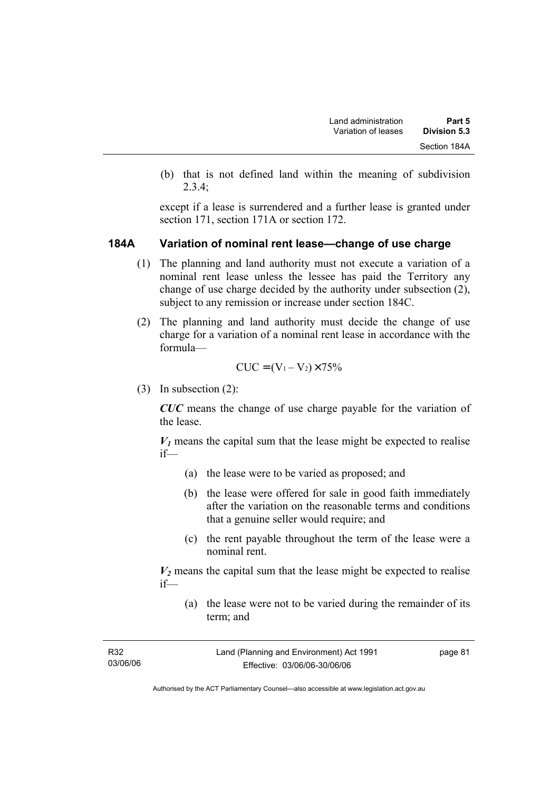(b) that is not defined land within the meaning of subdivision 2.3.4;

except if a lease is surrendered and a further lease is granted under section 171, section 171A or section 172.

#### **184A Variation of nominal rent lease—change of use charge**

- (1) The planning and land authority must not execute a variation of a nominal rent lease unless the lessee has paid the Territory any change of use charge decided by the authority under subsection (2), subject to any remission or increase under section 184C.
- (2) The planning and land authority must decide the change of use charge for a variation of a nominal rent lease in accordance with the formula—

$$
CUC = (V_1 - V_2) \times 75\%
$$

(3) In subsection (2):

*CUC* means the change of use charge payable for the variation of the lease.

 $V_1$  means the capital sum that the lease might be expected to realise if—

- (a) the lease were to be varied as proposed; and
- (b) the lease were offered for sale in good faith immediately after the variation on the reasonable terms and conditions that a genuine seller would require; and
- (c) the rent payable throughout the term of the lease were a nominal rent.

 $V_2$  means the capital sum that the lease might be expected to realise if—

 (a) the lease were not to be varied during the remainder of its term; and

| R32      | Land (Planning and Environment) Act 1991 | page 81 |
|----------|------------------------------------------|---------|
| 03/06/06 | Effective: 03/06/06-30/06/06             |         |
|          |                                          |         |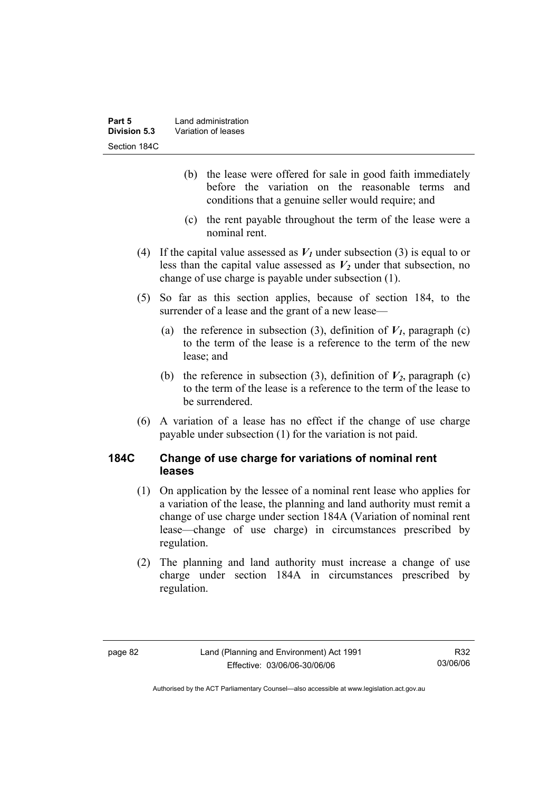- (b) the lease were offered for sale in good faith immediately before the variation on the reasonable terms and conditions that a genuine seller would require; and
- (c) the rent payable throughout the term of the lease were a nominal rent.
- (4) If the capital value assessed as  $V_1$  under subsection (3) is equal to or less than the capital value assessed as  $V_2$  under that subsection, no change of use charge is payable under subsection (1).
- (5) So far as this section applies, because of section 184, to the surrender of a lease and the grant of a new lease—
	- (a) the reference in subsection (3), definition of  $V_I$ , paragraph (c) to the term of the lease is a reference to the term of the new lease; and
	- (b) the reference in subsection (3), definition of  $V_2$ , paragraph (c) to the term of the lease is a reference to the term of the lease to be surrendered.
- (6) A variation of a lease has no effect if the change of use charge payable under subsection (1) for the variation is not paid.

## **184C Change of use charge for variations of nominal rent leases**

- (1) On application by the lessee of a nominal rent lease who applies for a variation of the lease, the planning and land authority must remit a change of use charge under section 184A (Variation of nominal rent lease—change of use charge) in circumstances prescribed by regulation.
- (2) The planning and land authority must increase a change of use charge under section 184A in circumstances prescribed by regulation.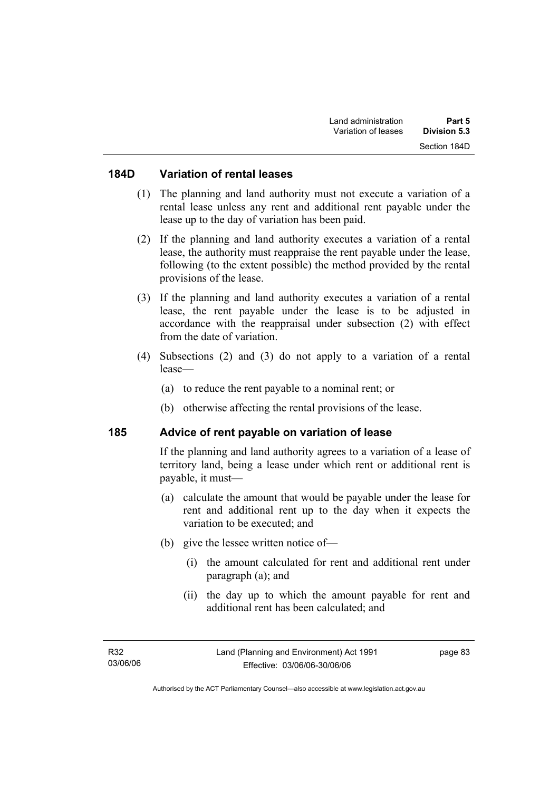#### **184D Variation of rental leases**

- (1) The planning and land authority must not execute a variation of a rental lease unless any rent and additional rent payable under the lease up to the day of variation has been paid.
- (2) If the planning and land authority executes a variation of a rental lease, the authority must reappraise the rent payable under the lease, following (to the extent possible) the method provided by the rental provisions of the lease.
- (3) If the planning and land authority executes a variation of a rental lease, the rent payable under the lease is to be adjusted in accordance with the reappraisal under subsection (2) with effect from the date of variation.
- (4) Subsections (2) and (3) do not apply to a variation of a rental lease—
	- (a) to reduce the rent payable to a nominal rent; or
	- (b) otherwise affecting the rental provisions of the lease.

#### **185 Advice of rent payable on variation of lease**

If the planning and land authority agrees to a variation of a lease of territory land, being a lease under which rent or additional rent is payable, it must—

- (a) calculate the amount that would be payable under the lease for rent and additional rent up to the day when it expects the variation to be executed; and
- (b) give the lessee written notice of—
	- (i) the amount calculated for rent and additional rent under paragraph (a); and
	- (ii) the day up to which the amount payable for rent and additional rent has been calculated; and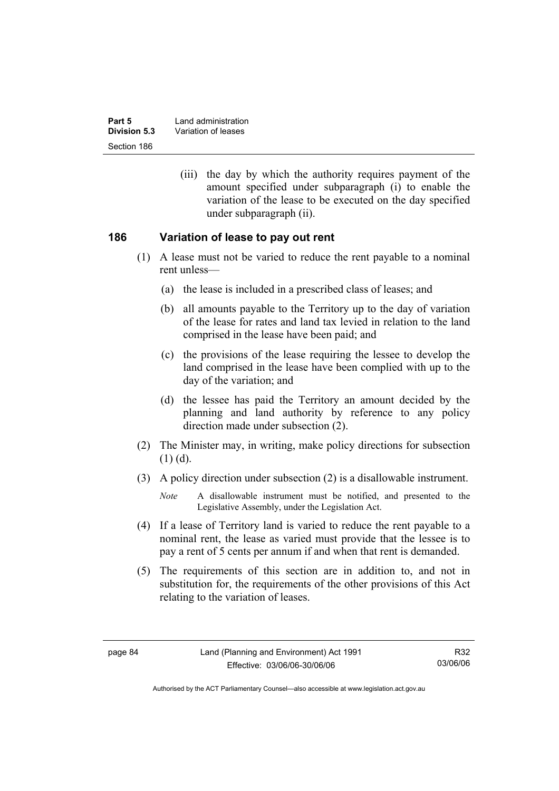| Part 5       | Land administration |
|--------------|---------------------|
| Division 5.3 | Variation of leases |
| Section 186  |                     |

 (iii) the day by which the authority requires payment of the amount specified under subparagraph (i) to enable the variation of the lease to be executed on the day specified under subparagraph (ii).

#### **186 Variation of lease to pay out rent**

- (1) A lease must not be varied to reduce the rent payable to a nominal rent unless—
	- (a) the lease is included in a prescribed class of leases; and
	- (b) all amounts payable to the Territory up to the day of variation of the lease for rates and land tax levied in relation to the land comprised in the lease have been paid; and
	- (c) the provisions of the lease requiring the lessee to develop the land comprised in the lease have been complied with up to the day of the variation; and
	- (d) the lessee has paid the Territory an amount decided by the planning and land authority by reference to any policy direction made under subsection (2).
- (2) The Minister may, in writing, make policy directions for subsection  $(1)$   $(d)$ .
- (3) A policy direction under subsection (2) is a disallowable instrument.

- (4) If a lease of Territory land is varied to reduce the rent payable to a nominal rent, the lease as varied must provide that the lessee is to pay a rent of 5 cents per annum if and when that rent is demanded.
- (5) The requirements of this section are in addition to, and not in substitution for, the requirements of the other provisions of this Act relating to the variation of leases.

*Note* A disallowable instrument must be notified, and presented to the Legislative Assembly, under the Legislation Act.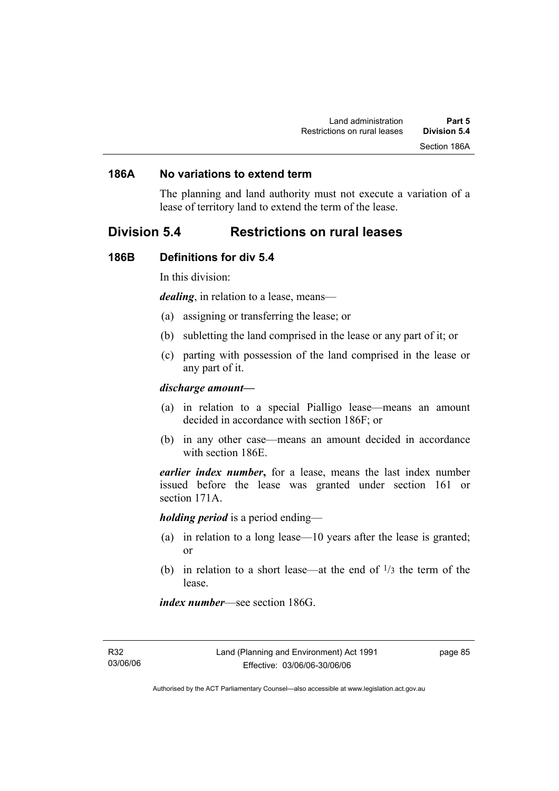## **186A No variations to extend term**

The planning and land authority must not execute a variation of a lease of territory land to extend the term of the lease.

## **Division 5.4 Restrictions on rural leases**

#### **186B Definitions for div 5.4**

In this division:

*dealing*, in relation to a lease, means—

- (a) assigning or transferring the lease; or
- (b) subletting the land comprised in the lease or any part of it; or
- (c) parting with possession of the land comprised in the lease or any part of it.

#### *discharge amount—*

- (a) in relation to a special Pialligo lease—means an amount decided in accordance with section 186F; or
- (b) in any other case—means an amount decided in accordance with section 186E.

*earlier index number***,** for a lease, means the last index number issued before the lease was granted under section 161 or section 171A.

*holding period* is a period ending—

- (a) in relation to a long lease—10 years after the lease is granted; or
- (b) in relation to a short lease—at the end of  $\frac{1}{3}$  the term of the lease.

*index number*—see section 186G.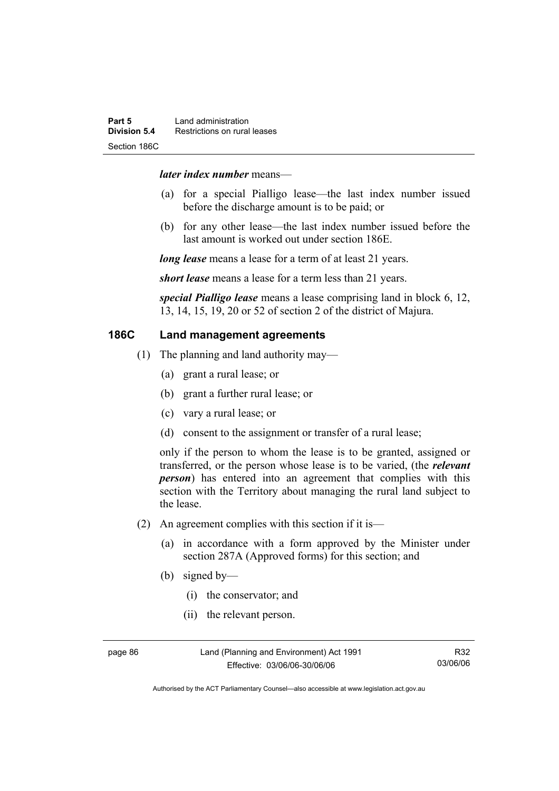#### *later index number* means—

- (a) for a special Pialligo lease—the last index number issued before the discharge amount is to be paid; or
- (b) for any other lease—the last index number issued before the last amount is worked out under section 186E.

*long lease* means a lease for a term of at least 21 years.

*short lease* means a lease for a term less than 21 years.

*special Pialligo lease* means a lease comprising land in block 6, 12, 13, 14, 15, 19, 20 or 52 of section 2 of the district of Majura.

## **186C Land management agreements**

- (1) The planning and land authority may—
	- (a) grant a rural lease; or
	- (b) grant a further rural lease; or
	- (c) vary a rural lease; or
	- (d) consent to the assignment or transfer of a rural lease;

only if the person to whom the lease is to be granted, assigned or transferred, or the person whose lease is to be varied, (the *relevant person*) has entered into an agreement that complies with this section with the Territory about managing the rural land subject to the lease.

- (2) An agreement complies with this section if it is—
	- (a) in accordance with a form approved by the Minister under section 287A (Approved forms) for this section; and
	- (b) signed by—
		- (i) the conservator; and
		- (ii) the relevant person.

page 86 Land (Planning and Environment) Act 1991 Effective: 03/06/06-30/06/06

Authorised by the ACT Parliamentary Counsel—also accessible at www.legislation.act.gov.au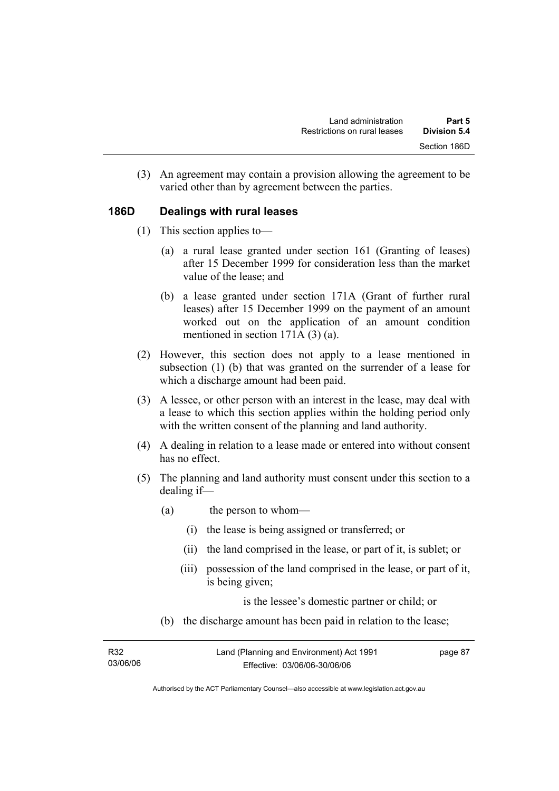(3) An agreement may contain a provision allowing the agreement to be varied other than by agreement between the parties.

## **186D Dealings with rural leases**

- (1) This section applies to—
	- (a) a rural lease granted under section 161 (Granting of leases) after 15 December 1999 for consideration less than the market value of the lease; and
	- (b) a lease granted under section 171A (Grant of further rural leases) after 15 December 1999 on the payment of an amount worked out on the application of an amount condition mentioned in section 171A (3) (a).
- (2) However, this section does not apply to a lease mentioned in subsection (1) (b) that was granted on the surrender of a lease for which a discharge amount had been paid.
- (3) A lessee, or other person with an interest in the lease, may deal with a lease to which this section applies within the holding period only with the written consent of the planning and land authority.
- (4) A dealing in relation to a lease made or entered into without consent has no effect.
- (5) The planning and land authority must consent under this section to a dealing if—
	- (a) the person to whom—
		- (i) the lease is being assigned or transferred; or
		- (ii) the land comprised in the lease, or part of it, is sublet; or
		- (iii) possession of the land comprised in the lease, or part of it, is being given;

is the lessee's domestic partner or child; or

(b) the discharge amount has been paid in relation to the lease;

| R32      | Land (Planning and Environment) Act 1991 | page 87 |
|----------|------------------------------------------|---------|
| 03/06/06 | Effective: 03/06/06-30/06/06             |         |

Authorised by the ACT Parliamentary Counsel—also accessible at www.legislation.act.gov.au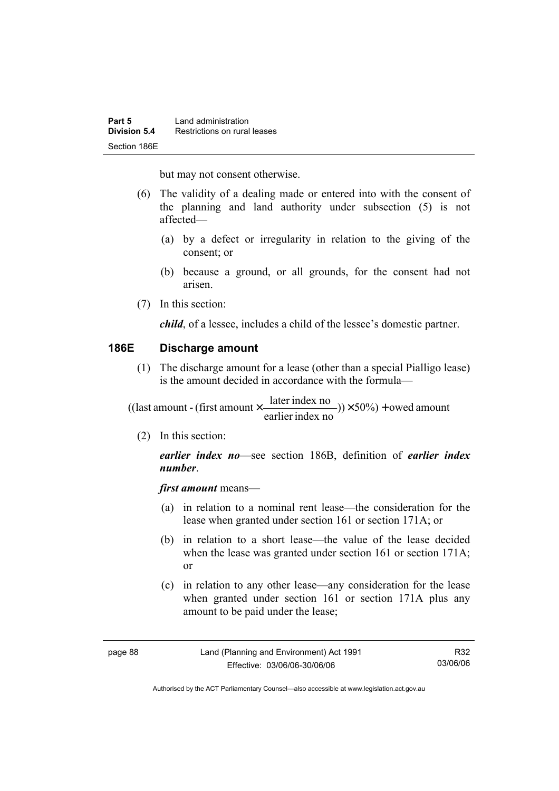but may not consent otherwise.

- (6) The validity of a dealing made or entered into with the consent of the planning and land authority under subsection (5) is not affected—
	- (a) by a defect or irregularity in relation to the giving of the consent; or
	- (b) because a ground, or all grounds, for the consent had not arisen.
- (7) In this section:

*child*, of a lessee, includes a child of the lessee's domestic partner.

## **186E Discharge amount**

 (1) The discharge amount for a lease (other than a special Pialligo lease) is the amount decided in accordance with the formula—

 $(y) \times 50\%$  + owed amount earlier index no ((last amount - (first amount  $\times \frac{\text{later index no}}{\text{in} \cdot \cdot \cdot \cdot}$ )) $\times$  50%) +

(2) In this section:

*earlier index no*—see section 186B, definition of *earlier index number*.

*first amount* means—

- (a) in relation to a nominal rent lease—the consideration for the lease when granted under section 161 or section 171A; or
- (b) in relation to a short lease—the value of the lease decided when the lease was granted under section 161 or section 171A; or
- (c) in relation to any other lease—any consideration for the lease when granted under section 161 or section 171A plus any amount to be paid under the lease;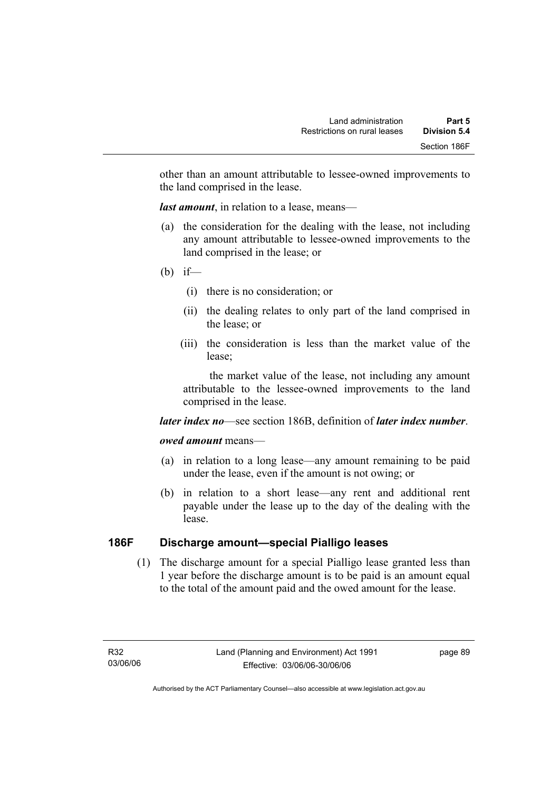other than an amount attributable to lessee-owned improvements to the land comprised in the lease.

*last amount*, in relation to a lease, means—

- (a) the consideration for the dealing with the lease, not including any amount attributable to lessee-owned improvements to the land comprised in the lease; or
- (b) if—
	- (i) there is no consideration; or
	- (ii) the dealing relates to only part of the land comprised in the lease; or
	- (iii) the consideration is less than the market value of the lease;

 the market value of the lease, not including any amount attributable to the lessee-owned improvements to the land comprised in the lease.

#### *later index no*—see section 186B, definition of *later index number*.

#### *owed amount* means—

- (a) in relation to a long lease—any amount remaining to be paid under the lease, even if the amount is not owing; or
- (b) in relation to a short lease—any rent and additional rent payable under the lease up to the day of the dealing with the lease.

## **186F Discharge amount—special Pialligo leases**

 (1) The discharge amount for a special Pialligo lease granted less than 1 year before the discharge amount is to be paid is an amount equal to the total of the amount paid and the owed amount for the lease.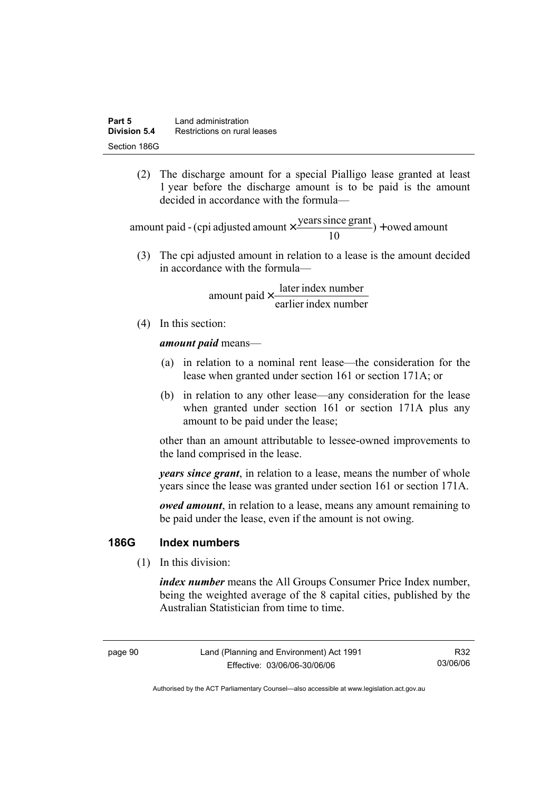(2) The discharge amount for a special Pialligo lease granted at least 1 year before the discharge amount is to be paid is the amount decided in accordance with the formula—

 $) +$  owed amount 10 amount paid - (cpi adjusted amount  $\times \frac{\text{years since grant}}{10}$ ) +

 (3) The cpi adjusted amount in relation to a lease is the amount decided in accordance with the formula—

> earlier index number amount paid  $\times \frac{\text{later index number}}{\text{lintermax}}$

(4) In this section:

*amount paid* means—

- (a) in relation to a nominal rent lease—the consideration for the lease when granted under section 161 or section 171A; or
- (b) in relation to any other lease—any consideration for the lease when granted under section 161 or section 171A plus any amount to be paid under the lease;

other than an amount attributable to lessee-owned improvements to the land comprised in the lease.

*years since grant*, in relation to a lease, means the number of whole years since the lease was granted under section 161 or section 171A.

*owed amount*, in relation to a lease, means any amount remaining to be paid under the lease, even if the amount is not owing.

## **186G Index numbers**

(1) In this division:

*index number* means the All Groups Consumer Price Index number, being the weighted average of the 8 capital cities, published by the Australian Statistician from time to time.

page 90 Land (Planning and Environment) Act 1991 Effective: 03/06/06-30/06/06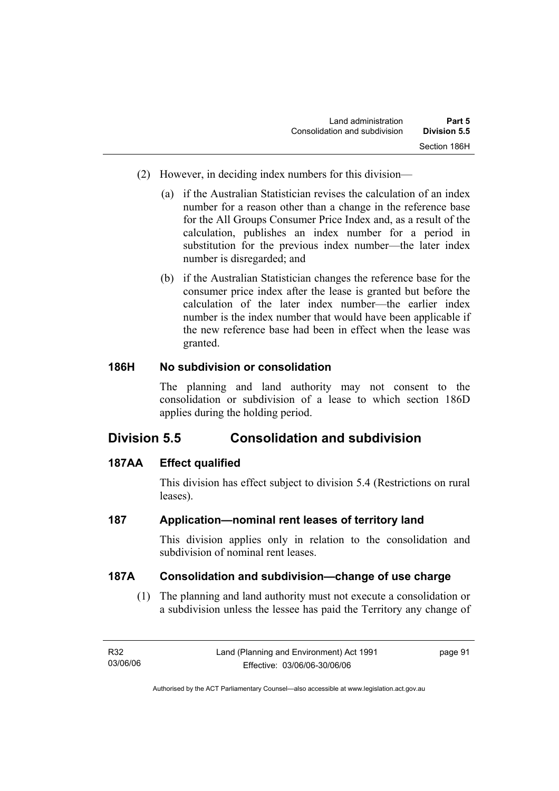- (2) However, in deciding index numbers for this division—
	- (a) if the Australian Statistician revises the calculation of an index number for a reason other than a change in the reference base for the All Groups Consumer Price Index and, as a result of the calculation, publishes an index number for a period in substitution for the previous index number—the later index number is disregarded; and
	- (b) if the Australian Statistician changes the reference base for the consumer price index after the lease is granted but before the calculation of the later index number—the earlier index number is the index number that would have been applicable if the new reference base had been in effect when the lease was granted.

## **186H No subdivision or consolidation**

The planning and land authority may not consent to the consolidation or subdivision of a lease to which section 186D applies during the holding period.

# **Division 5.5 Consolidation and subdivision**

## **187AA Effect qualified**

This division has effect subject to division 5.4 (Restrictions on rural leases).

## **187 Application—nominal rent leases of territory land**

This division applies only in relation to the consolidation and subdivision of nominal rent leases.

#### **187A Consolidation and subdivision—change of use charge**

 (1) The planning and land authority must not execute a consolidation or a subdivision unless the lessee has paid the Territory any change of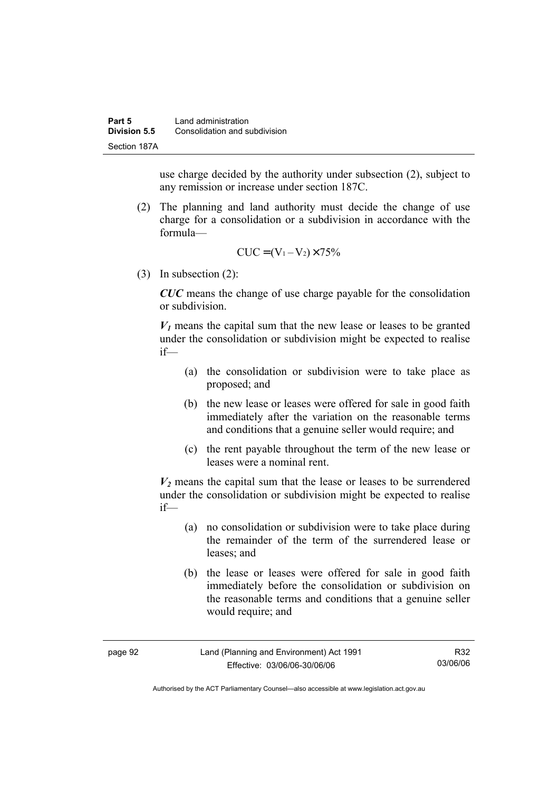use charge decided by the authority under subsection (2), subject to any remission or increase under section 187C.

 (2) The planning and land authority must decide the change of use charge for a consolidation or a subdivision in accordance with the formula—

$$
CUC = (V_1 - V_2) \times 75\%
$$

(3) In subsection (2):

*CUC* means the change of use charge payable for the consolidation or subdivision.

 $V_1$  means the capital sum that the new lease or leases to be granted under the consolidation or subdivision might be expected to realise if—

- (a) the consolidation or subdivision were to take place as proposed; and
- (b) the new lease or leases were offered for sale in good faith immediately after the variation on the reasonable terms and conditions that a genuine seller would require; and
- (c) the rent payable throughout the term of the new lease or leases were a nominal rent.

 $V_2$  means the capital sum that the lease or leases to be surrendered under the consolidation or subdivision might be expected to realise if—

- (a) no consolidation or subdivision were to take place during the remainder of the term of the surrendered lease or leases; and
- (b) the lease or leases were offered for sale in good faith immediately before the consolidation or subdivision on the reasonable terms and conditions that a genuine seller would require; and

| page 92 | Land (Planning and Environment) Act 1991 | R32      |
|---------|------------------------------------------|----------|
|         | Effective: 03/06/06-30/06/06             | 03/06/06 |

Authorised by the ACT Parliamentary Counsel—also accessible at www.legislation.act.gov.au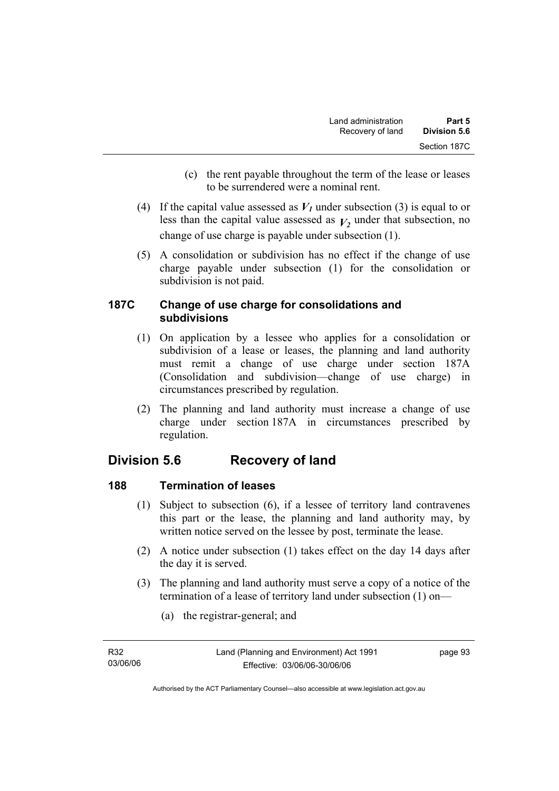- (c) the rent payable throughout the term of the lease or leases to be surrendered were a nominal rent.
- (4) If the capital value assessed as  $V_I$  under subsection (3) is equal to or less than the capital value assessed as  $V_2$  under that subsection, no change of use charge is payable under subsection (1).
- (5) A consolidation or subdivision has no effect if the change of use charge payable under subsection (1) for the consolidation or subdivision is not paid.

## **187C Change of use charge for consolidations and subdivisions**

- (1) On application by a lessee who applies for a consolidation or subdivision of a lease or leases, the planning and land authority must remit a change of use charge under section 187A (Consolidation and subdivision—change of use charge) in circumstances prescribed by regulation.
- (2) The planning and land authority must increase a change of use charge under section 187A in circumstances prescribed by regulation.

# **Division 5.6 Recovery of land**

# **188 Termination of leases**

- (1) Subject to subsection (6), if a lessee of territory land contravenes this part or the lease, the planning and land authority may, by written notice served on the lessee by post, terminate the lease.
- (2) A notice under subsection (1) takes effect on the day 14 days after the day it is served.
- (3) The planning and land authority must serve a copy of a notice of the termination of a lease of territory land under subsection (1) on—
	- (a) the registrar-general; and

| R32      |  |
|----------|--|
| 03/06/06 |  |

page 93

Authorised by the ACT Parliamentary Counsel—also accessible at www.legislation.act.gov.au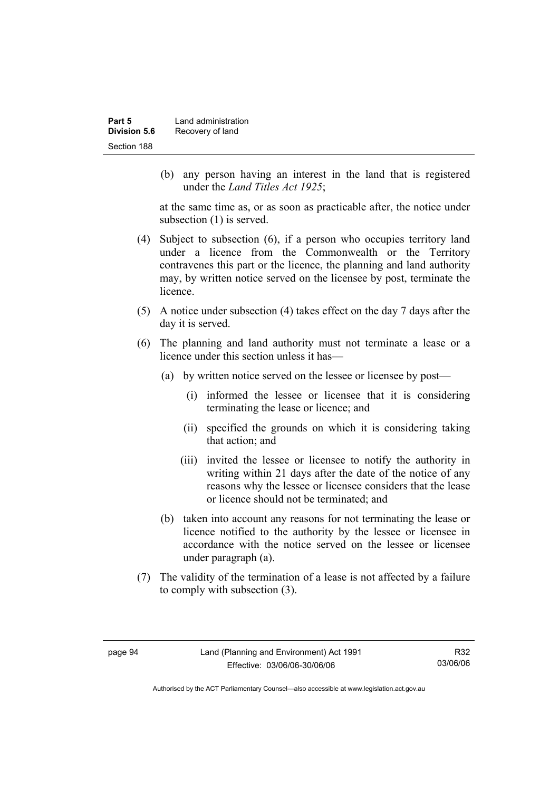| Part 5       | Land administration |
|--------------|---------------------|
| Division 5.6 | Recovery of land    |
| Section 188  |                     |

 (b) any person having an interest in the land that is registered under the *Land Titles Act 1925*;

at the same time as, or as soon as practicable after, the notice under subsection (1) is served.

- (4) Subject to subsection (6), if a person who occupies territory land under a licence from the Commonwealth or the Territory contravenes this part or the licence, the planning and land authority may, by written notice served on the licensee by post, terminate the licence.
- (5) A notice under subsection (4) takes effect on the day 7 days after the day it is served.
- (6) The planning and land authority must not terminate a lease or a licence under this section unless it has—
	- (a) by written notice served on the lessee or licensee by post—
		- (i) informed the lessee or licensee that it is considering terminating the lease or licence; and
		- (ii) specified the grounds on which it is considering taking that action; and
		- (iii) invited the lessee or licensee to notify the authority in writing within 21 days after the date of the notice of any reasons why the lessee or licensee considers that the lease or licence should not be terminated; and
	- (b) taken into account any reasons for not terminating the lease or licence notified to the authority by the lessee or licensee in accordance with the notice served on the lessee or licensee under paragraph (a).
- (7) The validity of the termination of a lease is not affected by a failure to comply with subsection (3).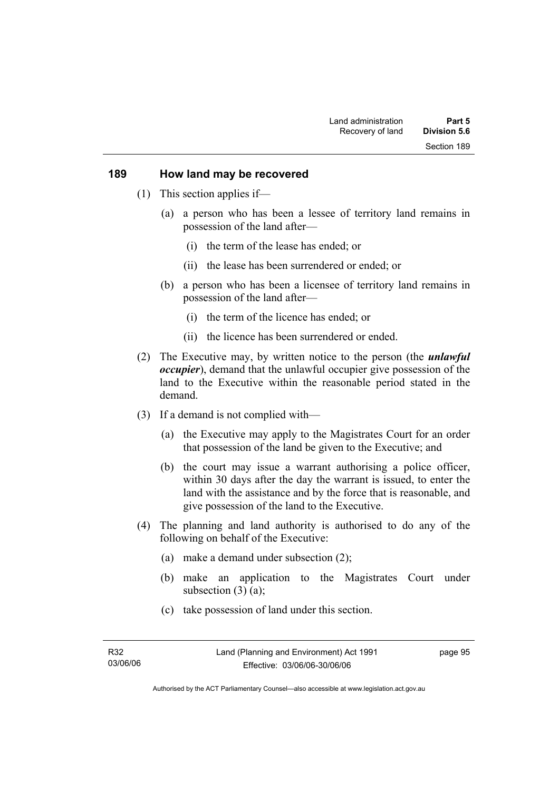#### **189 How land may be recovered**

- (1) This section applies if—
	- (a) a person who has been a lessee of territory land remains in possession of the land after—
		- (i) the term of the lease has ended; or
		- (ii) the lease has been surrendered or ended; or
	- (b) a person who has been a licensee of territory land remains in possession of the land after—
		- (i) the term of the licence has ended; or
		- (ii) the licence has been surrendered or ended.
- (2) The Executive may, by written notice to the person (the *unlawful occupier*), demand that the unlawful occupier give possession of the land to the Executive within the reasonable period stated in the demand.
- (3) If a demand is not complied with—
	- (a) the Executive may apply to the Magistrates Court for an order that possession of the land be given to the Executive; and
	- (b) the court may issue a warrant authorising a police officer, within 30 days after the day the warrant is issued, to enter the land with the assistance and by the force that is reasonable, and give possession of the land to the Executive.
- (4) The planning and land authority is authorised to do any of the following on behalf of the Executive:
	- (a) make a demand under subsection (2);
	- (b) make an application to the Magistrates Court under subsection  $(3)$   $(a)$ ;
	- (c) take possession of land under this section.

page 95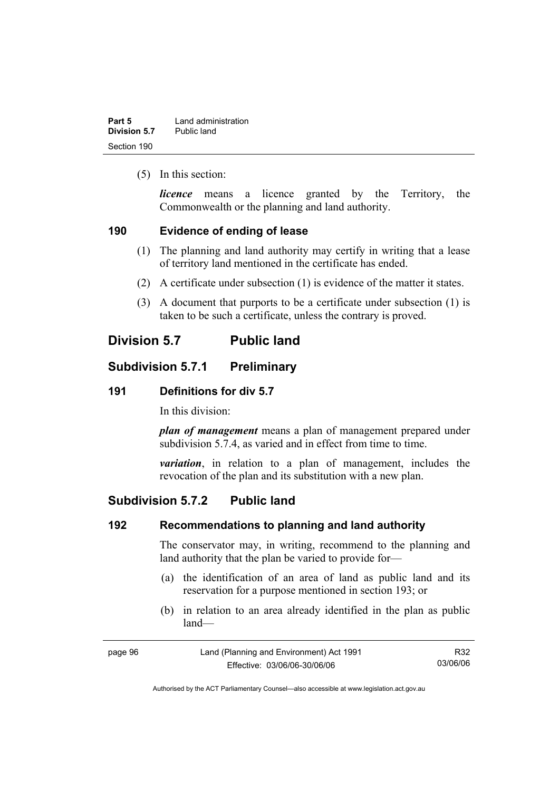| Part 5       | Land administration |
|--------------|---------------------|
| Division 5.7 | Public land         |
| Section 190  |                     |

(5) In this section:

*licence* means a licence granted by the Territory, the Commonwealth or the planning and land authority.

### **190 Evidence of ending of lease**

- (1) The planning and land authority may certify in writing that a lease of territory land mentioned in the certificate has ended.
- (2) A certificate under subsection (1) is evidence of the matter it states.
- (3) A document that purports to be a certificate under subsection (1) is taken to be such a certificate, unless the contrary is proved.

# **Division 5.7 Public land**

### **Subdivision 5.7.1 Preliminary**

### **191 Definitions for div 5.7**

In this division:

*plan of management* means a plan of management prepared under subdivision 5.7.4, as varied and in effect from time to time.

*variation*, in relation to a plan of management, includes the revocation of the plan and its substitution with a new plan.

# **Subdivision 5.7.2 Public land**

### **192 Recommendations to planning and land authority**

The conservator may, in writing, recommend to the planning and land authority that the plan be varied to provide for—

- (a) the identification of an area of land as public land and its reservation for a purpose mentioned in section 193; or
- (b) in relation to an area already identified in the plan as public land—

| page 96 | Land (Planning and Environment) Act 1991 | R32      |
|---------|------------------------------------------|----------|
|         | Effective: 03/06/06-30/06/06             | 03/06/06 |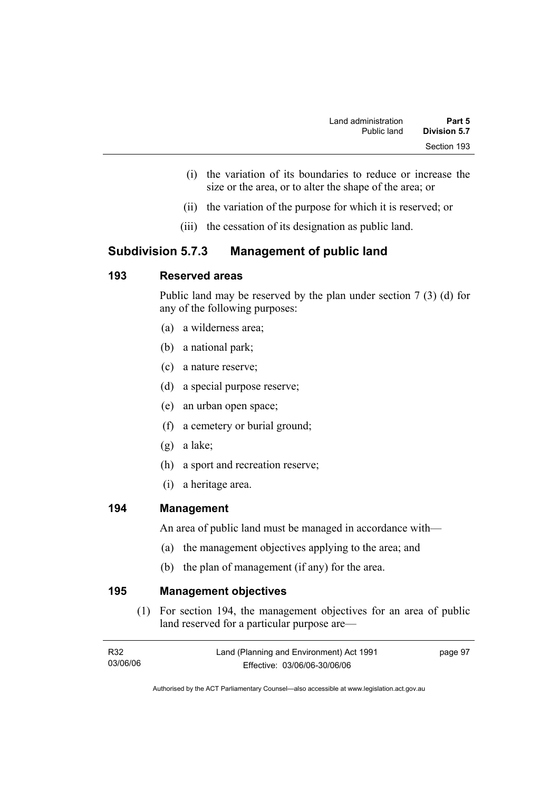- (i) the variation of its boundaries to reduce or increase the size or the area, or to alter the shape of the area; or
- (ii) the variation of the purpose for which it is reserved; or
- (iii) the cessation of its designation as public land.

# **Subdivision 5.7.3 Management of public land**

# **193 Reserved areas**

Public land may be reserved by the plan under section 7 (3) (d) for any of the following purposes:

- (a) a wilderness area;
- (b) a national park;
- (c) a nature reserve;
- (d) a special purpose reserve;
- (e) an urban open space;
- (f) a cemetery or burial ground;
- (g) a lake;
- (h) a sport and recreation reserve;
- (i) a heritage area.

### **194 Management**

An area of public land must be managed in accordance with—

- (a) the management objectives applying to the area; and
- (b) the plan of management (if any) for the area.

**195 Management objectives** 

 (1) For section 194, the management objectives for an area of public land reserved for a particular purpose are—

| R32      | Land (Planning and Environment) Act 1991 | page 97 |
|----------|------------------------------------------|---------|
| 03/06/06 | Effective: 03/06/06-30/06/06             |         |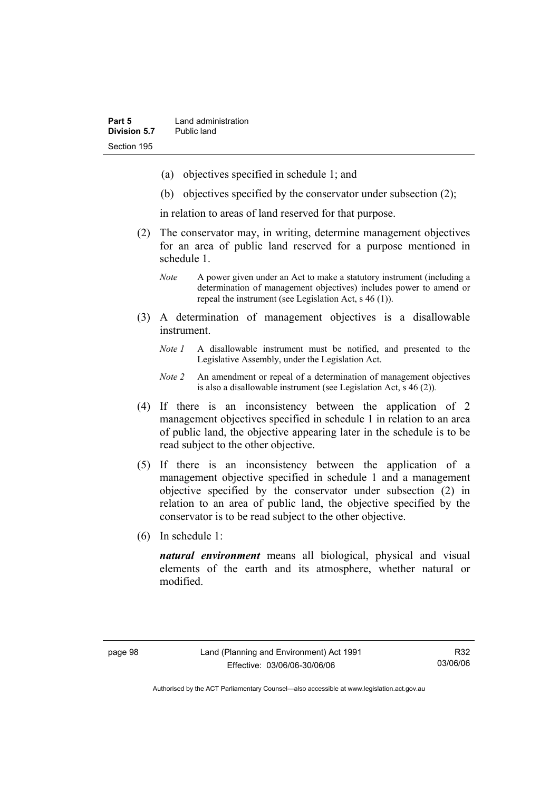- (a) objectives specified in schedule 1; and
- (b) objectives specified by the conservator under subsection (2);

in relation to areas of land reserved for that purpose.

- (2) The conservator may, in writing, determine management objectives for an area of public land reserved for a purpose mentioned in schedule 1.
	- *Note* A power given under an Act to make a statutory instrument (including a determination of management objectives) includes power to amend or repeal the instrument (see Legislation Act, s 46 (1)).
- (3) A determination of management objectives is a disallowable instrument.
	- *Note 1* A disallowable instrument must be notified, and presented to the Legislative Assembly, under the Legislation Act.
	- *Note 2* An amendment or repeal of a determination of management objectives is also a disallowable instrument (see Legislation Act, s 46 (2))*.*
- (4) If there is an inconsistency between the application of 2 management objectives specified in schedule 1 in relation to an area of public land, the objective appearing later in the schedule is to be read subject to the other objective.
- (5) If there is an inconsistency between the application of a management objective specified in schedule 1 and a management objective specified by the conservator under subsection (2) in relation to an area of public land, the objective specified by the conservator is to be read subject to the other objective.
- (6) In schedule 1:

*natural environment* means all biological, physical and visual elements of the earth and its atmosphere, whether natural or modified.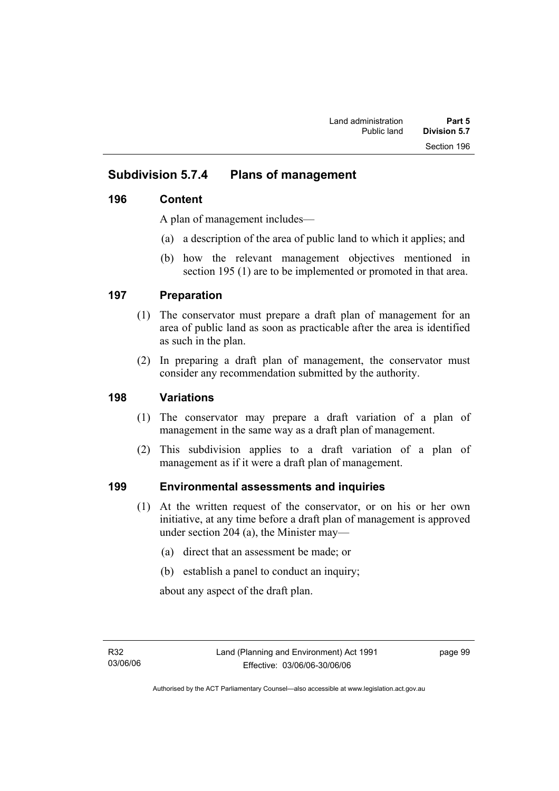# **Subdivision 5.7.4 Plans of management**

### **196 Content**

A plan of management includes—

- (a) a description of the area of public land to which it applies; and
- (b) how the relevant management objectives mentioned in section 195 (1) are to be implemented or promoted in that area.

### **197 Preparation**

- (1) The conservator must prepare a draft plan of management for an area of public land as soon as practicable after the area is identified as such in the plan.
- (2) In preparing a draft plan of management, the conservator must consider any recommendation submitted by the authority.

### **198 Variations**

- (1) The conservator may prepare a draft variation of a plan of management in the same way as a draft plan of management.
- (2) This subdivision applies to a draft variation of a plan of management as if it were a draft plan of management.

# **199 Environmental assessments and inquiries**

- (1) At the written request of the conservator, or on his or her own initiative, at any time before a draft plan of management is approved under section 204 (a), the Minister may—
	- (a) direct that an assessment be made; or
	- (b) establish a panel to conduct an inquiry;

about any aspect of the draft plan.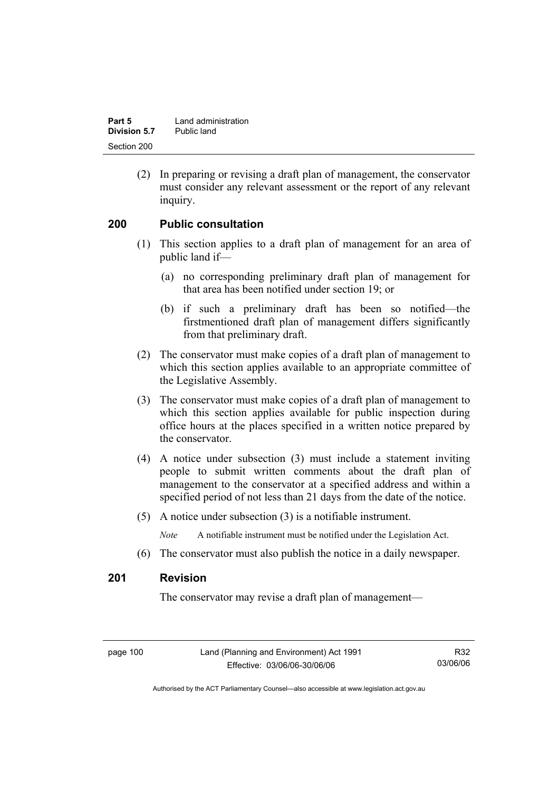| Part 5       | Land administration |
|--------------|---------------------|
| Division 5.7 | Public land         |
| Section 200  |                     |

 (2) In preparing or revising a draft plan of management, the conservator must consider any relevant assessment or the report of any relevant inquiry.

### **200 Public consultation**

- (1) This section applies to a draft plan of management for an area of public land if—
	- (a) no corresponding preliminary draft plan of management for that area has been notified under section 19; or
	- (b) if such a preliminary draft has been so notified—the firstmentioned draft plan of management differs significantly from that preliminary draft.
- (2) The conservator must make copies of a draft plan of management to which this section applies available to an appropriate committee of the Legislative Assembly.
- (3) The conservator must make copies of a draft plan of management to which this section applies available for public inspection during office hours at the places specified in a written notice prepared by the conservator.
- (4) A notice under subsection (3) must include a statement inviting people to submit written comments about the draft plan of management to the conservator at a specified address and within a specified period of not less than 21 days from the date of the notice.
- (5) A notice under subsection (3) is a notifiable instrument.

*Note* A notifiable instrument must be notified under the Legislation Act.

(6) The conservator must also publish the notice in a daily newspaper.

### **201 Revision**

The conservator may revise a draft plan of management—

page 100 Land (Planning and Environment) Act 1991 Effective: 03/06/06-30/06/06

R32 03/06/06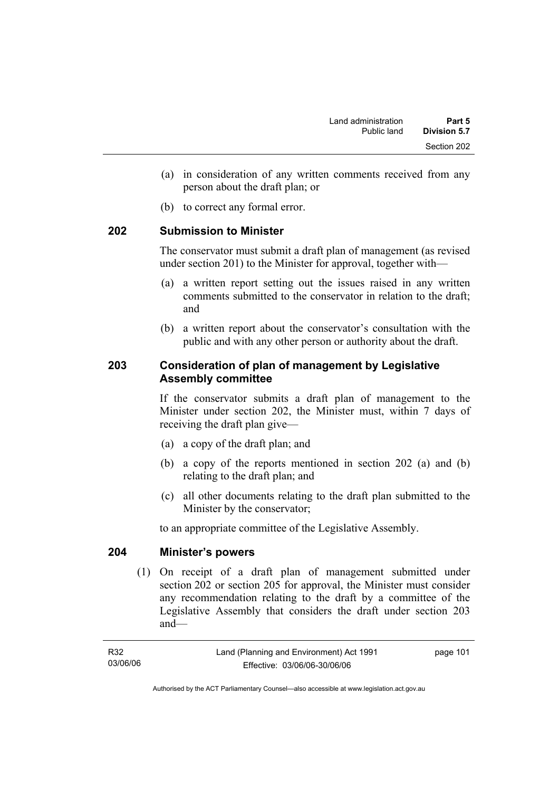- (a) in consideration of any written comments received from any person about the draft plan; or
- (b) to correct any formal error.

### **202 Submission to Minister**

The conservator must submit a draft plan of management (as revised under section 201) to the Minister for approval, together with—

- (a) a written report setting out the issues raised in any written comments submitted to the conservator in relation to the draft; and
- (b) a written report about the conservator's consultation with the public and with any other person or authority about the draft.

# **203 Consideration of plan of management by Legislative Assembly committee**

If the conservator submits a draft plan of management to the Minister under section 202, the Minister must, within 7 days of receiving the draft plan give—

- (a) a copy of the draft plan; and
- (b) a copy of the reports mentioned in section 202 (a) and (b) relating to the draft plan; and
- (c) all other documents relating to the draft plan submitted to the Minister by the conservator;

to an appropriate committee of the Legislative Assembly.

#### **204 Minister's powers**

 (1) On receipt of a draft plan of management submitted under section 202 or section 205 for approval, the Minister must consider any recommendation relating to the draft by a committee of the Legislative Assembly that considers the draft under section 203 and—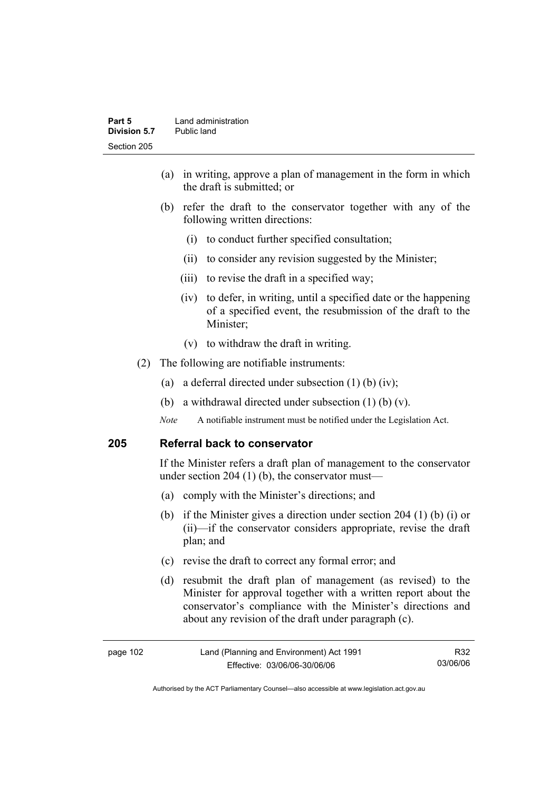- (a) in writing, approve a plan of management in the form in which the draft is submitted; or
- (b) refer the draft to the conservator together with any of the following written directions:
	- (i) to conduct further specified consultation;
	- (ii) to consider any revision suggested by the Minister;
	- (iii) to revise the draft in a specified way;
	- (iv) to defer, in writing, until a specified date or the happening of a specified event, the resubmission of the draft to the Minister;
	- (v) to withdraw the draft in writing.
- (2) The following are notifiable instruments:
	- (a) a deferral directed under subsection (1) (b) (iv);
	- (b) a withdrawal directed under subsection  $(1)$  (b)  $(v)$ .
	- *Note* A notifiable instrument must be notified under the Legislation Act.

### **205 Referral back to conservator**

If the Minister refers a draft plan of management to the conservator under section 204 (1) (b), the conservator must—

- (a) comply with the Minister's directions; and
- (b) if the Minister gives a direction under section 204 (1) (b) (i) or (ii)—if the conservator considers appropriate, revise the draft plan; and
- (c) revise the draft to correct any formal error; and
- (d) resubmit the draft plan of management (as revised) to the Minister for approval together with a written report about the conservator's compliance with the Minister's directions and about any revision of the draft under paragraph (c).

| page 102 | Land (Planning and Environment) Act 1991 | R32      |
|----------|------------------------------------------|----------|
|          | Effective: 03/06/06-30/06/06             | 03/06/06 |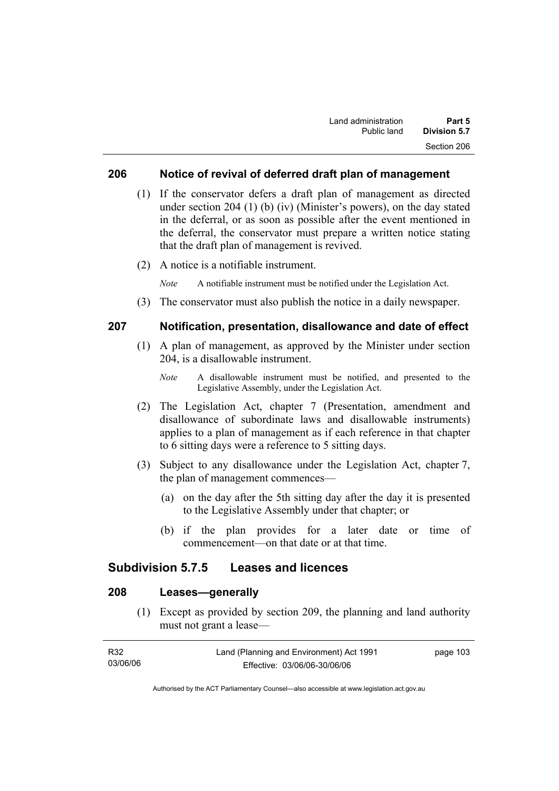### **206 Notice of revival of deferred draft plan of management**

- (1) If the conservator defers a draft plan of management as directed under section 204 (1) (b) (iv) (Minister's powers), on the day stated in the deferral, or as soon as possible after the event mentioned in the deferral, the conservator must prepare a written notice stating that the draft plan of management is revived.
- (2) A notice is a notifiable instrument.

*Note* A notifiable instrument must be notified under the Legislation Act.

(3) The conservator must also publish the notice in a daily newspaper.

### **207 Notification, presentation, disallowance and date of effect**

- (1) A plan of management, as approved by the Minister under section 204, is a disallowable instrument.
	- *Note* A disallowable instrument must be notified, and presented to the Legislative Assembly, under the Legislation Act.
- (2) The Legislation Act, chapter 7 (Presentation, amendment and disallowance of subordinate laws and disallowable instruments) applies to a plan of management as if each reference in that chapter to 6 sitting days were a reference to 5 sitting days.
- (3) Subject to any disallowance under the Legislation Act, chapter 7, the plan of management commences—
	- (a) on the day after the 5th sitting day after the day it is presented to the Legislative Assembly under that chapter; or
	- (b) if the plan provides for a later date or time of commencement—on that date or at that time.

### **Subdivision 5.7.5 Leases and licences**

# **208 Leases—generally**

 (1) Except as provided by section 209, the planning and land authority must not grant a lease—

| R32      | Land (Planning and Environment) Act 1991 | page 103 |
|----------|------------------------------------------|----------|
| 03/06/06 | Effective: 03/06/06-30/06/06             |          |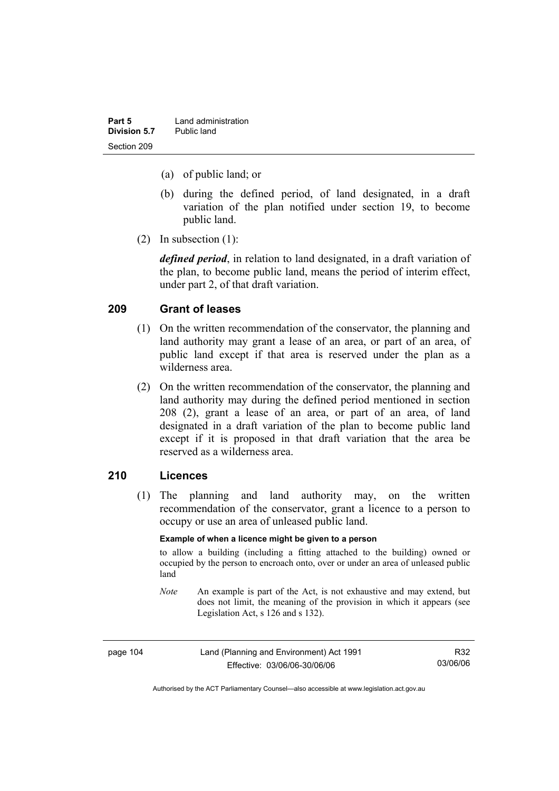| Part 5       | Land administration |
|--------------|---------------------|
| Division 5.7 | Public land         |
| Section 209  |                     |

- (a) of public land; or
- (b) during the defined period, of land designated, in a draft variation of the plan notified under section 19, to become public land.
- (2) In subsection (1):

*defined period*, in relation to land designated, in a draft variation of the plan, to become public land, means the period of interim effect, under part 2, of that draft variation.

#### **209 Grant of leases**

- (1) On the written recommendation of the conservator, the planning and land authority may grant a lease of an area, or part of an area, of public land except if that area is reserved under the plan as a wilderness area.
- (2) On the written recommendation of the conservator, the planning and land authority may during the defined period mentioned in section 208 (2), grant a lease of an area, or part of an area, of land designated in a draft variation of the plan to become public land except if it is proposed in that draft variation that the area be reserved as a wilderness area.

### **210 Licences**

 (1) The planning and land authority may, on the written recommendation of the conservator, grant a licence to a person to occupy or use an area of unleased public land.

#### **Example of when a licence might be given to a person**

to allow a building (including a fitting attached to the building) owned or occupied by the person to encroach onto, over or under an area of unleased public land

*Note* An example is part of the Act, is not exhaustive and may extend, but does not limit, the meaning of the provision in which it appears (see Legislation Act, s 126 and s 132).

| page 104 | Land (Planning and Environment) Act 1991 | R32      |
|----------|------------------------------------------|----------|
|          | Effective: 03/06/06-30/06/06             | 03/06/06 |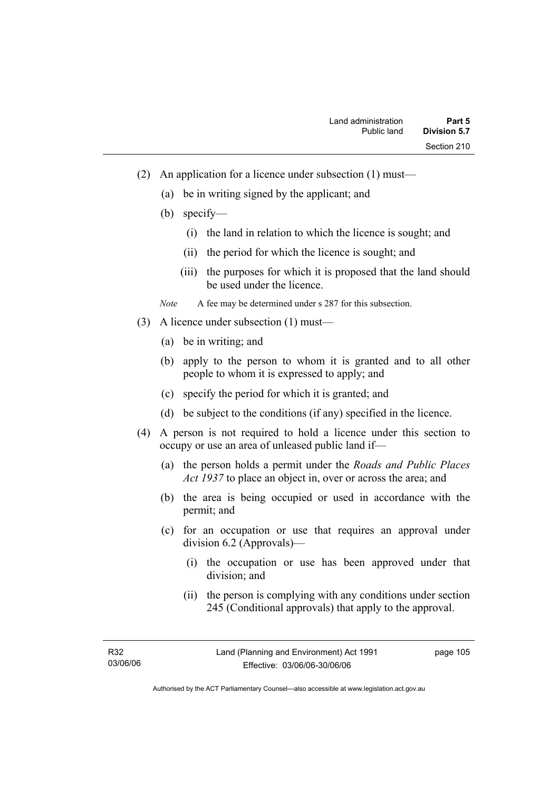- (2) An application for a licence under subsection (1) must—
	- (a) be in writing signed by the applicant; and
	- (b) specify—
		- (i) the land in relation to which the licence is sought; and
		- (ii) the period for which the licence is sought; and
		- (iii) the purposes for which it is proposed that the land should be used under the licence.

*Note* A fee may be determined under s 287 for this subsection.

- (3) A licence under subsection (1) must—
	- (a) be in writing; and
	- (b) apply to the person to whom it is granted and to all other people to whom it is expressed to apply; and
	- (c) specify the period for which it is granted; and
	- (d) be subject to the conditions (if any) specified in the licence.
- (4) A person is not required to hold a licence under this section to occupy or use an area of unleased public land if—
	- (a) the person holds a permit under the *Roads and Public Places Act 1937* to place an object in, over or across the area; and
	- (b) the area is being occupied or used in accordance with the permit; and
	- (c) for an occupation or use that requires an approval under division 6.2 (Approvals)—
		- (i) the occupation or use has been approved under that division; and
		- (ii) the person is complying with any conditions under section 245 (Conditional approvals) that apply to the approval.

R32 03/06/06 page 105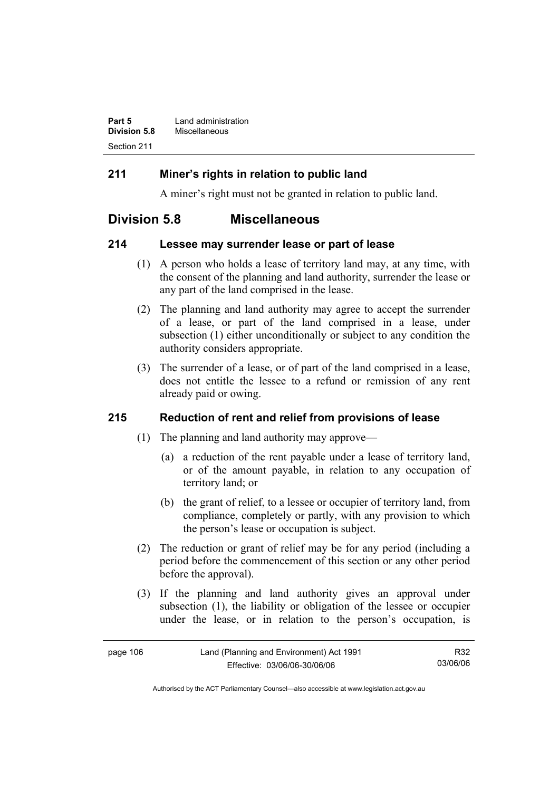| Part 5              | Land administration |
|---------------------|---------------------|
| <b>Division 5.8</b> | Miscellaneous       |
| Section 211         |                     |

### **211 Miner's rights in relation to public land**

A miner's right must not be granted in relation to public land.

# **Division 5.8 Miscellaneous**

### **214 Lessee may surrender lease or part of lease**

- (1) A person who holds a lease of territory land may, at any time, with the consent of the planning and land authority, surrender the lease or any part of the land comprised in the lease.
- (2) The planning and land authority may agree to accept the surrender of a lease, or part of the land comprised in a lease, under subsection (1) either unconditionally or subject to any condition the authority considers appropriate.
- (3) The surrender of a lease, or of part of the land comprised in a lease, does not entitle the lessee to a refund or remission of any rent already paid or owing.

# **215 Reduction of rent and relief from provisions of lease**

- (1) The planning and land authority may approve—
	- (a) a reduction of the rent payable under a lease of territory land, or of the amount payable, in relation to any occupation of territory land; or
	- (b) the grant of relief, to a lessee or occupier of territory land, from compliance, completely or partly, with any provision to which the person's lease or occupation is subject.
- (2) The reduction or grant of relief may be for any period (including a period before the commencement of this section or any other period before the approval).
- (3) If the planning and land authority gives an approval under subsection (1), the liability or obligation of the lessee or occupier under the lease, or in relation to the person's occupation, is

| page 106 | Land (Planning and Environment) Act 1991 | R32      |
|----------|------------------------------------------|----------|
|          | Effective: 03/06/06-30/06/06             | 03/06/06 |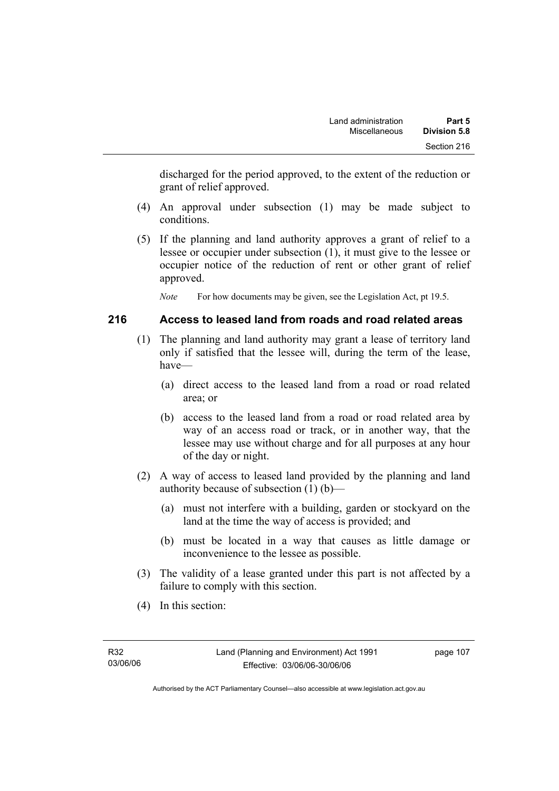discharged for the period approved, to the extent of the reduction or grant of relief approved.

- (4) An approval under subsection (1) may be made subject to conditions.
- (5) If the planning and land authority approves a grant of relief to a lessee or occupier under subsection (1), it must give to the lessee or occupier notice of the reduction of rent or other grant of relief approved.

*Note* For how documents may be given, see the Legislation Act, pt 19.5.

### **216 Access to leased land from roads and road related areas**

- (1) The planning and land authority may grant a lease of territory land only if satisfied that the lessee will, during the term of the lease, have—
	- (a) direct access to the leased land from a road or road related area; or
	- (b) access to the leased land from a road or road related area by way of an access road or track, or in another way, that the lessee may use without charge and for all purposes at any hour of the day or night.
- (2) A way of access to leased land provided by the planning and land authority because of subsection (1) (b)—
	- (a) must not interfere with a building, garden or stockyard on the land at the time the way of access is provided; and
	- (b) must be located in a way that causes as little damage or inconvenience to the lessee as possible.
- (3) The validity of a lease granted under this part is not affected by a failure to comply with this section.
- (4) In this section: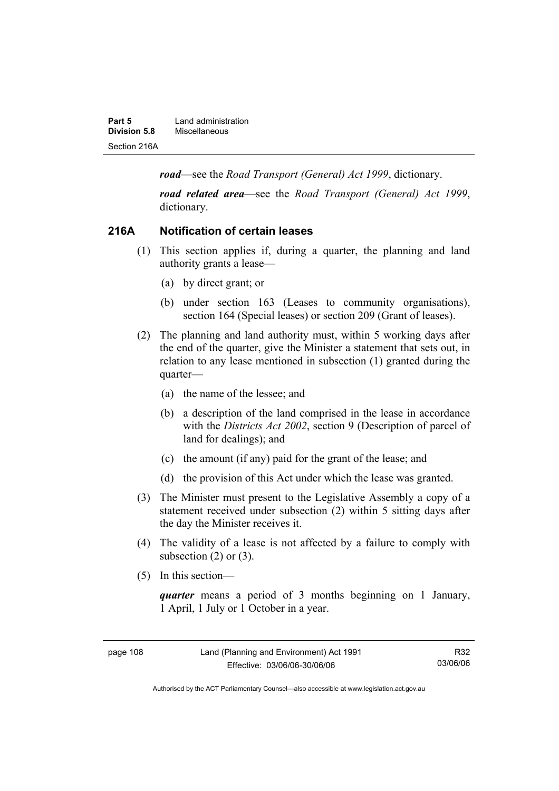| Part 5       | Land administration |
|--------------|---------------------|
| Division 5.8 | Miscellaneous       |
| Section 216A |                     |

*road*—see the *Road Transport (General) Act 1999*, dictionary.

*road related area*—see the *Road Transport (General) Act 1999*, dictionary.

### **216A Notification of certain leases**

- (1) This section applies if, during a quarter, the planning and land authority grants a lease—
	- (a) by direct grant; or
	- (b) under section 163 (Leases to community organisations), section 164 (Special leases) or section 209 (Grant of leases).
- (2) The planning and land authority must, within 5 working days after the end of the quarter, give the Minister a statement that sets out, in relation to any lease mentioned in subsection (1) granted during the quarter—
	- (a) the name of the lessee; and
	- (b) a description of the land comprised in the lease in accordance with the *Districts Act 2002*, section 9 (Description of parcel of land for dealings); and
	- (c) the amount (if any) paid for the grant of the lease; and
	- (d) the provision of this Act under which the lease was granted.
- (3) The Minister must present to the Legislative Assembly a copy of a statement received under subsection (2) within 5 sitting days after the day the Minister receives it.
- (4) The validity of a lease is not affected by a failure to comply with subsection  $(2)$  or  $(3)$ .
- (5) In this section—

*quarter* means a period of 3 months beginning on 1 January, 1 April, 1 July or 1 October in a year.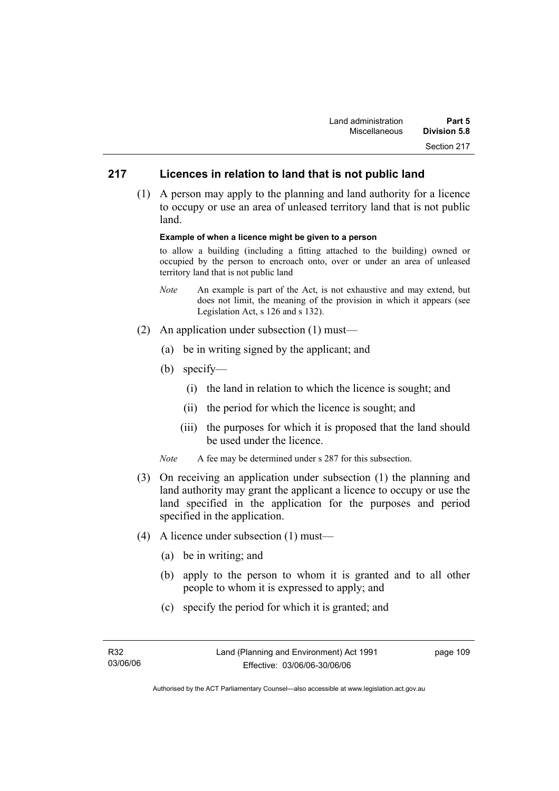# **217 Licences in relation to land that is not public land**

 (1) A person may apply to the planning and land authority for a licence to occupy or use an area of unleased territory land that is not public land.

#### **Example of when a licence might be given to a person**

to allow a building (including a fitting attached to the building) owned or occupied by the person to encroach onto, over or under an area of unleased territory land that is not public land

- *Note* An example is part of the Act, is not exhaustive and may extend, but does not limit, the meaning of the provision in which it appears (see Legislation Act, s 126 and s 132).
- (2) An application under subsection (1) must—
	- (a) be in writing signed by the applicant; and
	- (b) specify—
		- (i) the land in relation to which the licence is sought; and
		- (ii) the period for which the licence is sought; and
		- (iii) the purposes for which it is proposed that the land should be used under the licence.
	- *Note* A fee may be determined under s 287 for this subsection.
- (3) On receiving an application under subsection (1) the planning and land authority may grant the applicant a licence to occupy or use the land specified in the application for the purposes and period specified in the application.
- (4) A licence under subsection (1) must—
	- (a) be in writing; and
	- (b) apply to the person to whom it is granted and to all other people to whom it is expressed to apply; and
	- (c) specify the period for which it is granted; and

page 109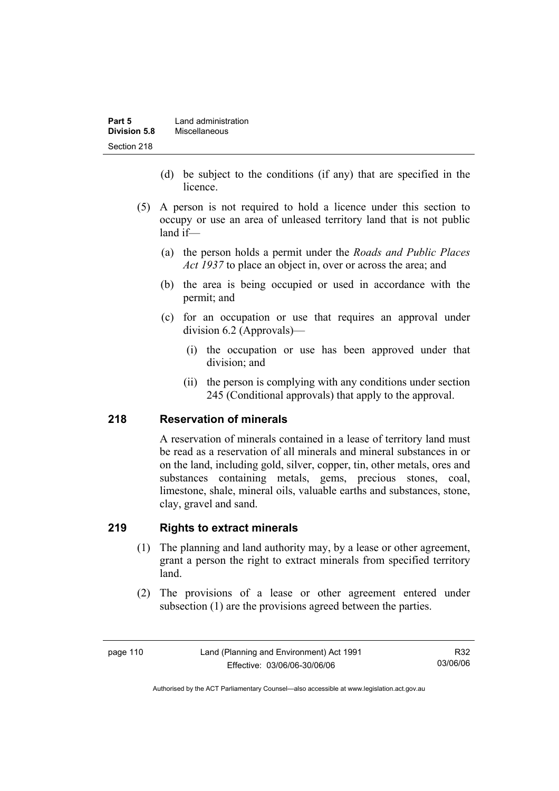| Part 5       | Land administration |
|--------------|---------------------|
| Division 5.8 | Miscellaneous       |
| Section 218  |                     |

- (d) be subject to the conditions (if any) that are specified in the licence.
- (5) A person is not required to hold a licence under this section to occupy or use an area of unleased territory land that is not public land if—
	- (a) the person holds a permit under the *Roads and Public Places Act 1937* to place an object in, over or across the area; and
	- (b) the area is being occupied or used in accordance with the permit; and
	- (c) for an occupation or use that requires an approval under division 6.2 (Approvals)—
		- (i) the occupation or use has been approved under that division; and
		- (ii) the person is complying with any conditions under section 245 (Conditional approvals) that apply to the approval.

# **218 Reservation of minerals**

A reservation of minerals contained in a lease of territory land must be read as a reservation of all minerals and mineral substances in or on the land, including gold, silver, copper, tin, other metals, ores and substances containing metals, gems, precious stones, coal, limestone, shale, mineral oils, valuable earths and substances, stone, clay, gravel and sand.

### **219 Rights to extract minerals**

- (1) The planning and land authority may, by a lease or other agreement, grant a person the right to extract minerals from specified territory land.
- (2) The provisions of a lease or other agreement entered under subsection (1) are the provisions agreed between the parties.

Authorised by the ACT Parliamentary Counsel—also accessible at www.legislation.act.gov.au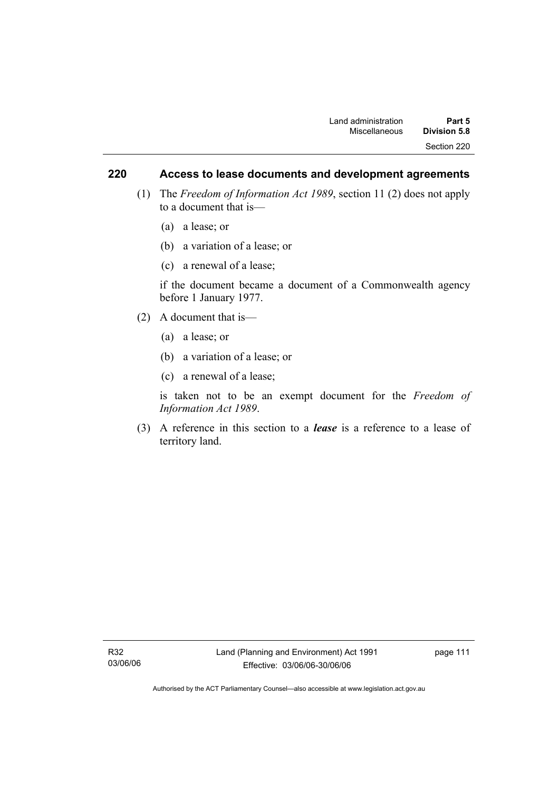## **220 Access to lease documents and development agreements**

- (1) The *Freedom of Information Act 1989*, section 11 (2) does not apply to a document that is—
	- (a) a lease; or
	- (b) a variation of a lease; or
	- (c) a renewal of a lease;

if the document became a document of a Commonwealth agency before 1 January 1977.

- (2) A document that is—
	- (a) a lease; or
	- (b) a variation of a lease; or
	- (c) a renewal of a lease;

is taken not to be an exempt document for the *Freedom of Information Act 1989*.

 (3) A reference in this section to a *lease* is a reference to a lease of territory land.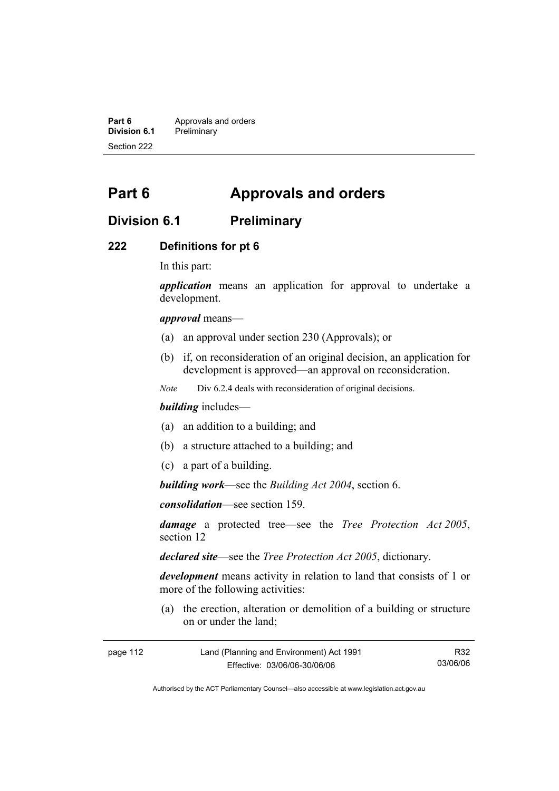**Part 6 Approvals and orders**<br>**Division 6.1 Preliminary Division 6.1** Preliminary Section 222

# **Part 6 Approvals and orders**

# **Division 6.1 Preliminary**

### **222 Definitions for pt 6**

In this part:

*application* means an application for approval to undertake a development.

*approval* means—

- (a) an approval under section 230 (Approvals); or
- (b) if, on reconsideration of an original decision, an application for development is approved—an approval on reconsideration.

*Note* Div 6.2.4 deals with reconsideration of original decisions.

#### *building* includes—

- (a) an addition to a building; and
- (b) a structure attached to a building; and
- (c) a part of a building.

*building work*—see the *Building Act 2004*, section 6.

*consolidation*—see section 159.

*damage* a protected tree—see the *Tree Protection Act 2005*, section 12

*declared site*—see the *Tree Protection Act 2005*, dictionary.

*development* means activity in relation to land that consists of 1 or more of the following activities:

 (a) the erection, alteration or demolition of a building or structure on or under the land;

| page 112 | Land (Planning and Environment) Act 1991 | R32      |
|----------|------------------------------------------|----------|
|          | Effective: 03/06/06-30/06/06             | 03/06/06 |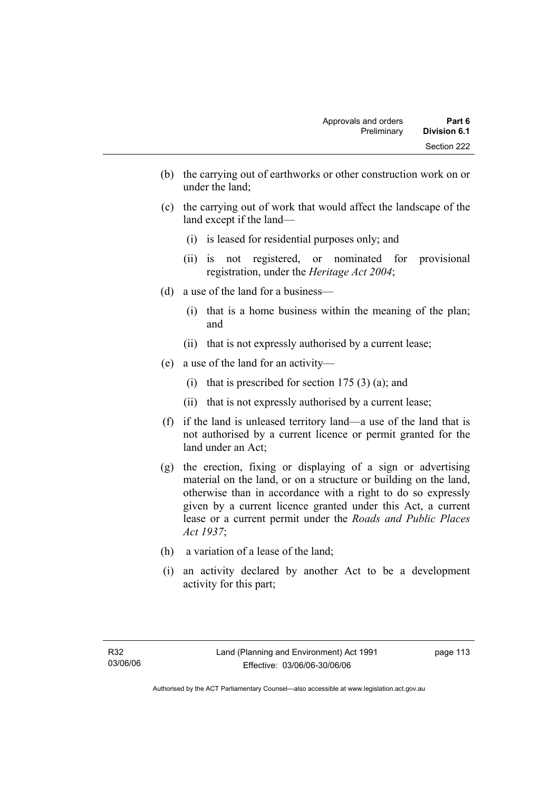- (b) the carrying out of earthworks or other construction work on or under the land;
- (c) the carrying out of work that would affect the landscape of the land except if the land—
	- (i) is leased for residential purposes only; and
	- (ii) is not registered, or nominated for provisional registration, under the *Heritage Act 2004*;
- (d) a use of the land for a business—
	- (i) that is a home business within the meaning of the plan; and
	- (ii) that is not expressly authorised by a current lease;
- (e) a use of the land for an activity—
	- (i) that is prescribed for section  $175(3)(a)$ ; and
	- (ii) that is not expressly authorised by a current lease;
- (f) if the land is unleased territory land—a use of the land that is not authorised by a current licence or permit granted for the land under an Act;
- (g) the erection, fixing or displaying of a sign or advertising material on the land, or on a structure or building on the land, otherwise than in accordance with a right to do so expressly given by a current licence granted under this Act, a current lease or a current permit under the *Roads and Public Places Act 1937*;
- (h) a variation of a lease of the land;
- (i) an activity declared by another Act to be a development activity for this part;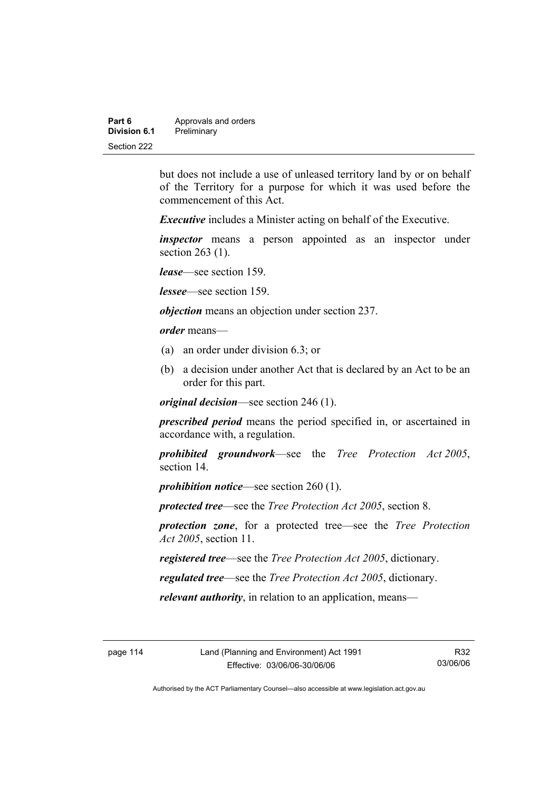| Part 6       | Approvals and orders |
|--------------|----------------------|
| Division 6.1 | Preliminary          |
| Section 222  |                      |

but does not include a use of unleased territory land by or on behalf of the Territory for a purpose for which it was used before the commencement of this Act.

*Executive* includes a Minister acting on behalf of the Executive.

*inspector* means a person appointed as an inspector under section 263 (1).

*lease*—see section 159.

*lessee*—see section 159.

*objection* means an objection under section 237.

*order* means—

- (a) an order under division 6.3; or
- (b) a decision under another Act that is declared by an Act to be an order for this part.

*original decision*—see section 246 (1).

*prescribed period* means the period specified in, or ascertained in accordance with, a regulation.

*prohibited groundwork*—see the *Tree Protection Act 2005*, section 14.

*prohibition notice*—see section 260 (1).

*protected tree*—see the *Tree Protection Act 2005*, section 8.

*protection zone*, for a protected tree—see the *Tree Protection Act 2005*, section 11.

*registered tree*—see the *Tree Protection Act 2005*, dictionary.

*regulated tree*—see the *Tree Protection Act 2005*, dictionary.

*relevant authority*, in relation to an application, means—

R32 03/06/06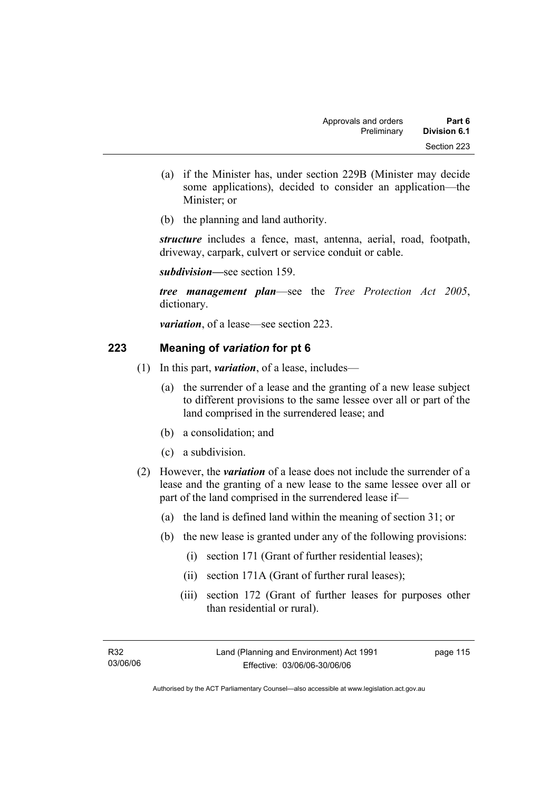- (a) if the Minister has, under section 229B (Minister may decide some applications), decided to consider an application—the Minister; or
- (b) the planning and land authority.

*structure* includes a fence, mast, antenna, aerial, road, footpath, driveway, carpark, culvert or service conduit or cable.

*subdivision—*see section 159.

*tree management plan*—see the *Tree Protection Act 2005*, dictionary.

*variation*, of a lease—see section 223.

# **223 Meaning of** *variation* **for pt 6**

- (1) In this part, *variation*, of a lease, includes—
	- (a) the surrender of a lease and the granting of a new lease subject to different provisions to the same lessee over all or part of the land comprised in the surrendered lease; and
	- (b) a consolidation; and
	- (c) a subdivision.
- (2) However, the *variation* of a lease does not include the surrender of a lease and the granting of a new lease to the same lessee over all or part of the land comprised in the surrendered lease if—
	- (a) the land is defined land within the meaning of section 31; or
	- (b) the new lease is granted under any of the following provisions:
		- (i) section 171 (Grant of further residential leases);
		- (ii) section 171A (Grant of further rural leases);
		- (iii) section 172 (Grant of further leases for purposes other than residential or rural).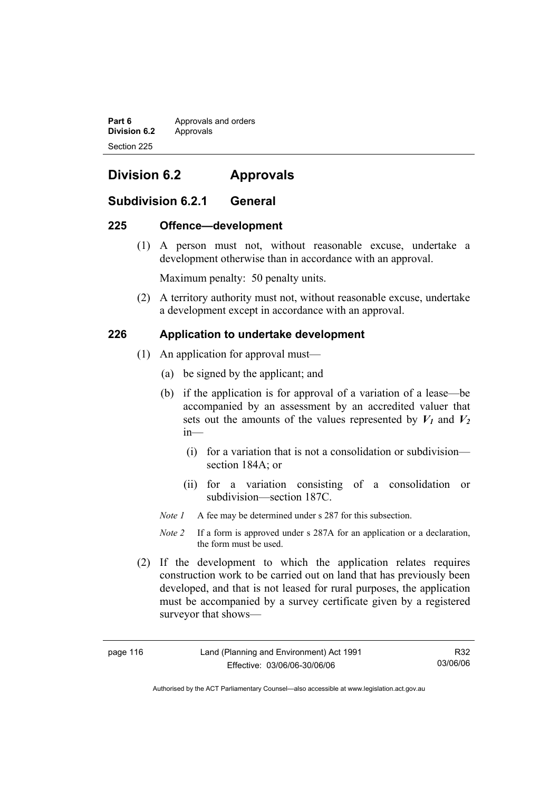**Part 6 Approvals and orders Division 6.2** Approvals Section 225

# **Division 6.2 Approvals**

# **Subdivision 6.2.1 General**

### **225 Offence—development**

 (1) A person must not, without reasonable excuse, undertake a development otherwise than in accordance with an approval.

Maximum penalty: 50 penalty units.

 (2) A territory authority must not, without reasonable excuse, undertake a development except in accordance with an approval.

## **226 Application to undertake development**

- (1) An application for approval must—
	- (a) be signed by the applicant; and
	- (b) if the application is for approval of a variation of a lease—be accompanied by an assessment by an accredited valuer that sets out the amounts of the values represented by  $V_1$  and  $V_2$ in—
		- (i) for a variation that is not a consolidation or subdivision section 184A; or
		- (ii) for a variation consisting of a consolidation or subdivision—section 187C.
	- *Note 1* A fee may be determined under s 287 for this subsection.
	- *Note 2* If a form is approved under s 287A for an application or a declaration, the form must be used.
- (2) If the development to which the application relates requires construction work to be carried out on land that has previously been developed, and that is not leased for rural purposes, the application must be accompanied by a survey certificate given by a registered surveyor that shows—

| page 116 |  |  |  |
|----------|--|--|--|
|----------|--|--|--|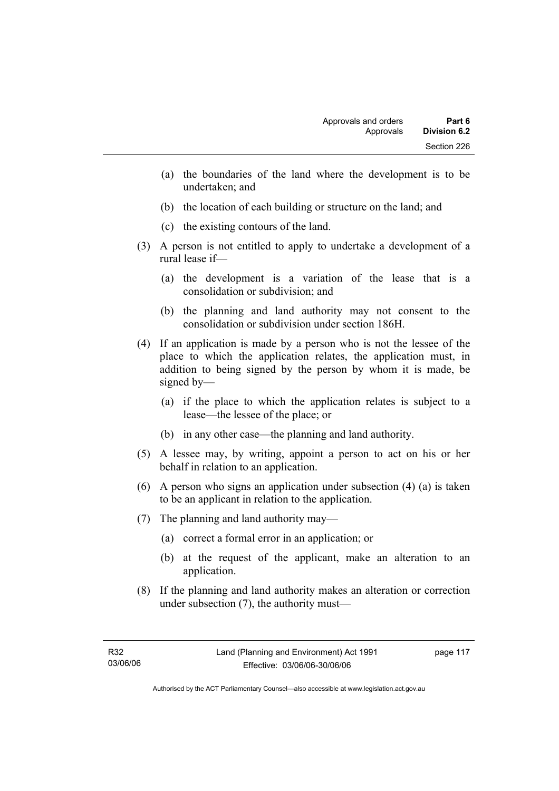- (a) the boundaries of the land where the development is to be undertaken; and
- (b) the location of each building or structure on the land; and
- (c) the existing contours of the land.
- (3) A person is not entitled to apply to undertake a development of a rural lease if—
	- (a) the development is a variation of the lease that is a consolidation or subdivision; and
	- (b) the planning and land authority may not consent to the consolidation or subdivision under section 186H.
- (4) If an application is made by a person who is not the lessee of the place to which the application relates, the application must, in addition to being signed by the person by whom it is made, be signed by—
	- (a) if the place to which the application relates is subject to a lease—the lessee of the place; or
	- (b) in any other case—the planning and land authority.
- (5) A lessee may, by writing, appoint a person to act on his or her behalf in relation to an application.
- (6) A person who signs an application under subsection (4) (a) is taken to be an applicant in relation to the application.
- (7) The planning and land authority may—
	- (a) correct a formal error in an application; or
	- (b) at the request of the applicant, make an alteration to an application.
- (8) If the planning and land authority makes an alteration or correction under subsection (7), the authority must—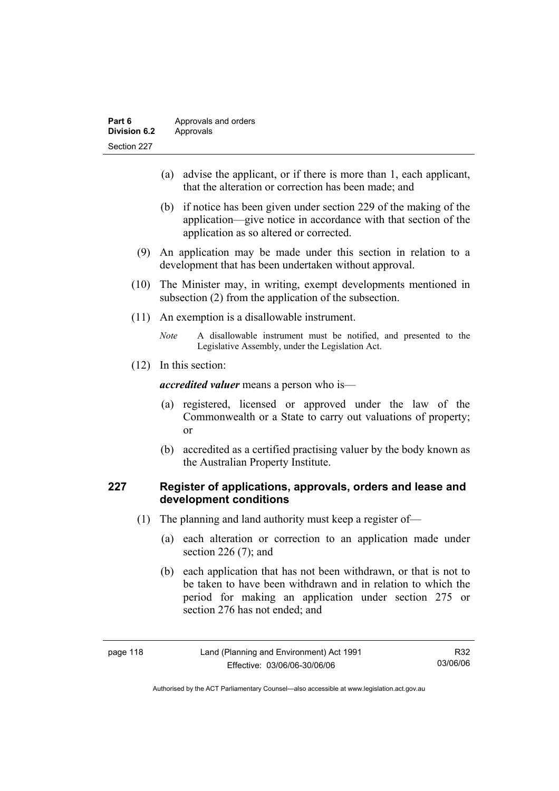| Part 6       | Approvals and orders |
|--------------|----------------------|
| Division 6.2 | Approvals            |
| Section 227  |                      |

- (a) advise the applicant, or if there is more than 1, each applicant, that the alteration or correction has been made; and
- (b) if notice has been given under section 229 of the making of the application—give notice in accordance with that section of the application as so altered or corrected.
- (9) An application may be made under this section in relation to a development that has been undertaken without approval.
- (10) The Minister may, in writing, exempt developments mentioned in subsection (2) from the application of the subsection.
- (11) An exemption is a disallowable instrument.
	- *Note* A disallowable instrument must be notified, and presented to the Legislative Assembly, under the Legislation Act.
- (12) In this section:

*accredited valuer* means a person who is—

- (a) registered, licensed or approved under the law of the Commonwealth or a State to carry out valuations of property; or
- (b) accredited as a certified practising valuer by the body known as the Australian Property Institute.

## **227 Register of applications, approvals, orders and lease and development conditions**

- (1) The planning and land authority must keep a register of—
	- (a) each alteration or correction to an application made under section 226 (7); and
	- (b) each application that has not been withdrawn, or that is not to be taken to have been withdrawn and in relation to which the period for making an application under section 275 or section 276 has not ended; and

| page | 118 |
|------|-----|
|------|-----|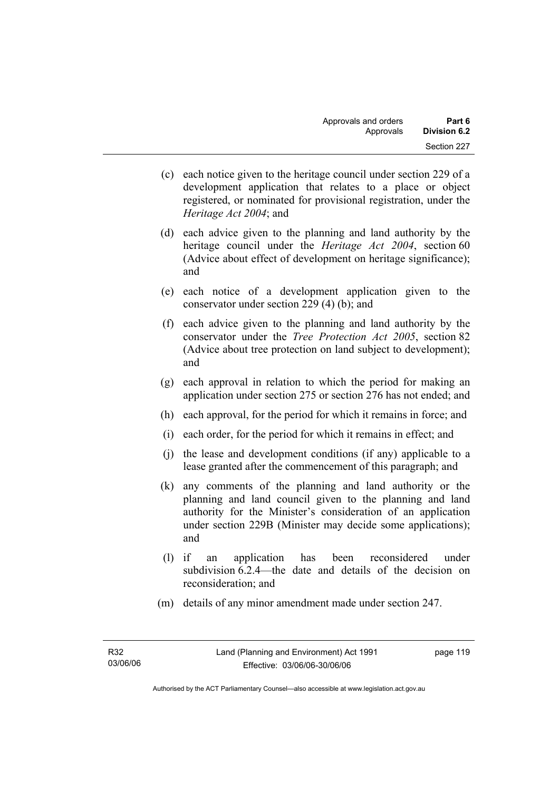- (c) each notice given to the heritage council under section 229 of a development application that relates to a place or object registered, or nominated for provisional registration, under the *Heritage Act 2004*; and
- (d) each advice given to the planning and land authority by the heritage council under the *Heritage Act 2004*, section 60 (Advice about effect of development on heritage significance); and
- (e) each notice of a development application given to the conservator under section 229 (4) (b); and
- (f) each advice given to the planning and land authority by the conservator under the *Tree Protection Act 2005*, section 82 (Advice about tree protection on land subject to development); and
- (g) each approval in relation to which the period for making an application under section 275 or section 276 has not ended; and
- (h) each approval, for the period for which it remains in force; and
- (i) each order, for the period for which it remains in effect; and
- (j) the lease and development conditions (if any) applicable to a lease granted after the commencement of this paragraph; and
- (k) any comments of the planning and land authority or the planning and land council given to the planning and land authority for the Minister's consideration of an application under section 229B (Minister may decide some applications); and
- (l) if an application has been reconsidered under subdivision 6.2.4—the date and details of the decision on reconsideration; and
- (m) details of any minor amendment made under section 247.

page 119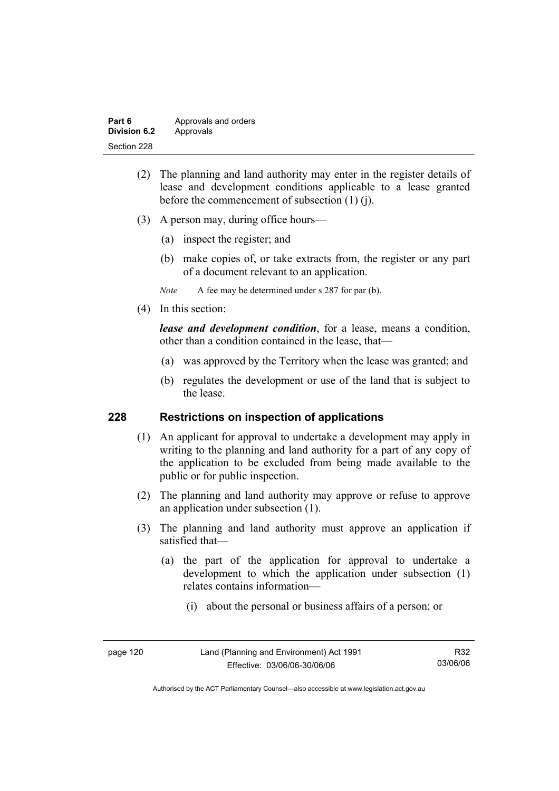| Part 6              | Approvals and orders |
|---------------------|----------------------|
| <b>Division 6.2</b> | Approvals            |
| Section 228         |                      |

- (2) The planning and land authority may enter in the register details of lease and development conditions applicable to a lease granted before the commencement of subsection (1) (j).
- (3) A person may, during office hours—
	- (a) inspect the register; and
	- (b) make copies of, or take extracts from, the register or any part of a document relevant to an application.
	- *Note* A fee may be determined under s 287 for par (b).
- (4) In this section:

*lease and development condition*, for a lease, means a condition, other than a condition contained in the lease, that—

- (a) was approved by the Territory when the lease was granted; and
- (b) regulates the development or use of the land that is subject to the lease.

### **228 Restrictions on inspection of applications**

- (1) An applicant for approval to undertake a development may apply in writing to the planning and land authority for a part of any copy of the application to be excluded from being made available to the public or for public inspection.
- (2) The planning and land authority may approve or refuse to approve an application under subsection (1).
- (3) The planning and land authority must approve an application if satisfied that—
	- (a) the part of the application for approval to undertake a development to which the application under subsection (1) relates contains information—
		- (i) about the personal or business affairs of a person; or

| page 120 |  |
|----------|--|
|----------|--|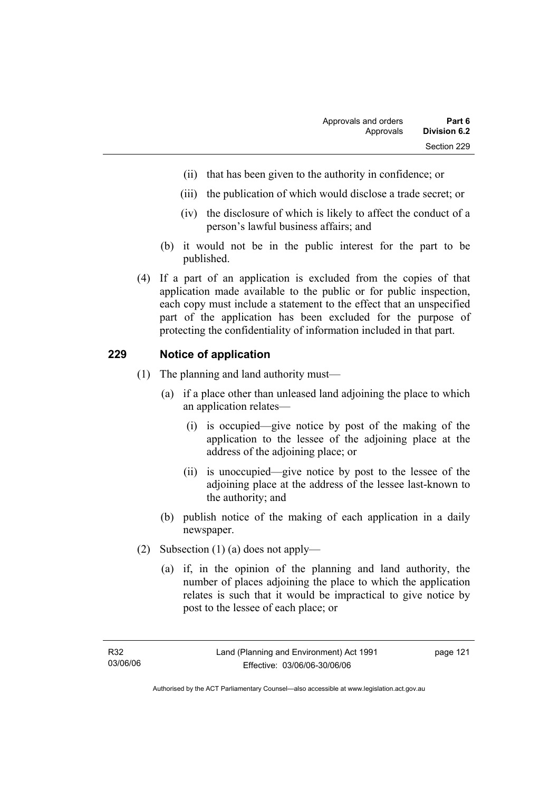- (ii) that has been given to the authority in confidence; or
- (iii) the publication of which would disclose a trade secret; or
- (iv) the disclosure of which is likely to affect the conduct of a person's lawful business affairs; and
- (b) it would not be in the public interest for the part to be published.
- (4) If a part of an application is excluded from the copies of that application made available to the public or for public inspection, each copy must include a statement to the effect that an unspecified part of the application has been excluded for the purpose of protecting the confidentiality of information included in that part.

## **229 Notice of application**

- (1) The planning and land authority must—
	- (a) if a place other than unleased land adjoining the place to which an application relates—
		- (i) is occupied—give notice by post of the making of the application to the lessee of the adjoining place at the address of the adjoining place; or
		- (ii) is unoccupied—give notice by post to the lessee of the adjoining place at the address of the lessee last-known to the authority; and
	- (b) publish notice of the making of each application in a daily newspaper.
- (2) Subsection (1) (a) does not apply—
	- (a) if, in the opinion of the planning and land authority, the number of places adjoining the place to which the application relates is such that it would be impractical to give notice by post to the lessee of each place; or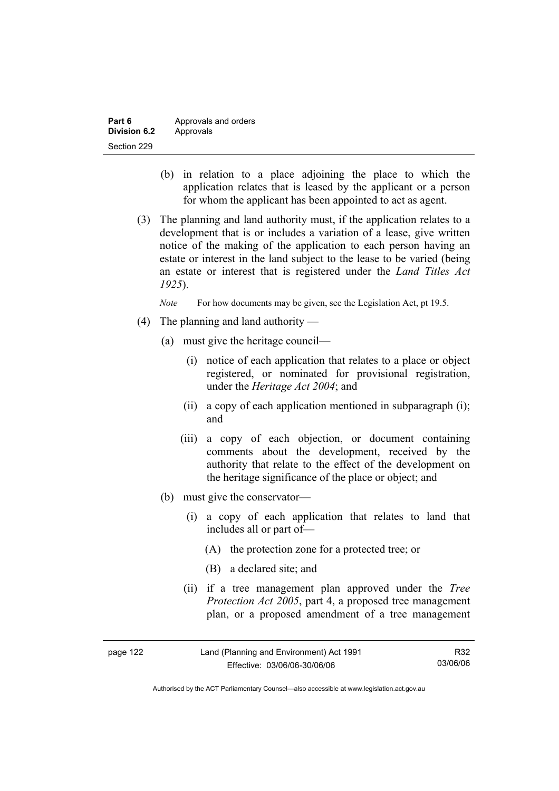| Part 6       | Approvals and orders |
|--------------|----------------------|
| Division 6.2 | Approvals            |
| Section 229  |                      |

- (b) in relation to a place adjoining the place to which the application relates that is leased by the applicant or a person for whom the applicant has been appointed to act as agent.
- (3) The planning and land authority must, if the application relates to a development that is or includes a variation of a lease, give written notice of the making of the application to each person having an estate or interest in the land subject to the lease to be varied (being an estate or interest that is registered under the *Land Titles Act 1925*).

*Note* For how documents may be given, see the Legislation Act, pt 19.5.

- (4) The planning and land authority
	- (a) must give the heritage council—
		- (i) notice of each application that relates to a place or object registered, or nominated for provisional registration, under the *Heritage Act 2004*; and
		- (ii) a copy of each application mentioned in subparagraph (i); and
		- (iii) a copy of each objection, or document containing comments about the development, received by the authority that relate to the effect of the development on the heritage significance of the place or object; and
	- (b) must give the conservator—
		- (i) a copy of each application that relates to land that includes all or part of—
			- (A) the protection zone for a protected tree; or
			- (B) a declared site; and
		- (ii) if a tree management plan approved under the *Tree Protection Act 2005*, part 4, a proposed tree management plan, or a proposed amendment of a tree management

| page 122 | Land (Planning and Environment) Act 1991 | R32      |
|----------|------------------------------------------|----------|
|          | Effective: 03/06/06-30/06/06             | 03/06/06 |

Authorised by the ACT Parliamentary Counsel—also accessible at www.legislation.act.gov.au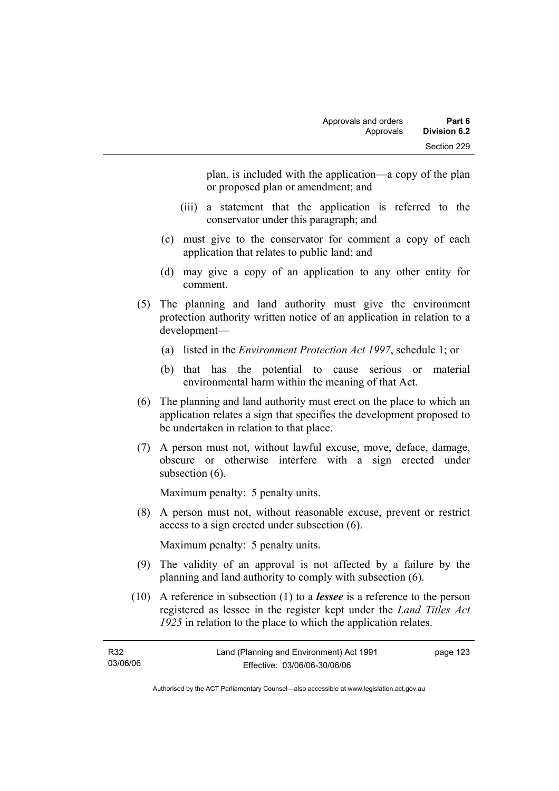plan, is included with the application—a copy of the plan or proposed plan or amendment; and

- (iii) a statement that the application is referred to the conservator under this paragraph; and
- (c) must give to the conservator for comment a copy of each application that relates to public land; and
- (d) may give a copy of an application to any other entity for comment.
- (5) The planning and land authority must give the environment protection authority written notice of an application in relation to a development—
	- (a) listed in the *Environment Protection Act 1997*, schedule 1; or
	- (b) that has the potential to cause serious or material environmental harm within the meaning of that Act.
- (6) The planning and land authority must erect on the place to which an application relates a sign that specifies the development proposed to be undertaken in relation to that place.
- (7) A person must not, without lawful excuse, move, deface, damage, obscure or otherwise interfere with a sign erected under subsection  $(6)$ .

Maximum penalty: 5 penalty units.

 (8) A person must not, without reasonable excuse, prevent or restrict access to a sign erected under subsection (6).

Maximum penalty: 5 penalty units.

- (9) The validity of an approval is not affected by a failure by the planning and land authority to comply with subsection (6).
- (10) A reference in subsection (1) to a *lessee* is a reference to the person registered as lessee in the register kept under the *Land Titles Act 1925* in relation to the place to which the application relates.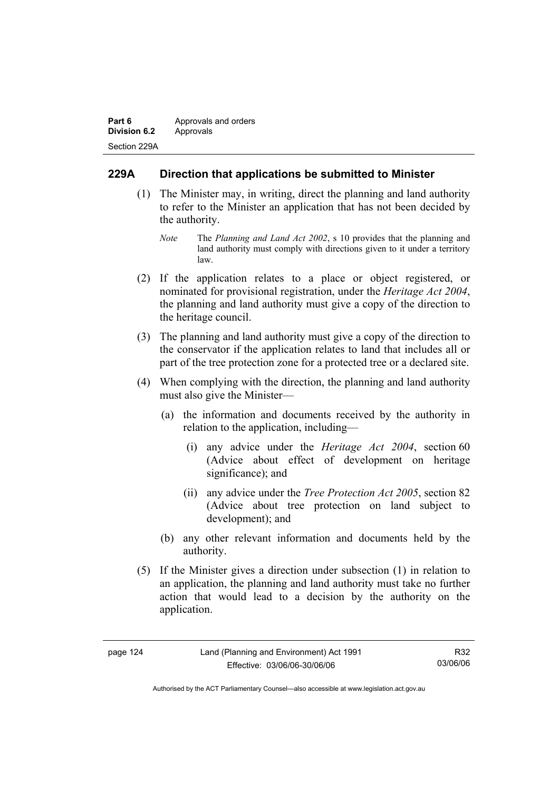| Part 6              | Approvals and orders |
|---------------------|----------------------|
| <b>Division 6.2</b> | Approvals            |
| Section 229A        |                      |

# **229A Direction that applications be submitted to Minister**

- (1) The Minister may, in writing, direct the planning and land authority to refer to the Minister an application that has not been decided by the authority.
	- *Note* The *Planning and Land Act 2002*, s 10 provides that the planning and land authority must comply with directions given to it under a territory law.
- (2) If the application relates to a place or object registered, or nominated for provisional registration, under the *Heritage Act 2004*, the planning and land authority must give a copy of the direction to the heritage council.
- (3) The planning and land authority must give a copy of the direction to the conservator if the application relates to land that includes all or part of the tree protection zone for a protected tree or a declared site.
- (4) When complying with the direction, the planning and land authority must also give the Minister—
	- (a) the information and documents received by the authority in relation to the application, including—
		- (i) any advice under the *Heritage Act 2004*, section 60 (Advice about effect of development on heritage significance); and
		- (ii) any advice under the *Tree Protection Act 2005*, section 82 (Advice about tree protection on land subject to development); and
	- (b) any other relevant information and documents held by the authority.
- (5) If the Minister gives a direction under subsection (1) in relation to an application, the planning and land authority must take no further action that would lead to a decision by the authority on the application.

| 124 |
|-----|
|     |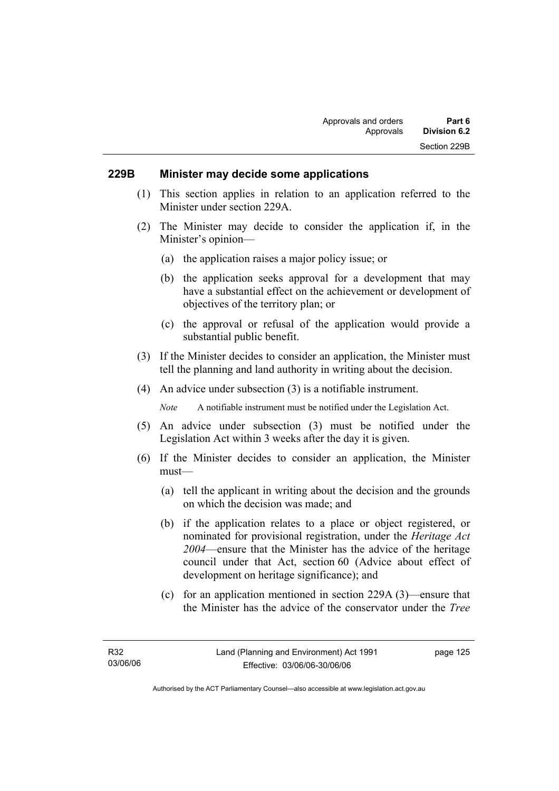### **229B Minister may decide some applications**

- (1) This section applies in relation to an application referred to the Minister under section 229A.
- (2) The Minister may decide to consider the application if, in the Minister's opinion—
	- (a) the application raises a major policy issue; or
	- (b) the application seeks approval for a development that may have a substantial effect on the achievement or development of objectives of the territory plan; or
	- (c) the approval or refusal of the application would provide a substantial public benefit.
- (3) If the Minister decides to consider an application, the Minister must tell the planning and land authority in writing about the decision.
- (4) An advice under subsection (3) is a notifiable instrument.

*Note* A notifiable instrument must be notified under the Legislation Act.

- (5) An advice under subsection (3) must be notified under the Legislation Act within 3 weeks after the day it is given.
- (6) If the Minister decides to consider an application, the Minister must—
	- (a) tell the applicant in writing about the decision and the grounds on which the decision was made; and
	- (b) if the application relates to a place or object registered, or nominated for provisional registration, under the *Heritage Act 2004*—ensure that the Minister has the advice of the heritage council under that Act, section 60 (Advice about effect of development on heritage significance); and
	- (c) for an application mentioned in section 229A (3)—ensure that the Minister has the advice of the conservator under the *Tree*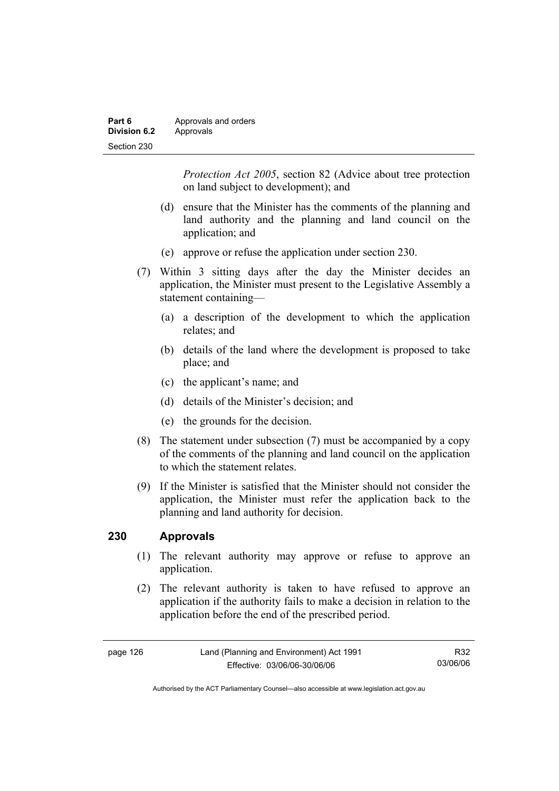| Part 6              | Approvals and orders |
|---------------------|----------------------|
| <b>Division 6.2</b> | Approvals            |
| Section 230         |                      |

*Protection Act 2005*, section 82 (Advice about tree protection on land subject to development); and

- (d) ensure that the Minister has the comments of the planning and land authority and the planning and land council on the application; and
- (e) approve or refuse the application under section 230.
- (7) Within 3 sitting days after the day the Minister decides an application, the Minister must present to the Legislative Assembly a statement containing—
	- (a) a description of the development to which the application relates; and
	- (b) details of the land where the development is proposed to take place; and
	- (c) the applicant's name; and
	- (d) details of the Minister's decision; and
	- (e) the grounds for the decision.
- (8) The statement under subsection (7) must be accompanied by a copy of the comments of the planning and land council on the application to which the statement relates.
- (9) If the Minister is satisfied that the Minister should not consider the application, the Minister must refer the application back to the planning and land authority for decision.

### **230 Approvals**

- (1) The relevant authority may approve or refuse to approve an application.
- (2) The relevant authority is taken to have refused to approve an application if the authority fails to make a decision in relation to the application before the end of the prescribed period.

| page 126 | Land (Planning and Environment) Act 1991 | R32      |
|----------|------------------------------------------|----------|
|          | Effective: 03/06/06-30/06/06             | 03/06/06 |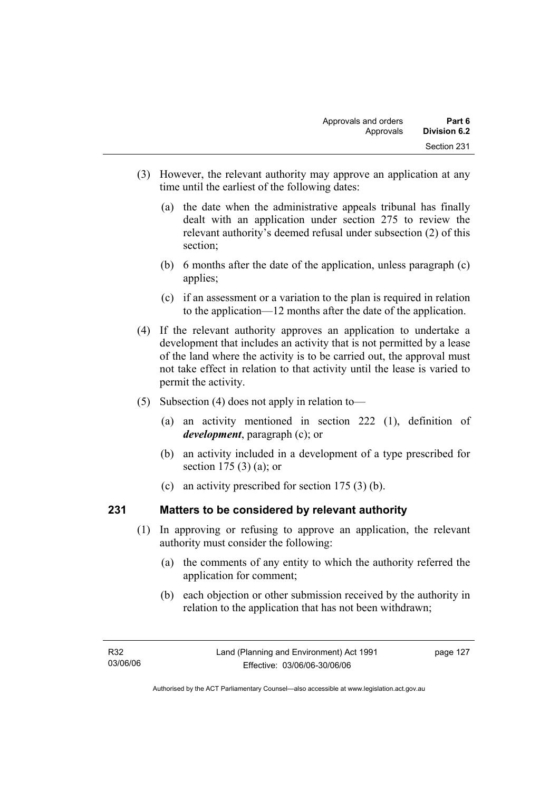- (3) However, the relevant authority may approve an application at any time until the earliest of the following dates:
	- (a) the date when the administrative appeals tribunal has finally dealt with an application under section 275 to review the relevant authority's deemed refusal under subsection (2) of this section;
	- (b) 6 months after the date of the application, unless paragraph (c) applies;
	- (c) if an assessment or a variation to the plan is required in relation to the application—12 months after the date of the application.
- (4) If the relevant authority approves an application to undertake a development that includes an activity that is not permitted by a lease of the land where the activity is to be carried out, the approval must not take effect in relation to that activity until the lease is varied to permit the activity.
- (5) Subsection (4) does not apply in relation to—
	- (a) an activity mentioned in section 222 (1), definition of *development*, paragraph (c); or
	- (b) an activity included in a development of a type prescribed for section 175 (3) (a); or
	- (c) an activity prescribed for section 175 (3) (b).

# **231 Matters to be considered by relevant authority**

- (1) In approving or refusing to approve an application, the relevant authority must consider the following:
	- (a) the comments of any entity to which the authority referred the application for comment;
	- (b) each objection or other submission received by the authority in relation to the application that has not been withdrawn;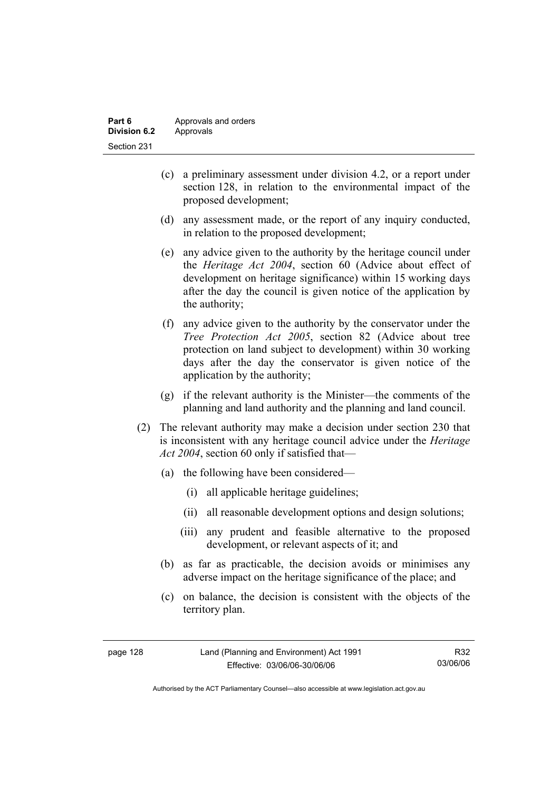| Part 6       | Approvals and orders |  |
|--------------|----------------------|--|
| Division 6.2 | Approvals            |  |
| Section 231  |                      |  |

- (c) a preliminary assessment under division 4.2, or a report under section 128, in relation to the environmental impact of the proposed development;
- (d) any assessment made, or the report of any inquiry conducted, in relation to the proposed development;
- (e) any advice given to the authority by the heritage council under the *Heritage Act 2004*, section 60 (Advice about effect of development on heritage significance) within 15 working days after the day the council is given notice of the application by the authority;
- (f) any advice given to the authority by the conservator under the *Tree Protection Act 2005*, section 82 (Advice about tree protection on land subject to development) within 30 working days after the day the conservator is given notice of the application by the authority;
- (g) if the relevant authority is the Minister—the comments of the planning and land authority and the planning and land council.
- (2) The relevant authority may make a decision under section 230 that is inconsistent with any heritage council advice under the *Heritage Act 2004*, section 60 only if satisfied that—
	- (a) the following have been considered—
		- (i) all applicable heritage guidelines;
		- (ii) all reasonable development options and design solutions;
		- (iii) any prudent and feasible alternative to the proposed development, or relevant aspects of it; and
	- (b) as far as practicable, the decision avoids or minimises any adverse impact on the heritage significance of the place; and
	- (c) on balance, the decision is consistent with the objects of the territory plan.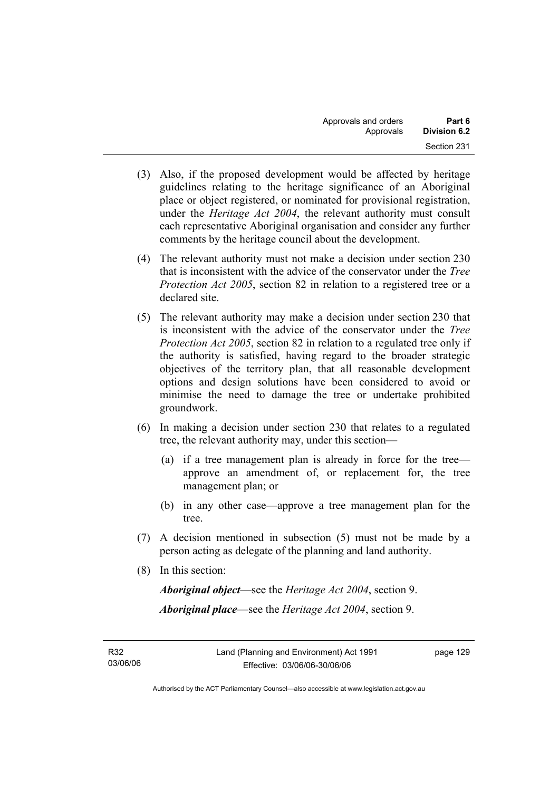- (3) Also, if the proposed development would be affected by heritage guidelines relating to the heritage significance of an Aboriginal place or object registered, or nominated for provisional registration, under the *Heritage Act 2004*, the relevant authority must consult each representative Aboriginal organisation and consider any further comments by the heritage council about the development.
- (4) The relevant authority must not make a decision under section 230 that is inconsistent with the advice of the conservator under the *Tree Protection Act 2005*, section 82 in relation to a registered tree or a declared site.
- (5) The relevant authority may make a decision under section 230 that is inconsistent with the advice of the conservator under the *Tree Protection Act 2005*, section 82 in relation to a regulated tree only if the authority is satisfied, having regard to the broader strategic objectives of the territory plan, that all reasonable development options and design solutions have been considered to avoid or minimise the need to damage the tree or undertake prohibited groundwork.
- (6) In making a decision under section 230 that relates to a regulated tree, the relevant authority may, under this section—
	- (a) if a tree management plan is already in force for the tree approve an amendment of, or replacement for, the tree management plan; or
	- (b) in any other case—approve a tree management plan for the tree.
- (7) A decision mentioned in subsection (5) must not be made by a person acting as delegate of the planning and land authority.
- (8) In this section:

*Aboriginal object*—see the *Heritage Act 2004*, section 9. *Aboriginal place*—see the *Heritage Act 2004*, section 9.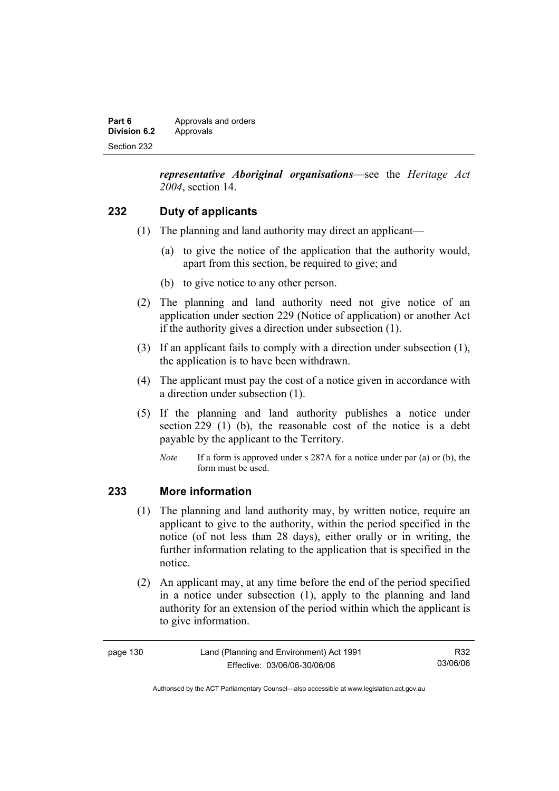| Part 6       | Approvals and orders |  |
|--------------|----------------------|--|
| Division 6.2 | Approvals            |  |
| Section 232  |                      |  |

*representative Aboriginal organisations*—see the *Heritage Act 2004*, section 14.

### **232 Duty of applicants**

- (1) The planning and land authority may direct an applicant—
	- (a) to give the notice of the application that the authority would, apart from this section, be required to give; and
	- (b) to give notice to any other person.
- (2) The planning and land authority need not give notice of an application under section 229 (Notice of application) or another Act if the authority gives a direction under subsection (1).
- (3) If an applicant fails to comply with a direction under subsection (1), the application is to have been withdrawn.
- (4) The applicant must pay the cost of a notice given in accordance with a direction under subsection (1).
- (5) If the planning and land authority publishes a notice under section 229 (1) (b), the reasonable cost of the notice is a debt payable by the applicant to the Territory.
	- *Note* If a form is approved under s 287A for a notice under par (a) or (b), the form must be used.

### **233 More information**

- (1) The planning and land authority may, by written notice, require an applicant to give to the authority, within the period specified in the notice (of not less than 28 days), either orally or in writing, the further information relating to the application that is specified in the notice.
- (2) An applicant may, at any time before the end of the period specified in a notice under subsection (1), apply to the planning and land authority for an extension of the period within which the applicant is to give information.

| page 130 | Land (Planning and Environment) Act 1991 | R32      |
|----------|------------------------------------------|----------|
|          | Effective: 03/06/06-30/06/06             | 03/06/06 |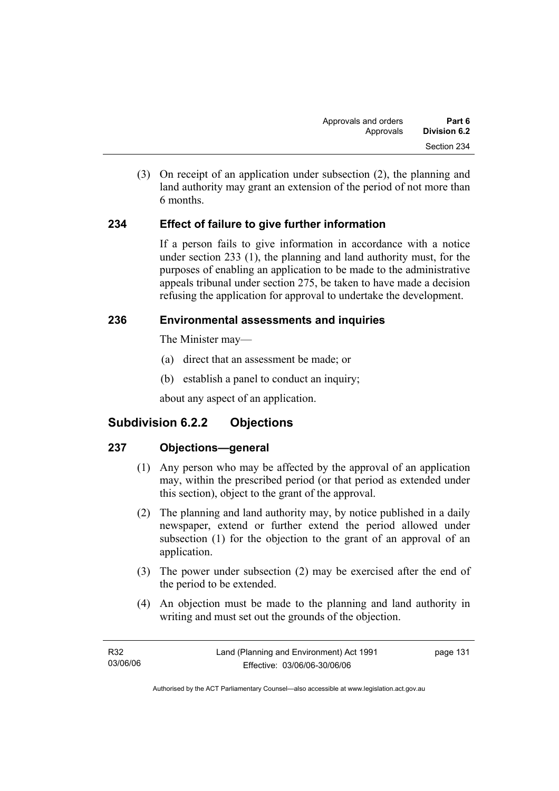(3) On receipt of an application under subsection (2), the planning and land authority may grant an extension of the period of not more than 6 months.

## **234 Effect of failure to give further information**

If a person fails to give information in accordance with a notice under section 233 (1), the planning and land authority must, for the purposes of enabling an application to be made to the administrative appeals tribunal under section 275, be taken to have made a decision refusing the application for approval to undertake the development.

## **236 Environmental assessments and inquiries**

The Minister may—

- (a) direct that an assessment be made; or
- (b) establish a panel to conduct an inquiry;

about any aspect of an application.

# **Subdivision 6.2.2 Objections**

## **237 Objections—general**

- (1) Any person who may be affected by the approval of an application may, within the prescribed period (or that period as extended under this section), object to the grant of the approval.
- (2) The planning and land authority may, by notice published in a daily newspaper, extend or further extend the period allowed under subsection (1) for the objection to the grant of an approval of an application.
- (3) The power under subsection (2) may be exercised after the end of the period to be extended.
- (4) An objection must be made to the planning and land authority in writing and must set out the grounds of the objection.

| R32      | Land (Planning and Environment) Act 1991 | page 131 |
|----------|------------------------------------------|----------|
| 03/06/06 | Effective: 03/06/06-30/06/06             |          |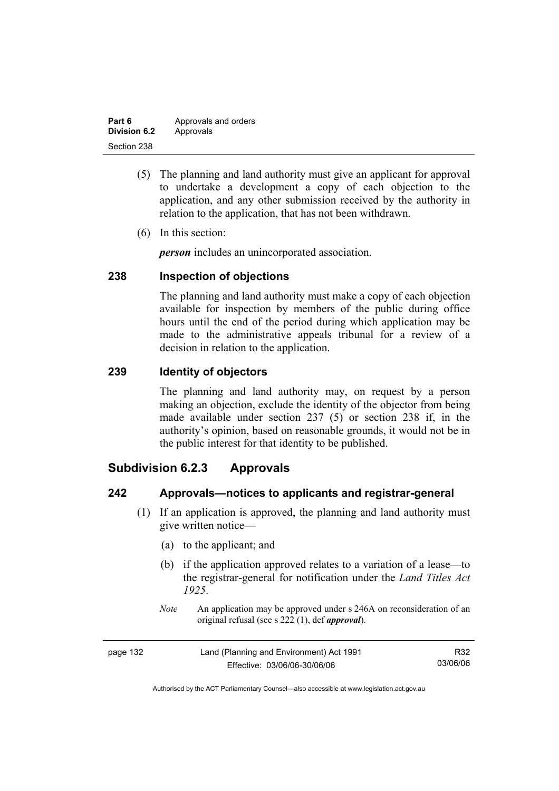| Part 6              | Approvals and orders |
|---------------------|----------------------|
| <b>Division 6.2</b> | Approvals            |
| Section 238         |                      |

- (5) The planning and land authority must give an applicant for approval to undertake a development a copy of each objection to the application, and any other submission received by the authority in relation to the application, that has not been withdrawn.
- (6) In this section:

*person* includes an unincorporated association.

## **238 Inspection of objections**

The planning and land authority must make a copy of each objection available for inspection by members of the public during office hours until the end of the period during which application may be made to the administrative appeals tribunal for a review of a decision in relation to the application.

### **239 Identity of objectors**

The planning and land authority may, on request by a person making an objection, exclude the identity of the objector from being made available under section 237 (5) or section 238 if, in the authority's opinion, based on reasonable grounds, it would not be in the public interest for that identity to be published.

# **Subdivision 6.2.3 Approvals**

### **242 Approvals—notices to applicants and registrar-general**

- (1) If an application is approved, the planning and land authority must give written notice—
	- (a) to the applicant; and
	- (b) if the application approved relates to a variation of a lease—to the registrar-general for notification under the *Land Titles Act 1925*.
	- *Note* An application may be approved under s 246A on reconsideration of an original refusal (see s 222 (1), def *approval*).

| page 132 | Land (Planning and Environment) Act 1991 | R32      |
|----------|------------------------------------------|----------|
|          | Effective: 03/06/06-30/06/06             | 03/06/06 |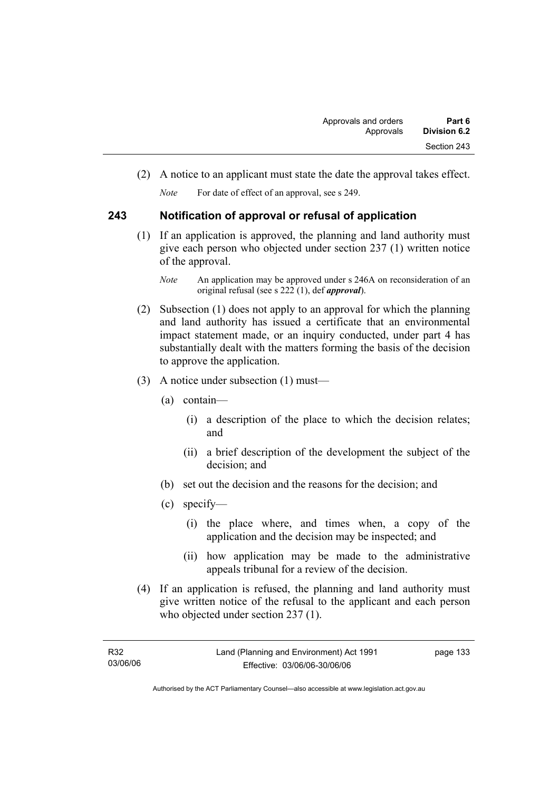(2) A notice to an applicant must state the date the approval takes effect.

*Note* For date of effect of an approval, see s 249.

## **243 Notification of approval or refusal of application**

 (1) If an application is approved, the planning and land authority must give each person who objected under section 237 (1) written notice of the approval.

- (2) Subsection (1) does not apply to an approval for which the planning and land authority has issued a certificate that an environmental impact statement made, or an inquiry conducted, under part 4 has substantially dealt with the matters forming the basis of the decision to approve the application.
- (3) A notice under subsection (1) must—
	- (a) contain—
		- (i) a description of the place to which the decision relates; and
		- (ii) a brief description of the development the subject of the decision; and
	- (b) set out the decision and the reasons for the decision; and
	- (c) specify—
		- (i) the place where, and times when, a copy of the application and the decision may be inspected; and
		- (ii) how application may be made to the administrative appeals tribunal for a review of the decision.
- (4) If an application is refused, the planning and land authority must give written notice of the refusal to the applicant and each person who objected under section 237 (1).

*Note* An application may be approved under s 246A on reconsideration of an original refusal (see s 222 (1), def *approval*).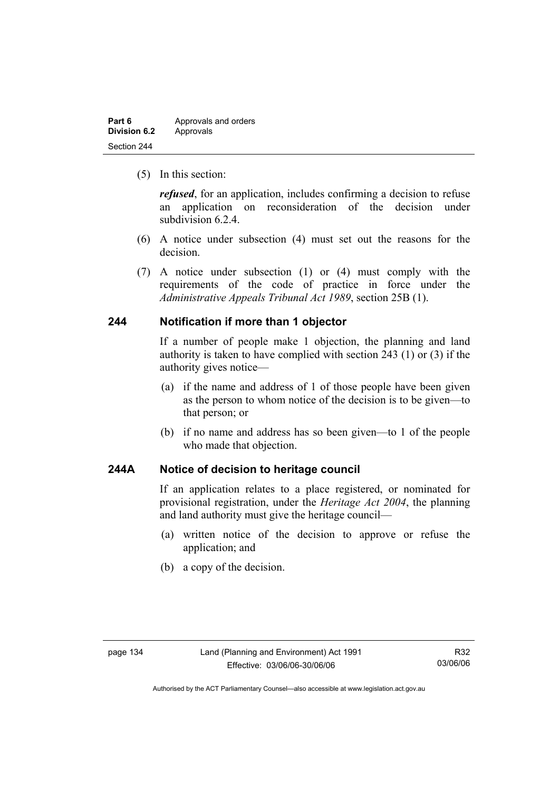| Part 6              | Approvals and orders |
|---------------------|----------------------|
| <b>Division 6.2</b> | Approvals            |
| Section 244         |                      |

(5) In this section:

*refused*, for an application, includes confirming a decision to refuse an application on reconsideration of the decision under subdivision 6.2.4.

- (6) A notice under subsection (4) must set out the reasons for the decision.
- (7) A notice under subsection (1) or (4) must comply with the requirements of the code of practice in force under the *Administrative Appeals Tribunal Act 1989*, section 25B (1).

### **244 Notification if more than 1 objector**

If a number of people make 1 objection, the planning and land authority is taken to have complied with section 243 (1) or (3) if the authority gives notice—

- (a) if the name and address of 1 of those people have been given as the person to whom notice of the decision is to be given—to that person; or
- (b) if no name and address has so been given—to 1 of the people who made that objection.

## **244A Notice of decision to heritage council**

If an application relates to a place registered, or nominated for provisional registration, under the *Heritage Act 2004*, the planning and land authority must give the heritage council—

- (a) written notice of the decision to approve or refuse the application; and
- (b) a copy of the decision.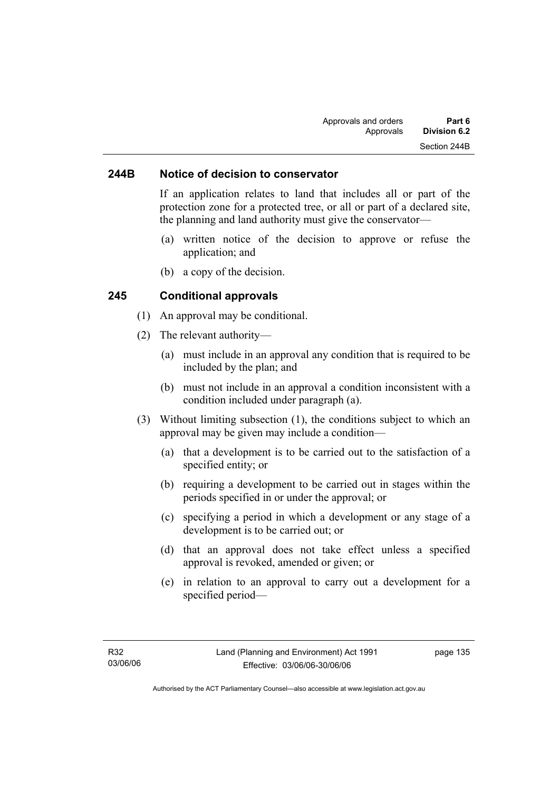### **244B Notice of decision to conservator**

If an application relates to land that includes all or part of the protection zone for a protected tree, or all or part of a declared site, the planning and land authority must give the conservator—

- (a) written notice of the decision to approve or refuse the application; and
- (b) a copy of the decision.

#### **245 Conditional approvals**

- (1) An approval may be conditional.
- (2) The relevant authority—
	- (a) must include in an approval any condition that is required to be included by the plan; and
	- (b) must not include in an approval a condition inconsistent with a condition included under paragraph (a).
- (3) Without limiting subsection (1), the conditions subject to which an approval may be given may include a condition—
	- (a) that a development is to be carried out to the satisfaction of a specified entity; or
	- (b) requiring a development to be carried out in stages within the periods specified in or under the approval; or
	- (c) specifying a period in which a development or any stage of a development is to be carried out; or
	- (d) that an approval does not take effect unless a specified approval is revoked, amended or given; or
	- (e) in relation to an approval to carry out a development for a specified period—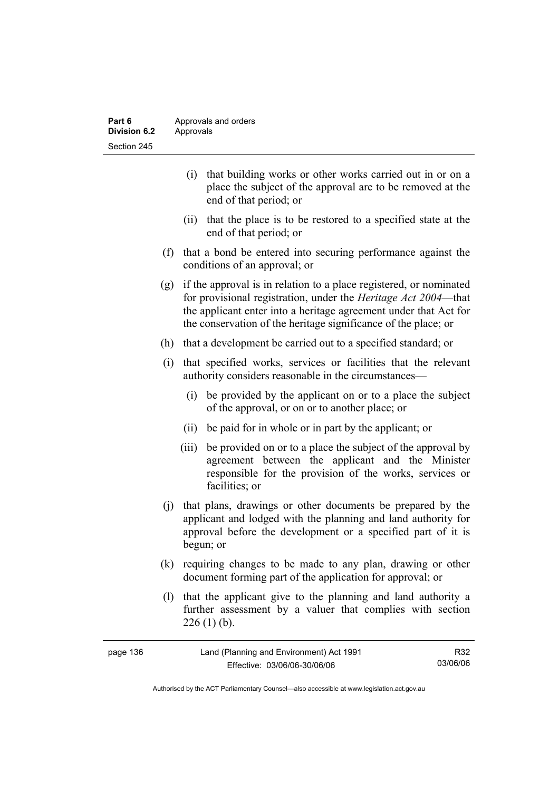| Part 6       | Approvals and orders |
|--------------|----------------------|
| Division 6.2 | Approvals            |
| Section 245  |                      |

- (i) that building works or other works carried out in or on a place the subject of the approval are to be removed at the end of that period; or
- (ii) that the place is to be restored to a specified state at the end of that period; or
- (f) that a bond be entered into securing performance against the conditions of an approval; or
- (g) if the approval is in relation to a place registered, or nominated for provisional registration, under the *Heritage Act 2004*—that the applicant enter into a heritage agreement under that Act for the conservation of the heritage significance of the place; or
- (h) that a development be carried out to a specified standard; or
- (i) that specified works, services or facilities that the relevant authority considers reasonable in the circumstances—
	- (i) be provided by the applicant on or to a place the subject of the approval, or on or to another place; or
	- (ii) be paid for in whole or in part by the applicant; or
	- (iii) be provided on or to a place the subject of the approval by agreement between the applicant and the Minister responsible for the provision of the works, services or facilities; or
- (j) that plans, drawings or other documents be prepared by the applicant and lodged with the planning and land authority for approval before the development or a specified part of it is begun; or
- (k) requiring changes to be made to any plan, drawing or other document forming part of the application for approval; or
- (l) that the applicant give to the planning and land authority a further assessment by a valuer that complies with section  $226(1)$  (b).

| page 136 | Land (Planning and Environment) Act 1991 | R32      |
|----------|------------------------------------------|----------|
|          | Effective: 03/06/06-30/06/06             | 03/06/06 |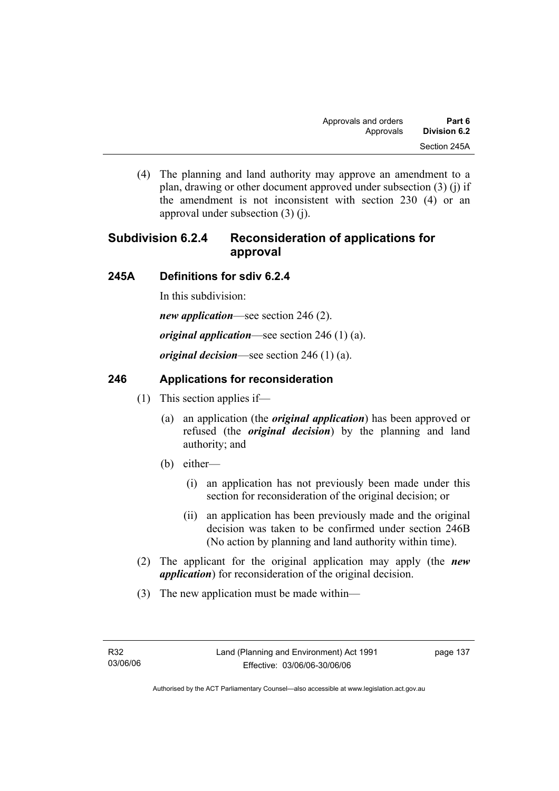(4) The planning and land authority may approve an amendment to a plan, drawing or other document approved under subsection (3) (j) if the amendment is not inconsistent with section 230 (4) or an approval under subsection (3) (j).

# **Subdivision 6.2.4 Reconsideration of applications for approval**

## **245A Definitions for sdiv 6.2.4**

In this subdivision:

*new application*—see section 246 (2).

*original application*—see section 246 (1) (a).

*original decision*—see section 246 (1) (a).

## **246 Applications for reconsideration**

- (1) This section applies if—
	- (a) an application (the *original application*) has been approved or refused (the *original decision*) by the planning and land authority; and
	- (b) either—
		- (i) an application has not previously been made under this section for reconsideration of the original decision; or
		- (ii) an application has been previously made and the original decision was taken to be confirmed under section 246B (No action by planning and land authority within time).
- (2) The applicant for the original application may apply (the *new application*) for reconsideration of the original decision.
- (3) The new application must be made within—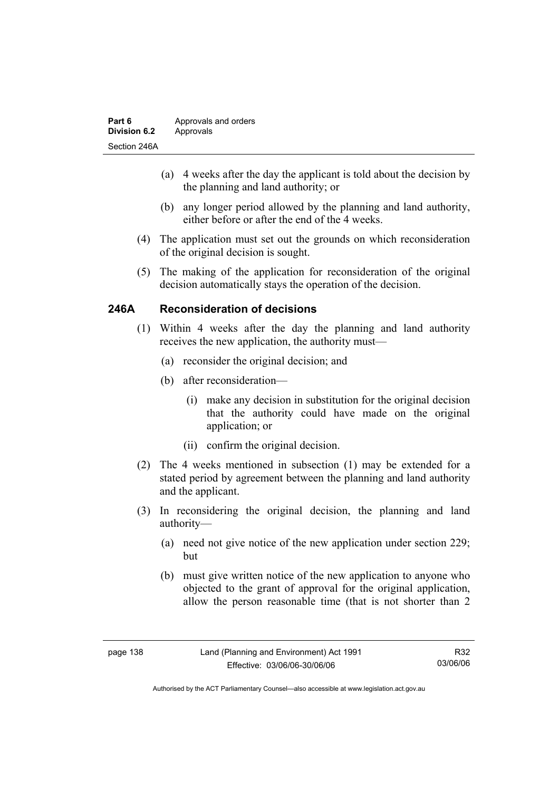| Part 6              | Approvals and orders |
|---------------------|----------------------|
| <b>Division 6.2</b> | Approvals            |
| Section 246A        |                      |

- (a) 4 weeks after the day the applicant is told about the decision by the planning and land authority; or
- (b) any longer period allowed by the planning and land authority, either before or after the end of the 4 weeks.
- (4) The application must set out the grounds on which reconsideration of the original decision is sought.
- (5) The making of the application for reconsideration of the original decision automatically stays the operation of the decision.

## **246A Reconsideration of decisions**

- (1) Within 4 weeks after the day the planning and land authority receives the new application, the authority must—
	- (a) reconsider the original decision; and
	- (b) after reconsideration—
		- (i) make any decision in substitution for the original decision that the authority could have made on the original application; or
		- (ii) confirm the original decision.
- (2) The 4 weeks mentioned in subsection (1) may be extended for a stated period by agreement between the planning and land authority and the applicant.
- (3) In reconsidering the original decision, the planning and land authority—
	- (a) need not give notice of the new application under section 229; but
	- (b) must give written notice of the new application to anyone who objected to the grant of approval for the original application, allow the person reasonable time (that is not shorter than 2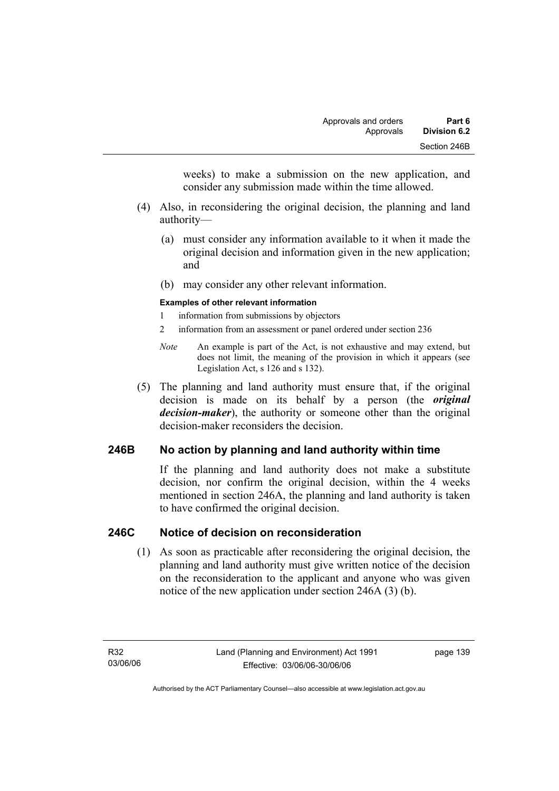weeks) to make a submission on the new application, and consider any submission made within the time allowed.

- (4) Also, in reconsidering the original decision, the planning and land authority—
	- (a) must consider any information available to it when it made the original decision and information given in the new application; and
	- (b) may consider any other relevant information.

#### **Examples of other relevant information**

- 1 information from submissions by objectors
- 2 information from an assessment or panel ordered under section 236
- *Note* An example is part of the Act, is not exhaustive and may extend, but does not limit, the meaning of the provision in which it appears (see Legislation Act, s 126 and s 132).
- (5) The planning and land authority must ensure that, if the original decision is made on its behalf by a person (the *original decision-maker*), the authority or someone other than the original decision-maker reconsiders the decision.

## **246B No action by planning and land authority within time**

If the planning and land authority does not make a substitute decision, nor confirm the original decision, within the 4 weeks mentioned in section 246A, the planning and land authority is taken to have confirmed the original decision.

### **246C Notice of decision on reconsideration**

 (1) As soon as practicable after reconsidering the original decision, the planning and land authority must give written notice of the decision on the reconsideration to the applicant and anyone who was given notice of the new application under section 246A (3) (b).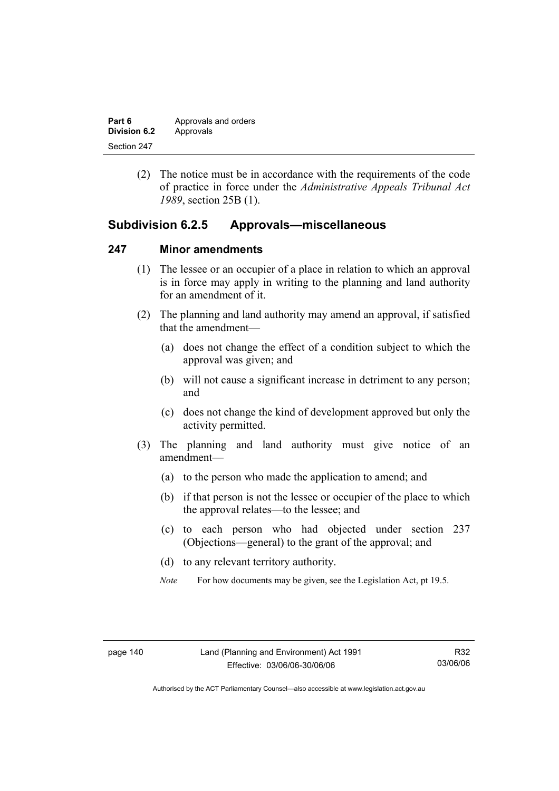| Part 6       | Approvals and orders |
|--------------|----------------------|
| Division 6.2 | Approvals            |
| Section 247  |                      |

 (2) The notice must be in accordance with the requirements of the code of practice in force under the *Administrative Appeals Tribunal Act 1989*, section 25B (1).

## **Subdivision 6.2.5 Approvals—miscellaneous**

#### **247 Minor amendments**

- (1) The lessee or an occupier of a place in relation to which an approval is in force may apply in writing to the planning and land authority for an amendment of it.
- (2) The planning and land authority may amend an approval, if satisfied that the amendment—
	- (a) does not change the effect of a condition subject to which the approval was given; and
	- (b) will not cause a significant increase in detriment to any person; and
	- (c) does not change the kind of development approved but only the activity permitted.
- (3) The planning and land authority must give notice of an amendment—
	- (a) to the person who made the application to amend; and
	- (b) if that person is not the lessee or occupier of the place to which the approval relates—to the lessee; and
	- (c) to each person who had objected under section 237 (Objections—general) to the grant of the approval; and
	- (d) to any relevant territory authority.
	- *Note* For how documents may be given, see the Legislation Act, pt 19.5.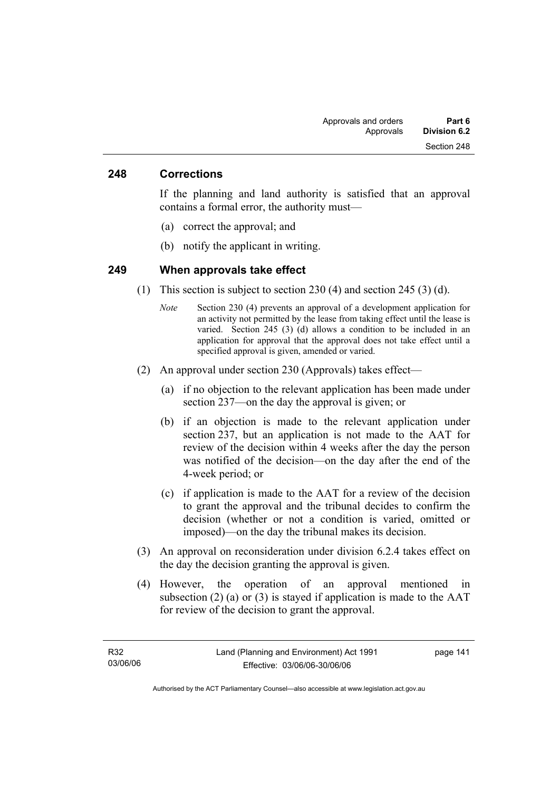#### **248 Corrections**

If the planning and land authority is satisfied that an approval contains a formal error, the authority must—

- (a) correct the approval; and
- (b) notify the applicant in writing.

#### **249 When approvals take effect**

- (1) This section is subject to section 230 (4) and section 245 (3) (d).
	- *Note* Section 230 (4) prevents an approval of a development application for an activity not permitted by the lease from taking effect until the lease is varied. Section 245 (3) (d) allows a condition to be included in an application for approval that the approval does not take effect until a specified approval is given, amended or varied.
- (2) An approval under section 230 (Approvals) takes effect—
	- (a) if no objection to the relevant application has been made under section 237—on the day the approval is given; or
	- (b) if an objection is made to the relevant application under section 237, but an application is not made to the AAT for review of the decision within 4 weeks after the day the person was notified of the decision—on the day after the end of the 4-week period; or
	- (c) if application is made to the AAT for a review of the decision to grant the approval and the tribunal decides to confirm the decision (whether or not a condition is varied, omitted or imposed)—on the day the tribunal makes its decision.
- (3) An approval on reconsideration under division 6.2.4 takes effect on the day the decision granting the approval is given.
- (4) However, the operation of an approval mentioned in subsection  $(2)$  (a) or  $(3)$  is stayed if application is made to the AAT for review of the decision to grant the approval.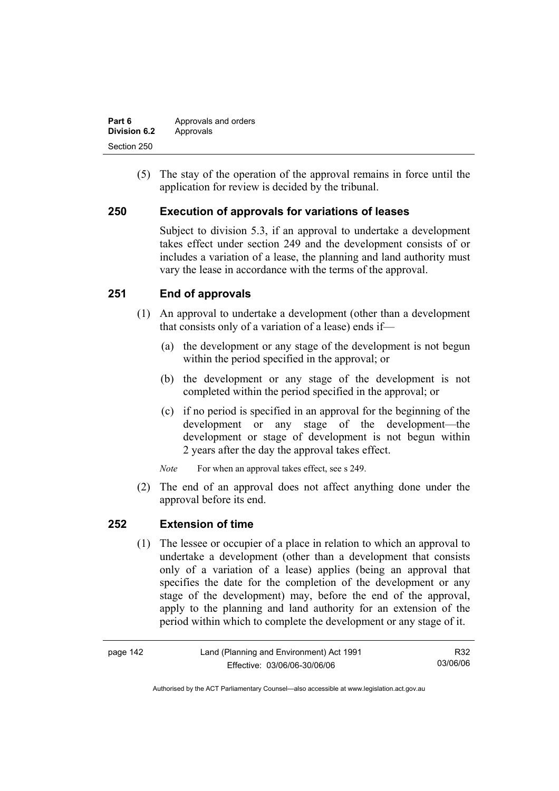| Part 6       | Approvals and orders |
|--------------|----------------------|
| Division 6.2 | Approvals            |
| Section 250  |                      |

 (5) The stay of the operation of the approval remains in force until the application for review is decided by the tribunal.

## **250 Execution of approvals for variations of leases**

Subject to division 5.3, if an approval to undertake a development takes effect under section 249 and the development consists of or includes a variation of a lease, the planning and land authority must vary the lease in accordance with the terms of the approval.

## **251 End of approvals**

- (1) An approval to undertake a development (other than a development that consists only of a variation of a lease) ends if—
	- (a) the development or any stage of the development is not begun within the period specified in the approval; or
	- (b) the development or any stage of the development is not completed within the period specified in the approval; or
	- (c) if no period is specified in an approval for the beginning of the development or any stage of the development—the development or stage of development is not begun within 2 years after the day the approval takes effect.

*Note* For when an approval takes effect, see s 249.

 (2) The end of an approval does not affect anything done under the approval before its end.

### **252 Extension of time**

 (1) The lessee or occupier of a place in relation to which an approval to undertake a development (other than a development that consists only of a variation of a lease) applies (being an approval that specifies the date for the completion of the development or any stage of the development) may, before the end of the approval, apply to the planning and land authority for an extension of the period within which to complete the development or any stage of it.

| page 142 | Land (Planning and Environment) Act 1991 | R32      |
|----------|------------------------------------------|----------|
|          | Effective: 03/06/06-30/06/06             | 03/06/06 |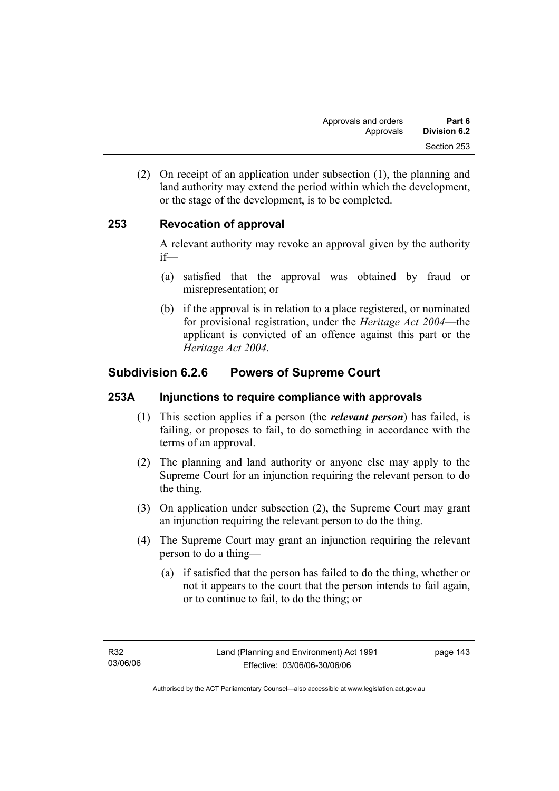(2) On receipt of an application under subsection (1), the planning and land authority may extend the period within which the development, or the stage of the development, is to be completed.

## **253 Revocation of approval**

A relevant authority may revoke an approval given by the authority if—

- (a) satisfied that the approval was obtained by fraud or misrepresentation; or
- (b) if the approval is in relation to a place registered, or nominated for provisional registration, under the *Heritage Act 2004*—the applicant is convicted of an offence against this part or the *Heritage Act 2004*.

# **Subdivision 6.2.6 Powers of Supreme Court**

## **253A Injunctions to require compliance with approvals**

- (1) This section applies if a person (the *relevant person*) has failed, is failing, or proposes to fail, to do something in accordance with the terms of an approval.
- (2) The planning and land authority or anyone else may apply to the Supreme Court for an injunction requiring the relevant person to do the thing.
- (3) On application under subsection (2), the Supreme Court may grant an injunction requiring the relevant person to do the thing.
- (4) The Supreme Court may grant an injunction requiring the relevant person to do a thing—
	- (a) if satisfied that the person has failed to do the thing, whether or not it appears to the court that the person intends to fail again, or to continue to fail, to do the thing; or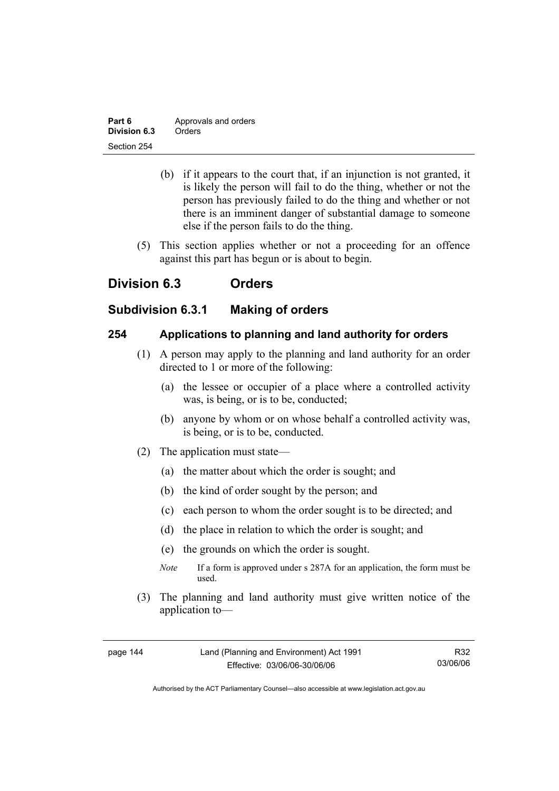| Part 6       | Approvals and orders |
|--------------|----------------------|
| Division 6.3 | Orders               |
| Section 254  |                      |

- (b) if it appears to the court that, if an injunction is not granted, it is likely the person will fail to do the thing, whether or not the person has previously failed to do the thing and whether or not there is an imminent danger of substantial damage to someone else if the person fails to do the thing.
- (5) This section applies whether or not a proceeding for an offence against this part has begun or is about to begin.

# **Division 6.3 Orders**

## **Subdivision 6.3.1 Making of orders**

## **254 Applications to planning and land authority for orders**

- (1) A person may apply to the planning and land authority for an order directed to 1 or more of the following:
	- (a) the lessee or occupier of a place where a controlled activity was, is being, or is to be, conducted;
	- (b) anyone by whom or on whose behalf a controlled activity was, is being, or is to be, conducted.
- (2) The application must state—
	- (a) the matter about which the order is sought; and
	- (b) the kind of order sought by the person; and
	- (c) each person to whom the order sought is to be directed; and
	- (d) the place in relation to which the order is sought; and
	- (e) the grounds on which the order is sought.
	- *Note* If a form is approved under s 287A for an application, the form must be used.
- (3) The planning and land authority must give written notice of the application to—

R32 03/06/06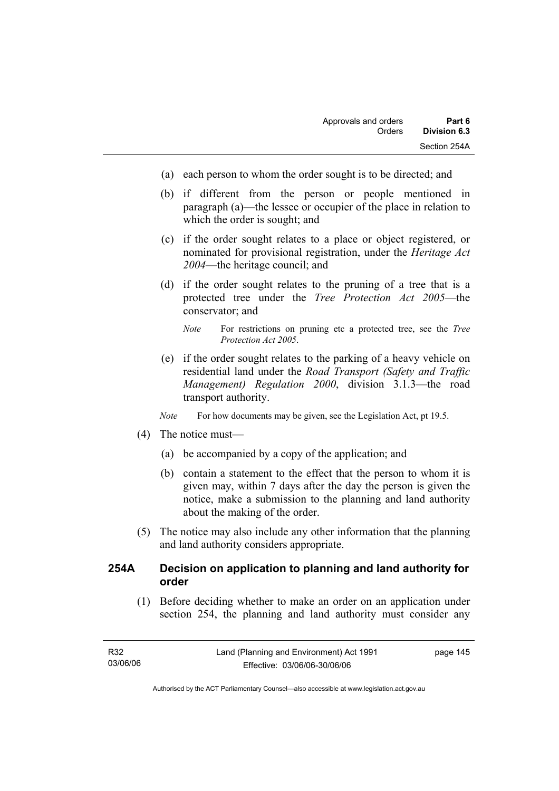- (a) each person to whom the order sought is to be directed; and
- (b) if different from the person or people mentioned in paragraph (a)—the lessee or occupier of the place in relation to which the order is sought; and
- (c) if the order sought relates to a place or object registered, or nominated for provisional registration, under the *Heritage Act 2004*—the heritage council; and
- (d) if the order sought relates to the pruning of a tree that is a protected tree under the *Tree Protection Act 2005*—the conservator; and
	- *Note* For restrictions on pruning etc a protected tree, see the *Tree Protection Act 2005*.
- (e) if the order sought relates to the parking of a heavy vehicle on residential land under the *Road Transport (Safety and Traffic Management) Regulation 2000*, division 3.1.3—the road transport authority.
- *Note* For how documents may be given, see the Legislation Act, pt 19.5.
- (4) The notice must—
	- (a) be accompanied by a copy of the application; and
	- (b) contain a statement to the effect that the person to whom it is given may, within 7 days after the day the person is given the notice, make a submission to the planning and land authority about the making of the order.
- (5) The notice may also include any other information that the planning and land authority considers appropriate.

## **254A Decision on application to planning and land authority for order**

 (1) Before deciding whether to make an order on an application under section 254, the planning and land authority must consider any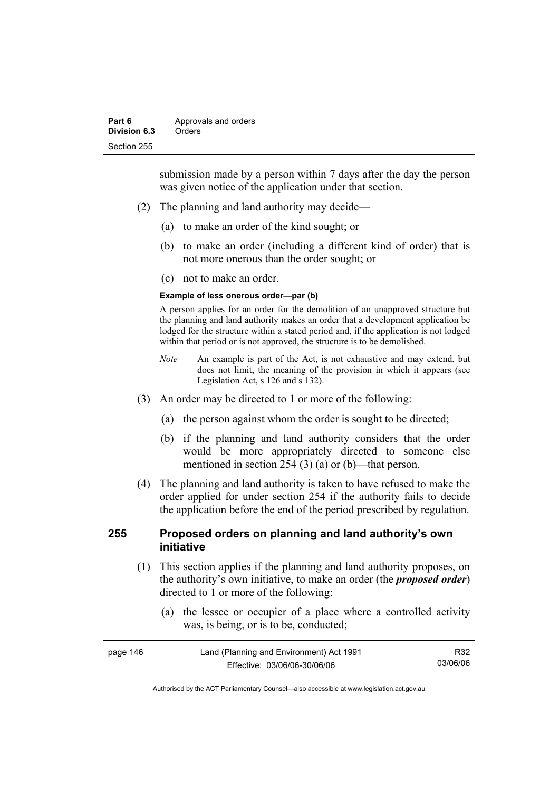submission made by a person within 7 days after the day the person was given notice of the application under that section.

- (2) The planning and land authority may decide—
	- (a) to make an order of the kind sought; or
	- (b) to make an order (including a different kind of order) that is not more onerous than the order sought; or
	- (c) not to make an order.

#### **Example of less onerous order—par (b)**

A person applies for an order for the demolition of an unapproved structure but the planning and land authority makes an order that a development application be lodged for the structure within a stated period and, if the application is not lodged within that period or is not approved, the structure is to be demolished.

- *Note* An example is part of the Act, is not exhaustive and may extend, but does not limit, the meaning of the provision in which it appears (see Legislation Act, s 126 and s 132).
- (3) An order may be directed to 1 or more of the following:
	- (a) the person against whom the order is sought to be directed;
	- (b) if the planning and land authority considers that the order would be more appropriately directed to someone else mentioned in section 254 (3) (a) or (b)—that person.
- (4) The planning and land authority is taken to have refused to make the order applied for under section 254 if the authority fails to decide the application before the end of the period prescribed by regulation.

## **255 Proposed orders on planning and land authority's own initiative**

- (1) This section applies if the planning and land authority proposes, on the authority's own initiative, to make an order (the *proposed order*) directed to 1 or more of the following:
	- (a) the lessee or occupier of a place where a controlled activity was, is being, or is to be, conducted;

| page 146 | Land (Planning and Environment) Act 1991 | R32      |
|----------|------------------------------------------|----------|
|          | Effective: 03/06/06-30/06/06             | 03/06/06 |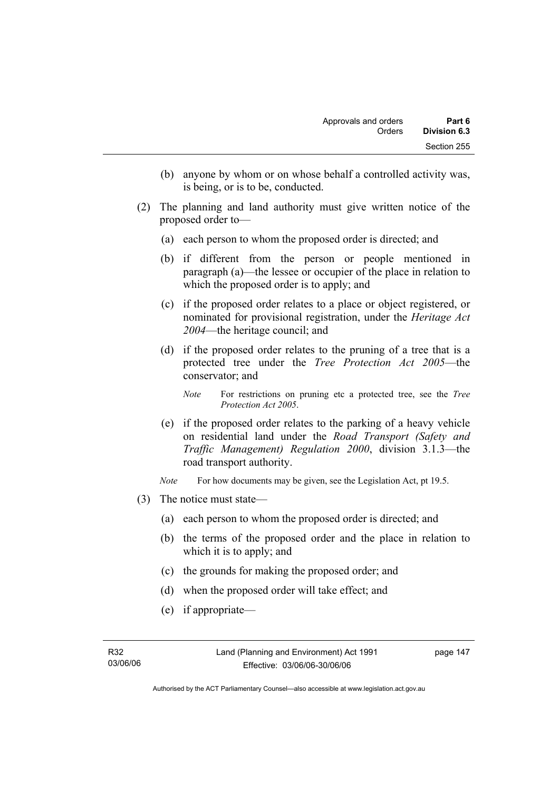- (b) anyone by whom or on whose behalf a controlled activity was, is being, or is to be, conducted.
- (2) The planning and land authority must give written notice of the proposed order to—
	- (a) each person to whom the proposed order is directed; and
	- (b) if different from the person or people mentioned in paragraph (a)—the lessee or occupier of the place in relation to which the proposed order is to apply; and
	- (c) if the proposed order relates to a place or object registered, or nominated for provisional registration, under the *Heritage Act 2004*—the heritage council; and
	- (d) if the proposed order relates to the pruning of a tree that is a protected tree under the *Tree Protection Act 2005*—the conservator; and
		- *Note* For restrictions on pruning etc a protected tree, see the *Tree Protection Act 2005*.
	- (e) if the proposed order relates to the parking of a heavy vehicle on residential land under the *Road Transport (Safety and Traffic Management) Regulation 2000*, division 3.1.3—the road transport authority.
	- *Note* For how documents may be given, see the Legislation Act, pt 19.5.
- (3) The notice must state—
	- (a) each person to whom the proposed order is directed; and
	- (b) the terms of the proposed order and the place in relation to which it is to apply; and
	- (c) the grounds for making the proposed order; and
	- (d) when the proposed order will take effect; and
	- (e) if appropriate—

Authorised by the ACT Parliamentary Counsel—also accessible at www.legislation.act.gov.au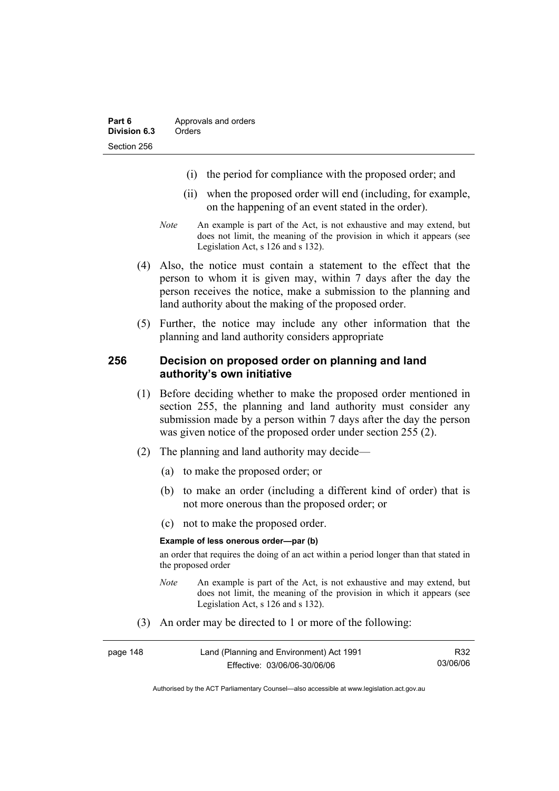- (i) the period for compliance with the proposed order; and
- (ii) when the proposed order will end (including, for example, on the happening of an event stated in the order).
- *Note* An example is part of the Act, is not exhaustive and may extend, but does not limit, the meaning of the provision in which it appears (see Legislation Act, s 126 and s 132).
- (4) Also, the notice must contain a statement to the effect that the person to whom it is given may, within 7 days after the day the person receives the notice, make a submission to the planning and land authority about the making of the proposed order.
- (5) Further, the notice may include any other information that the planning and land authority considers appropriate

#### **256 Decision on proposed order on planning and land authority's own initiative**

- (1) Before deciding whether to make the proposed order mentioned in section 255, the planning and land authority must consider any submission made by a person within 7 days after the day the person was given notice of the proposed order under section 255 (2).
- (2) The planning and land authority may decide—
	- (a) to make the proposed order; or
	- (b) to make an order (including a different kind of order) that is not more onerous than the proposed order; or
	- (c) not to make the proposed order.

#### **Example of less onerous order—par (b)**

an order that requires the doing of an act within a period longer than that stated in the proposed order

- *Note* An example is part of the Act, is not exhaustive and may extend, but does not limit, the meaning of the provision in which it appears (see Legislation Act, s 126 and s 132).
- (3) An order may be directed to 1 or more of the following:

| page 148 | Land (Planning and Environment) Act 1991 | R32      |
|----------|------------------------------------------|----------|
|          | Effective: 03/06/06-30/06/06             | 03/06/06 |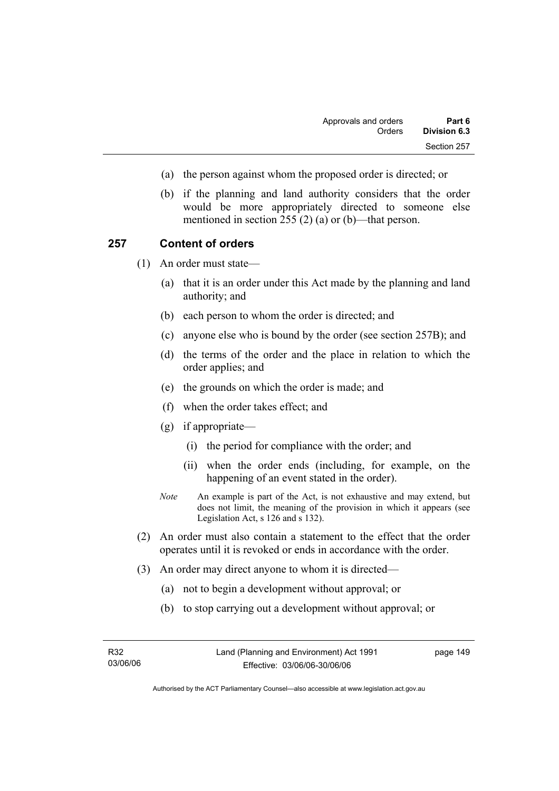- (a) the person against whom the proposed order is directed; or
- (b) if the planning and land authority considers that the order would be more appropriately directed to someone else mentioned in section 255 (2) (a) or (b)—that person.

#### **257 Content of orders**

(1) An order must state—

- (a) that it is an order under this Act made by the planning and land authority; and
- (b) each person to whom the order is directed; and
- (c) anyone else who is bound by the order (see section 257B); and
- (d) the terms of the order and the place in relation to which the order applies; and
- (e) the grounds on which the order is made; and
- (f) when the order takes effect; and
- (g) if appropriate—
	- (i) the period for compliance with the order; and
	- (ii) when the order ends (including, for example, on the happening of an event stated in the order).
- *Note* An example is part of the Act, is not exhaustive and may extend, but does not limit, the meaning of the provision in which it appears (see Legislation Act, s 126 and s 132).
- (2) An order must also contain a statement to the effect that the order operates until it is revoked or ends in accordance with the order.
- (3) An order may direct anyone to whom it is directed—
	- (a) not to begin a development without approval; or
	- (b) to stop carrying out a development without approval; or

| R32      |  |
|----------|--|
| 03/06/06 |  |

Authorised by the ACT Parliamentary Counsel—also accessible at www.legislation.act.gov.au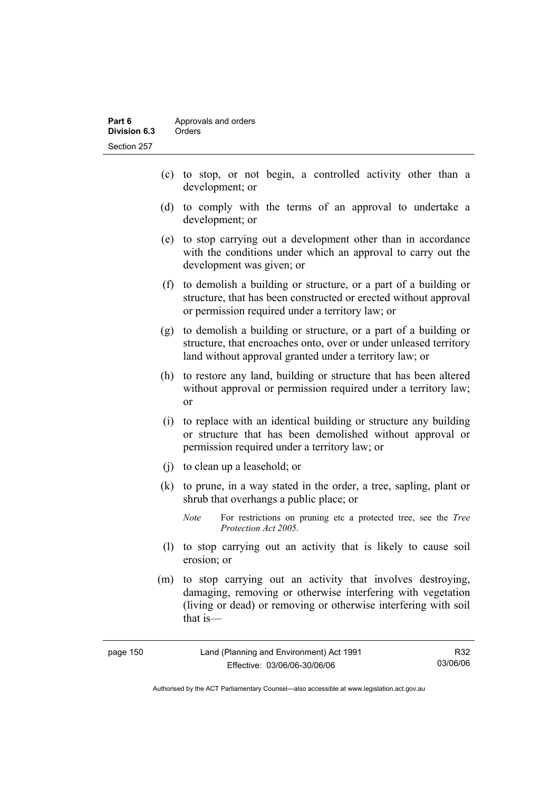- (c) to stop, or not begin, a controlled activity other than a development; or
- (d) to comply with the terms of an approval to undertake a development; or
- (e) to stop carrying out a development other than in accordance with the conditions under which an approval to carry out the development was given; or
- (f) to demolish a building or structure, or a part of a building or structure, that has been constructed or erected without approval or permission required under a territory law; or
- (g) to demolish a building or structure, or a part of a building or structure, that encroaches onto, over or under unleased territory land without approval granted under a territory law; or
- (h) to restore any land, building or structure that has been altered without approval or permission required under a territory law; or
- (i) to replace with an identical building or structure any building or structure that has been demolished without approval or permission required under a territory law; or
- (j) to clean up a leasehold; or
- (k) to prune, in a way stated in the order, a tree, sapling, plant or shrub that overhangs a public place; or
	- *Note* For restrictions on pruning etc a protected tree, see the *Tree Protection Act 2005*.
- (l) to stop carrying out an activity that is likely to cause soil erosion; or
- (m) to stop carrying out an activity that involves destroying, damaging, removing or otherwise interfering with vegetation (living or dead) or removing or otherwise interfering with soil that is—

| page 150 | Land (Planning and Environment) Act 1991 | R32      |
|----------|------------------------------------------|----------|
|          | Effective: 03/06/06-30/06/06             | 03/06/06 |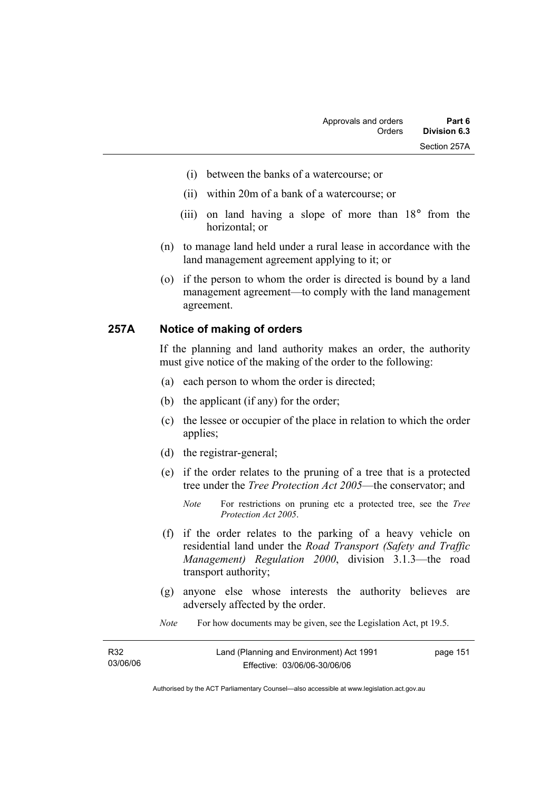- (i) between the banks of a watercourse; or
- (ii) within 20m of a bank of a watercourse; or
- (iii) on land having a slope of more than 18° from the horizontal; or
- (n) to manage land held under a rural lease in accordance with the land management agreement applying to it; or
- (o) if the person to whom the order is directed is bound by a land management agreement—to comply with the land management agreement.

#### **257A Notice of making of orders**

If the planning and land authority makes an order, the authority must give notice of the making of the order to the following:

- (a) each person to whom the order is directed;
- (b) the applicant (if any) for the order;
- (c) the lessee or occupier of the place in relation to which the order applies;
- (d) the registrar-general;
- (e) if the order relates to the pruning of a tree that is a protected tree under the *Tree Protection Act 2005*—the conservator; and
	- *Note* For restrictions on pruning etc a protected tree, see the *Tree Protection Act 2005*.
- (f) if the order relates to the parking of a heavy vehicle on residential land under the *Road Transport (Safety and Traffic Management) Regulation 2000*, division 3.1.3—the road transport authority;
- (g) anyone else whose interests the authority believes are adversely affected by the order.
- *Note* For how documents may be given, see the Legislation Act, pt 19.5.

| R32      | Land (Planning and Environment) Act 1991 | page 151 |
|----------|------------------------------------------|----------|
| 03/06/06 | Effective: 03/06/06-30/06/06             |          |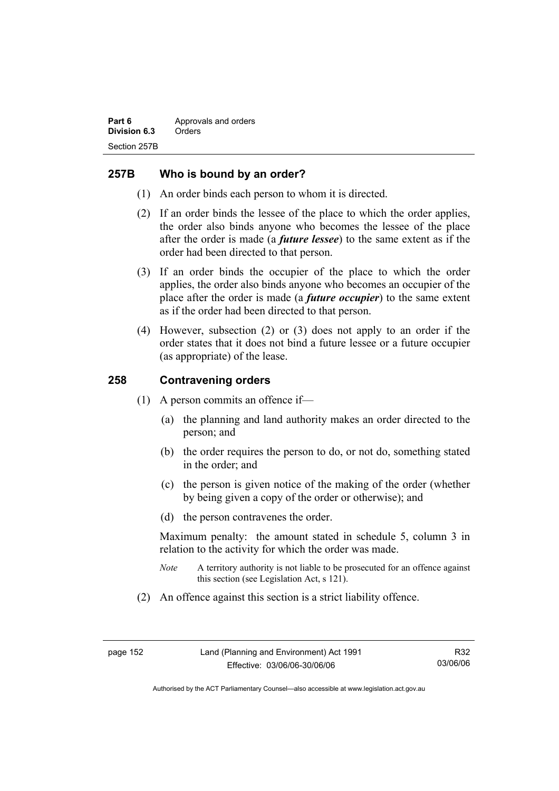## **257B Who is bound by an order?**

- (1) An order binds each person to whom it is directed.
- (2) If an order binds the lessee of the place to which the order applies, the order also binds anyone who becomes the lessee of the place after the order is made (a *future lessee*) to the same extent as if the order had been directed to that person.
- (3) If an order binds the occupier of the place to which the order applies, the order also binds anyone who becomes an occupier of the place after the order is made (a *future occupier*) to the same extent as if the order had been directed to that person.
- (4) However, subsection (2) or (3) does not apply to an order if the order states that it does not bind a future lessee or a future occupier (as appropriate) of the lease.

### **258 Contravening orders**

- (1) A person commits an offence if—
	- (a) the planning and land authority makes an order directed to the person; and
	- (b) the order requires the person to do, or not do, something stated in the order; and
	- (c) the person is given notice of the making of the order (whether by being given a copy of the order or otherwise); and
	- (d) the person contravenes the order.

Maximum penalty: the amount stated in schedule 5, column 3 in relation to the activity for which the order was made.

- *Note* A territory authority is not liable to be prosecuted for an offence against this section (see Legislation Act, s 121).
- (2) An offence against this section is a strict liability offence.

R32 03/06/06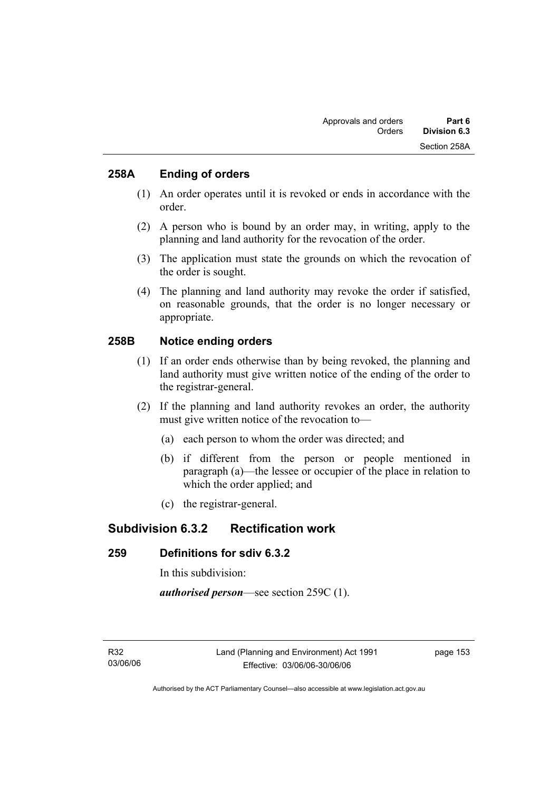## **258A Ending of orders**

- (1) An order operates until it is revoked or ends in accordance with the order.
- (2) A person who is bound by an order may, in writing, apply to the planning and land authority for the revocation of the order.
- (3) The application must state the grounds on which the revocation of the order is sought.
- (4) The planning and land authority may revoke the order if satisfied, on reasonable grounds, that the order is no longer necessary or appropriate.

## **258B Notice ending orders**

- (1) If an order ends otherwise than by being revoked, the planning and land authority must give written notice of the ending of the order to the registrar-general.
- (2) If the planning and land authority revokes an order, the authority must give written notice of the revocation to—
	- (a) each person to whom the order was directed; and
	- (b) if different from the person or people mentioned in paragraph (a)—the lessee or occupier of the place in relation to which the order applied; and
	- (c) the registrar-general.

## **Subdivision 6.3.2 Rectification work**

## **259 Definitions for sdiv 6.3.2**

In this subdivision:

*authorised person*—see section 259C (1).

page 153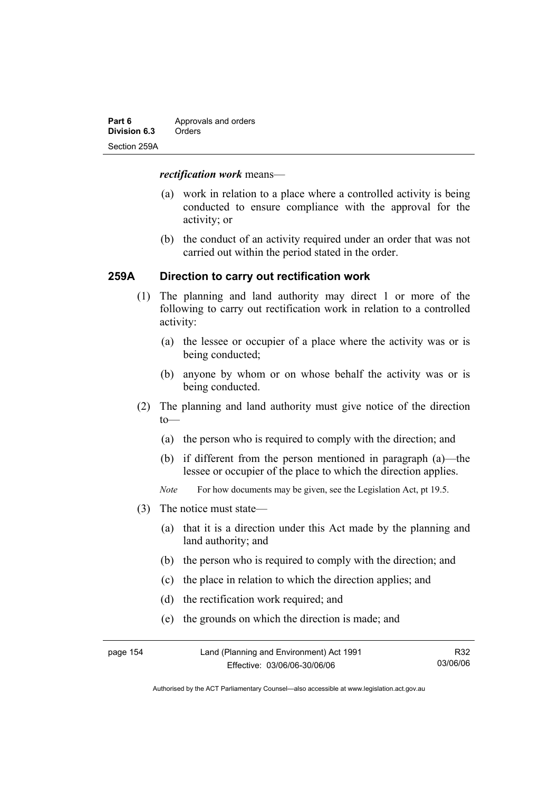| Part 6       | Approvals and orders |
|--------------|----------------------|
| Division 6.3 | Orders               |
| Section 259A |                      |

#### *rectification work* means—

- (a) work in relation to a place where a controlled activity is being conducted to ensure compliance with the approval for the activity; or
- (b) the conduct of an activity required under an order that was not carried out within the period stated in the order.

## **259A Direction to carry out rectification work**

- (1) The planning and land authority may direct 1 or more of the following to carry out rectification work in relation to a controlled activity:
	- (a) the lessee or occupier of a place where the activity was or is being conducted;
	- (b) anyone by whom or on whose behalf the activity was or is being conducted.
- (2) The planning and land authority must give notice of the direction  $to$ —
	- (a) the person who is required to comply with the direction; and
	- (b) if different from the person mentioned in paragraph (a)—the lessee or occupier of the place to which the direction applies.
	- *Note* For how documents may be given, see the Legislation Act, pt 19.5.
- (3) The notice must state—
	- (a) that it is a direction under this Act made by the planning and land authority; and
	- (b) the person who is required to comply with the direction; and
	- (c) the place in relation to which the direction applies; and
	- (d) the rectification work required; and
	- (e) the grounds on which the direction is made; and

| page 154 | Land (Planning and Environment) Act 1991 | R32      |
|----------|------------------------------------------|----------|
|          | Effective: 03/06/06-30/06/06             | 03/06/06 |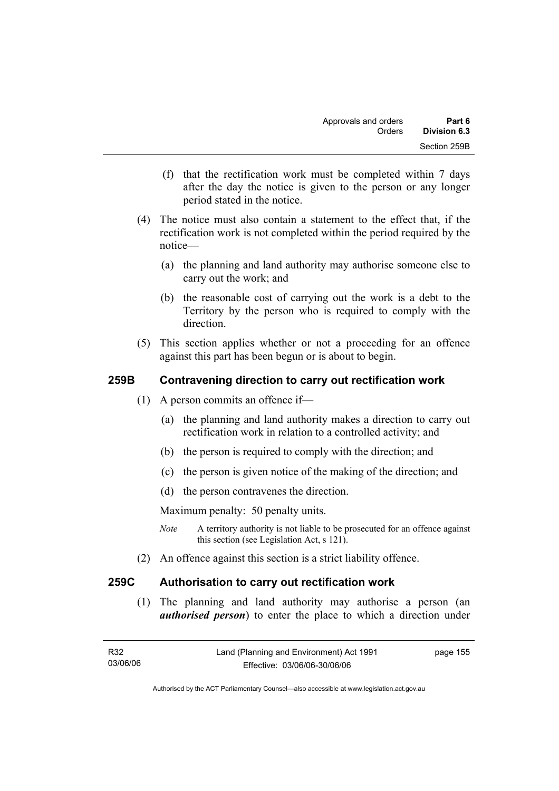- (f) that the rectification work must be completed within 7 days after the day the notice is given to the person or any longer period stated in the notice.
- (4) The notice must also contain a statement to the effect that, if the rectification work is not completed within the period required by the notice—
	- (a) the planning and land authority may authorise someone else to carry out the work; and
	- (b) the reasonable cost of carrying out the work is a debt to the Territory by the person who is required to comply with the direction.
- (5) This section applies whether or not a proceeding for an offence against this part has been begun or is about to begin.

## **259B Contravening direction to carry out rectification work**

- (1) A person commits an offence if—
	- (a) the planning and land authority makes a direction to carry out rectification work in relation to a controlled activity; and
	- (b) the person is required to comply with the direction; and
	- (c) the person is given notice of the making of the direction; and
	- (d) the person contravenes the direction.

Maximum penalty: 50 penalty units.

- *Note* A territory authority is not liable to be prosecuted for an offence against this section (see Legislation Act, s 121).
- (2) An offence against this section is a strict liability offence.

## **259C Authorisation to carry out rectification work**

 (1) The planning and land authority may authorise a person (an *authorised person*) to enter the place to which a direction under

page 155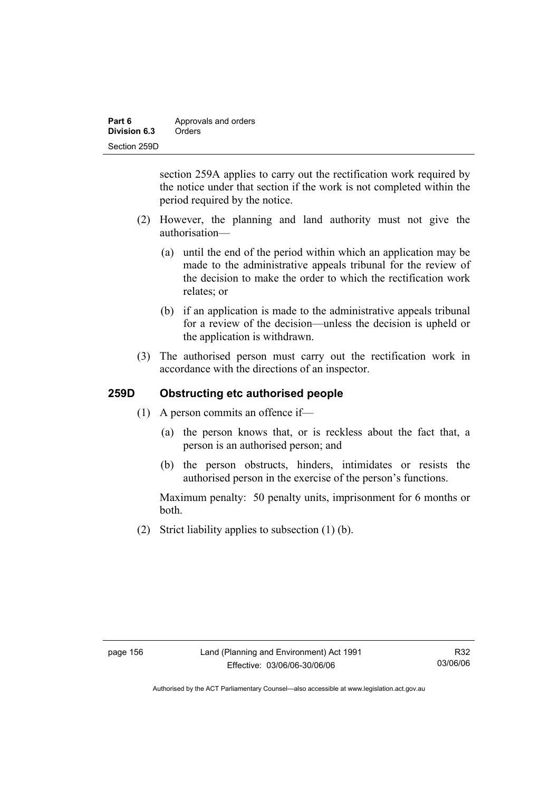| Part 6       | Approvals and orders |
|--------------|----------------------|
| Division 6.3 | Orders               |
| Section 259D |                      |

section 259A applies to carry out the rectification work required by the notice under that section if the work is not completed within the period required by the notice.

- (2) However, the planning and land authority must not give the authorisation—
	- (a) until the end of the period within which an application may be made to the administrative appeals tribunal for the review of the decision to make the order to which the rectification work relates; or
	- (b) if an application is made to the administrative appeals tribunal for a review of the decision—unless the decision is upheld or the application is withdrawn.
- (3) The authorised person must carry out the rectification work in accordance with the directions of an inspector.

## **259D Obstructing etc authorised people**

- (1) A person commits an offence if—
	- (a) the person knows that, or is reckless about the fact that, a person is an authorised person; and
	- (b) the person obstructs, hinders, intimidates or resists the authorised person in the exercise of the person's functions.

Maximum penalty: 50 penalty units, imprisonment for 6 months or both.

(2) Strict liability applies to subsection (1) (b).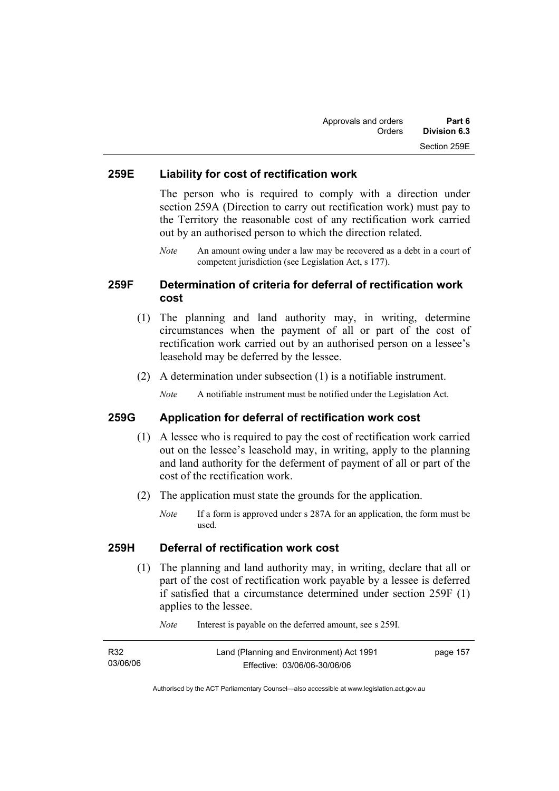### **259E Liability for cost of rectification work**

The person who is required to comply with a direction under section 259A (Direction to carry out rectification work) must pay to the Territory the reasonable cost of any rectification work carried out by an authorised person to which the direction related.

*Note* An amount owing under a law may be recovered as a debt in a court of competent jurisdiction (see Legislation Act, s 177).

## **259F Determination of criteria for deferral of rectification work cost**

- (1) The planning and land authority may, in writing, determine circumstances when the payment of all or part of the cost of rectification work carried out by an authorised person on a lessee's leasehold may be deferred by the lessee.
- (2) A determination under subsection (1) is a notifiable instrument.

*Note* A notifiable instrument must be notified under the Legislation Act.

#### **259G Application for deferral of rectification work cost**

- (1) A lessee who is required to pay the cost of rectification work carried out on the lessee's leasehold may, in writing, apply to the planning and land authority for the deferment of payment of all or part of the cost of the rectification work.
- (2) The application must state the grounds for the application.
	- *Note* If a form is approved under s 287A for an application, the form must be used.

#### **259H Deferral of rectification work cost**

 (1) The planning and land authority may, in writing, declare that all or part of the cost of rectification work payable by a lessee is deferred if satisfied that a circumstance determined under section 259F (1) applies to the lessee.

| R32      | Land (Planning and Environment) Act 1991 | page 157 |
|----------|------------------------------------------|----------|
| 03/06/06 | Effective: 03/06/06-30/06/06             |          |

*Note* Interest is payable on the deferred amount, see s 259I.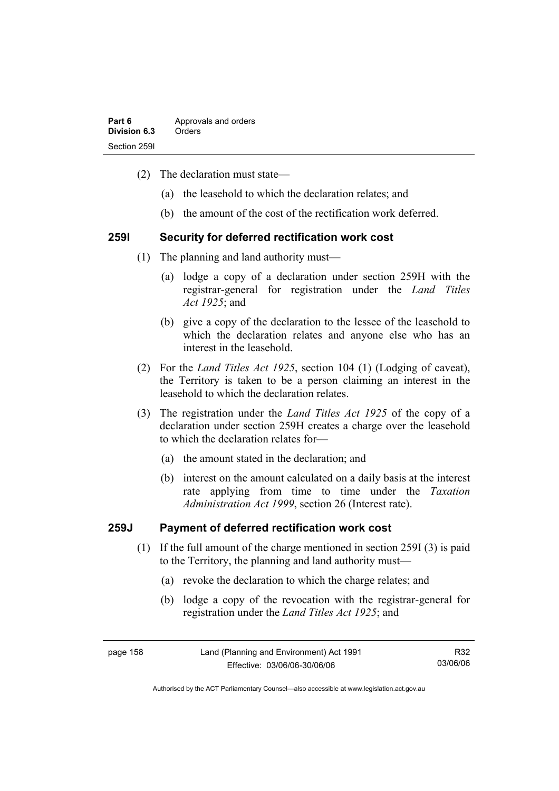| Part 6       | Approvals and orders |
|--------------|----------------------|
| Division 6.3 | Orders               |
| Section 2591 |                      |

- (2) The declaration must state—
	- (a) the leasehold to which the declaration relates; and
	- (b) the amount of the cost of the rectification work deferred.

#### **259I Security for deferred rectification work cost**

- (1) The planning and land authority must—
	- (a) lodge a copy of a declaration under section 259H with the registrar-general for registration under the *Land Titles Act 1925*; and
	- (b) give a copy of the declaration to the lessee of the leasehold to which the declaration relates and anyone else who has an interest in the leasehold.
- (2) For the *Land Titles Act 1925*, section 104 (1) (Lodging of caveat), the Territory is taken to be a person claiming an interest in the leasehold to which the declaration relates.
- (3) The registration under the *Land Titles Act 1925* of the copy of a declaration under section 259H creates a charge over the leasehold to which the declaration relates for—
	- (a) the amount stated in the declaration; and
	- (b) interest on the amount calculated on a daily basis at the interest rate applying from time to time under the *Taxation Administration Act 1999*, section 26 (Interest rate).

### **259J Payment of deferred rectification work cost**

- (1) If the full amount of the charge mentioned in section 259I (3) is paid to the Territory, the planning and land authority must—
	- (a) revoke the declaration to which the charge relates; and
	- (b) lodge a copy of the revocation with the registrar-general for registration under the *Land Titles Act 1925*; and

page 158 Land (Planning and Environment) Act 1991 Effective: 03/06/06-30/06/06 R32 03/06/06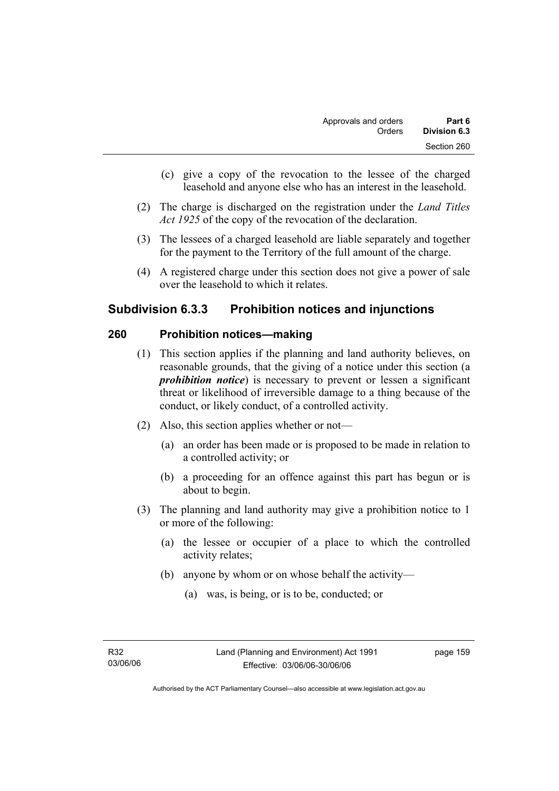- (c) give a copy of the revocation to the lessee of the charged leasehold and anyone else who has an interest in the leasehold.
- (2) The charge is discharged on the registration under the *Land Titles Act 1925* of the copy of the revocation of the declaration.
- (3) The lessees of a charged leasehold are liable separately and together for the payment to the Territory of the full amount of the charge.
- (4) A registered charge under this section does not give a power of sale over the leasehold to which it relates.

# **Subdivision 6.3.3 Prohibition notices and injunctions**

## **260 Prohibition notices—making**

- (1) This section applies if the planning and land authority believes, on reasonable grounds, that the giving of a notice under this section (a *prohibition notice*) is necessary to prevent or lessen a significant threat or likelihood of irreversible damage to a thing because of the conduct, or likely conduct, of a controlled activity.
- (2) Also, this section applies whether or not—
	- (a) an order has been made or is proposed to be made in relation to a controlled activity; or
	- (b) a proceeding for an offence against this part has begun or is about to begin.
- (3) The planning and land authority may give a prohibition notice to 1 or more of the following:
	- (a) the lessee or occupier of a place to which the controlled activity relates;
	- (b) anyone by whom or on whose behalf the activity—
		- (a) was, is being, or is to be, conducted; or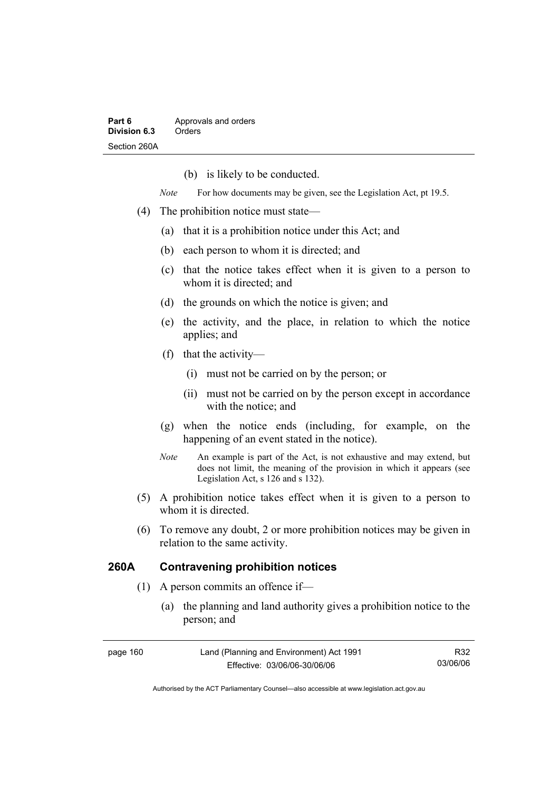(b) is likely to be conducted.

*Note* For how documents may be given, see the Legislation Act, pt 19.5.

- (4) The prohibition notice must state—
	- (a) that it is a prohibition notice under this Act; and
	- (b) each person to whom it is directed; and
	- (c) that the notice takes effect when it is given to a person to whom it is directed; and
	- (d) the grounds on which the notice is given; and
	- (e) the activity, and the place, in relation to which the notice applies; and
	- (f) that the activity—
		- (i) must not be carried on by the person; or
		- (ii) must not be carried on by the person except in accordance with the notice; and
	- (g) when the notice ends (including, for example, on the happening of an event stated in the notice).
	- *Note* An example is part of the Act, is not exhaustive and may extend, but does not limit, the meaning of the provision in which it appears (see Legislation Act, s 126 and s 132).
- (5) A prohibition notice takes effect when it is given to a person to whom it is directed.
- (6) To remove any doubt, 2 or more prohibition notices may be given in relation to the same activity.

## **260A Contravening prohibition notices**

- (1) A person commits an offence if—
	- (a) the planning and land authority gives a prohibition notice to the person; and

| page 160 | Land (Planning and Environment) Act 1991 | R32      |
|----------|------------------------------------------|----------|
|          | Effective: 03/06/06-30/06/06             | 03/06/06 |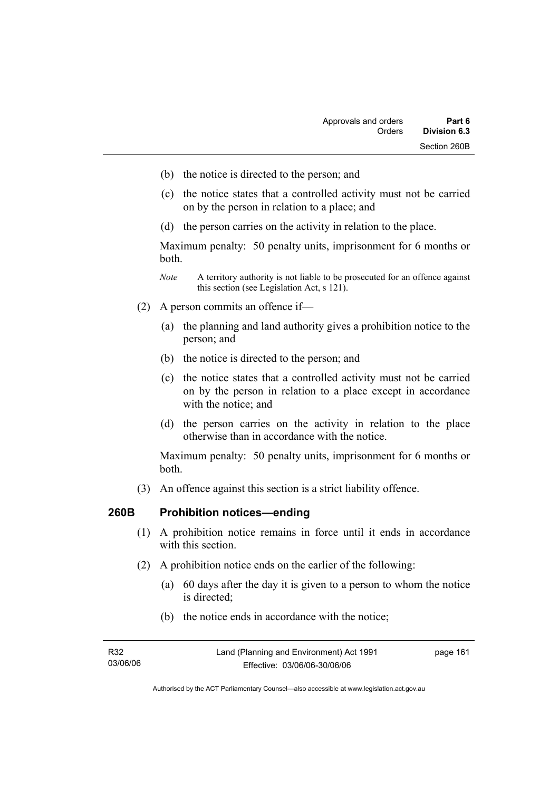- (b) the notice is directed to the person; and
- (c) the notice states that a controlled activity must not be carried on by the person in relation to a place; and
- (d) the person carries on the activity in relation to the place.

Maximum penalty: 50 penalty units, imprisonment for 6 months or both.

- *Note* A territory authority is not liable to be prosecuted for an offence against this section (see Legislation Act, s 121).
- (2) A person commits an offence if—
	- (a) the planning and land authority gives a prohibition notice to the person; and
	- (b) the notice is directed to the person; and
	- (c) the notice states that a controlled activity must not be carried on by the person in relation to a place except in accordance with the notice; and
	- (d) the person carries on the activity in relation to the place otherwise than in accordance with the notice.

Maximum penalty: 50 penalty units, imprisonment for 6 months or both.

(3) An offence against this section is a strict liability offence.

### **260B Prohibition notices—ending**

- (1) A prohibition notice remains in force until it ends in accordance with this section
- (2) A prohibition notice ends on the earlier of the following:
	- (a) 60 days after the day it is given to a person to whom the notice is directed;
	- (b) the notice ends in accordance with the notice;

| R32      | Land (Planning and Environment) Act 1991 | page 161 |
|----------|------------------------------------------|----------|
| 03/06/06 | Effective: 03/06/06-30/06/06             |          |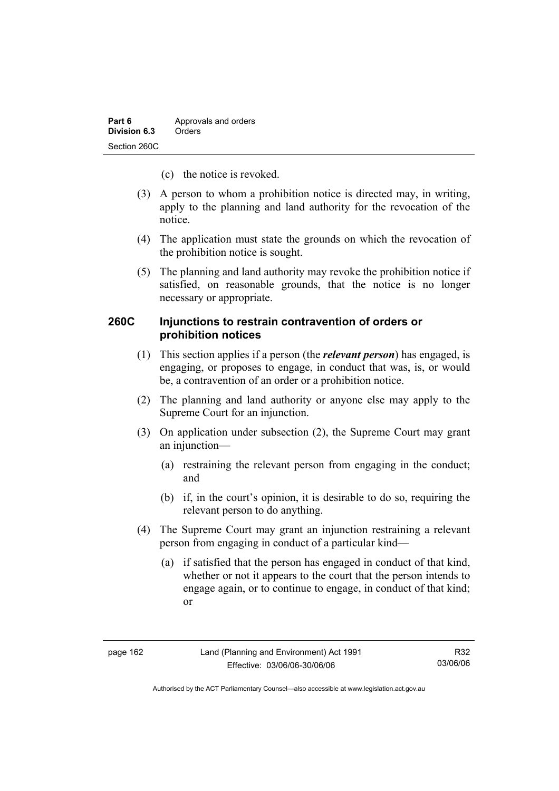- (c) the notice is revoked.
- (3) A person to whom a prohibition notice is directed may, in writing, apply to the planning and land authority for the revocation of the notice.
- (4) The application must state the grounds on which the revocation of the prohibition notice is sought.
- (5) The planning and land authority may revoke the prohibition notice if satisfied, on reasonable grounds, that the notice is no longer necessary or appropriate.

## **260C Injunctions to restrain contravention of orders or prohibition notices**

- (1) This section applies if a person (the *relevant person*) has engaged, is engaging, or proposes to engage, in conduct that was, is, or would be, a contravention of an order or a prohibition notice.
- (2) The planning and land authority or anyone else may apply to the Supreme Court for an injunction.
- (3) On application under subsection (2), the Supreme Court may grant an injunction—
	- (a) restraining the relevant person from engaging in the conduct; and
	- (b) if, in the court's opinion, it is desirable to do so, requiring the relevant person to do anything.
- (4) The Supreme Court may grant an injunction restraining a relevant person from engaging in conduct of a particular kind—
	- (a) if satisfied that the person has engaged in conduct of that kind, whether or not it appears to the court that the person intends to engage again, or to continue to engage, in conduct of that kind; or

R32 03/06/06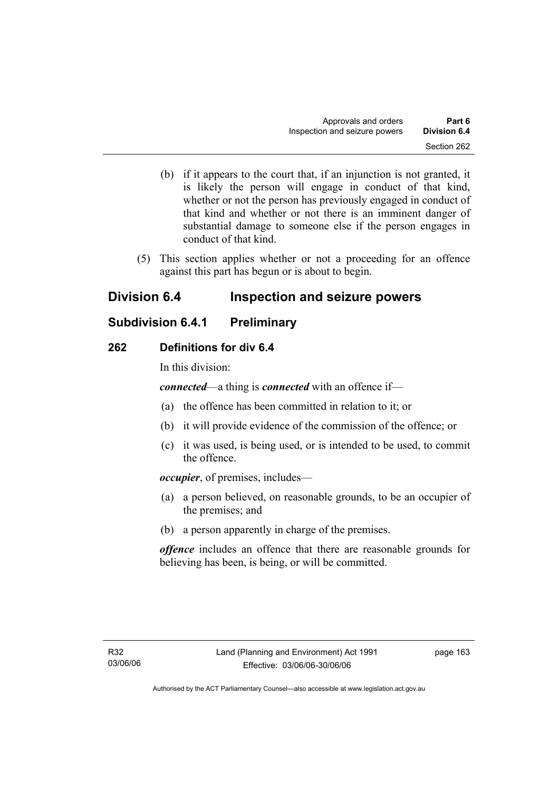- (b) if it appears to the court that, if an injunction is not granted, it is likely the person will engage in conduct of that kind, whether or not the person has previously engaged in conduct of that kind and whether or not there is an imminent danger of substantial damage to someone else if the person engages in conduct of that kind.
- (5) This section applies whether or not a proceeding for an offence against this part has begun or is about to begin.

# **Division 6.4 Inspection and seizure powers**

# **Subdivision 6.4.1 Preliminary**

## **262 Definitions for div 6.4**

In this division:

*connected*—a thing is *connected* with an offence if—

- (a) the offence has been committed in relation to it; or
- (b) it will provide evidence of the commission of the offence; or
- (c) it was used, is being used, or is intended to be used, to commit the offence.

*occupier*, of premises, includes—

- (a) a person believed, on reasonable grounds, to be an occupier of the premises; and
- (b) a person apparently in charge of the premises.

*offence* includes an offence that there are reasonable grounds for believing has been, is being, or will be committed.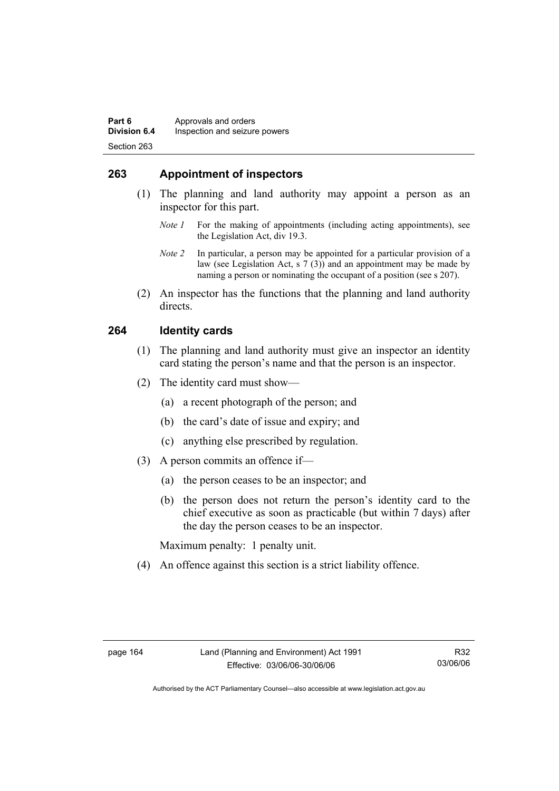## **263 Appointment of inspectors**

- (1) The planning and land authority may appoint a person as an inspector for this part.
	- *Note 1* For the making of appointments (including acting appointments), see the Legislation Act, div 19.3.
	- *Note 2* In particular, a person may be appointed for a particular provision of a law (see Legislation Act, s 7 (3)) and an appointment may be made by naming a person or nominating the occupant of a position (see s 207).
- (2) An inspector has the functions that the planning and land authority directs.

## **264 Identity cards**

- (1) The planning and land authority must give an inspector an identity card stating the person's name and that the person is an inspector.
- (2) The identity card must show—
	- (a) a recent photograph of the person; and
	- (b) the card's date of issue and expiry; and
	- (c) anything else prescribed by regulation.
- (3) A person commits an offence if—
	- (a) the person ceases to be an inspector; and
	- (b) the person does not return the person's identity card to the chief executive as soon as practicable (but within 7 days) after the day the person ceases to be an inspector.

Maximum penalty: 1 penalty unit.

(4) An offence against this section is a strict liability offence.

R32 03/06/06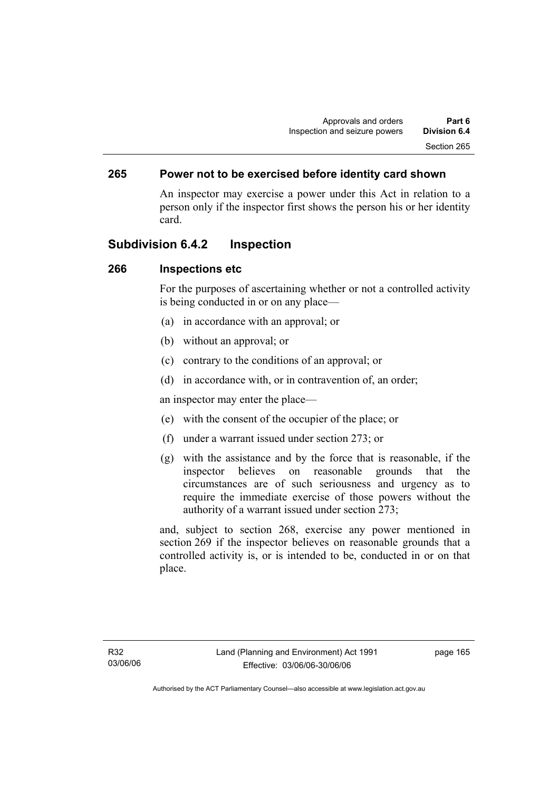## **265 Power not to be exercised before identity card shown**

An inspector may exercise a power under this Act in relation to a person only if the inspector first shows the person his or her identity card.

## **Subdivision 6.4.2 Inspection**

### **266 Inspections etc**

For the purposes of ascertaining whether or not a controlled activity is being conducted in or on any place—

- (a) in accordance with an approval; or
- (b) without an approval; or
- (c) contrary to the conditions of an approval; or
- (d) in accordance with, or in contravention of, an order;

an inspector may enter the place—

- (e) with the consent of the occupier of the place; or
- (f) under a warrant issued under section 273; or
- (g) with the assistance and by the force that is reasonable, if the inspector believes on reasonable grounds that the circumstances are of such seriousness and urgency as to require the immediate exercise of those powers without the authority of a warrant issued under section 273;

and, subject to section 268, exercise any power mentioned in section 269 if the inspector believes on reasonable grounds that a controlled activity is, or is intended to be, conducted in or on that place.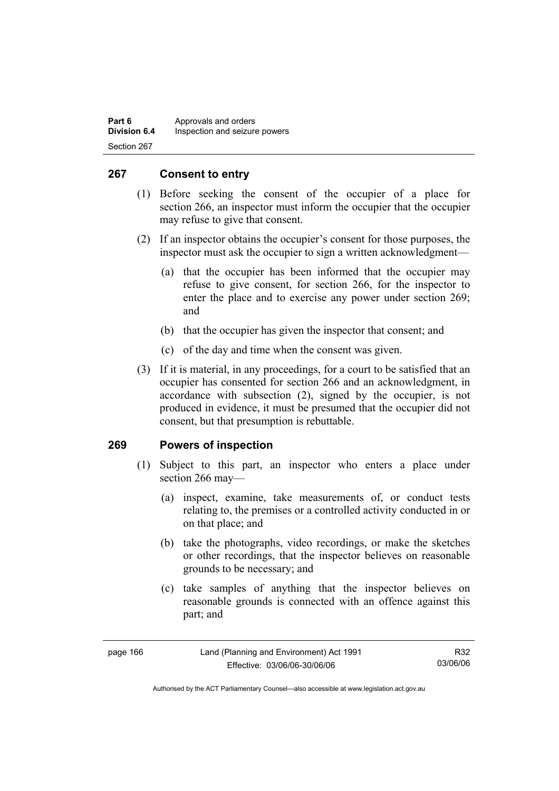| Part 6              | Approvals and orders          |
|---------------------|-------------------------------|
| <b>Division 6.4</b> | Inspection and seizure powers |
| Section 267         |                               |

## **267 Consent to entry**

- (1) Before seeking the consent of the occupier of a place for section 266, an inspector must inform the occupier that the occupier may refuse to give that consent.
- (2) If an inspector obtains the occupier's consent for those purposes, the inspector must ask the occupier to sign a written acknowledgment—
	- (a) that the occupier has been informed that the occupier may refuse to give consent, for section 266, for the inspector to enter the place and to exercise any power under section 269; and
	- (b) that the occupier has given the inspector that consent; and
	- (c) of the day and time when the consent was given.
- (3) If it is material, in any proceedings, for a court to be satisfied that an occupier has consented for section 266 and an acknowledgment, in accordance with subsection (2), signed by the occupier, is not produced in evidence, it must be presumed that the occupier did not consent, but that presumption is rebuttable.

### **269 Powers of inspection**

- (1) Subject to this part, an inspector who enters a place under section 266 may—
	- (a) inspect, examine, take measurements of, or conduct tests relating to, the premises or a controlled activity conducted in or on that place; and
	- (b) take the photographs, video recordings, or make the sketches or other recordings, that the inspector believes on reasonable grounds to be necessary; and
	- (c) take samples of anything that the inspector believes on reasonable grounds is connected with an offence against this part; and

R32 03/06/06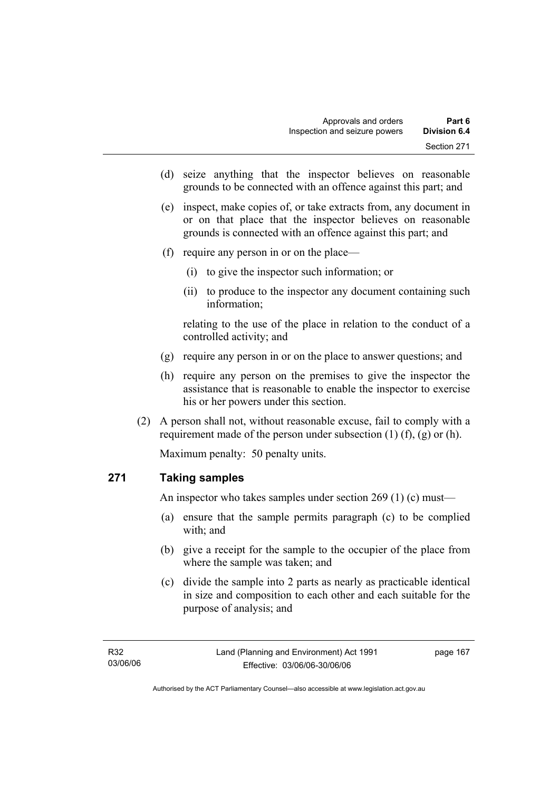- (d) seize anything that the inspector believes on reasonable grounds to be connected with an offence against this part; and
- (e) inspect, make copies of, or take extracts from, any document in or on that place that the inspector believes on reasonable grounds is connected with an offence against this part; and
- (f) require any person in or on the place—
	- (i) to give the inspector such information; or
	- (ii) to produce to the inspector any document containing such information;

relating to the use of the place in relation to the conduct of a controlled activity; and

- (g) require any person in or on the place to answer questions; and
- (h) require any person on the premises to give the inspector the assistance that is reasonable to enable the inspector to exercise his or her powers under this section.
- (2) A person shall not, without reasonable excuse, fail to comply with a requirement made of the person under subsection  $(1)$   $(f)$ ,  $(g)$  or  $(h)$ .

Maximum penalty: 50 penalty units.

# **271 Taking samples**

An inspector who takes samples under section 269 (1) (c) must—

- (a) ensure that the sample permits paragraph (c) to be complied with; and
- (b) give a receipt for the sample to the occupier of the place from where the sample was taken; and
- (c) divide the sample into 2 parts as nearly as practicable identical in size and composition to each other and each suitable for the purpose of analysis; and

page 167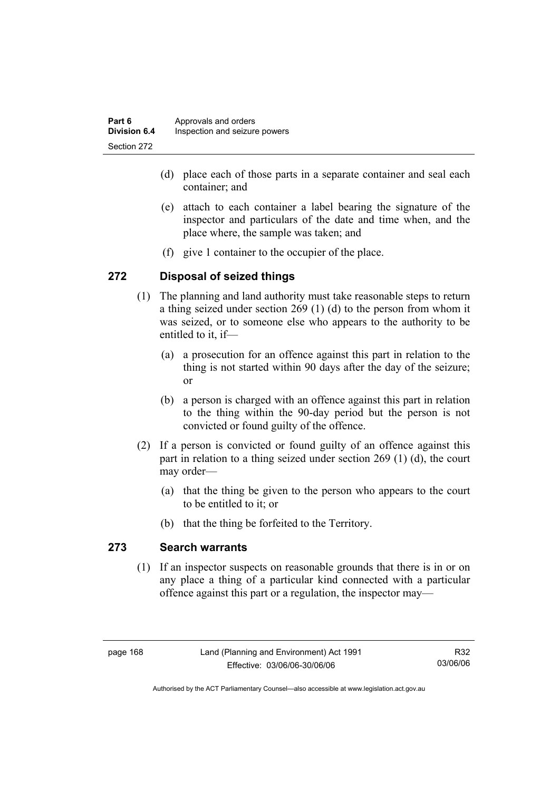| Part 6              | Approvals and orders          |
|---------------------|-------------------------------|
| <b>Division 6.4</b> | Inspection and seizure powers |
| Section 272         |                               |

- (d) place each of those parts in a separate container and seal each container; and
- (e) attach to each container a label bearing the signature of the inspector and particulars of the date and time when, and the place where, the sample was taken; and
- (f) give 1 container to the occupier of the place.

## **272 Disposal of seized things**

- (1) The planning and land authority must take reasonable steps to return a thing seized under section 269 (1) (d) to the person from whom it was seized, or to someone else who appears to the authority to be entitled to it, if—
	- (a) a prosecution for an offence against this part in relation to the thing is not started within 90 days after the day of the seizure; or
	- (b) a person is charged with an offence against this part in relation to the thing within the 90-day period but the person is not convicted or found guilty of the offence.
- (2) If a person is convicted or found guilty of an offence against this part in relation to a thing seized under section 269 (1) (d), the court may order—
	- (a) that the thing be given to the person who appears to the court to be entitled to it; or
	- (b) that the thing be forfeited to the Territory.

## **273 Search warrants**

 (1) If an inspector suspects on reasonable grounds that there is in or on any place a thing of a particular kind connected with a particular offence against this part or a regulation, the inspector may—

R32 03/06/06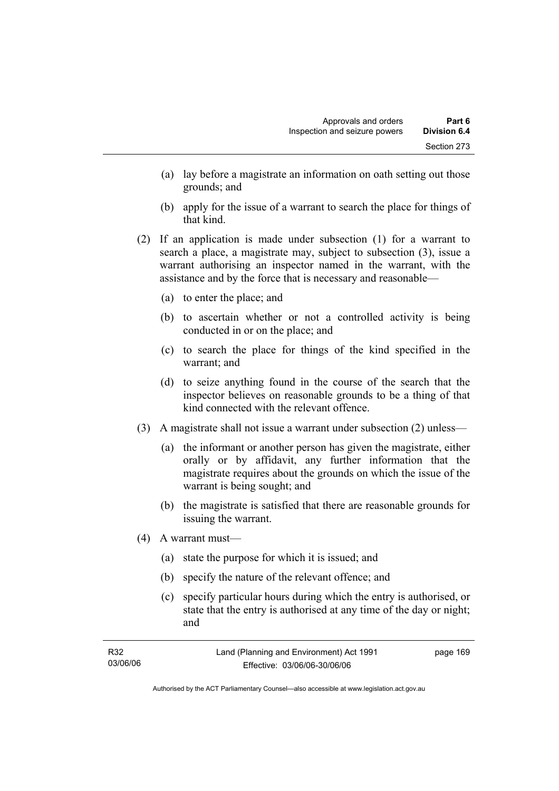- (a) lay before a magistrate an information on oath setting out those grounds; and
- (b) apply for the issue of a warrant to search the place for things of that kind.
- (2) If an application is made under subsection (1) for a warrant to search a place, a magistrate may, subject to subsection (3), issue a warrant authorising an inspector named in the warrant, with the assistance and by the force that is necessary and reasonable—
	- (a) to enter the place; and
	- (b) to ascertain whether or not a controlled activity is being conducted in or on the place; and
	- (c) to search the place for things of the kind specified in the warrant; and
	- (d) to seize anything found in the course of the search that the inspector believes on reasonable grounds to be a thing of that kind connected with the relevant offence.
- (3) A magistrate shall not issue a warrant under subsection (2) unless—
	- (a) the informant or another person has given the magistrate, either orally or by affidavit, any further information that the magistrate requires about the grounds on which the issue of the warrant is being sought; and
	- (b) the magistrate is satisfied that there are reasonable grounds for issuing the warrant.
- (4) A warrant must—
	- (a) state the purpose for which it is issued; and
	- (b) specify the nature of the relevant offence; and
	- (c) specify particular hours during which the entry is authorised, or state that the entry is authorised at any time of the day or night; and

| R32      | Land (Planning and Environment) Act 1991 | page 169 |
|----------|------------------------------------------|----------|
| 03/06/06 | Effective: 03/06/06-30/06/06             |          |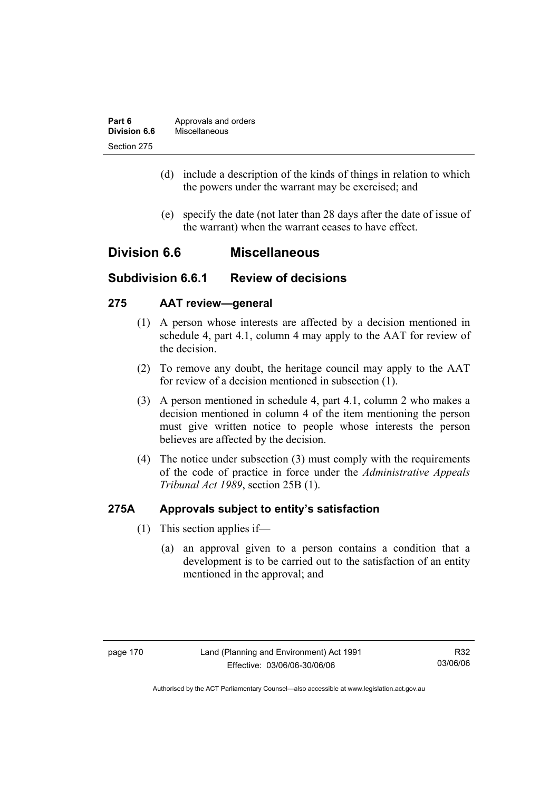| Part 6              | Approvals and orders |  |  |  |
|---------------------|----------------------|--|--|--|
| <b>Division 6.6</b> | Miscellaneous        |  |  |  |
| Section 275         |                      |  |  |  |

- (d) include a description of the kinds of things in relation to which the powers under the warrant may be exercised; and
- (e) specify the date (not later than 28 days after the date of issue of the warrant) when the warrant ceases to have effect.

# **Division 6.6 Miscellaneous**

# **Subdivision 6.6.1 Review of decisions**

## **275 AAT review—general**

- (1) A person whose interests are affected by a decision mentioned in schedule 4, part 4.1, column 4 may apply to the AAT for review of the decision.
- (2) To remove any doubt, the heritage council may apply to the AAT for review of a decision mentioned in subsection (1).
- (3) A person mentioned in schedule 4, part 4.1, column 2 who makes a decision mentioned in column 4 of the item mentioning the person must give written notice to people whose interests the person believes are affected by the decision.
- (4) The notice under subsection (3) must comply with the requirements of the code of practice in force under the *Administrative Appeals Tribunal Act 1989*, section 25B (1).

## **275A Approvals subject to entity's satisfaction**

- (1) This section applies if—
	- (a) an approval given to a person contains a condition that a development is to be carried out to the satisfaction of an entity mentioned in the approval; and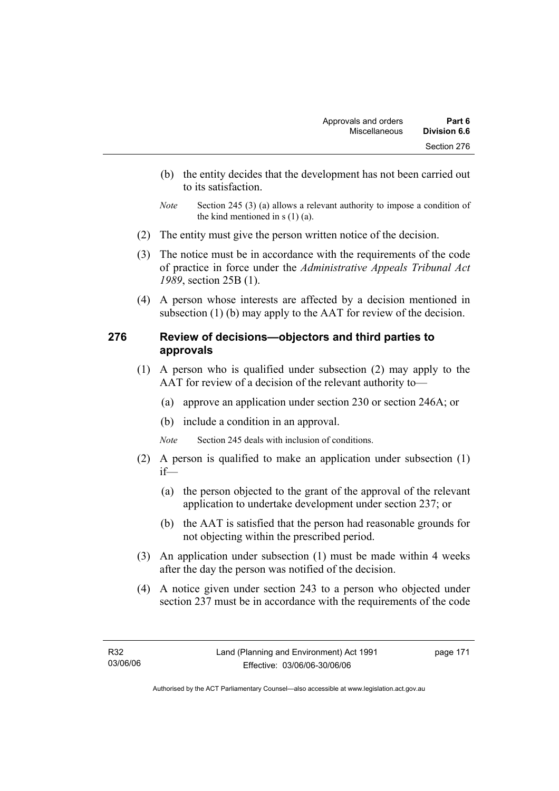- (b) the entity decides that the development has not been carried out to its satisfaction.
- *Note* Section 245 (3) (a) allows a relevant authority to impose a condition of the kind mentioned in  $s(1)(a)$ .
- (2) The entity must give the person written notice of the decision.
- (3) The notice must be in accordance with the requirements of the code of practice in force under the *Administrative Appeals Tribunal Act 1989*, section 25B (1).
- (4) A person whose interests are affected by a decision mentioned in subsection (1) (b) may apply to the AAT for review of the decision.

# **276 Review of decisions—objectors and third parties to approvals**

- (1) A person who is qualified under subsection (2) may apply to the AAT for review of a decision of the relevant authority to—
	- (a) approve an application under section 230 or section 246A; or
	- (b) include a condition in an approval.

*Note* Section 245 deals with inclusion of conditions.

- (2) A person is qualified to make an application under subsection (1) if—
	- (a) the person objected to the grant of the approval of the relevant application to undertake development under section 237; or
	- (b) the AAT is satisfied that the person had reasonable grounds for not objecting within the prescribed period.
- (3) An application under subsection (1) must be made within 4 weeks after the day the person was notified of the decision.
- (4) A notice given under section 243 to a person who objected under section 237 must be in accordance with the requirements of the code

page 171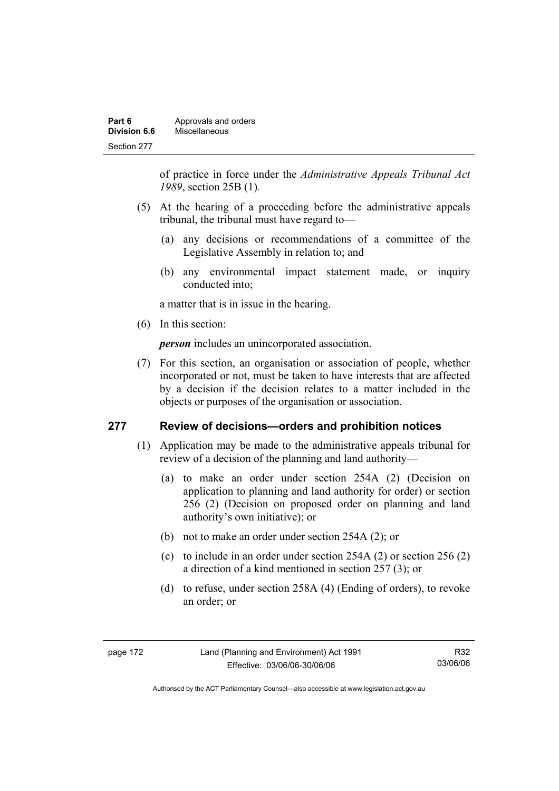| Part 6       | Approvals and orders |
|--------------|----------------------|
| Division 6.6 | Miscellaneous        |
| Section 277  |                      |

of practice in force under the *Administrative Appeals Tribunal Act 1989*, section 25B (1)*.*

- (5) At the hearing of a proceeding before the administrative appeals tribunal, the tribunal must have regard to—
	- (a) any decisions or recommendations of a committee of the Legislative Assembly in relation to; and
	- (b) any environmental impact statement made, or inquiry conducted into;

a matter that is in issue in the hearing.

(6) In this section:

*person* includes an unincorporated association.

 (7) For this section, an organisation or association of people, whether incorporated or not, must be taken to have interests that are affected by a decision if the decision relates to a matter included in the objects or purposes of the organisation or association.

## **277 Review of decisions—orders and prohibition notices**

- (1) Application may be made to the administrative appeals tribunal for review of a decision of the planning and land authority—
	- (a) to make an order under section 254A (2) (Decision on application to planning and land authority for order) or section 256 (2) (Decision on proposed order on planning and land authority's own initiative); or
	- (b) not to make an order under section 254A (2); or
	- (c) to include in an order under section 254A (2) or section 256 (2) a direction of a kind mentioned in section 257 (3); or
	- (d) to refuse, under section 258A (4) (Ending of orders), to revoke an order; or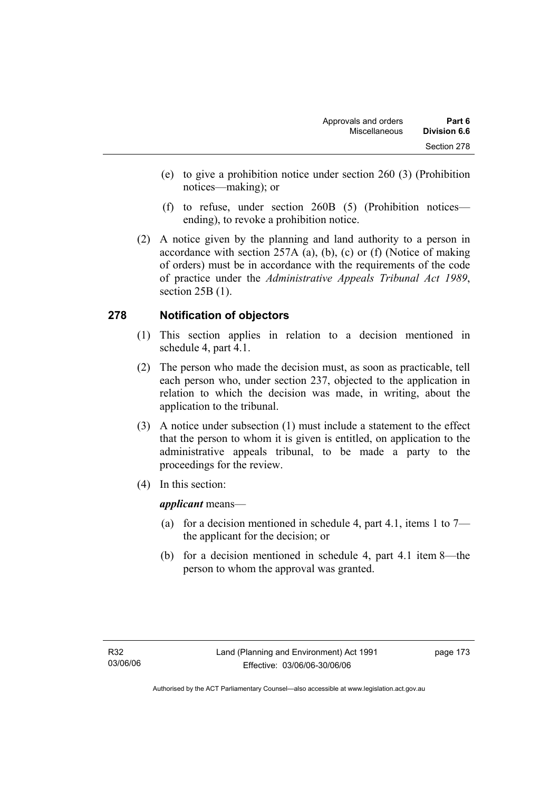- (e) to give a prohibition notice under section 260 (3) (Prohibition notices—making); or
- (f) to refuse, under section 260B (5) (Prohibition notices ending), to revoke a prohibition notice.
- (2) A notice given by the planning and land authority to a person in accordance with section 257A (a), (b), (c) or (f) (Notice of making of orders) must be in accordance with the requirements of the code of practice under the *Administrative Appeals Tribunal Act 1989*, section 25B (1).

# **278 Notification of objectors**

- (1) This section applies in relation to a decision mentioned in schedule 4, part 4.1.
- (2) The person who made the decision must, as soon as practicable, tell each person who, under section 237, objected to the application in relation to which the decision was made, in writing, about the application to the tribunal.
- (3) A notice under subsection (1) must include a statement to the effect that the person to whom it is given is entitled, on application to the administrative appeals tribunal, to be made a party to the proceedings for the review.
- (4) In this section:

*applicant* means—

- (a) for a decision mentioned in schedule 4, part 4.1, items 1 to  $7$ the applicant for the decision; or
- (b) for a decision mentioned in schedule 4, part 4.1 item 8—the person to whom the approval was granted.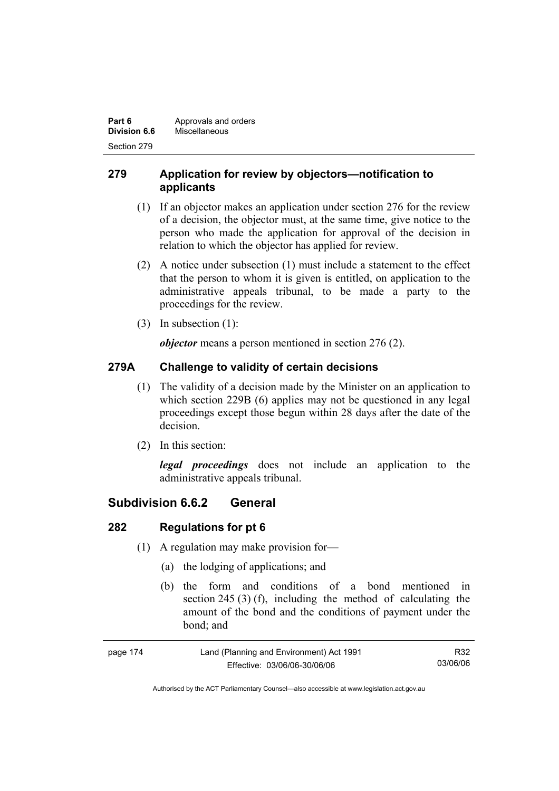| Part 6       | Approvals and orders |  |  |  |
|--------------|----------------------|--|--|--|
| Division 6.6 | Miscellaneous        |  |  |  |
| Section 279  |                      |  |  |  |

# **279 Application for review by objectors—notification to applicants**

- (1) If an objector makes an application under section 276 for the review of a decision, the objector must, at the same time, give notice to the person who made the application for approval of the decision in relation to which the objector has applied for review.
- (2) A notice under subsection (1) must include a statement to the effect that the person to whom it is given is entitled, on application to the administrative appeals tribunal, to be made a party to the proceedings for the review.
- (3) In subsection (1):

*objector* means a person mentioned in section 276 (2).

# **279A Challenge to validity of certain decisions**

- (1) The validity of a decision made by the Minister on an application to which section 229B (6) applies may not be questioned in any legal proceedings except those begun within 28 days after the date of the decision.
- (2) In this section:

*legal proceedings* does not include an application to the administrative appeals tribunal.

# **Subdivision 6.6.2 General**

# **282 Regulations for pt 6**

- (1) A regulation may make provision for—
	- (a) the lodging of applications; and
	- (b) the form and conditions of a bond mentioned in section 245 (3) (f), including the method of calculating the amount of the bond and the conditions of payment under the bond; and

| page 174 | Land (Planning and Environment) Act 1991 | R32      |
|----------|------------------------------------------|----------|
|          | Effective: 03/06/06-30/06/06             | 03/06/06 |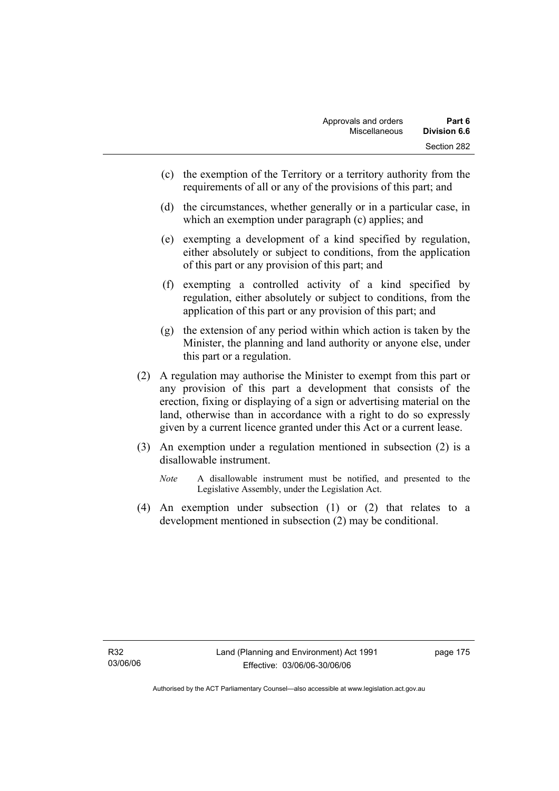- (c) the exemption of the Territory or a territory authority from the requirements of all or any of the provisions of this part; and
- (d) the circumstances, whether generally or in a particular case, in which an exemption under paragraph (c) applies; and
- (e) exempting a development of a kind specified by regulation, either absolutely or subject to conditions, from the application of this part or any provision of this part; and
- (f) exempting a controlled activity of a kind specified by regulation, either absolutely or subject to conditions, from the application of this part or any provision of this part; and
- (g) the extension of any period within which action is taken by the Minister, the planning and land authority or anyone else, under this part or a regulation.
- (2) A regulation may authorise the Minister to exempt from this part or any provision of this part a development that consists of the erection, fixing or displaying of a sign or advertising material on the land, otherwise than in accordance with a right to do so expressly given by a current licence granted under this Act or a current lease.
- (3) An exemption under a regulation mentioned in subsection (2) is a disallowable instrument.
	- *Note* A disallowable instrument must be notified, and presented to the Legislative Assembly, under the Legislation Act.
- (4) An exemption under subsection (1) or (2) that relates to a development mentioned in subsection (2) may be conditional.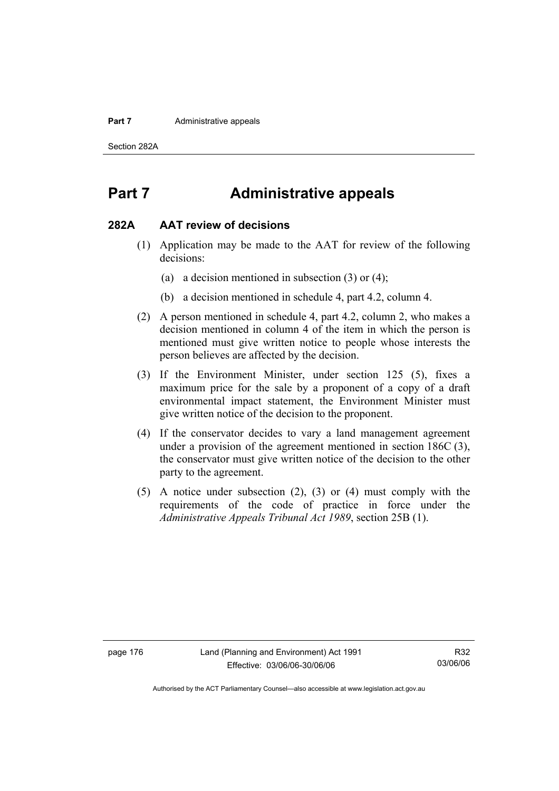#### **Part 7 Administrative appeals**

Section 282A

# **Part 7 Administrative appeals**

### **282A AAT review of decisions**

- (1) Application may be made to the AAT for review of the following decisions:
	- (a) a decision mentioned in subsection (3) or (4);
	- (b) a decision mentioned in schedule 4, part 4.2, column 4.
- (2) A person mentioned in schedule 4, part 4.2, column 2, who makes a decision mentioned in column 4 of the item in which the person is mentioned must give written notice to people whose interests the person believes are affected by the decision.
- (3) If the Environment Minister, under section 125 (5), fixes a maximum price for the sale by a proponent of a copy of a draft environmental impact statement, the Environment Minister must give written notice of the decision to the proponent.
- (4) If the conservator decides to vary a land management agreement under a provision of the agreement mentioned in section 186C (3), the conservator must give written notice of the decision to the other party to the agreement.
- (5) A notice under subsection (2), (3) or (4) must comply with the requirements of the code of practice in force under the *Administrative Appeals Tribunal Act 1989*, section 25B (1).

R32 03/06/06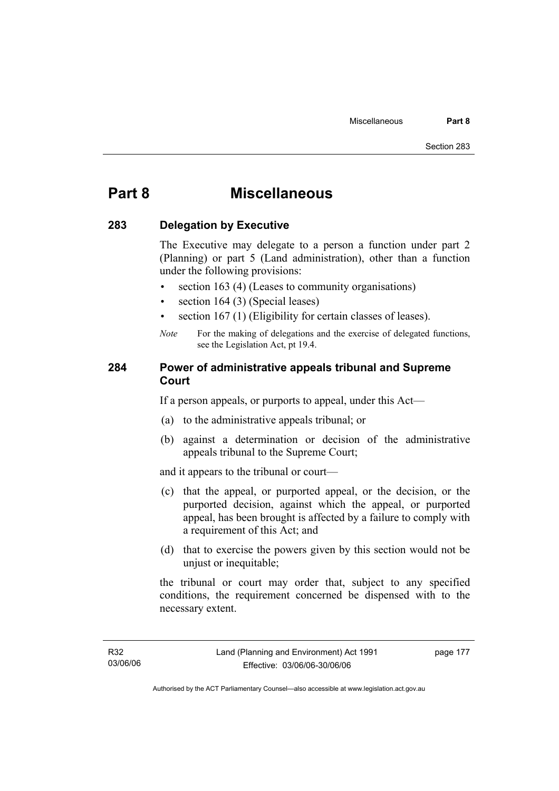# **Part 8 Miscellaneous**

## **283 Delegation by Executive**

The Executive may delegate to a person a function under part 2 (Planning) or part 5 (Land administration), other than a function under the following provisions:

- section 163 (4) (Leases to community organisations)
- section 164 (3) (Special leases)
- section 167 (1) (Eligibility for certain classes of leases).
- *Note* For the making of delegations and the exercise of delegated functions, see the Legislation Act, pt 19.4.

## **284 Power of administrative appeals tribunal and Supreme Court**

If a person appeals, or purports to appeal, under this Act—

- (a) to the administrative appeals tribunal; or
- (b) against a determination or decision of the administrative appeals tribunal to the Supreme Court;

and it appears to the tribunal or court—

- (c) that the appeal, or purported appeal, or the decision, or the purported decision, against which the appeal, or purported appeal, has been brought is affected by a failure to comply with a requirement of this Act; and
- (d) that to exercise the powers given by this section would not be unjust or inequitable;

the tribunal or court may order that, subject to any specified conditions, the requirement concerned be dispensed with to the necessary extent.

page 177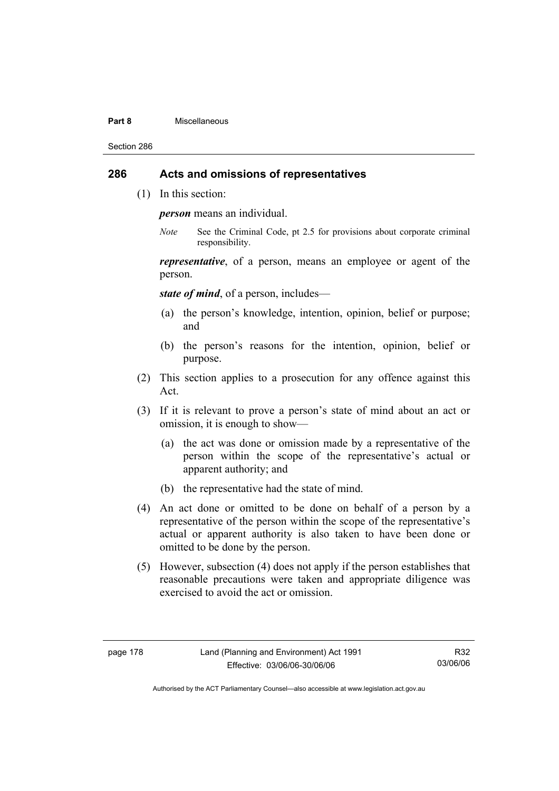#### **Part 8** Miscellaneous

Section 286

## **286 Acts and omissions of representatives**

(1) In this section:

*person* means an individual.

*Note* See the Criminal Code, pt 2.5 for provisions about corporate criminal responsibility.

*representative*, of a person, means an employee or agent of the person.

*state of mind*, of a person, includes—

- (a) the person's knowledge, intention, opinion, belief or purpose; and
- (b) the person's reasons for the intention, opinion, belief or purpose.
- (2) This section applies to a prosecution for any offence against this Act.
- (3) If it is relevant to prove a person's state of mind about an act or omission, it is enough to show—
	- (a) the act was done or omission made by a representative of the person within the scope of the representative's actual or apparent authority; and
	- (b) the representative had the state of mind.
- (4) An act done or omitted to be done on behalf of a person by a representative of the person within the scope of the representative's actual or apparent authority is also taken to have been done or omitted to be done by the person.
- (5) However, subsection (4) does not apply if the person establishes that reasonable precautions were taken and appropriate diligence was exercised to avoid the act or omission.

R32 03/06/06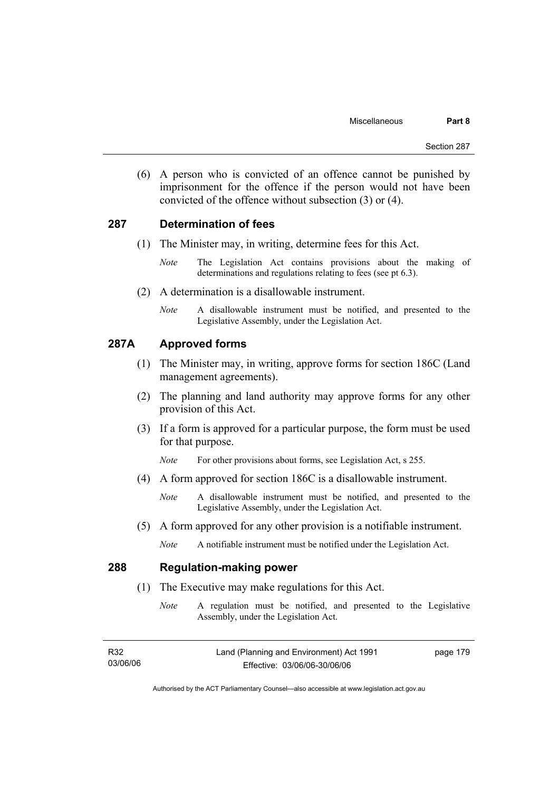(6) A person who is convicted of an offence cannot be punished by imprisonment for the offence if the person would not have been convicted of the offence without subsection (3) or (4).

### **287 Determination of fees**

- (1) The Minister may, in writing, determine fees for this Act.
	- *Note* The Legislation Act contains provisions about the making of determinations and regulations relating to fees (see pt 6.3).
- (2) A determination is a disallowable instrument.
	- *Note* A disallowable instrument must be notified, and presented to the Legislative Assembly, under the Legislation Act.

## **287A Approved forms**

- (1) The Minister may, in writing, approve forms for section 186C (Land management agreements).
- (2) The planning and land authority may approve forms for any other provision of this Act.
- (3) If a form is approved for a particular purpose, the form must be used for that purpose.
	- *Note* For other provisions about forms, see Legislation Act, s 255.
- (4) A form approved for section 186C is a disallowable instrument.
	- *Note* A disallowable instrument must be notified, and presented to the Legislative Assembly, under the Legislation Act.
- (5) A form approved for any other provision is a notifiable instrument.
	- *Note* A notifiable instrument must be notified under the Legislation Act.

## **288 Regulation-making power**

- (1) The Executive may make regulations for this Act.
	- *Note* A regulation must be notified, and presented to the Legislative Assembly, under the Legislation Act.

| R32      | Land (Planning and Environment) Act 1991 | page 179 |
|----------|------------------------------------------|----------|
| 03/06/06 | Effective: 03/06/06-30/06/06             |          |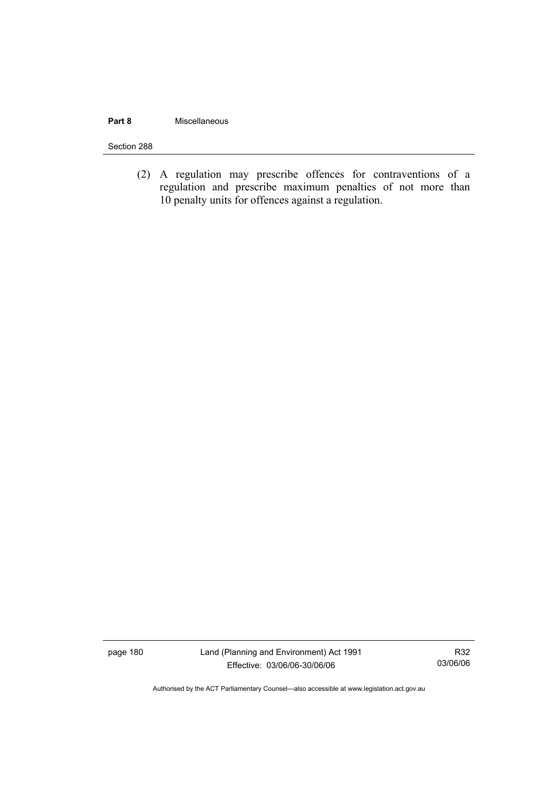### **Part 8** Miscellaneous

#### Section 288

(2) A regulation may prescribe offences for contraventions of a regulation and prescribe maximum penalties of not more than 10 penalty units for offences against a regulation.

page 180 Land (Planning and Environment) Act 1991 Effective: 03/06/06-30/06/06

R32 03/06/06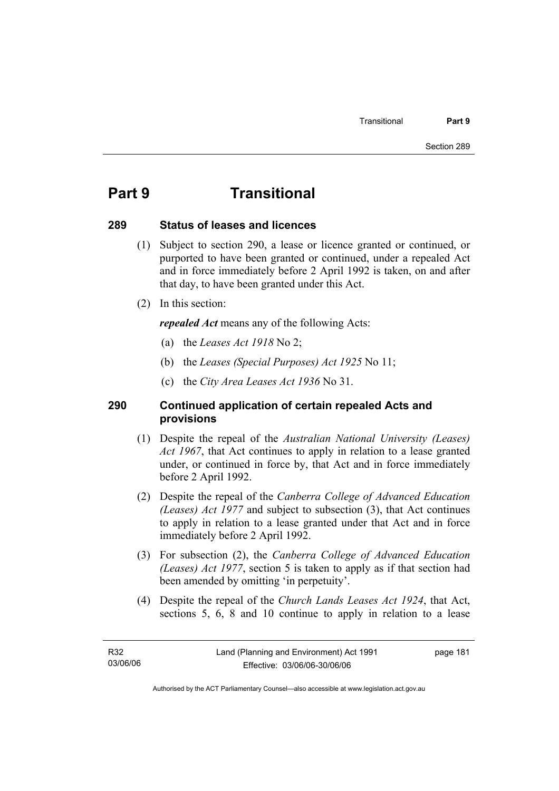# **Part 9 Transitional**

## **289 Status of leases and licences**

- (1) Subject to section 290, a lease or licence granted or continued, or purported to have been granted or continued, under a repealed Act and in force immediately before 2 April 1992 is taken, on and after that day, to have been granted under this Act.
- (2) In this section:

*repealed Act* means any of the following Acts:

- (a) the *Leases Act 1918* No 2;
- (b) the *Leases (Special Purposes) Act 1925* No 11;
- (c) the *City Area Leases Act 1936* No 31.

## **290 Continued application of certain repealed Acts and provisions**

- (1) Despite the repeal of the *Australian National University (Leases) Act 1967*, that Act continues to apply in relation to a lease granted under, or continued in force by, that Act and in force immediately before 2 April 1992.
- (2) Despite the repeal of the *Canberra College of Advanced Education (Leases) Act 1977* and subject to subsection (3), that Act continues to apply in relation to a lease granted under that Act and in force immediately before 2 April 1992.
- (3) For subsection (2), the *Canberra College of Advanced Education (Leases) Act 1977*, section 5 is taken to apply as if that section had been amended by omitting 'in perpetuity'.
- (4) Despite the repeal of the *Church Lands Leases Act 1924*, that Act, sections 5, 6, 8 and 10 continue to apply in relation to a lease

page 181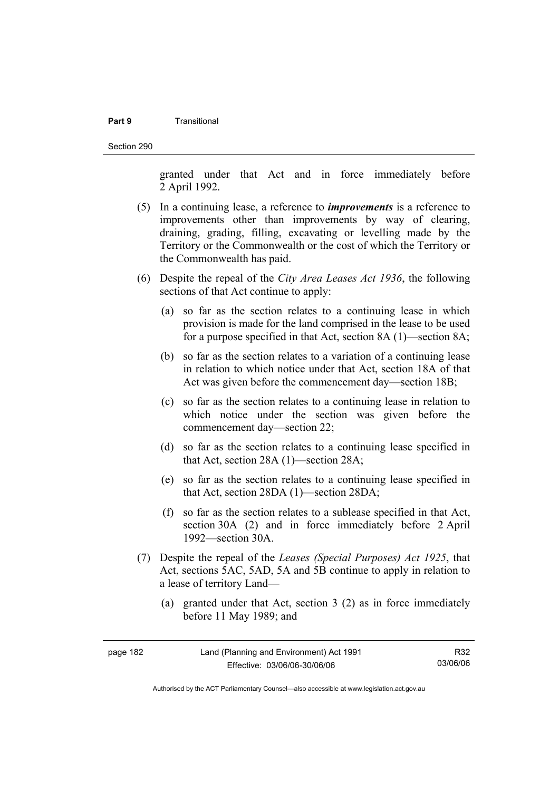#### **Part 9** Transitional

Section 290

granted under that Act and in force immediately before 2 April 1992.

- (5) In a continuing lease, a reference to *improvements* is a reference to improvements other than improvements by way of clearing, draining, grading, filling, excavating or levelling made by the Territory or the Commonwealth or the cost of which the Territory or the Commonwealth has paid.
- (6) Despite the repeal of the *City Area Leases Act 1936*, the following sections of that Act continue to apply:
	- (a) so far as the section relates to a continuing lease in which provision is made for the land comprised in the lease to be used for a purpose specified in that Act, section 8A (1)—section 8A;
	- (b) so far as the section relates to a variation of a continuing lease in relation to which notice under that Act, section 18A of that Act was given before the commencement day—section 18B;
	- (c) so far as the section relates to a continuing lease in relation to which notice under the section was given before the commencement day—section 22;
	- (d) so far as the section relates to a continuing lease specified in that Act, section 28A (1)—section 28A;
	- (e) so far as the section relates to a continuing lease specified in that Act, section 28DA (1)—section 28DA;
	- (f) so far as the section relates to a sublease specified in that Act, section 30A (2) and in force immediately before 2 April 1992—section 30A.
- (7) Despite the repeal of the *Leases (Special Purposes) Act 1925*, that Act, sections 5AC, 5AD, 5A and 5B continue to apply in relation to a lease of territory Land—
	- (a) granted under that Act, section 3 (2) as in force immediately before 11 May 1989; and

| page 182 | Land (Planning and Environment) Act 1991 | R32      |
|----------|------------------------------------------|----------|
|          | Effective: 03/06/06-30/06/06             | 03/06/06 |

Authorised by the ACT Parliamentary Counsel—also accessible at www.legislation.act.gov.au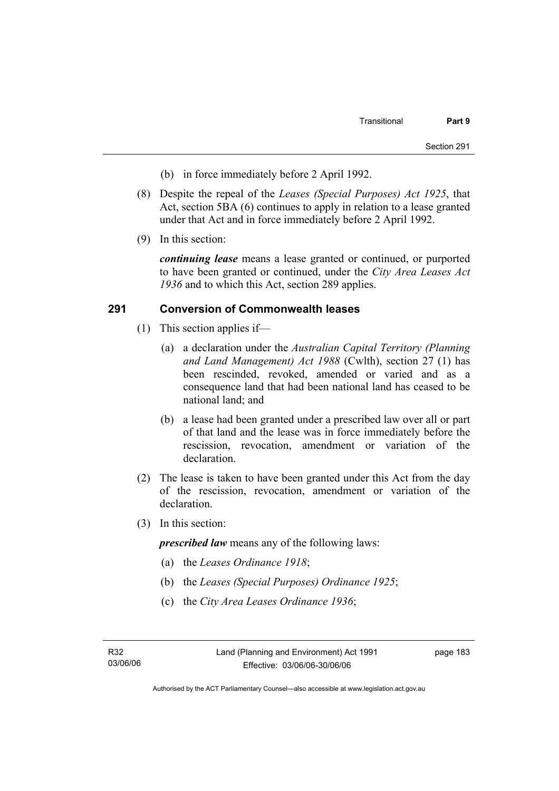- (b) in force immediately before 2 April 1992.
- (8) Despite the repeal of the *Leases (Special Purposes) Act 1925*, that Act, section 5BA (6) continues to apply in relation to a lease granted under that Act and in force immediately before 2 April 1992.
- (9) In this section:

*continuing lease* means a lease granted or continued, or purported to have been granted or continued, under the *City Area Leases Act 1936* and to which this Act, section 289 applies.

## **291 Conversion of Commonwealth leases**

- (1) This section applies if—
	- (a) a declaration under the *Australian Capital Territory (Planning and Land Management) Act 1988* (Cwlth), section 27 (1) has been rescinded, revoked, amended or varied and as a consequence land that had been national land has ceased to be national land; and
	- (b) a lease had been granted under a prescribed law over all or part of that land and the lease was in force immediately before the rescission, revocation, amendment or variation of the declaration.
- (2) The lease is taken to have been granted under this Act from the day of the rescission, revocation, amendment or variation of the declaration.
- (3) In this section:

*prescribed law* means any of the following laws:

- (a) the *Leases Ordinance 1918*;
- (b) the *Leases (Special Purposes) Ordinance 1925*;
- (c) the *City Area Leases Ordinance 1936*;

page 183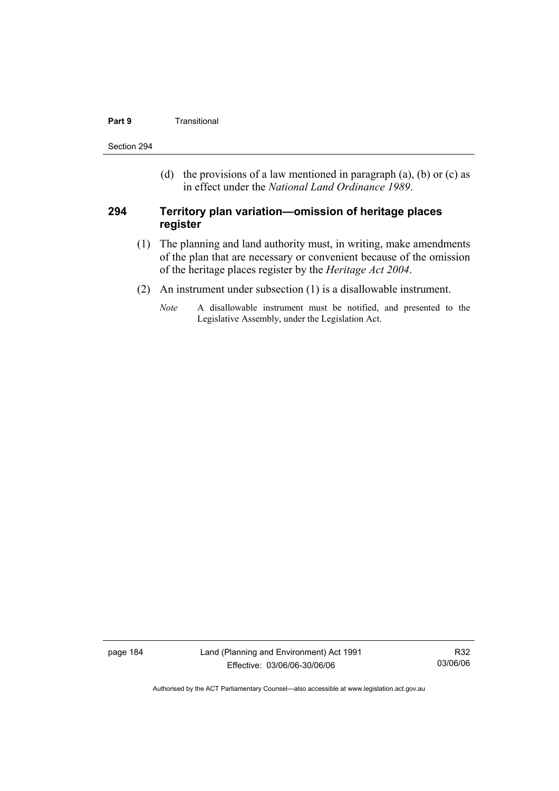### **Part 9 Transitional**

Section 294

(d) the provisions of a law mentioned in paragraph (a), (b) or (c) as in effect under the *National Land Ordinance 1989*.

## **294 Territory plan variation—omission of heritage places register**

- (1) The planning and land authority must, in writing, make amendments of the plan that are necessary or convenient because of the omission of the heritage places register by the *Heritage Act 2004*.
- (2) An instrument under subsection (1) is a disallowable instrument.
	- *Note* A disallowable instrument must be notified, and presented to the Legislative Assembly, under the Legislation Act.

page 184 Land (Planning and Environment) Act 1991 Effective: 03/06/06-30/06/06

R32 03/06/06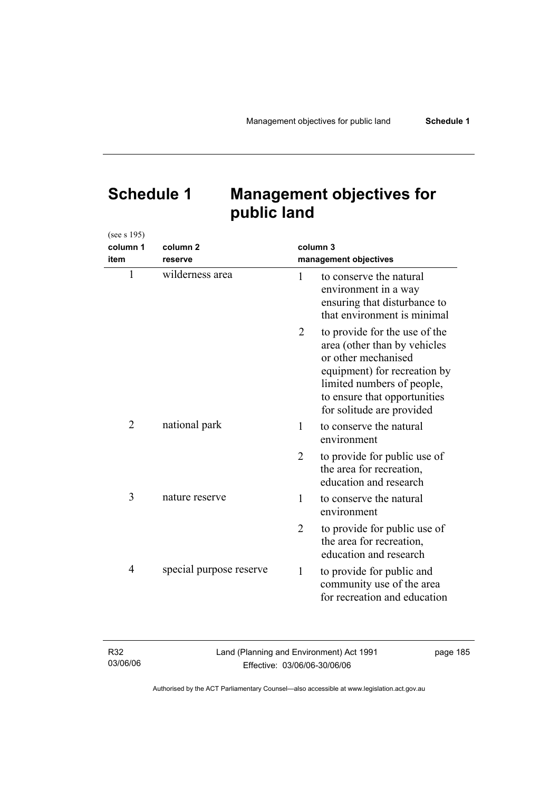# **Schedule 1 Management objectives for public land**

| (see s 195)    |                         |                       |                                                                                                                                                                                                                 |
|----------------|-------------------------|-----------------------|-----------------------------------------------------------------------------------------------------------------------------------------------------------------------------------------------------------------|
| column 1       | column <sub>2</sub>     |                       | column 3                                                                                                                                                                                                        |
| item           | reserve                 | management objectives |                                                                                                                                                                                                                 |
| $\mathbf{1}$   | wilderness area         | 1                     | to conserve the natural<br>environment in a way<br>ensuring that disturbance to<br>that environment is minimal                                                                                                  |
|                |                         | 2                     | to provide for the use of the<br>area (other than by vehicles<br>or other mechanised<br>equipment) for recreation by<br>limited numbers of people,<br>to ensure that opportunities<br>for solitude are provided |
| $\overline{2}$ | national park           | 1                     | to conserve the natural<br>environment                                                                                                                                                                          |
|                |                         | $\overline{2}$        | to provide for public use of<br>the area for recreation,<br>education and research                                                                                                                              |
| 3              | nature reserve          | 1                     | to conserve the natural<br>environment                                                                                                                                                                          |
|                |                         | $\overline{2}$        | to provide for public use of<br>the area for recreation,<br>education and research                                                                                                                              |
| 4              | special purpose reserve | 1                     | to provide for public and<br>community use of the area<br>for recreation and education                                                                                                                          |

| R32      | Land (Planning and Environment) Act 1991 | page 185 |
|----------|------------------------------------------|----------|
| 03/06/06 | Effective: 03/06/06-30/06/06             |          |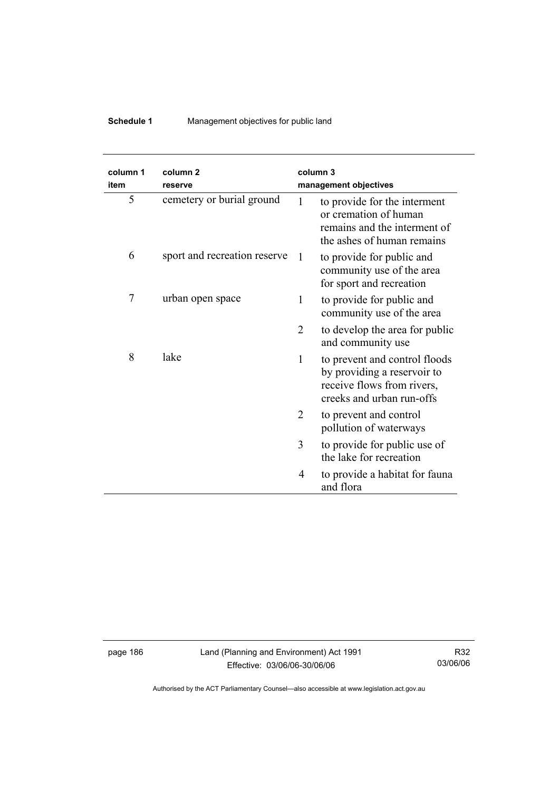# **Schedule 1** Management objectives for public land

| column 1<br>item | column <sub>2</sub><br>reserve |   | column 3<br>management objectives                                                                                       |
|------------------|--------------------------------|---|-------------------------------------------------------------------------------------------------------------------------|
| 5                | cemetery or burial ground      | 1 | to provide for the interment<br>or cremation of human<br>remains and the interment of<br>the ashes of human remains     |
| 6                | sport and recreation reserve   | 1 | to provide for public and<br>community use of the area<br>for sport and recreation                                      |
| 7                | urban open space               | 1 | to provide for public and<br>community use of the area                                                                  |
|                  |                                | 2 | to develop the area for public<br>and community use                                                                     |
| 8                | lake                           | 1 | to prevent and control floods<br>by providing a reservoir to<br>receive flows from rivers,<br>creeks and urban run-offs |
|                  |                                | 2 | to prevent and control<br>pollution of waterways                                                                        |
|                  |                                | 3 | to provide for public use of<br>the lake for recreation                                                                 |
|                  |                                | 4 | to provide a habitat for fauna<br>and flora                                                                             |

page 186 Land (Planning and Environment) Act 1991 Effective: 03/06/06-30/06/06

R32 03/06/06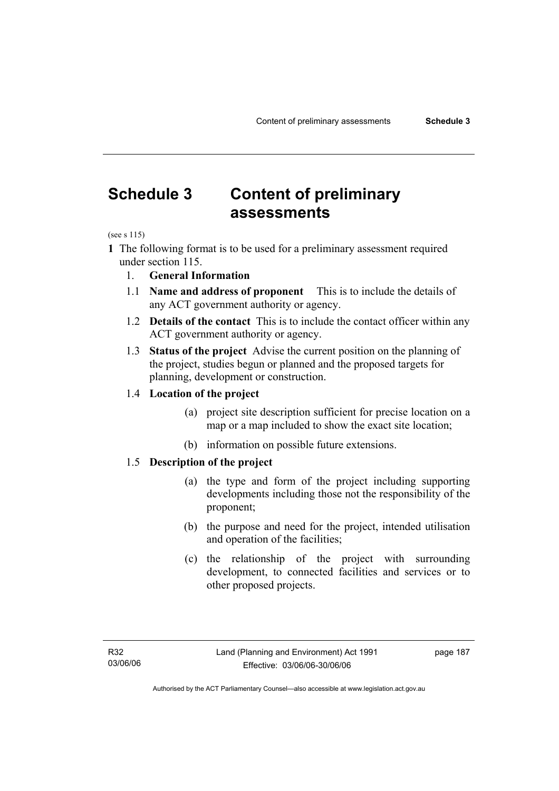# **Schedule 3 Content of preliminary assessments**

(see s 115)

- **1** The following format is to be used for a preliminary assessment required under section 115.
	- 1. **General Information**
	- 1.1 **Name and address of proponent** This is to include the details of any ACT government authority or agency.
	- 1.2 **Details of the contact** This is to include the contact officer within any ACT government authority or agency.
	- 1.3 **Status of the project** Advise the current position on the planning of the project, studies begun or planned and the proposed targets for planning, development or construction.

## 1.4 **Location of the project**

- (a) project site description sufficient for precise location on a map or a map included to show the exact site location;
- (b) information on possible future extensions.

## 1.5 **Description of the project**

- (a) the type and form of the project including supporting developments including those not the responsibility of the proponent;
- (b) the purpose and need for the project, intended utilisation and operation of the facilities;
- (c) the relationship of the project with surrounding development, to connected facilities and services or to other proposed projects.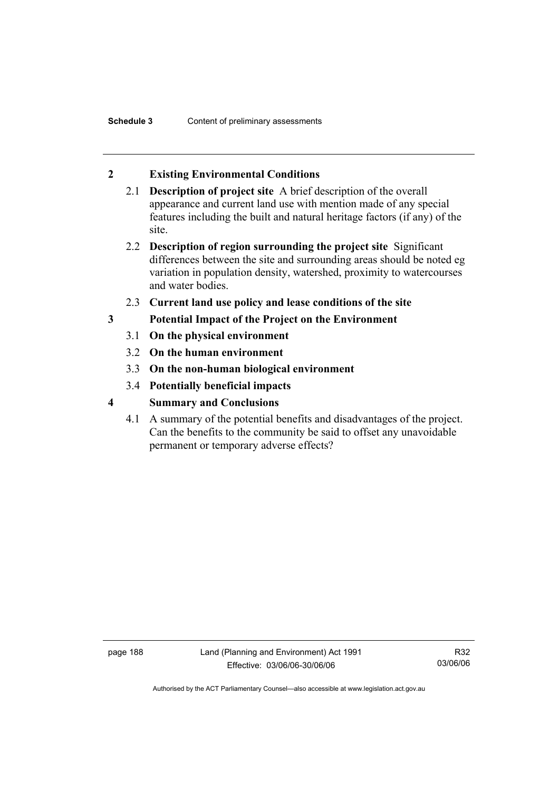# **2 Existing Environmental Conditions**

- 2.1 **Description of project site** A brief description of the overall appearance and current land use with mention made of any special features including the built and natural heritage factors (if any) of the site.
- 2.2 **Description of region surrounding the project site** Significant differences between the site and surrounding areas should be noted eg variation in population density, watershed, proximity to watercourses and water bodies.
- 2.3 **Current land use policy and lease conditions of the site**
- **3 Potential Impact of the Project on the Environment** 
	- 3.1 **On the physical environment**
	- 3.2 **On the human environment**
	- 3.3 **On the non-human biological environment**
	- 3.4 **Potentially beneficial impacts**
- **4 Summary and Conclusions** 
	- 4.1 A summary of the potential benefits and disadvantages of the project. Can the benefits to the community be said to offset any unavoidable permanent or temporary adverse effects?

page 188 Land (Planning and Environment) Act 1991 Effective: 03/06/06-30/06/06

R32 03/06/06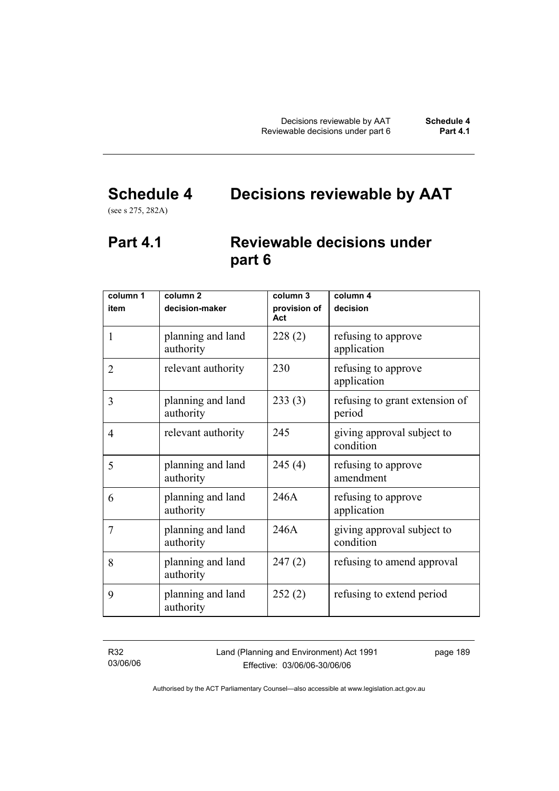# **Schedule 4 Decisions reviewable by AAT**

(see s 275, 282A)

# **Part 4.1 Reviewable decisions under part 6**

| column 1       | column <sub>2</sub>            | column 3            | column $\overline{4}$                    |
|----------------|--------------------------------|---------------------|------------------------------------------|
| item           | decision-maker                 | provision of<br>Act | decision                                 |
| 1              | planning and land<br>authority | 228(2)              | refusing to approve<br>application       |
| $\overline{2}$ | relevant authority             | 230                 | refusing to approve<br>application       |
| 3              | planning and land<br>authority | 233(3)              | refusing to grant extension of<br>period |
| 4              | relevant authority             | 245                 | giving approval subject to<br>condition  |
| 5              | planning and land<br>authority | 245(4)              | refusing to approve<br>amendment         |
| 6              | planning and land<br>authority | 246A                | refusing to approve<br>application       |
| 7              | planning and land<br>authority | 246A                | giving approval subject to<br>condition  |
| 8              | planning and land<br>authority | 247(2)              | refusing to amend approval               |
| 9              | planning and land<br>authority | 252(2)              | refusing to extend period                |

R32 03/06/06 Land (Planning and Environment) Act 1991 Effective: 03/06/06-30/06/06

page 189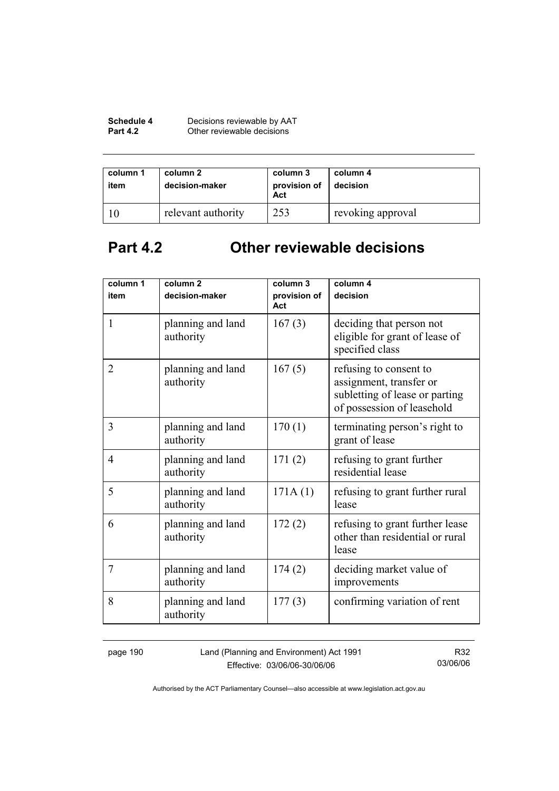| Schedule 4      | Decisions reviewable by AAT |
|-----------------|-----------------------------|
| <b>Part 4.2</b> | Other reviewable decisions  |

| column 1<br>item | column 2<br>decision-maker | column 3<br>provision of<br>Act | column 4<br>decision |
|------------------|----------------------------|---------------------------------|----------------------|
|                  | relevant authority         | 253                             | revoking approval    |

# **Part 4.2 Other reviewable decisions**

| column 1       | column <sub>2</sub>            | column 3            | column 4                                                                                                          |
|----------------|--------------------------------|---------------------|-------------------------------------------------------------------------------------------------------------------|
| item           | decision-maker                 | provision of<br>Act | decision                                                                                                          |
| $\mathbf{1}$   | planning and land<br>authority | 167(3)              | deciding that person not<br>eligible for grant of lease of<br>specified class                                     |
| $\overline{2}$ | planning and land<br>authority | 167(5)              | refusing to consent to<br>assignment, transfer or<br>subletting of lease or parting<br>of possession of leasehold |
| 3              | planning and land<br>authority | 170(1)              | terminating person's right to<br>grant of lease                                                                   |
| 4              | planning and land<br>authority | 171(2)              | refusing to grant further<br>residential lease                                                                    |
| 5              | planning and land<br>authority | 171A(1)             | refusing to grant further rural<br>lease                                                                          |
| 6              | planning and land<br>authority | 172(2)              | refusing to grant further lease<br>other than residential or rural<br>lease                                       |
| 7              | planning and land<br>authority | 174(2)              | deciding market value of<br>improvements                                                                          |
| 8              | planning and land<br>authority | 177(3)              | confirming variation of rent                                                                                      |

page 190 Land (Planning and Environment) Act 1991 Effective: 03/06/06-30/06/06

R32 03/06/06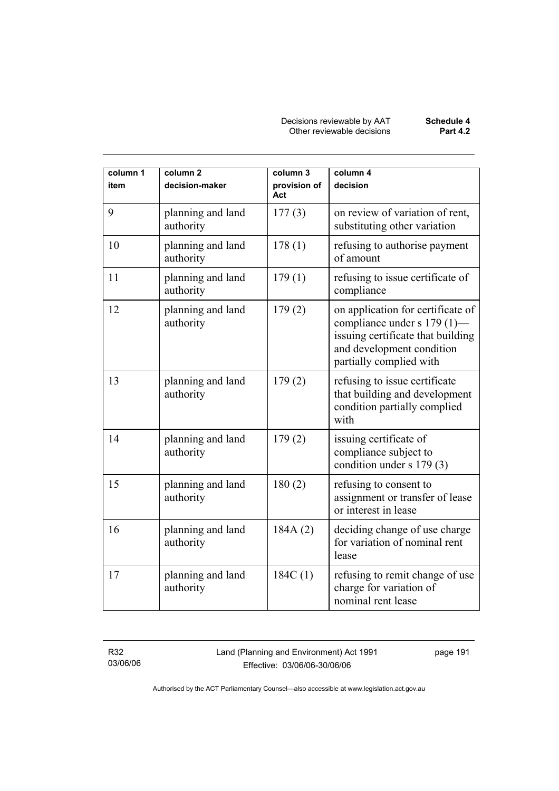| column 1<br>item | column <sub>2</sub><br>decision-maker | column 3<br>provision of<br>Act | column 4<br>decision                                                                                                                                          |
|------------------|---------------------------------------|---------------------------------|---------------------------------------------------------------------------------------------------------------------------------------------------------------|
| 9                | planning and land<br>authority        | 177(3)                          | on review of variation of rent,<br>substituting other variation                                                                                               |
| 10               | planning and land<br>authority        | 178(1)                          | refusing to authorise payment<br>of amount                                                                                                                    |
| 11               | planning and land<br>authority        | 179(1)                          | refusing to issue certificate of<br>compliance                                                                                                                |
| 12               | planning and land<br>authority        | 179(2)                          | on application for certificate of<br>compliance under s 179 (1)—<br>issuing certificate that building<br>and development condition<br>partially complied with |
| 13               | planning and land<br>authority        | 179(2)                          | refusing to issue certificate<br>that building and development<br>condition partially complied<br>with                                                        |
| 14               | planning and land<br>authority        | 179(2)                          | issuing certificate of<br>compliance subject to<br>condition under s 179 (3)                                                                                  |
| 15               | planning and land<br>authority        | 180(2)                          | refusing to consent to<br>assignment or transfer of lease<br>or interest in lease                                                                             |
| 16               | planning and land<br>authority        | 184A (2)                        | deciding change of use charge<br>for variation of nominal rent<br>lease                                                                                       |
| 17               | planning and land<br>authority        | 184C(1)                         | refusing to remit change of use<br>charge for variation of<br>nominal rent lease                                                                              |

R32 03/06/06 Land (Planning and Environment) Act 1991 Effective: 03/06/06-30/06/06

page 191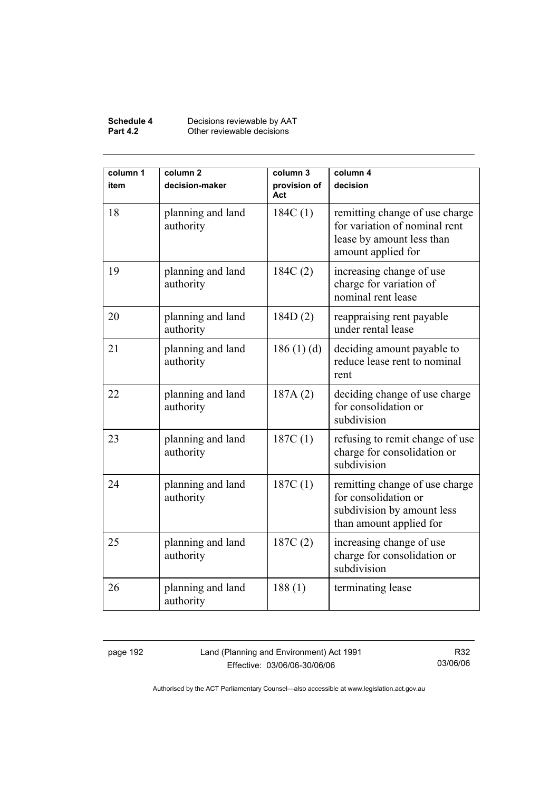#### **Schedule 4** Decisions reviewable by AAT **Part 4.2 Other reviewable decisions**

| column 1<br>item | column <sub>2</sub><br>decision-maker | column 3<br>provision of<br>Act | column 4<br>decision                                                                                               |  |
|------------------|---------------------------------------|---------------------------------|--------------------------------------------------------------------------------------------------------------------|--|
| 18               | planning and land<br>authority        | 184C(1)                         | remitting change of use charge<br>for variation of nominal rent<br>lease by amount less than<br>amount applied for |  |
| 19               | planning and land<br>authority        | 184C(2)                         | increasing change of use<br>charge for variation of<br>nominal rent lease                                          |  |
| 20               | planning and land<br>authority        | 184D(2)                         | reappraising rent payable<br>under rental lease                                                                    |  |
| 21               | planning and land<br>authority        | 186(1)(d)                       | deciding amount payable to<br>reduce lease rent to nominal<br>rent                                                 |  |
| 22               | planning and land<br>authority        | 187A(2)                         | deciding change of use charge<br>for consolidation or<br>subdivision                                               |  |
| 23               | planning and land<br>authority        | 187C(1)                         | refusing to remit change of use<br>charge for consolidation or<br>subdivision                                      |  |
| 24               | planning and land<br>authority        | 187C(1)                         | remitting change of use charge<br>for consolidation or<br>subdivision by amount less<br>than amount applied for    |  |
| 25               | planning and land<br>authority        | 187C(2)                         | increasing change of use<br>charge for consolidation or<br>subdivision                                             |  |
| 26               | planning and land<br>authority        | 188(1)                          | terminating lease                                                                                                  |  |

page 192 Land (Planning and Environment) Act 1991 Effective: 03/06/06-30/06/06

R32 03/06/06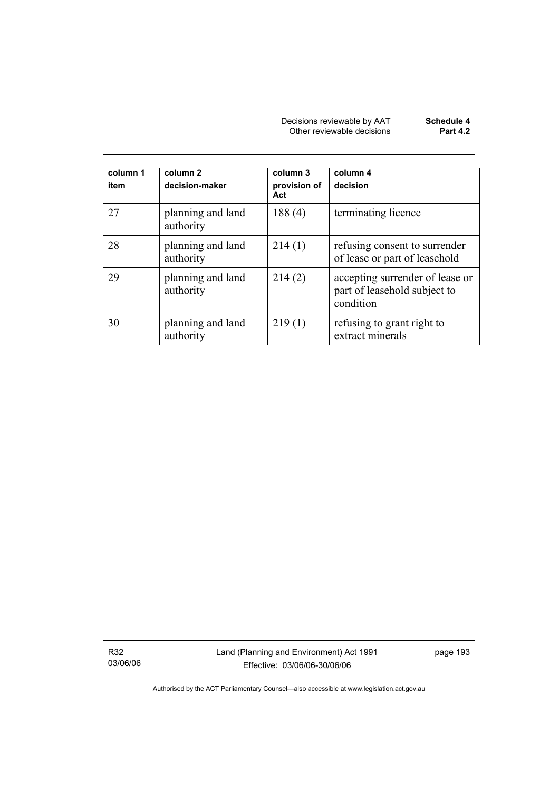| Decisions reviewable by AAT | Schedule 4      |
|-----------------------------|-----------------|
| Other reviewable decisions  | <b>Part 4.2</b> |

| column 1<br>item | column 2<br>decision-maker     | column 3<br>provision of<br>Act | column 4<br>decision                                                         |
|------------------|--------------------------------|---------------------------------|------------------------------------------------------------------------------|
| 27               | planning and land<br>authority | 188(4)                          | terminating licence                                                          |
| 28               | planning and land<br>authority | 214(1)                          | refusing consent to surrender<br>of lease or part of leasehold               |
| 29               | planning and land<br>authority | 214(2)                          | accepting surrender of lease or<br>part of leasehold subject to<br>condition |
| 30               | planning and land<br>authority | 219(1)                          | refusing to grant right to<br>extract minerals                               |

R32 03/06/06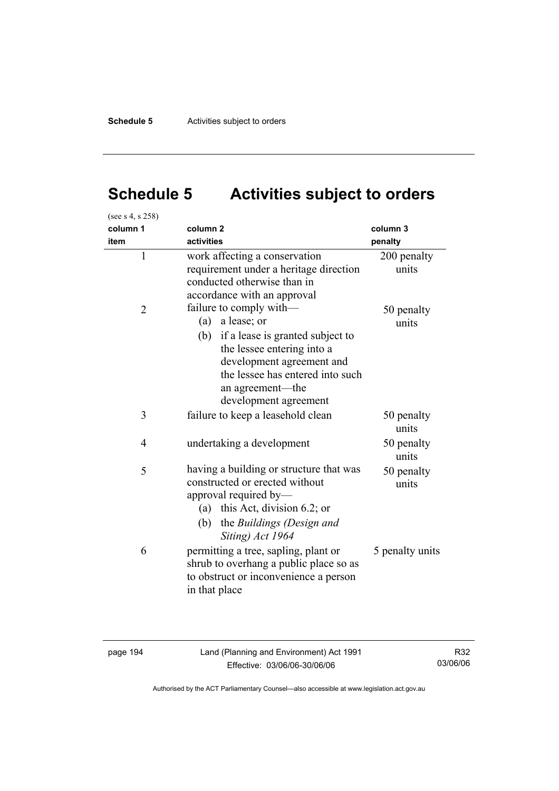# **Schedule 5 Activities subject to orders**

| (see s 4, s 258) |                                                                                                                                                                                                                                      |                      |
|------------------|--------------------------------------------------------------------------------------------------------------------------------------------------------------------------------------------------------------------------------------|----------------------|
| column 1         | column <sub>2</sub>                                                                                                                                                                                                                  | column 3             |
| item             | activities                                                                                                                                                                                                                           | penalty              |
| $\mathbf{1}$     | work affecting a conservation<br>requirement under a heritage direction<br>conducted otherwise than in<br>accordance with an approval                                                                                                | 200 penalty<br>units |
| $\overline{2}$   | failure to comply with-<br>a lease; or<br>(a)<br>if a lease is granted subject to<br>(b)<br>the lessee entering into a<br>development agreement and<br>the lessee has entered into such<br>an agreement-the<br>development agreement | 50 penalty<br>units  |
| 3                | failure to keep a leasehold clean                                                                                                                                                                                                    | 50 penalty<br>units  |
| $\overline{4}$   | undertaking a development                                                                                                                                                                                                            | 50 penalty<br>units  |
| 5                | having a building or structure that was<br>constructed or erected without<br>approval required by-<br>this Act, division 6.2; or<br>(a)<br>(b)<br>the Buildings (Design and<br>Siting) Act 1964                                      | 50 penalty<br>units  |
| 6                | permitting a tree, sapling, plant or<br>shrub to overhang a public place so as<br>to obstruct or inconvenience a person<br>in that place                                                                                             | 5 penalty units      |

page 194 Land (Planning and Environment) Act 1991 Effective: 03/06/06-30/06/06

R32 03/06/06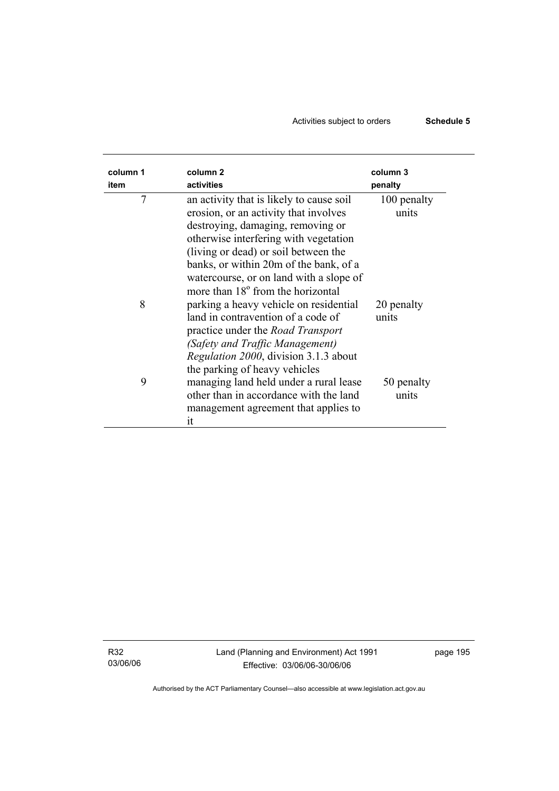# Activities subject to orders **Schedule 5**

| column 1<br>item | column <sub>2</sub><br>activities                                                                                                                                                                                                                                                                                                             | column 3<br>penalty  |
|------------------|-----------------------------------------------------------------------------------------------------------------------------------------------------------------------------------------------------------------------------------------------------------------------------------------------------------------------------------------------|----------------------|
| 7                | an activity that is likely to cause soil<br>erosion, or an activity that involves<br>destroying, damaging, removing or<br>otherwise interfering with vegetation<br>(living or dead) or soil between the<br>banks, or within 20m of the bank, of a<br>watercourse, or on land with a slope of<br>more than 18 <sup>°</sup> from the horizontal | 100 penalty<br>units |
| 8                | parking a heavy vehicle on residential<br>land in contravention of a code of<br>practice under the <i>Road Transport</i><br>(Safety and Traffic Management)<br>Regulation 2000, division 3.1.3 about<br>the parking of heavy vehicles                                                                                                         | 20 penalty<br>units  |
| 9                | managing land held under a rural lease<br>other than in accordance with the land<br>management agreement that applies to<br>it                                                                                                                                                                                                                | 50 penalty<br>units  |

R32 03/06/06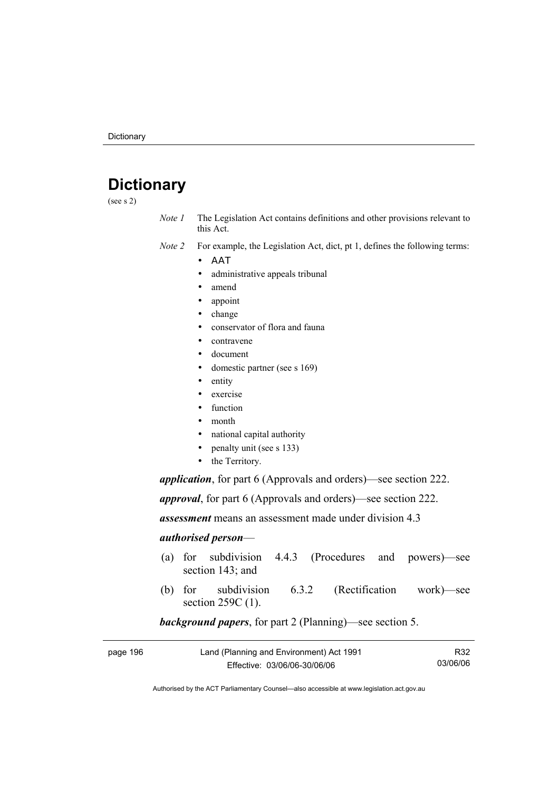# **Dictionary**

(see s 2)

- *Note 1* The Legislation Act contains definitions and other provisions relevant to this Act.
- *Note 2* For example, the Legislation Act, dict, pt 1, defines the following terms:
	- ΑΑΤ
		- administrative appeals tribunal
		- amend
		- appoint
		- change
		- conservator of flora and fauna
		- contravene
		- document
		- domestic partner (see s 169)
		- entity
		- exercise
		- function
		- month
		- national capital authority
		- penalty unit (see s 133)
		- the Territory.

*application*, for part 6 (Approvals and orders)—see section 222.

*approval*, for part 6 (Approvals and orders)—see section 222.

*assessment* means an assessment made under division 4.3

#### *authorised person*—

- (a) for subdivision 4.4.3 (Procedures and powers)—see section 143; and
- (b) for subdivision 6.3.2 (Rectification work)—see section 259C (1).

## *background papers*, for part 2 (Planning)—see section 5.

| page 196 | Land (Planning and Environment) Act 1991 | R32      |
|----------|------------------------------------------|----------|
|          | Effective: 03/06/06-30/06/06             | 03/06/06 |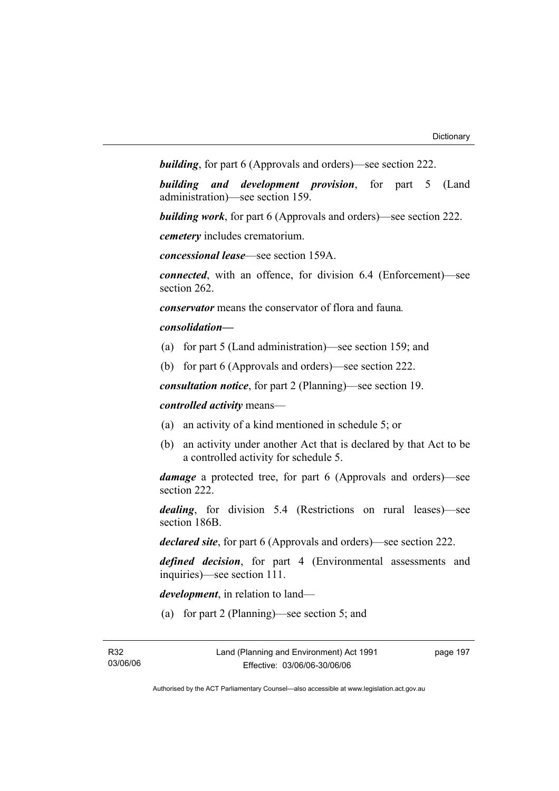*building*, for part 6 (Approvals and orders)—see section 222.

*building and development provision*, for part 5 (Land administration)—see section 159.

*building work*, for part 6 (Approvals and orders)—see section 222.

*cemetery* includes crematorium.

*concessional lease*—see section 159A.

*connected*, with an offence, for division 6.4 (Enforcement)—see section 262.

*conservator* means the conservator of flora and fauna*.*

### *consolidation—*

- (a) for part 5 (Land administration)—see section 159; and
- (b) for part 6 (Approvals and orders)—see section 222.

*consultation notice*, for part 2 (Planning)—see section 19.

*controlled activity* means—

- (a) an activity of a kind mentioned in schedule 5; or
- (b) an activity under another Act that is declared by that Act to be a controlled activity for schedule 5.

*damage* a protected tree, for part 6 (Approvals and orders)—see section 222.

*dealing*, for division 5.4 (Restrictions on rural leases)—see section 186B.

*declared site*, for part 6 (Approvals and orders)—see section 222.

*defined decision*, for part 4 (Environmental assessments and inquiries)—see section 111.

*development*, in relation to land—

(a) for part 2 (Planning)—see section 5; and

page 197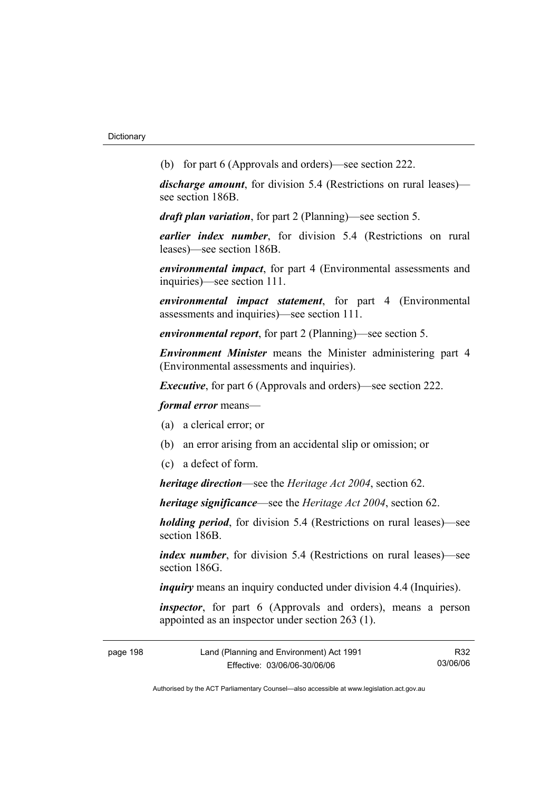(b) for part 6 (Approvals and orders)—see section 222.

*discharge amount*, for division 5.4 (Restrictions on rural leases) see section 186B.

*draft plan variation*, for part 2 (Planning)—see section 5.

*earlier index number*, for division 5.4 (Restrictions on rural leases)—see section 186B.

*environmental impact*, for part 4 (Environmental assessments and inquiries)—see section 111.

*environmental impact statement*, for part 4 (Environmental assessments and inquiries)—see section 111.

*environmental report*, for part 2 (Planning)—see section 5.

*Environment Minister* means the Minister administering part 4 (Environmental assessments and inquiries).

*Executive*, for part 6 (Approvals and orders)—see section 222.

*formal error* means—

- (a) a clerical error; or
- (b) an error arising from an accidental slip or omission; or
- (c) a defect of form.

*heritage direction*—see the *Heritage Act 2004*, section 62.

*heritage significance*—see the *Heritage Act 2004*, section 62.

*holding period*, for division 5.4 (Restrictions on rural leases)—see section 186B.

*index number*, for division 5.4 (Restrictions on rural leases)—see section 186G

*inquiry* means an inquiry conducted under division 4.4 (Inquiries).

*inspector*, for part 6 (Approvals and orders), means a person appointed as an inspector under section 263 (1).

| page 198 | Land (Planning and Environment) Act 1991 | R32      |
|----------|------------------------------------------|----------|
|          | Effective: 03/06/06-30/06/06             | 03/06/06 |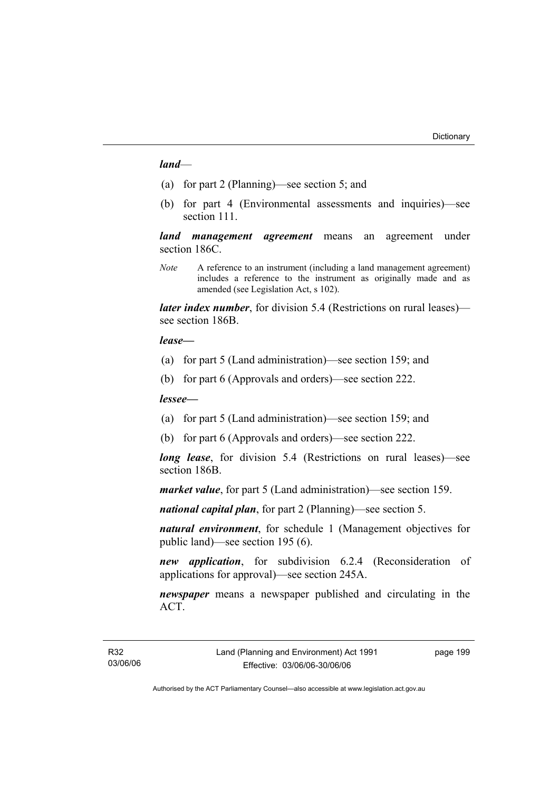### *land*—

- (a) for part 2 (Planning)—see section 5; and
- (b) for part 4 (Environmental assessments and inquiries)—see section 111.

*land management agreement* means an agreement under section 186C.

*Note* A reference to an instrument (including a land management agreement) includes a reference to the instrument as originally made and as amended (see Legislation Act, s 102).

*later index number*, for division 5.4 (Restrictions on rural leases) see section 186B.

#### *lease—*

- (a) for part 5 (Land administration)—see section 159; and
- (b) for part 6 (Approvals and orders)—see section 222.

### *lessee—*

- (a) for part 5 (Land administration)—see section 159; and
- (b) for part 6 (Approvals and orders)—see section 222.

*long lease*, for division 5.4 (Restrictions on rural leases)—see section 186B.

*market value*, for part 5 (Land administration)—see section 159.

*national capital plan*, for part 2 (Planning)—see section 5.

*natural environment*, for schedule 1 (Management objectives for public land)—see section 195 (6).

*new application*, for subdivision 6.2.4 (Reconsideration of applications for approval)—see section 245A.

*newspaper* means a newspaper published and circulating in the ACT.

page 199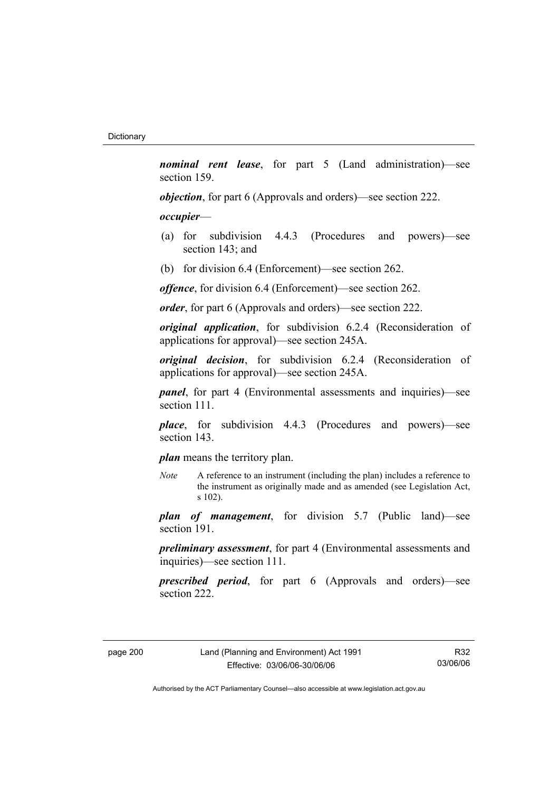*nominal rent lease*, for part 5 (Land administration)—see section 159.

*objection*, for part 6 (Approvals and orders)—see section 222.

### *occupier*—

- (a) for subdivision 4.4.3 (Procedures and powers)—see section 143; and
- (b) for division 6.4 (Enforcement)—see section 262.

*offence*, for division 6.4 (Enforcement)—see section 262.

*order*, for part 6 (Approvals and orders)—see section 222.

*original application*, for subdivision 6.2.4 (Reconsideration of applications for approval)—see section 245A.

*original decision*, for subdivision 6.2.4 (Reconsideration of applications for approval)—see section 245A.

*panel*, for part 4 (Environmental assessments and inquiries)—see section 111.

*place*, for subdivision 4.4.3 (Procedures and powers)—see section 143.

*plan* means the territory plan.

*Note* A reference to an instrument (including the plan) includes a reference to the instrument as originally made and as amended (see Legislation Act, s 102).

*plan of management*, for division 5.7 (Public land)—see section 191.

*preliminary assessment*, for part 4 (Environmental assessments and inquiries)—see section 111.

*prescribed period*, for part 6 (Approvals and orders)—see section 222.

R32 03/06/06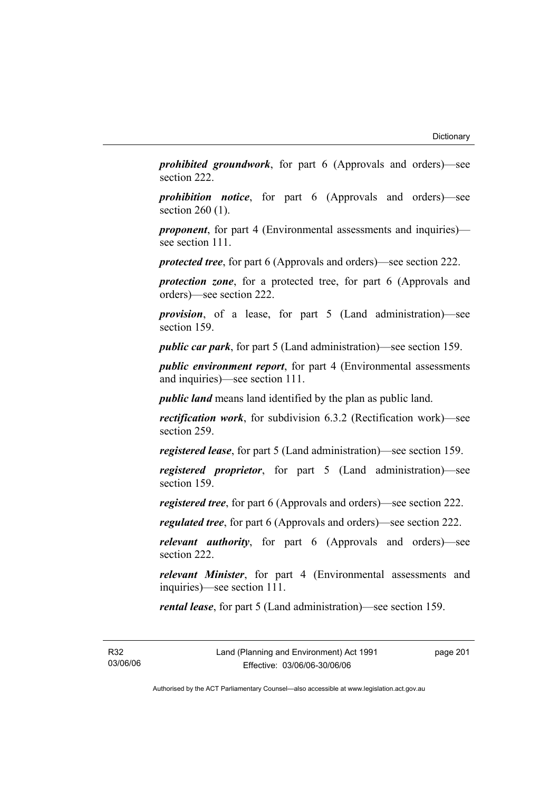*prohibited groundwork*, for part 6 (Approvals and orders)—see section 222.

*prohibition notice*, for part 6 (Approvals and orders)—see section 260 (1).

*proponent*, for part 4 (Environmental assessments and inquiries) see section 111.

*protected tree*, for part 6 (Approvals and orders)—see section 222.

*protection zone*, for a protected tree, for part 6 (Approvals and orders)—see section 222.

*provision*, of a lease, for part 5 (Land administration)—see section 159.

*public car park*, for part 5 (Land administration)—see section 159.

*public environment report*, for part 4 (Environmental assessments and inquiries)—see section 111.

*public land* means land identified by the plan as public land.

*rectification work*, for subdivision 6.3.2 (Rectification work)—see section 259.

*registered lease*, for part 5 (Land administration)—see section 159.

*registered proprietor*, for part 5 (Land administration)—see section 159.

*registered tree*, for part 6 (Approvals and orders)—see section 222.

*regulated tree*, for part 6 (Approvals and orders)—see section 222.

*relevant authority*, for part 6 (Approvals and orders)—see section 222.

*relevant Minister*, for part 4 (Environmental assessments and inquiries)—see section 111.

*rental lease*, for part 5 (Land administration)—see section 159.

R32 03/06/06 page 201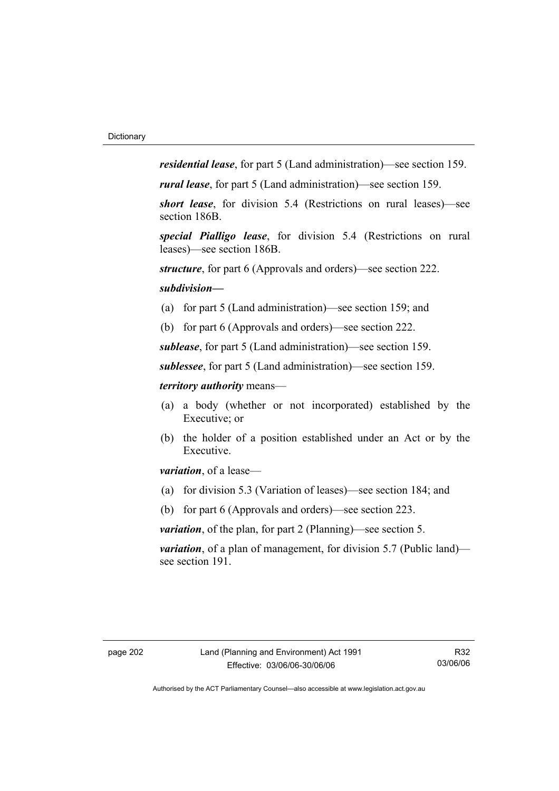*residential lease*, for part 5 (Land administration)—see section 159.

*rural lease*, for part 5 (Land administration)—see section 159.

*short lease*, for division 5.4 (Restrictions on rural leases)—see section 186B.

*special Pialligo lease*, for division 5.4 (Restrictions on rural leases)—see section 186B.

*structure*, for part 6 (Approvals and orders)—see section 222.

### *subdivision—*

- (a) for part 5 (Land administration)—see section 159; and
- (b) for part 6 (Approvals and orders)—see section 222.

*sublease*, for part 5 (Land administration)—see section 159.

*sublessee*, for part 5 (Land administration)—see section 159.

## *territory authority* means—

- (a) a body (whether or not incorporated) established by the Executive; or
- (b) the holder of a position established under an Act or by the Executive.

*variation*, of a lease—

- (a) for division 5.3 (Variation of leases)—see section 184; and
- (b) for part 6 (Approvals and orders)—see section 223.

*variation*, of the plan, for part 2 (Planning)—see section 5.

*variation*, of a plan of management, for division 5.7 (Public land) see section 191.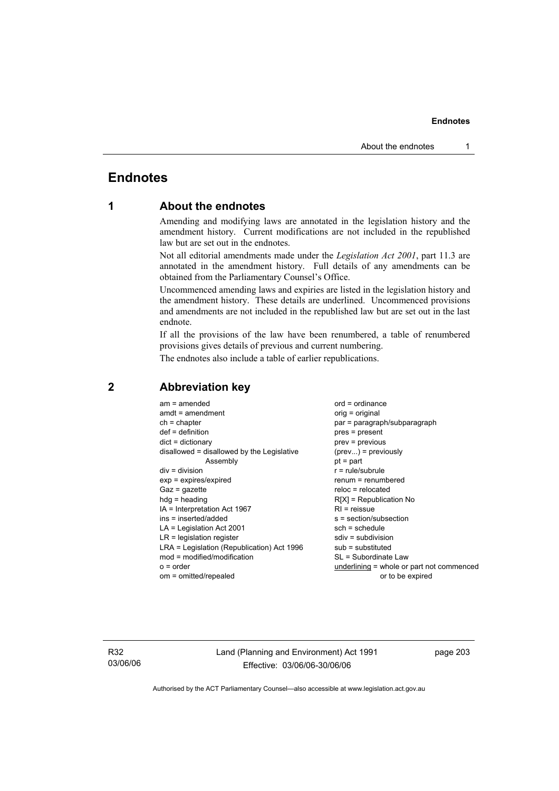# **Endnotes**

# **1 About the endnotes**

Amending and modifying laws are annotated in the legislation history and the amendment history. Current modifications are not included in the republished law but are set out in the endnotes.

Not all editorial amendments made under the *Legislation Act 2001*, part 11.3 are annotated in the amendment history. Full details of any amendments can be obtained from the Parliamentary Counsel's Office.

Uncommenced amending laws and expiries are listed in the legislation history and the amendment history. These details are underlined. Uncommenced provisions and amendments are not included in the republished law but are set out in the last endnote.

If all the provisions of the law have been renumbered, a table of renumbered provisions gives details of previous and current numbering.

The endnotes also include a table of earlier republications.

| $am = amended$                             | $ord = ordinance$                         |
|--------------------------------------------|-------------------------------------------|
| $amdt = amendment$                         | $orig = original$                         |
| $ch = chapter$                             | par = paragraph/subparagraph              |
| $def = definition$                         | pres = present                            |
| $dict = dictionary$                        | $prev = previous$                         |
| disallowed = disallowed by the Legislative | $(\text{prev})$ = previously              |
| Assembly                                   | $pt = part$                               |
| $div = division$                           | $r = rule/subrule$                        |
| $exp = expires/expired$                    | $remum = renumbered$                      |
| $Gaz = gazette$                            | $reloc = relocated$                       |
| $hdg =$ heading                            | $R[X]$ = Republication No                 |
| IA = Interpretation Act 1967               | $RI =$ reissue                            |
| ins = inserted/added                       | s = section/subsection                    |
| $LA =$ Legislation Act 2001                | $sch = schedule$                          |
| $LR =$ legislation register                | $sdiv = subdivision$                      |
| LRA = Legislation (Republication) Act 1996 | $sub =$ substituted                       |
| mod = modified/modification                | SL = Subordinate Law                      |
| $o = order$                                | underlining = whole or part not commenced |
| om = omitted/repealed                      | or to be expired                          |
|                                            |                                           |

# **2 Abbreviation key**

R32 03/06/06 Land (Planning and Environment) Act 1991 Effective: 03/06/06-30/06/06

page 203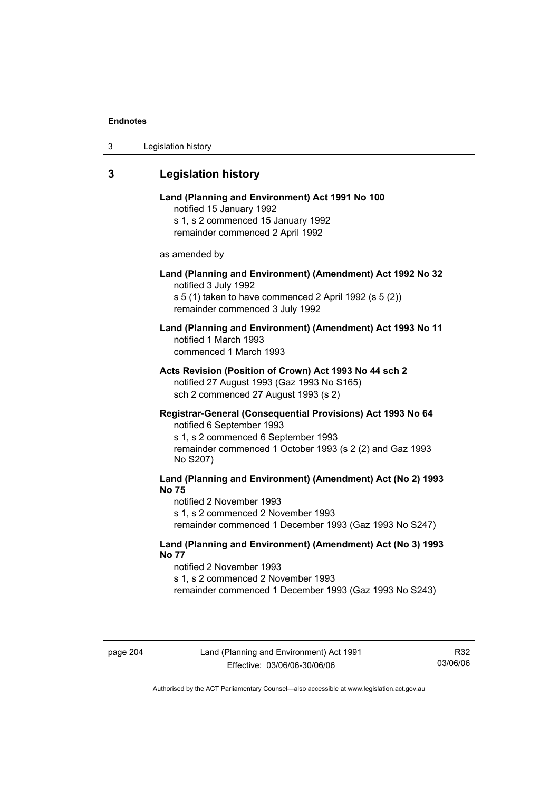| 3 | Legislation history |  |
|---|---------------------|--|
|---|---------------------|--|

# **3 Legislation history**

# **Land (Planning and Environment) Act 1991 No 100**  notified 15 January 1992 s 1, s 2 commenced 15 January 1992 remainder commenced 2 April 1992 as amended by **Land (Planning and Environment) (Amendment) Act 1992 No 32**  notified 3 July 1992 s 5 (1) taken to have commenced 2 April 1992 (s 5 (2)) remainder commenced 3 July 1992 **Land (Planning and Environment) (Amendment) Act 1993 No 11**  notified 1 March 1993 commenced 1 March 1993 **Acts Revision (Position of Crown) Act 1993 No 44 sch 2**  notified 27 August 1993 (Gaz 1993 No S165) sch 2 commenced 27 August 1993 (s 2) **Registrar-General (Consequential Provisions) Act 1993 No 64**  notified 6 September 1993 s 1, s 2 commenced 6 September 1993 remainder commenced 1 October 1993 (s 2 (2) and Gaz 1993 No S207) **Land (Planning and Environment) (Amendment) Act (No 2) 1993 No 75**  notified 2 November 1993 s 1, s 2 commenced 2 November 1993 remainder commenced 1 December 1993 (Gaz 1993 No S247)

### **Land (Planning and Environment) (Amendment) Act (No 3) 1993 No 77**

notified 2 November 1993 s 1, s 2 commenced 2 November 1993 remainder commenced 1 December 1993 (Gaz 1993 No S243)

R32 03/06/06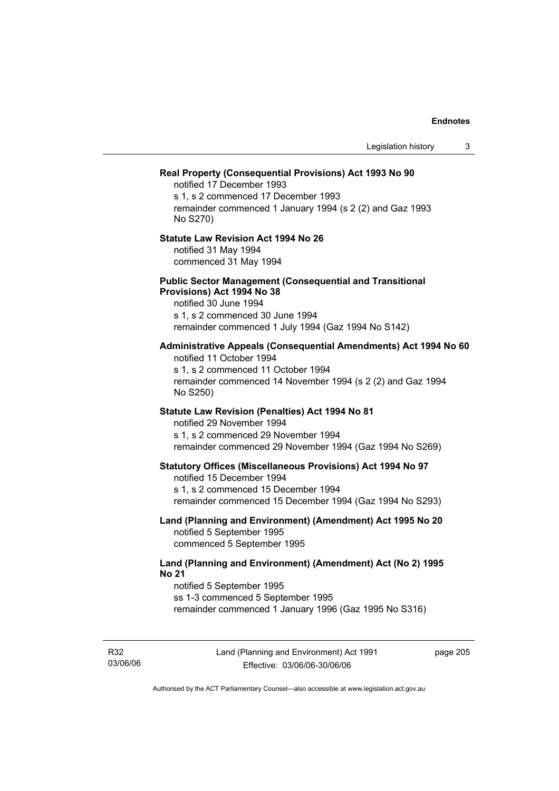|                                                                                                                                                                                                                 | Legislation history | 3 |
|-----------------------------------------------------------------------------------------------------------------------------------------------------------------------------------------------------------------|---------------------|---|
| Real Property (Consequential Provisions) Act 1993 No 90<br>notified 17 December 1993<br>s 1, s 2 commenced 17 December 1993<br>remainder commenced 1 January 1994 (s 2 (2) and Gaz 1993<br>No S270)             |                     |   |
| <b>Statute Law Revision Act 1994 No 26</b><br>notified 31 May 1994<br>commenced 31 May 1994                                                                                                                     |                     |   |
| <b>Public Sector Management (Consequential and Transitional</b><br>Provisions) Act 1994 No 38<br>notified 30 June 1994<br>s 1, s 2 commenced 30 June 1994<br>remainder commenced 1 July 1994 (Gaz 1994 No S142) |                     |   |
| Administrative Appeals (Consequential Amendments) Act 1994 No 60<br>notified 11 October 1994<br>s 1, s 2 commenced 11 October 1994<br>remainder commenced 14 November 1994 (s 2 (2) and Gaz 1994<br>No S250)    |                     |   |
| <b>Statute Law Revision (Penalties) Act 1994 No 81</b><br>notified 29 November 1994<br>s 1, s 2 commenced 29 November 1994<br>remainder commenced 29 November 1994 (Gaz 1994 No S269)                           |                     |   |
| <b>Statutory Offices (Miscellaneous Provisions) Act 1994 No 97</b><br>notified 15 December 1994<br>s 1, s 2 commenced 15 December 1994<br>remainder commenced 15 December 1994 (Gaz 1994 No S293)               |                     |   |
| Land (Planning and Environment) (Amendment) Act 1995 No 20<br>notified 5 September 1995<br>commenced 5 September 1995                                                                                           |                     |   |
| Land (Planning and Environment) (Amendment) Act (No 2) 1995<br><b>No 21</b><br>notified 5 September 1995<br>ss 1-3 commenced 5 September 1995<br>remainder commenced 1 January 1996 (Gaz 1995 No S316)          |                     |   |

R32 03/06/06 Land (Planning and Environment) Act 1991 Effective: 03/06/06-30/06/06

page 205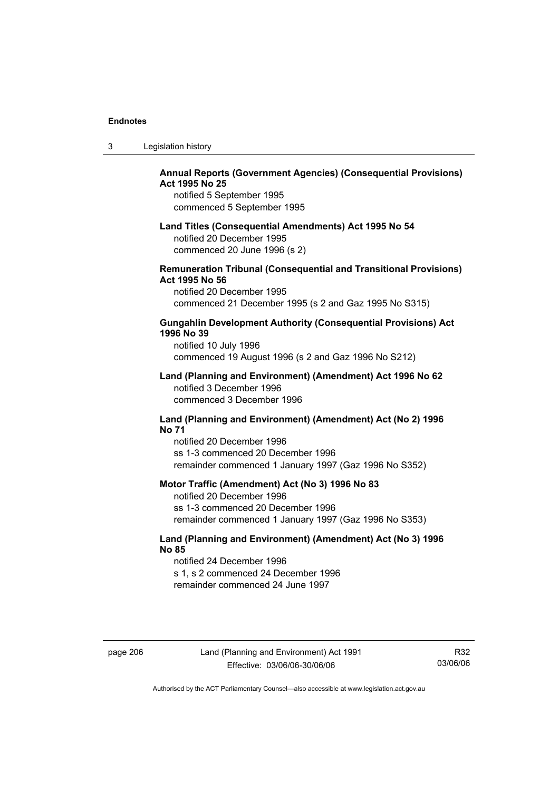| 3 | Legislation history |  |
|---|---------------------|--|
|---|---------------------|--|

# **Annual Reports (Government Agencies) (Consequential Provisions) Act 1995 No 25**

notified 5 September 1995 commenced 5 September 1995

#### **Land Titles (Consequential Amendments) Act 1995 No 54**

notified 20 December 1995 commenced 20 June 1996 (s 2)

### **Remuneration Tribunal (Consequential and Transitional Provisions) Act 1995 No 56**

notified 20 December 1995 commenced 21 December 1995 (s 2 and Gaz 1995 No S315)

### **Gungahlin Development Authority (Consequential Provisions) Act 1996 No 39**

notified 10 July 1996 commenced 19 August 1996 (s 2 and Gaz 1996 No S212)

#### **Land (Planning and Environment) (Amendment) Act 1996 No 62**  notified 3 December 1996 commenced 3 December 1996

#### **Land (Planning and Environment) (Amendment) Act (No 2) 1996 No 71**

notified 20 December 1996 ss 1-3 commenced 20 December 1996 remainder commenced 1 January 1997 (Gaz 1996 No S352)

### **Motor Traffic (Amendment) Act (No 3) 1996 No 83**

notified 20 December 1996 ss 1-3 commenced 20 December 1996 remainder commenced 1 January 1997 (Gaz 1996 No S353)

# **Land (Planning and Environment) (Amendment) Act (No 3) 1996 No 85**

notified 24 December 1996 s 1, s 2 commenced 24 December 1996 remainder commenced 24 June 1997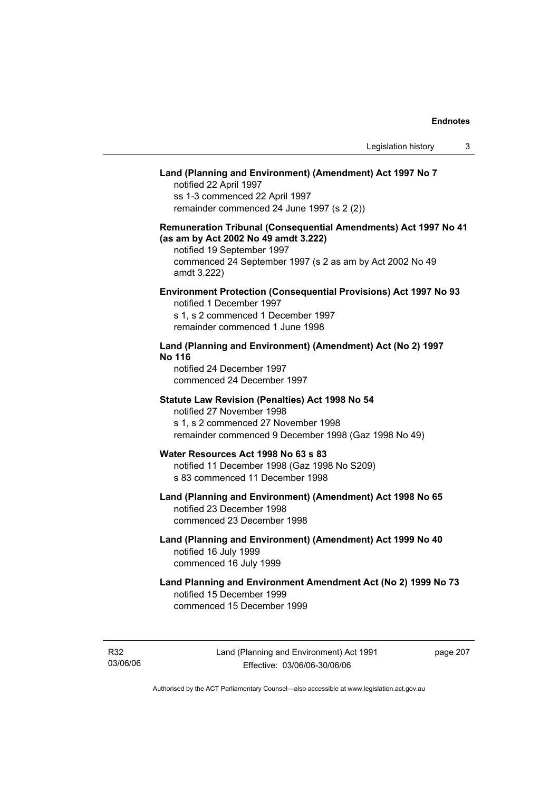# **Land (Planning and Environment) (Amendment) Act 1997 No 7**

notified 22 April 1997 ss 1-3 commenced 22 April 1997 remainder commenced 24 June 1997 (s 2 (2))

# **Remuneration Tribunal (Consequential Amendments) Act 1997 No 41 (as am by Act 2002 No 49 amdt 3.222)**

notified 19 September 1997 commenced 24 September 1997 (s 2 as am by Act 2002 No 49 amdt 3.222)

# **Environment Protection (Consequential Provisions) Act 1997 No 93**

notified 1 December 1997 s 1, s 2 commenced 1 December 1997 remainder commenced 1 June 1998

# **Land (Planning and Environment) (Amendment) Act (No 2) 1997 No 116**

notified 24 December 1997 commenced 24 December 1997

#### **Statute Law Revision (Penalties) Act 1998 No 54**

notified 27 November 1998 s 1, s 2 commenced 27 November 1998 remainder commenced 9 December 1998 (Gaz 1998 No 49)

# **Water Resources Act 1998 No 63 s 83**

notified 11 December 1998 (Gaz 1998 No S209) s 83 commenced 11 December 1998

# **Land (Planning and Environment) (Amendment) Act 1998 No 65**  notified 23 December 1998

commenced 23 December 1998

# **Land (Planning and Environment) (Amendment) Act 1999 No 40**  notified 16 July 1999 commenced 16 July 1999

# **Land Planning and Environment Amendment Act (No 2) 1999 No 73**  notified 15 December 1999 commenced 15 December 1999

R32 03/06/06 page 207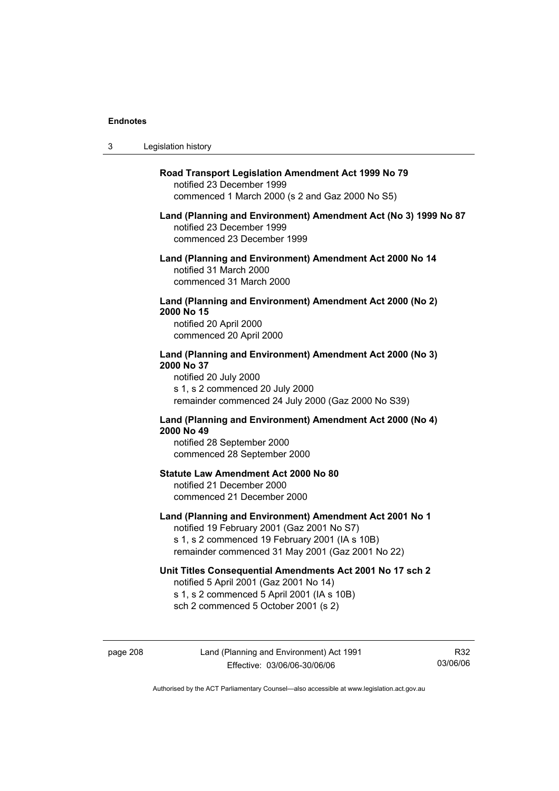$3<sub>1</sub>$ 

R32 03/06/06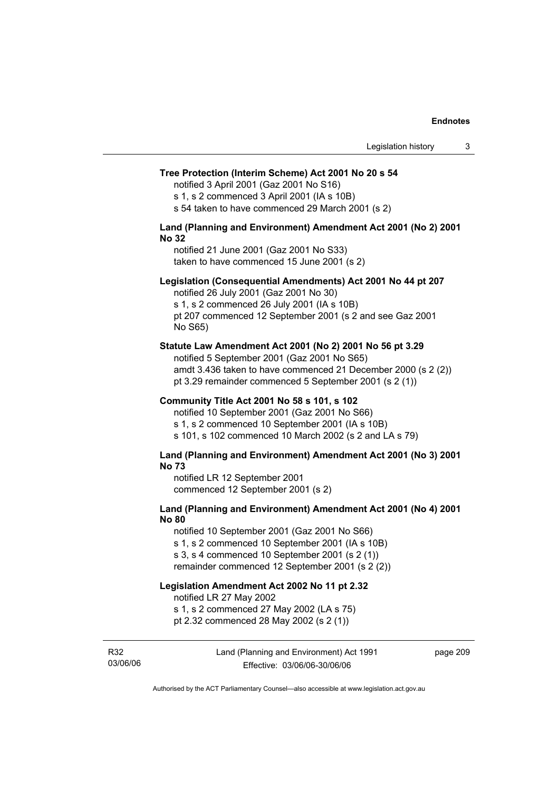#### **Tree Protection (Interim Scheme) Act 2001 No 20 s 54**

notified 3 April 2001 (Gaz 2001 No S16)

s 1, s 2 commenced 3 April 2001 (IA s 10B)

s 54 taken to have commenced 29 March 2001 (s 2)

#### **Land (Planning and Environment) Amendment Act 2001 (No 2) 2001 No 32**

notified 21 June 2001 (Gaz 2001 No S33) taken to have commenced 15 June 2001 (s 2)

#### **Legislation (Consequential Amendments) Act 2001 No 44 pt 207**

notified 26 July 2001 (Gaz 2001 No 30) s 1, s 2 commenced 26 July 2001 (IA s 10B) pt 207 commenced 12 September 2001 (s 2 and see Gaz 2001 No S65)

#### **Statute Law Amendment Act 2001 (No 2) 2001 No 56 pt 3.29**

notified 5 September 2001 (Gaz 2001 No S65) amdt 3.436 taken to have commenced 21 December 2000 (s 2 (2)) pt 3.29 remainder commenced 5 September 2001 (s 2 (1))

#### **Community Title Act 2001 No 58 s 101, s 102**

notified 10 September 2001 (Gaz 2001 No S66) s 1, s 2 commenced 10 September 2001 (IA s 10B) s 101, s 102 commenced 10 March 2002 (s 2 and LA s 79)

#### **Land (Planning and Environment) Amendment Act 2001 (No 3) 2001 No 73**

notified LR 12 September 2001 commenced 12 September 2001 (s 2)

# **Land (Planning and Environment) Amendment Act 2001 (No 4) 2001 No 80**

notified 10 September 2001 (Gaz 2001 No S66) s 1, s 2 commenced 10 September 2001 (IA s 10B) s 3, s 4 commenced 10 September 2001 (s 2 (1)) remainder commenced 12 September 2001 (s 2 (2))

# **Legislation Amendment Act 2002 No 11 pt 2.32**

notified LR 27 May 2002

s 1, s 2 commenced 27 May 2002 (LA s 75)

pt 2.32 commenced 28 May 2002 (s 2 (1))

R32 03/06/06 Land (Planning and Environment) Act 1991 Effective: 03/06/06-30/06/06

page 209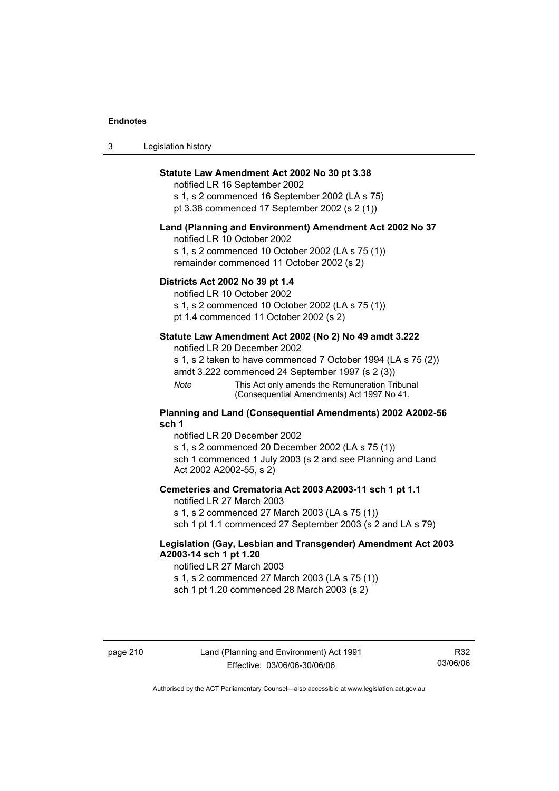| 3 | Legislation history |  |
|---|---------------------|--|
|---|---------------------|--|

# **Statute Law Amendment Act 2002 No 30 pt 3.38**

notified LR 16 September 2002 s 1, s 2 commenced 16 September 2002 (LA s 75) pt 3.38 commenced 17 September 2002 (s 2 (1))

#### **Land (Planning and Environment) Amendment Act 2002 No 37**

notified LR 10 October 2002

s 1, s 2 commenced 10 October 2002 (LA s 75 (1)) remainder commenced 11 October 2002 (s 2)

#### **Districts Act 2002 No 39 pt 1.4**

notified LR 10 October 2002

s 1, s 2 commenced 10 October 2002 (LA s 75 (1))

pt 1.4 commenced 11 October 2002 (s 2)

### **Statute Law Amendment Act 2002 (No 2) No 49 amdt 3.222**

notified LR 20 December 2002

s 1, s 2 taken to have commenced 7 October 1994 (LA s 75 (2))

amdt 3.222 commenced 24 September 1997 (s 2 (3))

*Note* This Act only amends the Remuneration Tribunal (Consequential Amendments) Act 1997 No 41.

#### **Planning and Land (Consequential Amendments) 2002 A2002-56 sch 1**

notified LR 20 December 2002 s 1, s 2 commenced 20 December 2002 (LA s 75 (1)) sch 1 commenced 1 July 2003 (s 2 and see Planning and Land Act 2002 A2002-55, s 2)

### **Cemeteries and Crematoria Act 2003 A2003-11 sch 1 pt 1.1**

notified LR 27 March 2003 s 1, s 2 commenced 27 March 2003 (LA s 75 (1)) sch 1 pt 1.1 commenced 27 September 2003 (s 2 and LA s 79)

# **Legislation (Gay, Lesbian and Transgender) Amendment Act 2003 A2003-14 sch 1 pt 1.20**

notified LR 27 March 2003 s 1, s 2 commenced 27 March 2003 (LA s 75 (1)) sch 1 pt 1.20 commenced 28 March 2003 (s 2)

R32 03/06/06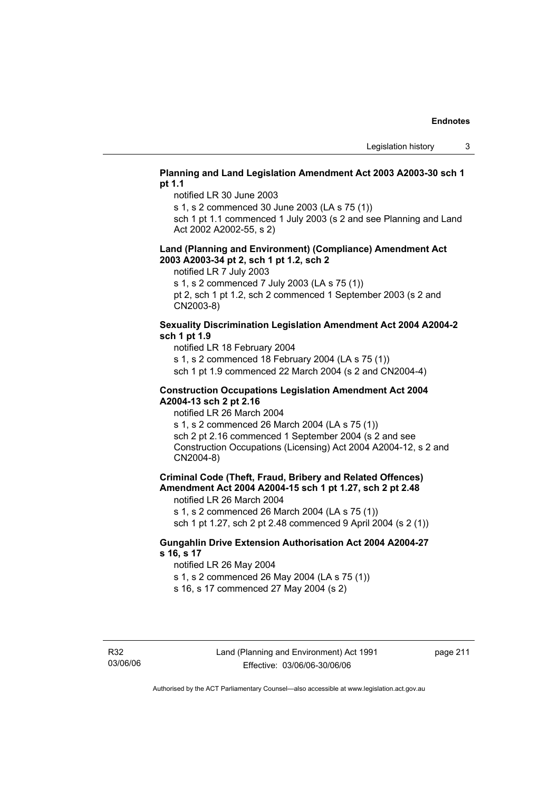# **Planning and Land Legislation Amendment Act 2003 A2003-30 sch 1 pt 1.1**

notified LR 30 June 2003

s 1, s 2 commenced 30 June 2003 (LA s 75 (1))

sch 1 pt 1.1 commenced 1 July 2003 (s 2 and see Planning and Land Act 2002 A2002-55, s 2)

#### **Land (Planning and Environment) (Compliance) Amendment Act 2003 A2003-34 pt 2, sch 1 pt 1.2, sch 2**

notified LR 7 July 2003

s 1, s 2 commenced 7 July 2003 (LA s 75 (1))

pt 2, sch 1 pt 1.2, sch 2 commenced 1 September 2003 (s 2 and CN2003-8)

# **Sexuality Discrimination Legislation Amendment Act 2004 A2004-2 sch 1 pt 1.9**

notified LR 18 February 2004

s 1, s 2 commenced 18 February 2004 (LA s 75 (1))

sch 1 pt 1.9 commenced 22 March 2004 (s 2 and CN2004-4)

#### **Construction Occupations Legislation Amendment Act 2004 A2004-13 sch 2 pt 2.16**

notified LR 26 March 2004

s 1, s 2 commenced 26 March 2004 (LA s 75 (1)) sch 2 pt 2.16 commenced 1 September 2004 (s 2 and see Construction Occupations (Licensing) Act 2004 A2004-12, s 2 and CN2004-8)

# **Criminal Code (Theft, Fraud, Bribery and Related Offences) Amendment Act 2004 A2004-15 sch 1 pt 1.27, sch 2 pt 2.48**

notified LR 26 March 2004

s 1, s 2 commenced 26 March 2004 (LA s 75 (1))

sch 1 pt 1.27, sch 2 pt 2.48 commenced 9 April 2004 (s 2 (1))

# **Gungahlin Drive Extension Authorisation Act 2004 A2004-27 s 16, s 17**

notified LR 26 May 2004

s 1, s 2 commenced 26 May 2004 (LA s 75 (1))

s 16, s 17 commenced 27 May 2004 (s 2)

page 211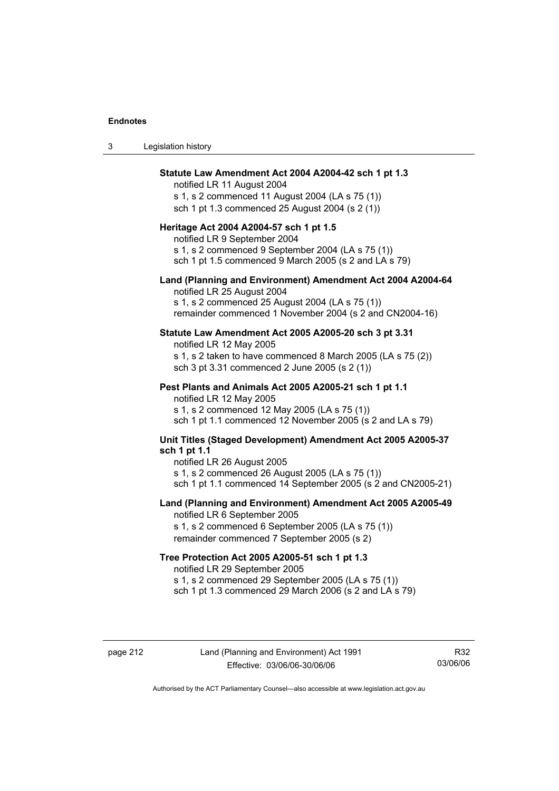| Legislation history<br>-3 |  |
|---------------------------|--|
|---------------------------|--|

#### **Statute Law Amendment Act 2004 A2004-42 sch 1 pt 1.3**

notified LR 11 August 2004 s 1, s 2 commenced 11 August 2004 (LA s 75 (1)) sch 1 pt 1.3 commenced 25 August 2004 (s 2 (1))

#### **Heritage Act 2004 A2004-57 sch 1 pt 1.5**

notified LR 9 September 2004 s 1, s 2 commenced 9 September 2004 (LA s 75 (1)) sch 1 pt 1.5 commenced 9 March 2005 (s 2 and LA s 79)

#### **Land (Planning and Environment) Amendment Act 2004 A2004-64**

notified LR 25 August 2004 s 1, s 2 commenced 25 August 2004 (LA s 75 (1)) remainder commenced 1 November 2004 (s 2 and CN2004-16)

#### **Statute Law Amendment Act 2005 A2005-20 sch 3 pt 3.31**

notified LR 12 May 2005 s 1, s 2 taken to have commenced 8 March 2005 (LA s 75 (2)) sch 3 pt 3.31 commenced 2 June 2005 (s 2 (1))

#### **Pest Plants and Animals Act 2005 A2005-21 sch 1 pt 1.1**

notified LR 12 May 2005 s 1, s 2 commenced 12 May 2005 (LA s 75 (1)) sch 1 pt 1.1 commenced 12 November 2005 (s 2 and LA s 79)

# **Unit Titles (Staged Development) Amendment Act 2005 A2005-37 sch 1 pt 1.1**

notified LR 26 August 2005 s 1, s 2 commenced 26 August 2005 (LA s 75 (1)) sch 1 pt 1.1 commenced 14 September 2005 (s 2 and CN2005-21)

#### **Land (Planning and Environment) Amendment Act 2005 A2005-49**

notified LR 6 September 2005 s 1, s 2 commenced 6 September 2005 (LA s 75 (1)) remainder commenced 7 September 2005 (s 2)

#### **Tree Protection Act 2005 A2005-51 sch 1 pt 1.3**

notified LR 29 September 2005 s 1, s 2 commenced 29 September 2005 (LA s 75 (1)) sch 1 pt 1.3 commenced 29 March 2006 (s 2 and LA s 79)

R32 03/06/06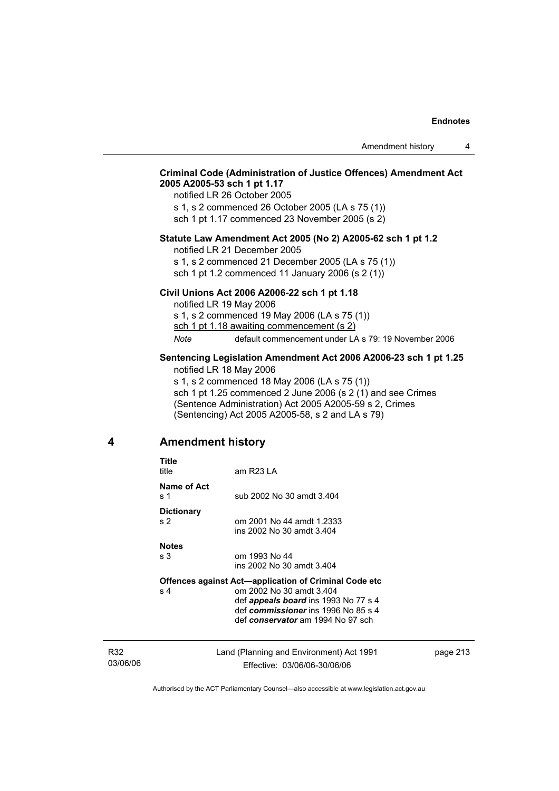# **Criminal Code (Administration of Justice Offences) Amendment Act 2005 A2005-53 sch 1 pt 1.17**

notified LR 26 October 2005 s 1, s 2 commenced 26 October 2005 (LA s 75 (1)) sch 1 pt 1.17 commenced 23 November 2005 (s 2)

#### **Statute Law Amendment Act 2005 (No 2) A2005-62 sch 1 pt 1.2**

notified LR 21 December 2005

s 1, s 2 commenced 21 December 2005 (LA s 75 (1)) sch 1 pt 1.2 commenced 11 January 2006 (s 2 (1))

#### **Civil Unions Act 2006 A2006-22 sch 1 pt 1.18**

notified LR 19 May 2006 s 1, s 2 commenced 19 May 2006 (LA s 75 (1)) sch 1 pt 1.18 awaiting commencement (s 2) *Note* default commencement under LA s 79: 19 November 2006

#### **Sentencing Legislation Amendment Act 2006 A2006-23 sch 1 pt 1.25**  notified LR 18 May 2006

s 1, s 2 commenced 18 May 2006 (LA s 75 (1)) sch 1 pt 1.25 commenced 2 June 2006 (s 2 (1) and see Crimes (Sentence Administration) Act 2005 A2005-59 s 2, Crimes (Sentencing) Act 2005 A2005-58, s 2 and LA s 79)

# **4 Amendment history**

| Title<br>title                      | am R23 LA                                                                                                                                           |
|-------------------------------------|-----------------------------------------------------------------------------------------------------------------------------------------------------|
| Name of Act<br>s 1                  | sub 2002 No 30 amdt 3.404                                                                                                                           |
| <b>Dictionary</b><br>s <sub>2</sub> | om 2001 No 44 amdt 1.2333<br>ins 2002 No 30 amdt 3.404                                                                                              |
| <b>Notes</b>                        |                                                                                                                                                     |
| s 3                                 | om 1993 No 44<br>ins 2002 No 30 amdt 3.404                                                                                                          |
|                                     | Offences against Act-application of Criminal Code etc                                                                                               |
| s <sub>4</sub>                      | om 2002 No 30 amdt 3.404<br>def <i>appeals board</i> ins 1993 No 77 s 4<br>def commissioner ins 1996 No 85 s 4<br>def conservator am 1994 No 97 sch |
|                                     |                                                                                                                                                     |

R32 03/06/06 Land (Planning and Environment) Act 1991 Effective: 03/06/06-30/06/06

page 213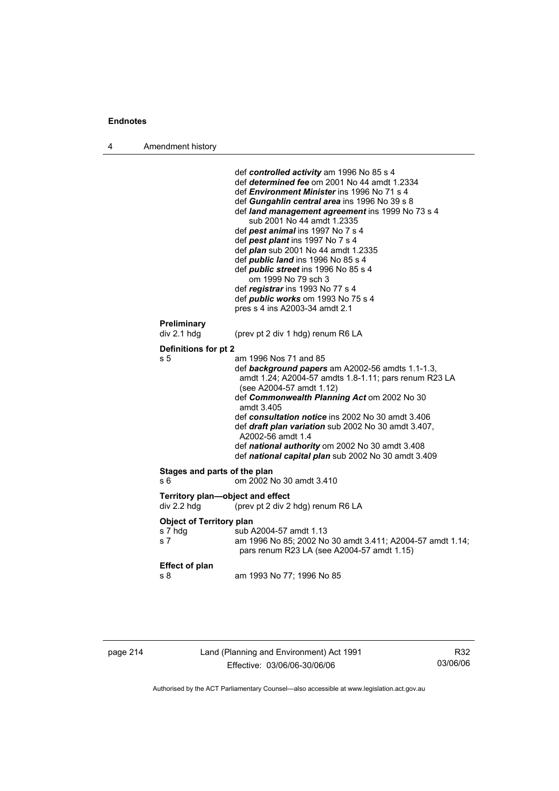| Amendment history<br>л |  |
|------------------------|--|
|------------------------|--|

| Preliminary<br>div 2.1 hdg<br>(prev pt 2 div 1 hdg) renum R6 LA<br>Definitions for pt 2<br>s 5<br>am 1996 Nos 71 and 85<br>def background papers am A2002-56 amdts 1.1-1.3,<br>amdt 1.24; A2004-57 amdts 1.8-1.11; pars renum R23 LA<br>(see A2004-57 amdt 1.12)<br>def Commonwealth Planning Act om 2002 No 30<br>amdt 3.405<br>def consultation notice ins 2002 No 30 amdt 3.406<br>def draft plan variation sub 2002 No 30 amdt 3.407,<br>A2002-56 amdt 1.4<br>def national authority om 2002 No 30 amdt 3.408<br>def national capital plan sub 2002 No 30 amdt 3.409<br>Stages and parts of the plan<br>om 2002 No 30 amdt 3.410<br>s 6<br>Territory plan-object and effect<br>div 2.2 hdg<br>(prev pt 2 div 2 hdg) renum R6 LA<br><b>Object of Territory plan</b><br>s 7 hdg<br>sub A2004-57 amdt 1.13<br>s 7<br>pars renum R23 LA (see A2004-57 amdt 1.15)<br><b>Effect of plan</b><br>am 1993 No 77; 1996 No 85<br>s 8 |  |  | def controlled activity am 1996 No 85 s 4<br>def determined fee om 2001 No 44 amdt 1.2334<br>def <i>Environment Minister</i> ins 1996 No 71 s 4<br>def Gungahlin central area ins 1996 No 39 s 8<br>def land management agreement ins 1999 No 73 s 4<br>sub 2001 No 44 amdt 1.2335<br>def pest animal ins 1997 No 7 s 4<br>def pest plant ins 1997 No 7 s 4<br>def <i>plan</i> sub 2001 No 44 amdt 1.2335<br>def <i>public land</i> ins 1996 No 85 s 4<br>def <i>public</i> street ins 1996 No 85 s 4<br>om 1999 No 79 sch 3<br>def registrar ins 1993 No 77 s 4<br>def <i>public</i> works om 1993 No 75 s 4<br>pres s 4 ins A2003-34 amdt 2.1 |
|-------------------------------------------------------------------------------------------------------------------------------------------------------------------------------------------------------------------------------------------------------------------------------------------------------------------------------------------------------------------------------------------------------------------------------------------------------------------------------------------------------------------------------------------------------------------------------------------------------------------------------------------------------------------------------------------------------------------------------------------------------------------------------------------------------------------------------------------------------------------------------------------------------------------------------|--|--|-------------------------------------------------------------------------------------------------------------------------------------------------------------------------------------------------------------------------------------------------------------------------------------------------------------------------------------------------------------------------------------------------------------------------------------------------------------------------------------------------------------------------------------------------------------------------------------------------------------------------------------------------|
|                                                                                                                                                                                                                                                                                                                                                                                                                                                                                                                                                                                                                                                                                                                                                                                                                                                                                                                               |  |  |                                                                                                                                                                                                                                                                                                                                                                                                                                                                                                                                                                                                                                                 |
|                                                                                                                                                                                                                                                                                                                                                                                                                                                                                                                                                                                                                                                                                                                                                                                                                                                                                                                               |  |  |                                                                                                                                                                                                                                                                                                                                                                                                                                                                                                                                                                                                                                                 |
|                                                                                                                                                                                                                                                                                                                                                                                                                                                                                                                                                                                                                                                                                                                                                                                                                                                                                                                               |  |  |                                                                                                                                                                                                                                                                                                                                                                                                                                                                                                                                                                                                                                                 |
|                                                                                                                                                                                                                                                                                                                                                                                                                                                                                                                                                                                                                                                                                                                                                                                                                                                                                                                               |  |  |                                                                                                                                                                                                                                                                                                                                                                                                                                                                                                                                                                                                                                                 |
|                                                                                                                                                                                                                                                                                                                                                                                                                                                                                                                                                                                                                                                                                                                                                                                                                                                                                                                               |  |  |                                                                                                                                                                                                                                                                                                                                                                                                                                                                                                                                                                                                                                                 |
|                                                                                                                                                                                                                                                                                                                                                                                                                                                                                                                                                                                                                                                                                                                                                                                                                                                                                                                               |  |  |                                                                                                                                                                                                                                                                                                                                                                                                                                                                                                                                                                                                                                                 |
|                                                                                                                                                                                                                                                                                                                                                                                                                                                                                                                                                                                                                                                                                                                                                                                                                                                                                                                               |  |  | am 1996 No 85; 2002 No 30 amdt 3.411; A2004-57 amdt 1.14;                                                                                                                                                                                                                                                                                                                                                                                                                                                                                                                                                                                       |
|                                                                                                                                                                                                                                                                                                                                                                                                                                                                                                                                                                                                                                                                                                                                                                                                                                                                                                                               |  |  |                                                                                                                                                                                                                                                                                                                                                                                                                                                                                                                                                                                                                                                 |

| page 214 |  |
|----------|--|
|----------|--|

page 214 Land (Planning and Environment) Act 1991 Effective: 03/06/06-30/06/06

R32 03/06/06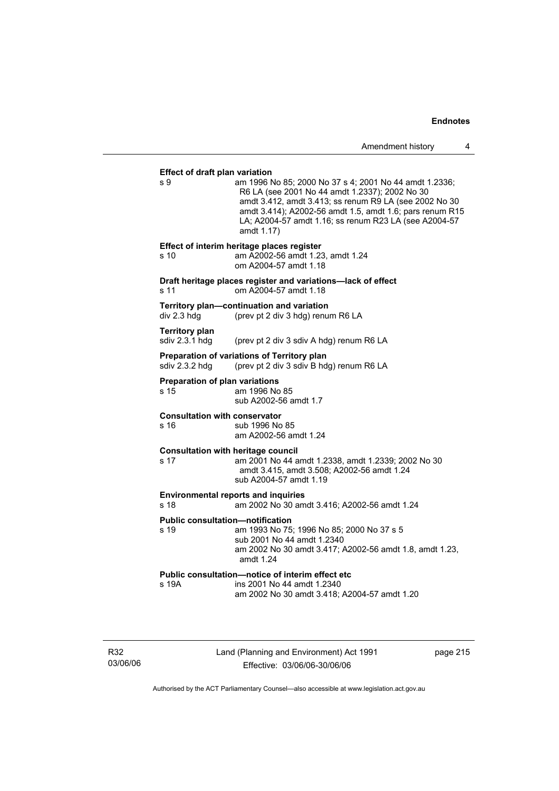#### **Effect of draft plan variation**

s 9 am 1996 No 85; 2000 No 37 s 4; 2001 No 44 amdt 1.2336; R6 LA (see 2001 No 44 amdt 1.2337); 2002 No 30 amdt 3.412, amdt 3.413; ss renum R9 LA (see 2002 No 30 amdt 3.414); A2002-56 amdt 1.5, amdt 1.6; pars renum R15 LA; A2004-57 amdt 1.16; ss renum R23 LA (see A2004-57 amdt 1.17) **Effect of interim heritage places register**  s 10 am A2002-56 amdt 1.23, amdt 1.24 om A2004-57 amdt 1.18 **Draft heritage places register and variations—lack of effect**  s 11 om A2004-57 amdt 1.18 **Territory plan—continuation and variation**  div 2.3 hdg (prev pt 2 div 3 hdg) renum R6 LA **Territory plan**  sdiv 2.3.1 hdg (prev pt 2 div 3 sdiv A hdg) renum R6 LA **Preparation of variations of Territory plan**  sdiv 2.3.2 hdg (prev pt 2 div 3 sdiv B hdg) renum R6 LA **Preparation of plan variations**  s 15 am 1996 No 85 sub A2002-56 amdt 1.7 **Consultation with conservator**  s 16 sub 1996 No 85 am A2002-56 amdt 1.24 **Consultation with heritage council**  s 17 am 2001 No 44 amdt 1.2338, amdt 1.2339; 2002 No 30 amdt 3.415, amdt 3.508; A2002-56 amdt 1.24 sub A2004-57 amdt 1.19 **Environmental reports and inquiries**  s 18 am 2002 No 30 amdt 3.416; A2002-56 amdt 1.24 **Public consultation—notification**  s 19 am 1993 No 75; 1996 No 85; 2000 No 37 s 5 sub 2001 No 44 amdt 1.2340 am 2002 No 30 amdt 3.417; A2002-56 amdt 1.8, amdt 1.23, amdt 1.24 **Public consultation—notice of interim effect etc**  s 19A ins 2001 No 44 amdt 1.2340 am 2002 No 30 amdt 3.418; A2004-57 amdt 1.20

R32 03/06/06 Land (Planning and Environment) Act 1991 Effective: 03/06/06-30/06/06

page 215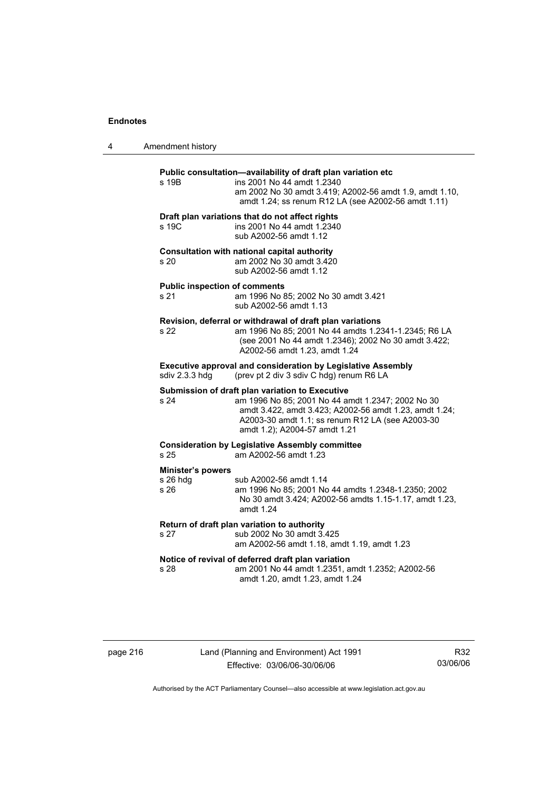| 4 | Amendment history                              |                                                                                                                                                                                                                                                     |
|---|------------------------------------------------|-----------------------------------------------------------------------------------------------------------------------------------------------------------------------------------------------------------------------------------------------------|
|   | s 19B                                          | Public consultation-availability of draft plan variation etc<br>ins 2001 No 44 amdt 1.2340<br>am 2002 No 30 amdt 3.419; A2002-56 amdt 1.9, amdt 1.10,<br>amdt 1.24; ss renum R12 LA (see A2002-56 amdt 1.11)                                        |
|   | s 19C                                          | Draft plan variations that do not affect rights<br>ins 2001 No 44 amdt 1.2340<br>sub A2002-56 amdt 1.12                                                                                                                                             |
|   | s 20                                           | Consultation with national capital authority<br>am 2002 No 30 amdt 3.420<br>sub A2002-56 amdt 1.12                                                                                                                                                  |
|   | <b>Public inspection of comments</b><br>s 21   | am 1996 No 85; 2002 No 30 amdt 3.421<br>sub A2002-56 amdt 1.13                                                                                                                                                                                      |
|   | s 22                                           | Revision, deferral or withdrawal of draft plan variations<br>am 1996 No 85; 2001 No 44 amdts 1.2341-1.2345; R6 LA<br>(see 2001 No 44 amdt 1.2346); 2002 No 30 amdt 3.422;<br>A2002-56 amdt 1.23, amdt 1.24                                          |
|   | sdiv 2.3.3 hdg                                 | <b>Executive approval and consideration by Legislative Assembly</b><br>(prev pt 2 div 3 sdiv C hdg) renum R6 LA                                                                                                                                     |
|   | s 24                                           | Submission of draft plan variation to Executive<br>am 1996 No 85; 2001 No 44 amdt 1.2347; 2002 No 30<br>amdt 3.422, amdt 3.423; A2002-56 amdt 1.23, amdt 1.24;<br>A2003-30 amdt 1.1; ss renum R12 LA (see A2003-30<br>amdt 1.2); A2004-57 amdt 1.21 |
|   | s <sub>25</sub>                                | <b>Consideration by Legislative Assembly committee</b><br>am A2002-56 amdt 1.23                                                                                                                                                                     |
|   | <b>Minister's powers</b><br>$s$ 26 hdg<br>s 26 | sub A2002-56 amdt 1.14<br>am 1996 No 85; 2001 No 44 amdts 1.2348-1.2350; 2002<br>No 30 amdt 3.424; A2002-56 amdts 1.15-1.17, amdt 1.23,<br>amdt 1.24                                                                                                |
|   | s 27                                           | Return of draft plan variation to authority<br>sub 2002 No 30 amdt 3.425<br>am A2002-56 amdt 1.18, amdt 1.19, amdt 1.23                                                                                                                             |
|   | s 28                                           | Notice of revival of deferred draft plan variation<br>am 2001 No 44 amdt 1.2351, amdt 1.2352; A2002-56<br>amdt 1.20, amdt 1.23, amdt 1.24                                                                                                           |

| page 216 |  |
|----------|--|
|----------|--|

# page 216 Land (Planning and Environment) Act 1991 Effective: 03/06/06-30/06/06

R32 03/06/06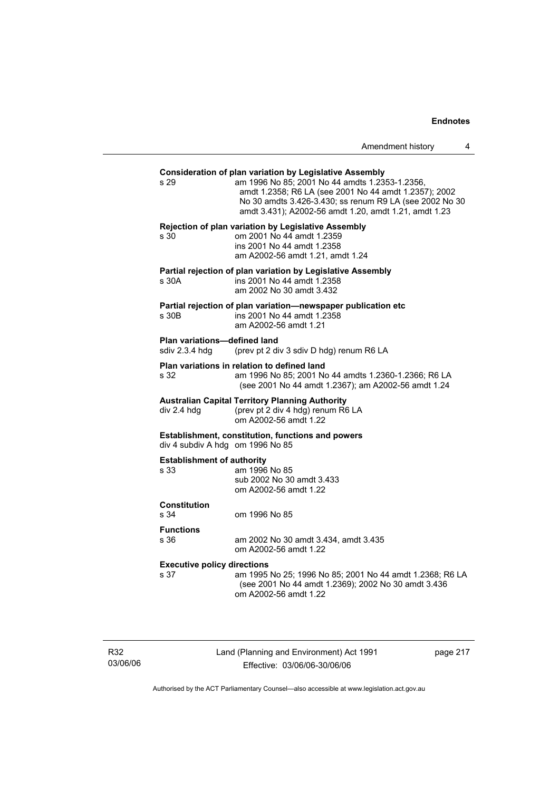| Amendment history |  |
|-------------------|--|
|-------------------|--|

| s <sub>29</sub>                                | <b>Consideration of plan variation by Legislative Assembly</b><br>am 1996 No 85; 2001 No 44 amdts 1.2353-1.2356,<br>amdt 1.2358; R6 LA (see 2001 No 44 amdt 1.2357); 2002<br>No 30 amdts 3.426-3.430; ss renum R9 LA (see 2002 No 30<br>amdt 3.431); A2002-56 amdt 1.20, amdt 1.21, amdt 1.23 |
|------------------------------------------------|-----------------------------------------------------------------------------------------------------------------------------------------------------------------------------------------------------------------------------------------------------------------------------------------------|
| s 30                                           | Rejection of plan variation by Legislative Assembly<br>om 2001 No 44 amdt 1.2359<br>ins 2001 No 44 amdt 1.2358<br>am A2002-56 amdt 1.21, amdt 1.24                                                                                                                                            |
| s 30A                                          | Partial rejection of plan variation by Legislative Assembly<br>ins 2001 No 44 amdt 1.2358<br>am 2002 No 30 amdt 3.432                                                                                                                                                                         |
| s 30B                                          | Partial rejection of plan variation-newspaper publication etc<br>ins 2001 No 44 amdt 1.2358<br>am A2002-56 amdt 1.21                                                                                                                                                                          |
| Plan variations-defined land<br>sdiv 2.3.4 hdg | (prev pt 2 div 3 sdiv D hdg) renum R6 LA                                                                                                                                                                                                                                                      |
| s 32                                           | Plan variations in relation to defined land<br>am 1996 No 85; 2001 No 44 amdts 1.2360-1.2366; R6 LA<br>(see 2001 No 44 amdt 1.2367); am A2002-56 amdt 1.24                                                                                                                                    |
| div 2.4 hdg                                    | <b>Australian Capital Territory Planning Authority</b><br>(prev pt 2 div 4 hdg) renum R6 LA<br>om A2002-56 amdt 1.22                                                                                                                                                                          |
| div 4 subdiv A hdg om 1996 No 85               | Establishment, constitution, functions and powers                                                                                                                                                                                                                                             |
| <b>Establishment of authority</b><br>s 33      | am 1996 No 85<br>sub 2002 No 30 amdt 3.433<br>om A2002-56 amdt 1.22                                                                                                                                                                                                                           |
| <b>Constitution</b><br>s 34                    | om 1996 No 85                                                                                                                                                                                                                                                                                 |
| <b>Functions</b><br>s 36                       | am 2002 No 30 amdt 3.434, amdt 3.435<br>om A2002-56 amdt 1.22                                                                                                                                                                                                                                 |
| <b>Executive policy directions</b><br>s 37     | am 1995 No 25; 1996 No 85; 2001 No 44 amdt 1.2368; R6 LA<br>(see 2001 No 44 amdt 1.2369); 2002 No 30 amdt 3.436<br>om A2002-56 amdt 1.22                                                                                                                                                      |
|                                                |                                                                                                                                                                                                                                                                                               |

R32 03/06/06 Land (Planning and Environment) Act 1991 Effective: 03/06/06-30/06/06

page 217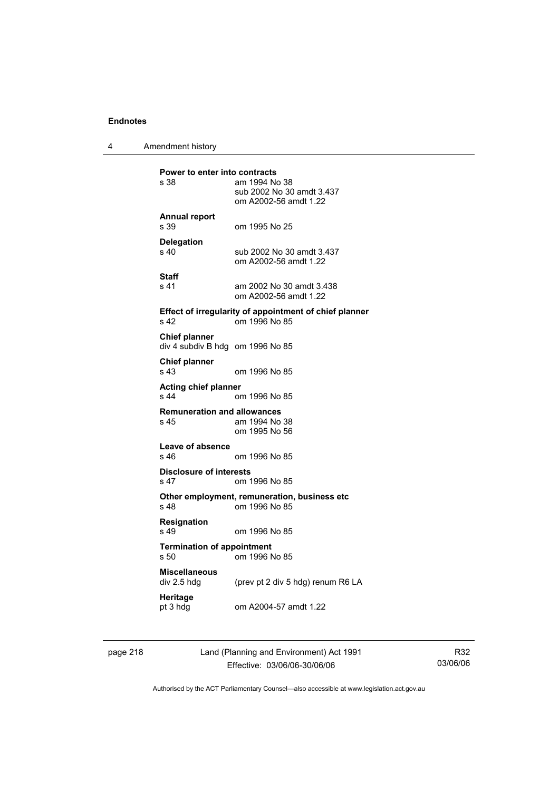4 Amendment history

**Power to enter into contracts**<br>s 38 am 1994 No am 1994 No 38 sub 2002 No 30 amdt 3.437 om A2002-56 amdt 1.22 **Annual report**  s 39 om 1995 No 25 **Delegation**  sub 2002 No 30 amdt 3.437 om A2002-56 amdt 1.22 **Staff**  s 41 am 2002 No 30 amdt 3.438 om A2002-56 amdt 1.22 **Effect of irregularity of appointment of chief planner**  s 42 om 1996 No 85 **Chief planner**  div 4 subdiv B hdg om 1996 No 85 **Chief planner**  s 43 om 1996 No 85 **Acting chief planner**  om 1996 No 85 **Remuneration and allowances**  s 45 am 1994 No 38 om 1995 No 56 **Leave of absence**  om 1996 No 85 **Disclosure of interests**  s 47 om 1996 No 85 **Other employment, remuneration, business etc**  s 48 om 1996 No 85 **Resignation**  s 49 om 1996 No 85 **Termination of appointment**  s 50 om 1996 No 85 **Miscellaneous**  (prev pt 2 div 5 hdg) renum R6 LA **Heritage**<br>pt 3 hdg om A2004-57 amdt 1.22

page 218 Land (Planning and Environment) Act 1991 Effective: 03/06/06-30/06/06

R32 03/06/06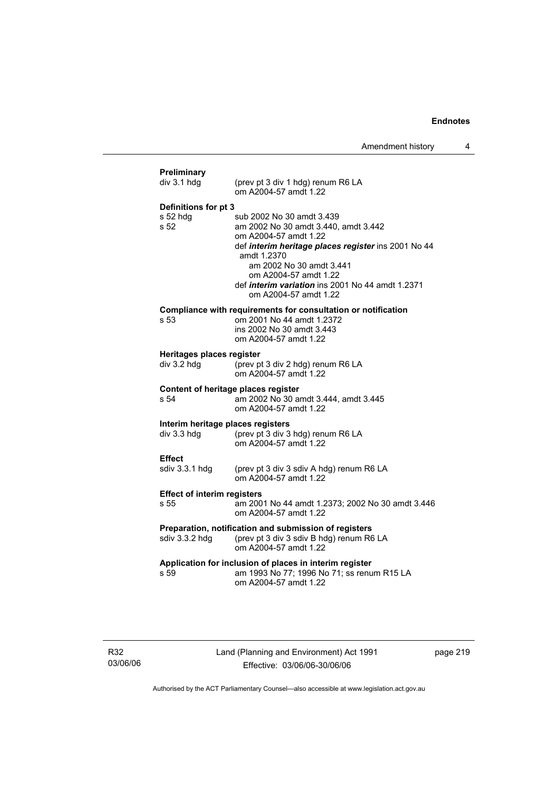| div 3.1 hdg                        | (prev pt 3 div 1 hdg) renum R6 LA                                                                                                                         |
|------------------------------------|-----------------------------------------------------------------------------------------------------------------------------------------------------------|
|                                    | om A2004-57 amdt 1.22                                                                                                                                     |
| Definitions for pt 3               |                                                                                                                                                           |
| s 52 hdg                           | sub 2002 No 30 amdt 3.439                                                                                                                                 |
| s <sub>52</sub>                    | am 2002 No 30 amdt 3.440, amdt 3.442                                                                                                                      |
|                                    | om A2004-57 amdt 1.22<br>def interim heritage places register ins 2001 No 44                                                                              |
|                                    | amdt 1.2370                                                                                                                                               |
|                                    | am 2002 No 30 amdt 3.441                                                                                                                                  |
|                                    | om A2004-57 amdt 1.22                                                                                                                                     |
|                                    | def interim variation ins 2001 No 44 amdt 1.2371                                                                                                          |
|                                    | om A2004-57 amdt 1.22                                                                                                                                     |
|                                    | Compliance with requirements for consultation or notification                                                                                             |
| s 53                               | om 2001 No 44 amdt 1.2372                                                                                                                                 |
|                                    | ins 2002 No 30 amdt 3.443<br>om A2004-57 amdt 1.22                                                                                                        |
|                                    |                                                                                                                                                           |
| Heritages places register          |                                                                                                                                                           |
| $div$ 3.2 hdg                      | (prev pt 3 div 2 hdg) renum R6 LA<br>om A2004-57 amdt 1.22                                                                                                |
|                                    | Content of heritage places register                                                                                                                       |
| s <sub>54</sub>                    | am 2002 No 30 amdt 3.444, amdt 3.445                                                                                                                      |
|                                    | om A2004-57 amdt 1.22                                                                                                                                     |
|                                    | Interim heritage places registers                                                                                                                         |
|                                    |                                                                                                                                                           |
| div 3.3 hdg                        | (prev pt 3 div 3 hdg) renum R6 LA                                                                                                                         |
|                                    | om A2004-57 amdt 1.22                                                                                                                                     |
| <b>Effect</b>                      |                                                                                                                                                           |
| sdiv 3.3.1 hdg                     | (prev pt 3 div 3 sdiv A hdg) renum R6 LA                                                                                                                  |
|                                    | om A2004-57 amdt 1.22                                                                                                                                     |
| <b>Effect of interim registers</b> |                                                                                                                                                           |
| s 55                               | om A2004-57 amdt 1.22                                                                                                                                     |
|                                    | Preparation, notification and submission of registers                                                                                                     |
| sdiv 3.3.2 hdg                     | (prev pt 3 div 3 sdiv B hdg) renum R6 LA                                                                                                                  |
|                                    | om A2004-57 amdt 1.22                                                                                                                                     |
| s 59                               | am 2001 No 44 amdt 1.2373; 2002 No 30 amdt 3.446<br>Application for inclusion of places in interim register<br>am 1993 No 77; 1996 No 71; ss renum R15 LA |

R32 03/06/06 Land (Planning and Environment) Act 1991 Effective: 03/06/06-30/06/06

page 219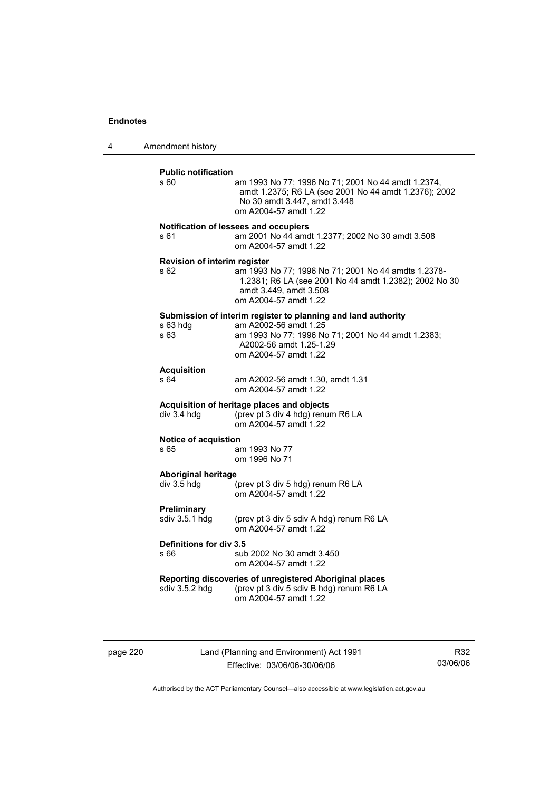4 Amendment history

| <b>Public notification</b><br>s 60           | am 1993 No 77; 1996 No 71; 2001 No 44 amdt 1.2374,<br>amdt 1.2375; R6 LA (see 2001 No 44 amdt 1.2376); 2002<br>No 30 amdt 3.447, amdt 3.448<br>om A2004-57 amdt 1.22                             |
|----------------------------------------------|--------------------------------------------------------------------------------------------------------------------------------------------------------------------------------------------------|
| s 61                                         | Notification of lessees and occupiers<br>am 2001 No 44 amdt 1.2377; 2002 No 30 amdt 3.508<br>om A2004-57 amdt 1.22                                                                               |
| Revision of interim register<br>s 62         | am 1993 No 77; 1996 No 71; 2001 No 44 amdts 1.2378-<br>1.2381; R6 LA (see 2001 No 44 amdt 1.2382); 2002 No 30<br>amdt 3.449, amdt 3.508<br>om A2004-57 amdt 1.22                                 |
| s 63 hdg<br>s 63                             | Submission of interim register to planning and land authority<br>am A2002-56 amdt 1.25<br>am 1993 No 77; 1996 No 71; 2001 No 44 amdt 1.2383;<br>A2002-56 amdt 1.25-1.29<br>om A2004-57 amdt 1.22 |
| <b>Acquisition</b><br>s 64                   | am A2002-56 amdt 1.30, amdt 1.31<br>om A2004-57 amdt 1.22                                                                                                                                        |
| div 3.4 hdg                                  | Acquisition of heritage places and objects<br>(prev pt 3 div 4 hdg) renum R6 LA<br>om A2004-57 amdt 1.22                                                                                         |
| <b>Notice of acquistion</b><br>s 65          | am 1993 No 77<br>om 1996 No 71                                                                                                                                                                   |
| <b>Aboriginal heritage</b><br>$div 3.5 h$ dg | (prev pt 3 div 5 hdg) renum R6 LA<br>om A2004-57 amdt 1.22                                                                                                                                       |
| Preliminary<br>sdiv 3.5.1 hdg                | (prev pt 3 div 5 sdiv A hdg) renum R6 LA<br>om A2004-57 amdt 1.22                                                                                                                                |
| Definitions for div 3.5<br>s 66              | sub 2002 No 30 amdt 3.450<br>om A2004-57 amdt 1.22                                                                                                                                               |
| sdiv 3.5.2 hdg                               | Reporting discoveries of unregistered Aboriginal places<br>(prev pt 3 div 5 sdiv B hdg) renum R6 LA<br>om A2004-57 amdt 1.22                                                                     |

page 220 Land (Planning and Environment) Act 1991 Effective: 03/06/06-30/06/06

R32 03/06/06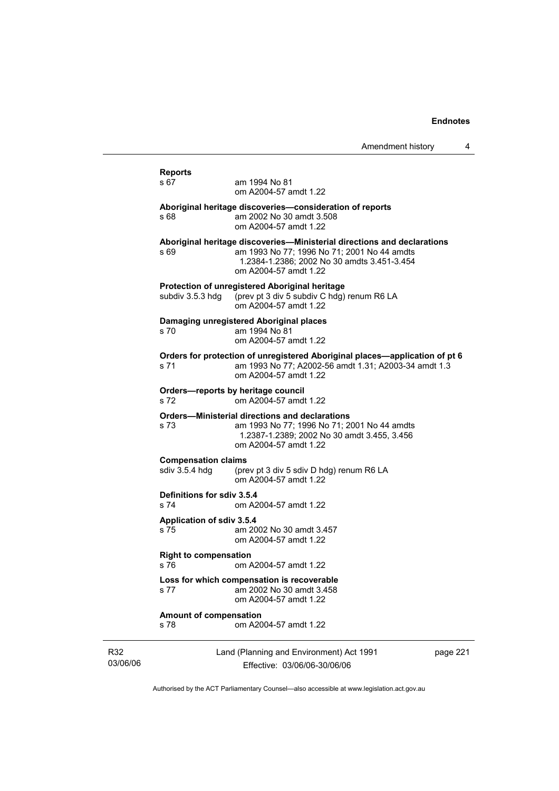|                 | <b>Reports</b>                                                      |                                                                                                                                                                                                |          |  |
|-----------------|---------------------------------------------------------------------|------------------------------------------------------------------------------------------------------------------------------------------------------------------------------------------------|----------|--|
|                 | s 67                                                                | am 1994 No 81<br>om A2004-57 amdt 1.22                                                                                                                                                         |          |  |
|                 | s 68                                                                | Aboriginal heritage discoveries-consideration of reports<br>am 2002 No 30 amdt 3.508<br>om A2004-57 amdt 1.22                                                                                  |          |  |
|                 | s 69                                                                | Aboriginal heritage discoveries—Ministerial directions and declarations<br>am 1993 No 77: 1996 No 71: 2001 No 44 amdts<br>1.2384-1.2386; 2002 No 30 amdts 3.451-3.454<br>om A2004-57 amdt 1.22 |          |  |
|                 | subdiv 3.5.3 hdq                                                    | <b>Protection of unregistered Aboriginal heritage</b><br>(prev pt 3 div 5 subdiv C hdg) renum R6 LA<br>om A2004-57 amdt 1.22                                                                   |          |  |
|                 | s 70.                                                               | Damaging unregistered Aboriginal places<br>am 1994 No 81<br>om A2004-57 amdt 1.22                                                                                                              |          |  |
|                 | s 71                                                                | Orders for protection of unregistered Aboriginal places-application of pt 6<br>am 1993 No 77; A2002-56 amdt 1.31; A2003-34 amdt 1.3<br>om A2004-57 amdt 1.22                                   |          |  |
|                 | Orders-reports by heritage council<br>s 72<br>om A2004-57 amdt 1.22 |                                                                                                                                                                                                |          |  |
|                 | s 73                                                                | <b>Orders-Ministerial directions and declarations</b><br>am 1993 No 77; 1996 No 71; 2001 No 44 amdts<br>1.2387-1.2389; 2002 No 30 amdt 3.455, 3.456<br>om A2004-57 amdt 1.22                   |          |  |
|                 | <b>Compensation claims</b><br>sdiv $3.5.4$ hdg                      | (prev pt 3 div 5 sdiv D hdg) renum R6 LA<br>om A2004-57 amdt 1.22                                                                                                                              |          |  |
|                 | Definitions for sdiv 3.5.4<br>s 74                                  | om A2004-57 amdt 1.22                                                                                                                                                                          |          |  |
|                 | Application of sdiv 3.5.4<br>s 75                                   | am 2002 No 30 amdt 3.457<br>om A2004-57 amdt 1.22                                                                                                                                              |          |  |
|                 | <b>Right to compensation</b><br>s 76                                | om A2004-57 amdt 1.22                                                                                                                                                                          |          |  |
|                 | s 77                                                                | Loss for which compensation is recoverable<br>am 2002 No 30 amdt 3.458<br>om A2004-57 amdt 1.22                                                                                                |          |  |
|                 | <b>Amount of compensation</b><br>s 78                               | om A2004-57 amdt 1.22                                                                                                                                                                          |          |  |
| R32<br>03/06/06 |                                                                     | Land (Planning and Environment) Act 1991<br>Effective: 03/06/06-30/06/06                                                                                                                       | page 221 |  |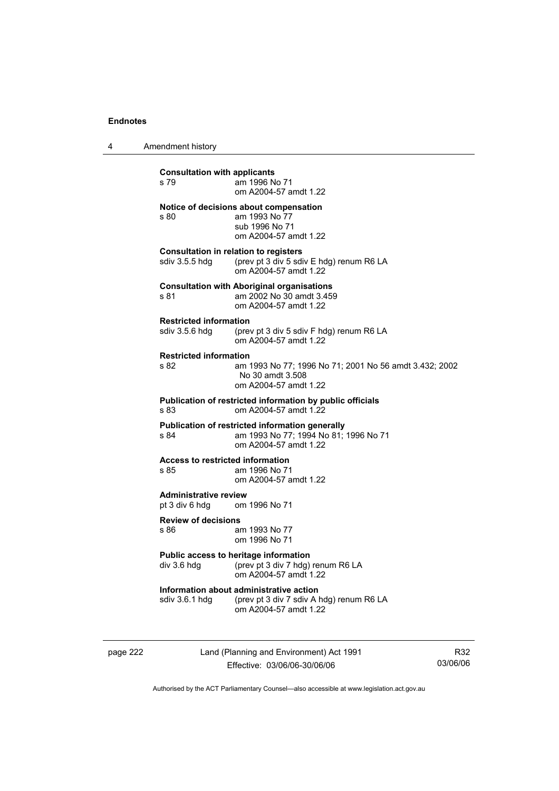4 Amendment history

| <b>Consultation with applicants</b><br>s 79                  | am 1996 No 71<br>om A2004-57 amdt 1.22                                                                            |  |  |  |
|--------------------------------------------------------------|-------------------------------------------------------------------------------------------------------------------|--|--|--|
| s 80                                                         | Notice of decisions about compensation<br>am 1993 No 77<br>sub 1996 No 71<br>om A2004-57 amdt 1.22                |  |  |  |
| sdiv 3.5.5 hdg                                               | <b>Consultation in relation to registers</b><br>(prev pt 3 div 5 sdiv E hdg) renum R6 LA<br>om A2004-57 amdt 1.22 |  |  |  |
| s 81                                                         | <b>Consultation with Aboriginal organisations</b><br>am 2002 No 30 amdt 3.459<br>om A2004-57 amdt 1.22            |  |  |  |
| <b>Restricted information</b>                                | sdiv 3.5.6 hdg (prev pt 3 div 5 sdiv F hdg) renum R6 LA<br>om A2004-57 amdt 1.22                                  |  |  |  |
| <b>Restricted information</b><br>s 82                        | am 1993 No 77; 1996 No 71; 2001 No 56 amdt 3.432; 2002<br>No 30 amdt 3.508<br>om A2004-57 amdt 1.22               |  |  |  |
| s 83                                                         | Publication of restricted information by public officials<br>om A2004-57 amdt 1.22                                |  |  |  |
| s 84                                                         | Publication of restricted information generally<br>am 1993 No 77; 1994 No 81; 1996 No 71<br>om A2004-57 amdt 1.22 |  |  |  |
| <b>Access to restricted information</b><br>s 85              | am 1996 No 71<br>om A2004-57 amdt 1.22                                                                            |  |  |  |
| <b>Administrative review</b><br>pt 3 div 6 hdg om 1996 No 71 |                                                                                                                   |  |  |  |
| <b>Review of decisions</b><br>s 86                           | am 1993 No 77<br>om 1996 No 71                                                                                    |  |  |  |
| div 3.6 hdg                                                  | Public access to heritage information<br>(prev pt 3 div 7 hdg) renum R6 LA<br>om A2004-57 amdt 1.22               |  |  |  |
| sdiv 3.6.1 hdg                                               | Information about administrative action<br>(prev pt 3 div 7 sdiv A hdg) renum R6 LA<br>om A2004-57 amdt 1.22      |  |  |  |
|                                                              |                                                                                                                   |  |  |  |

page 222 Land (Planning and Environment) Act 1991 Effective: 03/06/06-30/06/06

R32 03/06/06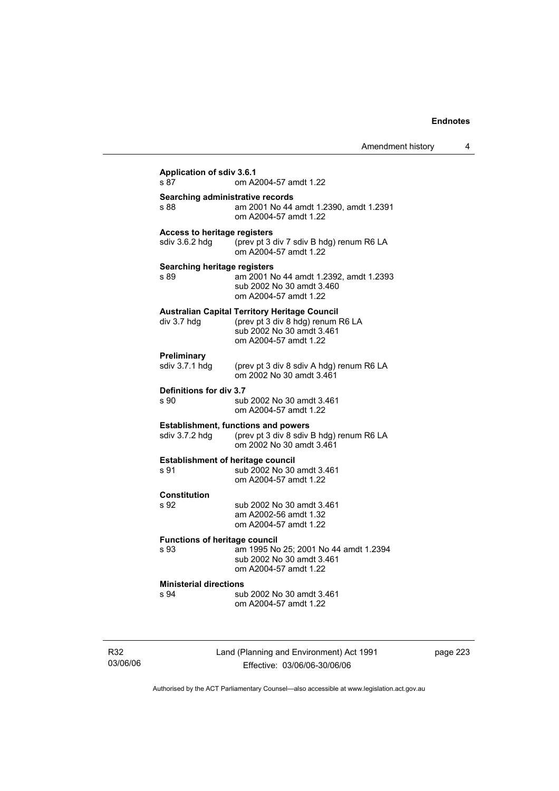| Amendment history |  |
|-------------------|--|
|-------------------|--|

| s 87                                         | om A2004-57 amdt 1.22                                                                                                                           |
|----------------------------------------------|-------------------------------------------------------------------------------------------------------------------------------------------------|
| Searching administrative records             | am 2001 No 44 amdt 1.2390, amdt 1.2391                                                                                                          |
| s 88                                         | om A2004-57 amdt 1.22                                                                                                                           |
| <b>Access to heritage registers</b>          | (prev pt 3 div 7 sdiv B hdg) renum R6 LA                                                                                                        |
| sdiv 3.6.2 hdg                               | om A2004-57 amdt 1.22                                                                                                                           |
| Searching heritage registers<br>s 89         | am 2001 No 44 amdt 1.2392, amdt 1.2393<br>sub 2002 No 30 amdt 3.460<br>om A2004-57 amdt 1.22                                                    |
| div 3.7 hdg                                  | <b>Australian Capital Territory Heritage Council</b><br>(prev pt 3 div 8 hdg) renum R6 LA<br>sub 2002 No 30 amdt 3.461<br>om A2004-57 amdt 1.22 |
| Preliminary                                  | (prev pt 3 div 8 sdiv A hdg) renum R6 LA                                                                                                        |
| sdiv 3.7.1 hdg                               | om 2002 No 30 amdt 3.461                                                                                                                        |
| Definitions for div 3.7                      | sub 2002 No 30 amdt 3.461                                                                                                                       |
| s 90                                         | om A2004-57 amdt 1.22                                                                                                                           |
| sdiv 3.7.2 hdg                               | <b>Establishment, functions and powers</b><br>(prev pt 3 div 8 sdiv B hdg) renum R6 LA<br>om 2002 No 30 amdt 3.461                              |
| <b>Establishment of heritage council</b>     | sub 2002 No 30 amdt 3.461                                                                                                                       |
| s 91                                         | om A2004-57 amdt 1.22                                                                                                                           |
| <b>Constitution</b><br>s 92                  | sub 2002 No 30 amdt 3.461<br>am A2002-56 amdt 1.32<br>om A2004-57 amdt 1.22                                                                     |
| <b>Functions of heritage council</b><br>s 93 | am 1995 No 25; 2001 No 44 amdt 1.2394<br>sub 2002 No 30 amdt 3.461<br>om A2004-57 amdt 1.22                                                     |
| <b>Ministerial directions</b>                | sub 2002 No 30 amdt 3.461                                                                                                                       |
| s 94                                         | om A2004-57 amdt 1.22                                                                                                                           |

R32 03/06/06 Land (Planning and Environment) Act 1991 Effective: 03/06/06-30/06/06

page 223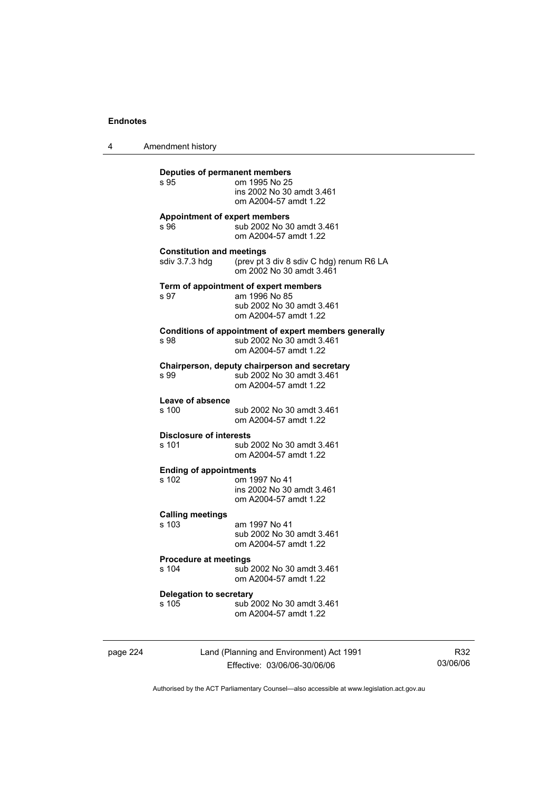4 Amendment history

| s 95                                               | om 1995 No 25<br>ins 2002 No 30 amdt 3.461<br>om A2004-57 amdt 1.22                                          |
|----------------------------------------------------|--------------------------------------------------------------------------------------------------------------|
| s 96                                               | <b>Appointment of expert members</b><br>sub 2002 No 30 amdt 3.461<br>om A2004-57 amdt 1.22                   |
| <b>Constitution and meetings</b><br>sdiv 3.7.3 hdq | (prev pt 3 div 8 sdiv C hdg) renum R6 LA<br>om 2002 No 30 amdt 3.461                                         |
| s 97                                               | Term of appointment of expert members<br>am 1996 No 85<br>sub 2002 No 30 amdt 3.461<br>om A2004-57 amdt 1.22 |
| s 98                                               | Conditions of appointment of expert members generally<br>sub 2002 No 30 amdt 3.461<br>om A2004-57 amdt 1.22  |
| s 99                                               | Chairperson, deputy chairperson and secretary<br>sub 2002 No 30 amdt 3.461<br>om A2004-57 amdt 1.22          |
| Leave of absence<br>s 100                          | sub 2002 No 30 amdt 3.461<br>om A2004-57 amdt 1.22                                                           |
| <b>Disclosure of interests</b><br>s 101            | sub 2002 No 30 amdt 3.461<br>om A2004-57 amdt 1.22                                                           |
| <b>Ending of appointments</b><br>s 102             | om 1997 No 41<br>ins 2002 No 30 amdt 3.461<br>om A2004-57 amdt 1.22                                          |
| <b>Calling meetings</b><br>s 103                   | am 1997 No 41<br>sub 2002 No 30 amdt 3.461<br>om A2004-57 amdt 1.22                                          |
| <b>Procedure at meetings</b><br>s 104              | sub 2002 No 30 amdt 3.461<br>om A2004-57 amdt 1.22                                                           |
| Delegation to secretary<br>s 105                   | sub 2002 No 30 amdt 3.461<br>om A2004-57 amdt 1.22                                                           |

page 224 Land (Planning and Environment) Act 1991 Effective: 03/06/06-30/06/06

R32 03/06/06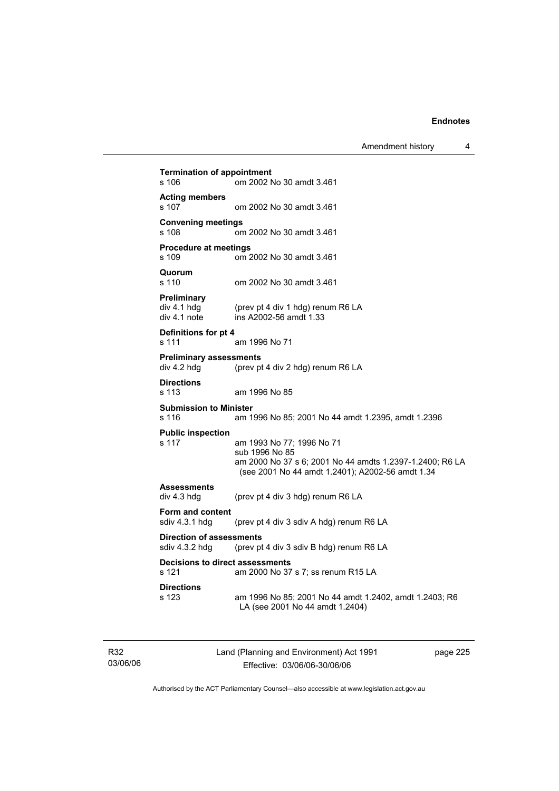Amendment history 4

**Termination of appointment**  s 106 om 2002 No 30 amdt 3.461 **Acting members**  s 107 om 2002 No 30 amdt 3.461 **Convening meetings**  s 108 om 2002 No 30 amdt 3.461 **Procedure at meetings**  s 109 om 2002 No 30 amdt 3.461 **Quorum**  om 2002 No 30 amdt 3.461 **Preliminary**  div 4.1 hdg (prev pt 4 div 1 hdg) renum R6 LA<br>div 4.1 note ins A2002-56 amdt 1.33  $ins$  A2002-56 amdt 1.33 **Definitions for pt 4**  s 111 am 1996 No 71 **Preliminary assessments**<br>div 4.2 hdg (prev pt (prev pt 4 div 2 hdg) renum R6 LA **Directions**  s 113 am 1996 No 85 **Submission to Minister**  s 116 am 1996 No 85; 2001 No 44 amdt 1.2395, amdt 1.2396 **Public inspection**  s 117 am 1993 No 77; 1996 No 71 sub 1996 No 85 am 2000 No 37 s 6; 2001 No 44 amdts 1.2397-1.2400; R6 LA (see 2001 No 44 amdt 1.2401); A2002-56 amdt 1.34 **Assessments**  div 4.3 hdg (prev pt 4 div 3 hdg) renum R6 LA **Form and content**  sdiv 4.3.1 hdg (prev pt 4 div 3 sdiv A hdg) renum R6 LA **Direction of assessments**  sdiv 4.3.2 hdg (prev pt 4 div 3 sdiv B hdg) renum R6 LA **Decisions to direct assessments**  s 121 am 2000 No 37 s 7; ss renum R15 LA **Directions**  s 123 am 1996 No 85; 2001 No 44 amdt 1.2402, amdt 1.2403; R6 LA (see 2001 No 44 amdt 1.2404)

R32 03/06/06 Land (Planning and Environment) Act 1991 Effective: 03/06/06-30/06/06

page 225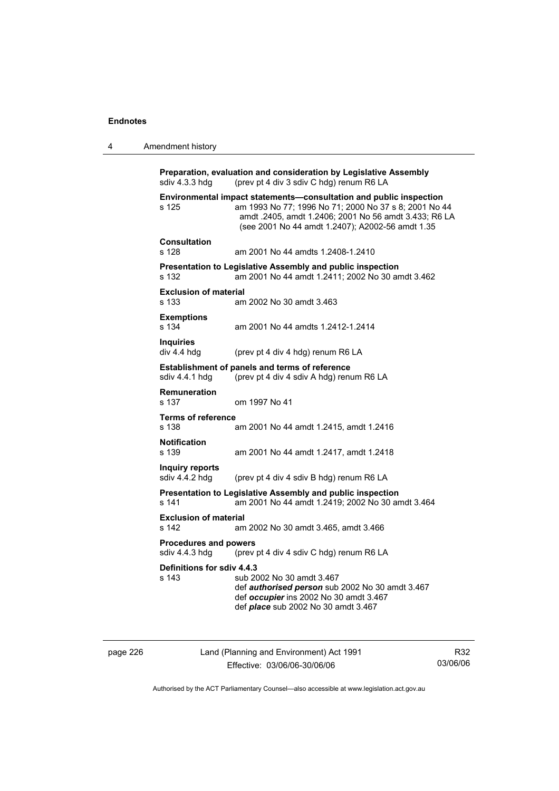| 4 | Amendment history                              |                                                                                                                                                                                                                                          |
|---|------------------------------------------------|------------------------------------------------------------------------------------------------------------------------------------------------------------------------------------------------------------------------------------------|
|   | sdiv 4.3.3 hdg                                 | Preparation, evaluation and consideration by Legislative Assembly<br>(prev pt 4 div 3 sdiv C hdg) renum R6 LA                                                                                                                            |
|   | s 125                                          | Environmental impact statements-consultation and public inspection<br>am 1993 No 77; 1996 No 71; 2000 No 37 s 8; 2001 No 44<br>amdt .2405, amdt 1.2406; 2001 No 56 amdt 3.433; R6 LA<br>(see 2001 No 44 amdt 1.2407); A2002-56 amdt 1.35 |
|   | <b>Consultation</b><br>s 128                   | am 2001 No 44 amdts 1.2408-1.2410                                                                                                                                                                                                        |
|   | s 132                                          | <b>Presentation to Legislative Assembly and public inspection</b><br>am 2001 No 44 amdt 1.2411; 2002 No 30 amdt 3.462                                                                                                                    |
|   | <b>Exclusion of material</b><br>s 133          | am 2002 No 30 amdt 3.463                                                                                                                                                                                                                 |
|   | <b>Exemptions</b><br>s 134                     | am 2001 No 44 amdts 1.2412-1.2414                                                                                                                                                                                                        |
|   | <b>Inquiries</b><br>div 4.4 hdg                | (prev pt 4 div 4 hdg) renum R6 LA                                                                                                                                                                                                        |
|   | sdiv 4.4.1 hdg                                 | <b>Establishment of panels and terms of reference</b><br>(prev pt 4 div 4 sdiv A hdg) renum R6 LA                                                                                                                                        |
|   | <b>Remuneration</b><br>s 137                   | om 1997 No 41                                                                                                                                                                                                                            |
|   | <b>Terms of reference</b><br>s 138             | am 2001 No 44 amdt 1.2415, amdt 1.2416                                                                                                                                                                                                   |
|   | <b>Notification</b><br>s 139                   | am 2001 No 44 amdt 1.2417, amdt 1.2418                                                                                                                                                                                                   |
|   | Inquiry reports<br>sdiv 4.4.2 hdg              | (prev pt 4 div 4 sdiv B hdg) renum R6 LA                                                                                                                                                                                                 |
|   | s 141                                          | Presentation to Legislative Assembly and public inspection<br>am 2001 No 44 amdt 1.2419; 2002 No 30 amdt 3.464                                                                                                                           |
|   | <b>Exclusion of material</b><br>s 142          | am 2002 No 30 amdt 3.465, amdt 3.466                                                                                                                                                                                                     |
|   | <b>Procedures and powers</b><br>sdiv 4.4.3 hdg | (prev pt 4 div 4 sdiv C hdg) renum R6 LA                                                                                                                                                                                                 |
|   | Definitions for sdiv 4.4.3<br>s 143            | sub 2002 No 30 amdt 3.467<br>def authorised person sub 2002 No 30 amdt 3.467<br>def occupier ins 2002 No 30 amdt 3.467<br>def <i>place</i> sub 2002 No 30 amdt 3.467                                                                     |

page 226 Land (Planning and Environment) Act 1991 Effective: 03/06/06-30/06/06

R32 03/06/06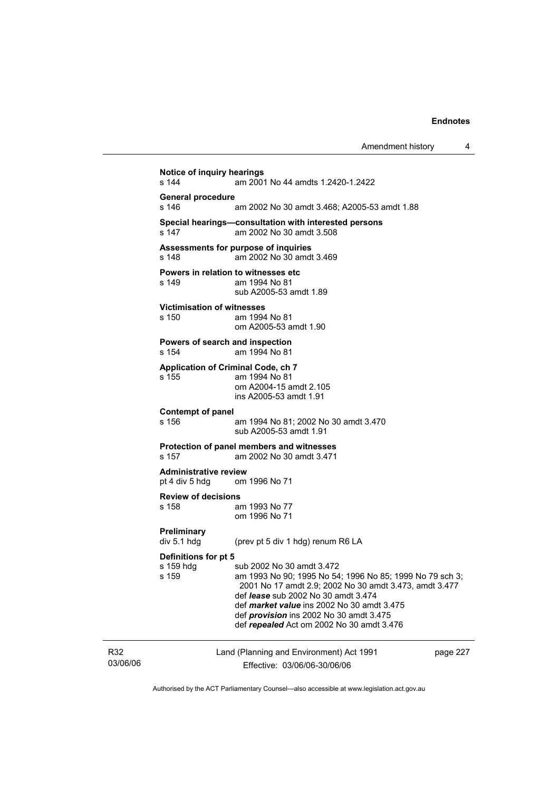Amendment history 4 **Notice of inquiry hearings**  s 144 am 2001 No 44 amdts 1.2420-1.2422 **General procedure**  s 146 am 2002 No 30 amdt 3.468; A2005-53 amdt 1.88 **Special hearings—consultation with interested persons**  s 147 am 2002 No 30 amdt 3.508 **Assessments for purpose of inquiries**  s 148 am 2002 No 30 amdt 3.469 **Powers in relation to witnesses etc**<br>s 149 am 1994 No 81 am 1994 No 81 sub A2005-53 amdt 1.89 **Victimisation of witnesses**  s 150 am 1994 No 81 om A2005-53 amdt 1.90 **Powers of search and inspection**  s 154 am 1994 No 81 **Application of Criminal Code, ch 7**  s 155 am 1994 No 81 om A2004-15 amdt 2.105 ins A2005-53 amdt 1.91 **Contempt of panel**  s 156 am 1994 No 81; 2002 No 30 amdt 3.470 sub A2005-53 amdt 1.91 **Protection of panel members and witnesses**  s 157 am 2002 No 30 amdt 3.471 **Administrative review**  pt 4 div 5 hdg om 1996 No 71 **Review of decisions**  s 158 am 1993 No 77 om 1996 No 71 **Preliminary**  (prev pt 5 div 1 hdg) renum R6 LA **Definitions for pt 5**  s 159 hdg sub 2002 No 30 amdt 3.472<br>s 159 s 159 s am 1993 No 90: 1995 No 54 am 1993 No 90; 1995 No 54; 1996 No 85; 1999 No 79 sch 3; 2001 No 17 amdt 2.9; 2002 No 30 amdt 3.473, amdt 3.477 def *lease* sub 2002 No 30 amdt 3.474 def *market value* ins 2002 No 30 amdt 3.475 def *provision* ins 2002 No 30 amdt 3.475 def *repealed* Act om 2002 No 30 amdt 3.476

R32 03/06/06 Land (Planning and Environment) Act 1991 Effective: 03/06/06-30/06/06

page 227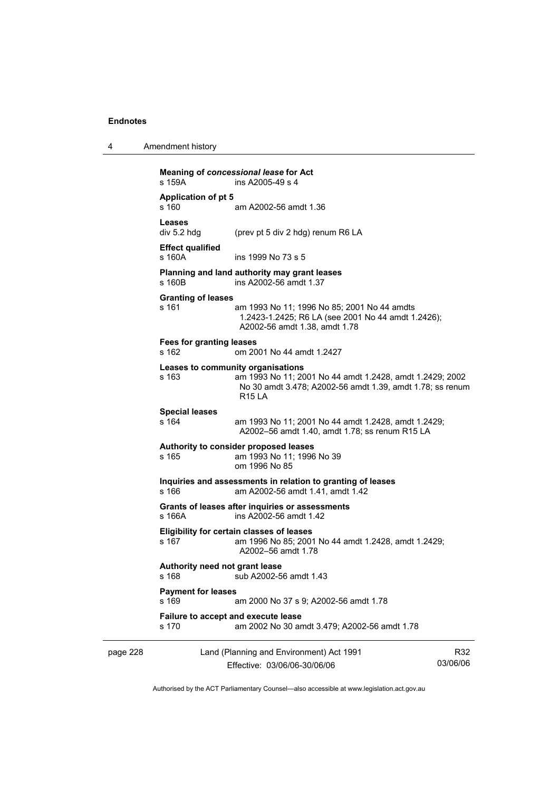| 4 | Amendment history |
|---|-------------------|
|---|-------------------|

|          | s 159A                                   | Meaning of concessional lease for Act<br>ins A2005-49 s 4                                                                                                                   |                 |
|----------|------------------------------------------|-----------------------------------------------------------------------------------------------------------------------------------------------------------------------------|-----------------|
|          | <b>Application of pt 5</b><br>s 160      | am A2002-56 amdt 1.36                                                                                                                                                       |                 |
|          | Leases<br>div 5.2 hdg                    | (prev pt 5 div 2 hdg) renum R6 LA                                                                                                                                           |                 |
|          | <b>Effect qualified</b><br>s 160A        | ins 1999 No 73 s 5                                                                                                                                                          |                 |
|          | s 160B                                   | Planning and land authority may grant leases<br>ins A2002-56 amdt 1.37                                                                                                      |                 |
|          | <b>Granting of leases</b><br>s 161       | am 1993 No 11; 1996 No 85; 2001 No 44 amdts<br>1.2423-1.2425; R6 LA (see 2001 No 44 amdt 1.2426);<br>A2002-56 amdt 1.38, amdt 1.78                                          |                 |
|          | <b>Fees for granting leases</b><br>s 162 | om 2001 No 44 amdt 1.2427                                                                                                                                                   |                 |
|          | s 163                                    | Leases to community organisations<br>am 1993 No 11; 2001 No 44 amdt 1.2428, amdt 1.2429; 2002<br>No 30 amdt 3.478; A2002-56 amdt 1.39, amdt 1.78; ss renum<br><b>R15 LA</b> |                 |
|          | <b>Special leases</b><br>s 164           | am 1993 No 11; 2001 No 44 amdt 1.2428, amdt 1.2429;<br>A2002-56 amdt 1.40, amdt 1.78; ss renum R15 LA                                                                       |                 |
|          | s 165                                    | Authority to consider proposed leases<br>am 1993 No 11; 1996 No 39<br>om 1996 No 85                                                                                         |                 |
|          | s 166                                    | Inquiries and assessments in relation to granting of leases<br>am A2002-56 amdt 1.41, amdt 1.42                                                                             |                 |
|          | s 166A                                   | Grants of leases after inquiries or assessments<br>ins A2002-56 amdt 1.42                                                                                                   |                 |
|          | s 167                                    | Eligibility for certain classes of leases<br>am 1996 No 85; 2001 No 44 amdt 1.2428, amdt 1.2429;<br>A2002-56 amdt 1.78                                                      |                 |
|          | Authority need not grant lease<br>s 168  | sub A2002-56 amdt 1.43                                                                                                                                                      |                 |
|          | <b>Payment for leases</b><br>s 169       | am 2000 No 37 s 9; A2002-56 amdt 1.78                                                                                                                                       |                 |
|          | s 170                                    | Failure to accept and execute lease<br>am 2002 No 30 amdt 3.479; A2002-56 amdt 1.78                                                                                         |                 |
| page 228 |                                          | Land (Planning and Environment) Act 1991<br>Effective: 03/06/06-30/06/06                                                                                                    | R32<br>03/06/06 |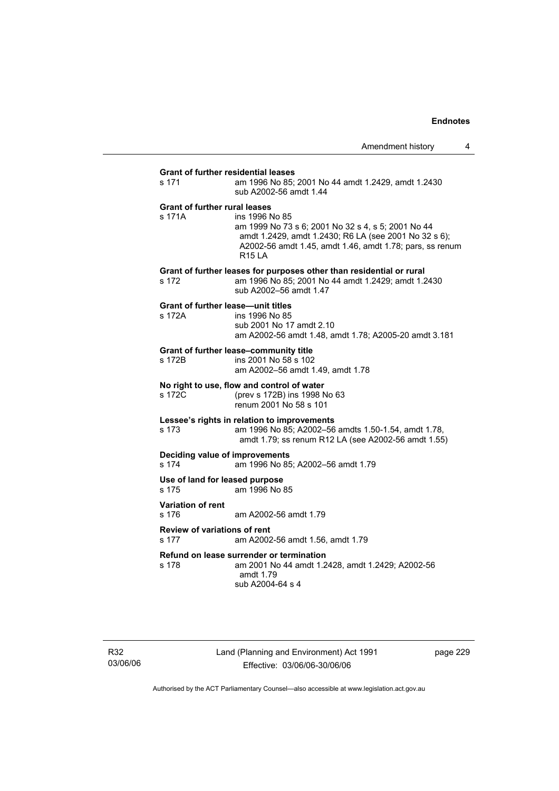# **Grant of further residential leases**  s 171 am 1996 No 85; 2001 No 44 amdt 1.2429, amdt 1.2430 sub A2002-56 amdt 1.44 **Grant of further rural leases**  s 171A ins 1996 No 85 am 1999 No 73 s 6; 2001 No 32 s 4, s 5; 2001 No 44 amdt 1.2429, amdt 1.2430; R6 LA (see 2001 No 32 s 6); A2002-56 amdt 1.45, amdt 1.46, amdt 1.78; pars, ss renum R15 LA **Grant of further leases for purposes other than residential or rural**  s 172 am 1996 No 85; 2001 No 44 amdt 1.2429; amdt 1.2430 sub A2002–56 amdt 1.47 **Grant of further lease—unit titles**  s 172A ins 1996 No 85 sub 2001 No 17 amdt 2.10 am A2002-56 amdt 1.48, amdt 1.78; A2005-20 amdt 3.181 **Grant of further lease–community title**  s 172B ins 2001 No 58 s 102 am A2002–56 amdt 1.49, amdt 1.78 **No right to use, flow and control of water**  s 172C (prev s 172B) ins 1998 No 63 renum 2001 No 58 s 101 **Lessee's rights in relation to improvements**  s 173 am 1996 No 85; A2002–56 amdts 1.50-1.54, amdt 1.78, amdt 1.79; ss renum R12 LA (see A2002-56 amdt 1.55) **Deciding value of improvements**  s 174 am 1996 No 85; A2002–56 amdt 1.79 **Use of land for leased purpose**  s 175 am 1996 No 85 **Variation of rent**  s 176 am A2002-56 amdt 1.79 **Review of variations of rent**  s 177 am A2002-56 amdt 1.56, amdt 1.79 **Refund on lease surrender or termination**  s 178 am 2001 No 44 amdt 1.2428, amdt 1.2429; A2002-56

amdt 1.79 sub A2004-64 s 4

R32 03/06/06 Land (Planning and Environment) Act 1991 Effective: 03/06/06-30/06/06

page 229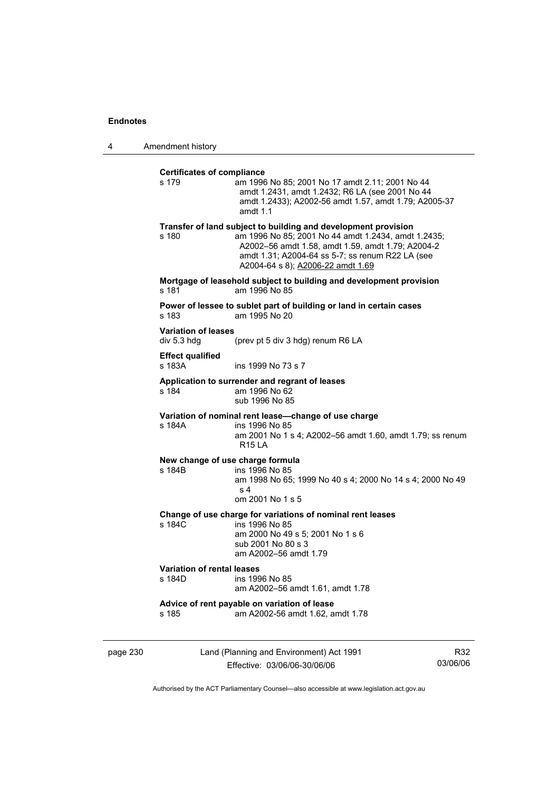4 Amendment history

| s 179                                     | am 1996 No 85; 2001 No 17 amdt 2.11; 2001 No 44<br>amdt 1.2431, amdt 1.2432; R6 LA (see 2001 No 44<br>amdt 1.2433); A2002-56 amdt 1.57, amdt 1.79; A2005-37<br>amdt $1.1$                                                                                           |
|-------------------------------------------|---------------------------------------------------------------------------------------------------------------------------------------------------------------------------------------------------------------------------------------------------------------------|
| s 180                                     | Transfer of land subject to building and development provision<br>am 1996 No 85; 2001 No 44 amdt 1.2434, amdt 1.2435;<br>A2002-56 amdt 1.58, amdt 1.59, amdt 1.79; A2004-2<br>amdt 1.31; A2004-64 ss 5-7; ss renum R22 LA (see<br>A2004-64 s 8); A2006-22 amdt 1.69 |
| s 181                                     | Mortgage of leasehold subject to building and development provision<br>am 1996 No 85                                                                                                                                                                                |
| $s$ 183                                   | Power of lessee to sublet part of building or land in certain cases<br>am 1995 No 20                                                                                                                                                                                |
| <b>Variation of leases</b><br>div 5.3 hdg | (prev pt 5 div 3 hdg) renum R6 LA                                                                                                                                                                                                                                   |
| <b>Effect qualified</b><br>s 183A         | ins 1999 No 73 s 7                                                                                                                                                                                                                                                  |
| s 184                                     | Application to surrender and regrant of leases<br>am 1996 No 62<br>sub 1996 No 85                                                                                                                                                                                   |
| s 184A                                    | Variation of nominal rent lease-change of use charge<br>ins 1996 No 85<br>am 2001 No 1 s 4; A2002-56 amdt 1.60, amdt 1.79; ss renum<br><b>R15 LA</b>                                                                                                                |
| s 184B                                    | New change of use charge formula<br>ins 1996 No 85<br>am 1998 No 65; 1999 No 40 s 4; 2000 No 14 s 4; 2000 No 49<br>s <sub>4</sub><br>om 2001 No 1 s 5                                                                                                               |
| s 184C                                    | Change of use charge for variations of nominal rent leases<br>ins 1996 No 85<br>am 2000 No 49 s 5; 2001 No 1 s 6<br>sub 2001 No 80 s 3<br>am A2002-56 amdt 1.79                                                                                                     |
| Variation of rental leases<br>s 184D      | ins 1996 No 85<br>am A2002-56 amdt 1.61, amdt 1.78                                                                                                                                                                                                                  |
| s 185                                     | Advice of rent payable on variation of lease<br>am A2002-56 amdt 1.62, amdt 1.78                                                                                                                                                                                    |

page 230 Land (Planning and Environment) Act 1991 Effective: 03/06/06-30/06/06

R32 03/06/06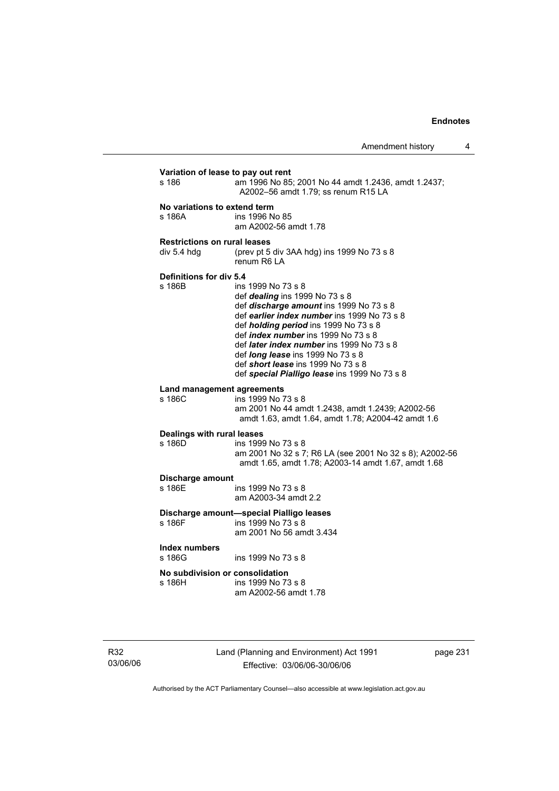| Variation of lease to pay out rent       | am 1996 No 85; 2001 No 44 amdt 1.2436, amdt 1.2437;                                                                                                                                                                                                                                                                                                                                                                                        |
|------------------------------------------|--------------------------------------------------------------------------------------------------------------------------------------------------------------------------------------------------------------------------------------------------------------------------------------------------------------------------------------------------------------------------------------------------------------------------------------------|
| s 186                                    | A2002-56 amdt 1.79; ss renum R15 LA                                                                                                                                                                                                                                                                                                                                                                                                        |
| No variations to extend term             | ins 1996 No 85                                                                                                                                                                                                                                                                                                                                                                                                                             |
| s 186A                                   | am A2002-56 amdt 1.78                                                                                                                                                                                                                                                                                                                                                                                                                      |
| <b>Restrictions on rural leases</b>      | (prev pt 5 div 3AA hdg) ins 1999 No 73 s 8                                                                                                                                                                                                                                                                                                                                                                                                 |
| div 5.4 hdg                              | renum R6 LA                                                                                                                                                                                                                                                                                                                                                                                                                                |
| <b>Definitions for div 5.4</b><br>s 186B | ins 1999 No 73 s 8<br>def <i>dealing</i> ins 1999 No 73 s 8<br>def discharge amount ins 1999 No 73 s 8<br>def earlier index number ins 1999 No 73 s 8<br>def <i>holding period</i> ins 1999 No 73 s 8<br>def <i>index number</i> ins 1999 No 73 s 8<br>def <i>later index number</i> ins 1999 No 73 s 8<br>def <i>long lease</i> ins 1999 No 73 s 8<br>def short lease ins 1999 No 73 s 8<br>def special Pialligo lease ins 1999 No 73 s 8 |
| Land management agreements<br>s 186C     | ins 1999 No 73 s 8<br>am 2001 No 44 amdt 1.2438, amdt 1.2439; A2002-56<br>amdt 1.63, amdt 1.64, amdt 1.78; A2004-42 amdt 1.6                                                                                                                                                                                                                                                                                                               |
| Dealings with rural leases<br>s 186D     | ins 1999 No 73 s 8<br>am 2001 No 32 s 7; R6 LA (see 2001 No 32 s 8); A2002-56<br>amdt 1.65, amdt 1.78; A2003-14 amdt 1.67, amdt 1.68                                                                                                                                                                                                                                                                                                       |
| Discharge amount                         | ins 1999 No 73 s 8                                                                                                                                                                                                                                                                                                                                                                                                                         |
| s 186E                                   | am A2003-34 amdt 2.2                                                                                                                                                                                                                                                                                                                                                                                                                       |
| s 186F                                   | Discharge amount-special Pialligo leases<br>ins 1999 No 73 s 8<br>am 2001 No 56 amdt 3.434                                                                                                                                                                                                                                                                                                                                                 |
| Index numbers<br>s 186G                  | ins 1999 No 73 s 8                                                                                                                                                                                                                                                                                                                                                                                                                         |
| No subdivision or consolidation          | ins 1999 No 73 s 8                                                                                                                                                                                                                                                                                                                                                                                                                         |
| s 186H                                   | am A2002-56 amdt 1.78                                                                                                                                                                                                                                                                                                                                                                                                                      |

R32 03/06/06 Land (Planning and Environment) Act 1991 Effective: 03/06/06-30/06/06

page 231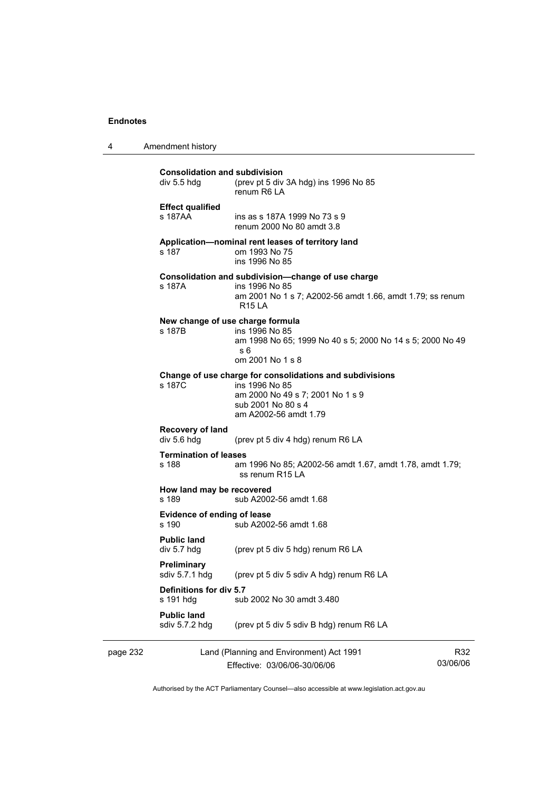4 Amendment history

| page 232 |                                                     | Land (Planning and Environment) Act 1991                                                                                                                      | R32 |
|----------|-----------------------------------------------------|---------------------------------------------------------------------------------------------------------------------------------------------------------------|-----|
|          | <b>Public land</b><br>sdiv 5.7.2 hdg                | (prev pt 5 div 5 sdiv B hdg) renum R6 LA                                                                                                                      |     |
|          | Definitions for div 5.7<br>s 191 hdg                | sub 2002 No 30 amdt 3.480                                                                                                                                     |     |
|          | Preliminary<br>sdiv 5.7.1 hdg                       | (prev pt 5 div 5 sdiv A hdg) renum R6 LA                                                                                                                      |     |
|          | <b>Public land</b><br>div 5.7 hdg                   | (prev pt 5 div 5 hdg) renum R6 LA                                                                                                                             |     |
|          | <b>Evidence of ending of lease</b><br>s 190         | sub A2002-56 amdt 1.68                                                                                                                                        |     |
|          | How land may be recovered<br>s 189                  | sub A2002-56 amdt 1.68                                                                                                                                        |     |
|          | <b>Termination of leases</b><br>s 188               | am 1996 No 85; A2002-56 amdt 1.67, amdt 1.78, amdt 1.79;<br>ss renum R15 LA                                                                                   |     |
|          | Recovery of land<br>div 5.6 hdg                     | (prev pt 5 div 4 hdg) renum R6 LA                                                                                                                             |     |
|          | s 187C                                              | Change of use charge for consolidations and subdivisions<br>ins 1996 No 85<br>am 2000 No 49 s 7; 2001 No 1 s 9<br>sub 2001 No 80 s 4<br>am A2002-56 amdt 1.79 |     |
|          | New change of use charge formula<br>s 187B          | ins 1996 No 85<br>am 1998 No 65; 1999 No 40 s 5; 2000 No 14 s 5; 2000 No 49<br>s 6<br>om 2001 No 1 s 8                                                        |     |
|          | s 187A                                              | Consolidation and subdivision-change of use charge<br>ins 1996 No 85<br>am 2001 No 1 s 7; A2002-56 amdt 1.66, amdt 1.79; ss renum<br>R15 LA                   |     |
|          | s 187                                               | Application-nominal rent leases of territory land<br>om 1993 No 75<br>ins 1996 No 85                                                                          |     |
|          | <b>Effect qualified</b><br>s 187AA                  | ins as s 187A 1999 No 73 s 9<br>renum 2000 No 80 amdt 3.8                                                                                                     |     |
|          | <b>Consolidation and subdivision</b><br>div 5.5 hdg | (prev pt 5 div 3A hdg) ins 1996 No 85<br>renum R6 LA                                                                                                          |     |

Effective: 03/06/06-30/06/06

03/06/06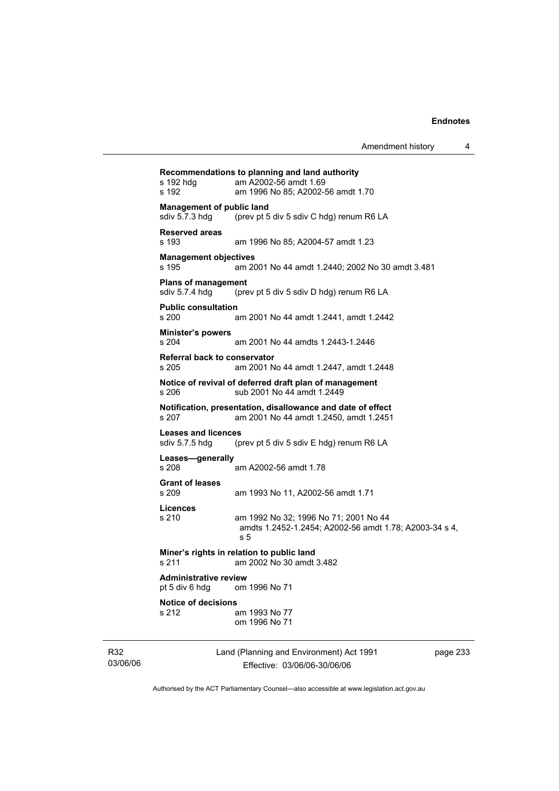| s 192 hdg<br>s 192                                 | Recommendations to planning and land authority<br>am A2002-56 amdt 1.69<br>am 1996 No 85; A2002-56 amdt 1.70 |          |
|----------------------------------------------------|--------------------------------------------------------------------------------------------------------------|----------|
| <b>Management of public land</b><br>sdiv 5.7.3 hdg | (prev pt 5 div 5 sdiv C hdg) renum R6 LA                                                                     |          |
| <b>Reserved areas</b><br>s 193                     | am 1996 No 85; A2004-57 amdt 1.23                                                                            |          |
| <b>Management objectives</b><br>s 195              | am 2001 No 44 amdt 1.2440; 2002 No 30 amdt 3.481                                                             |          |
| <b>Plans of management</b><br>sdiv 5.7.4 hdg       | (prev pt 5 div 5 sdiv D hdg) renum R6 LA                                                                     |          |
| <b>Public consultation</b><br>s 200                | am 2001 No 44 amdt 1.2441, amdt 1.2442                                                                       |          |
| <b>Minister's powers</b><br>s 204                  | am 2001 No 44 amdts 1.2443-1.2446                                                                            |          |
| Referral back to conservator<br>s 205              | am 2001 No 44 amdt 1.2447, amdt 1.2448                                                                       |          |
| s 206                                              | Notice of revival of deferred draft plan of management<br>sub 2001 No 44 amdt 1.2449                         |          |
| s 207                                              | Notification, presentation, disallowance and date of effect<br>am 2001 No 44 amdt 1.2450, amdt 1.2451        |          |
| <b>Leases and licences</b><br>sdiv 5.7.5 hdg       | (prev pt 5 div 5 sdiv E hdg) renum R6 LA                                                                     |          |
| Leases-generally<br>s 208                          | am A2002-56 amdt 1.78                                                                                        |          |
| <b>Grant of leases</b><br>s 209                    | am 1993 No 11, A2002-56 amdt 1.71                                                                            |          |
| Licences<br>s 210                                  | am 1992 No 32; 1996 No 71; 2001 No 44<br>amdts 1.2452-1.2454; A2002-56 amdt 1.78; A2003-34 s 4,<br>s 5       |          |
| s 211                                              | Miner's rights in relation to public land<br>am 2002 No 30 amdt 3.482                                        |          |
| <b>Administrative review</b><br>pt 5 div 6 hdg     | om 1996 No 71                                                                                                |          |
| <b>Notice of decisions</b><br>s 212                | am 1993 No 77<br>om 1996 No 71                                                                               |          |
|                                                    | Land (Planning and Environment) Act 1991                                                                     | page 233 |

R32 03/06/06

and (Planning and Environment) Act 199 Effective: 03/06/06-30/06/06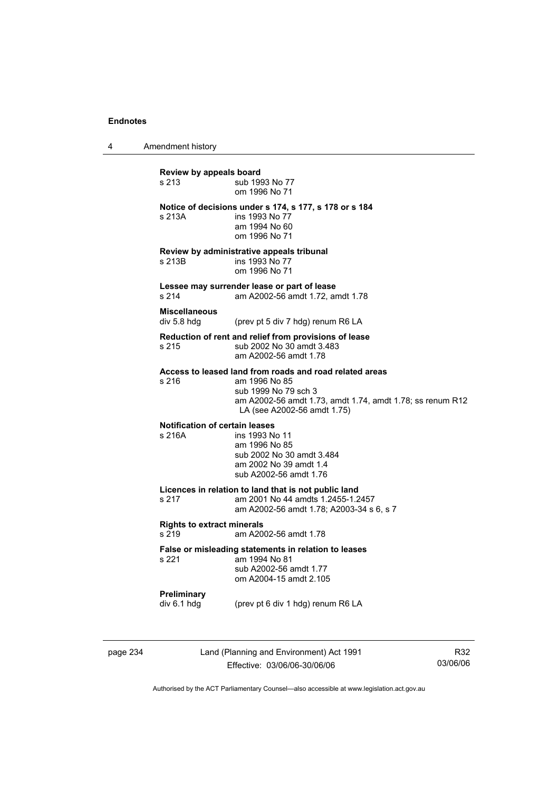4 Amendment history

**Review by appeals board**  s 213 **Sub 1993 No 77**  om 1996 No 71 **Notice of decisions under s 174, s 177, s 178 or s 184**  s 213A **ins 1993** No 77 am 1994 No 60 om 1996 No 71 **Review by administrative appeals tribunal**  s 213B **ins 1993** No 77 om 1996 No 71 **Lessee may surrender lease or part of lease**  s 214 am A2002-56 amdt 1.72, amdt 1.78 **Miscellaneous**  div 5.8 hdg (prev pt 5 div 7 hdg) renum R6 LA **Reduction of rent and relief from provisions of lease**  s 215 sub 2002 No 30 amdt 3.483 am A2002-56 amdt 1.78 **Access to leased land from roads and road related areas**  s 216 am 1996 No 85 sub 1999 No 79 sch 3 am A2002-56 amdt 1.73, amdt 1.74, amdt 1.78; ss renum R12 LA (see A2002-56 amdt 1.75) **Notification of certain leases**  s 216A ins 1993 No 11 am 1996 No 85 sub 2002 No 30 amdt 3.484 am 2002 No 39 amdt 1.4 sub A2002-56 amdt 1.76 **Licences in relation to land that is not public land**  am 2001 No 44 amdts 1.2455-1.2457 am A2002-56 amdt 1.78; A2003-34 s 6, s 7 **Rights to extract minerals**  s 219 am A2002-56 amdt 1.78 **False or misleading statements in relation to leases**  am 1994 No 81 sub A2002-56 amdt 1.77 om A2004-15 amdt 2.105 **Preliminary**  div 6.1 hdg (prev pt 6 div 1 hdg) renum R6 LA

page 234 Land (Planning and Environment) Act 1991 Effective: 03/06/06-30/06/06

R32 03/06/06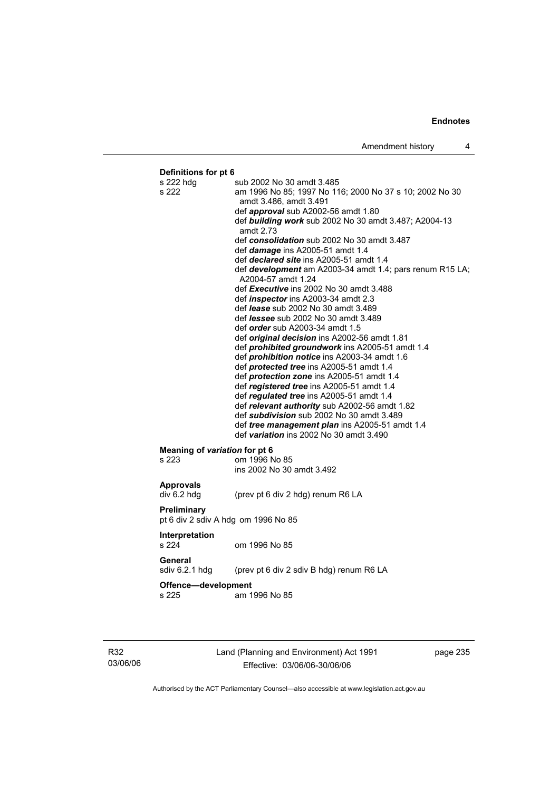# **Definitions for pt 6**  s 222 hdg sub 2002 No 30 amdt 3.485 s 222 am 1996 No 85; 1997 No 116; 2000 No 37 s 10; 2002 No 30 amdt 3.486, amdt 3.491 def *approval* sub A2002-56 amdt 1.80 def *building work* sub 2002 No 30 amdt 3.487; A2004-13 amdt 2.73 def *consolidation* sub 2002 No 30 amdt 3.487 def *damage* ins A2005-51 amdt 1.4 def *declared site* ins A2005-51 amdt 1.4 def *development* am A2003-34 amdt 1.4; pars renum R15 LA; A2004-57 amdt 1.24 def *Executive* ins 2002 No 30 amdt 3.488 def *inspector* ins A2003-34 amdt 2.3 def *lease* sub 2002 No 30 amdt 3.489 def *lessee* sub 2002 No 30 amdt 3.489 def *order* sub A2003-34 amdt 1.5 def *original decision* ins A2002-56 amdt 1.81 def *prohibited groundwork* ins A2005-51 amdt 1.4 def *prohibition notice* ins A2003-34 amdt 1.6 def *protected tree* ins A2005-51 amdt 1.4 def *protection zone* ins A2005-51 amdt 1.4 def *registered tree* ins A2005-51 amdt 1.4 def *regulated tree* ins A2005-51 amdt 1.4 def *relevant authority* sub A2002-56 amdt 1.82 def *subdivision* sub 2002 No 30 amdt 3.489 def *tree management plan* ins A2005-51 amdt 1.4 def *variation* ins 2002 No 30 amdt 3.490 **Meaning of** *variation* **for pt 6<br>s 223 <b>com** 1996 N om 1996 No 85 ins 2002 No 30 amdt 3.492 **Approvals**  div 6.2 hdg (prev pt 6 div 2 hdg) renum R6 LA **Preliminary**  pt 6 div 2 sdiv A hdg om 1996 No 85 **Interpretation**  s 224 om 1996 No 85 **General**  sdiv 6.2.1 hdg (prev pt 6 div 2 sdiv B hdg) renum R6 LA **Offence—development**  s 225 am 1996 No 85

R32 03/06/06 Land (Planning and Environment) Act 1991 Effective: 03/06/06-30/06/06

page 235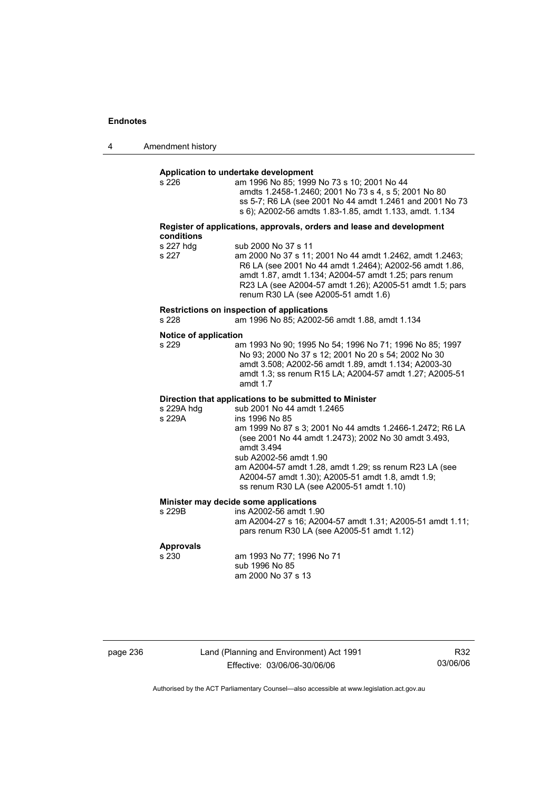| 4 | Amendment history |
|---|-------------------|
|---|-------------------|

# **Application to undertake development**

| s 226 | am 1996 No 85: 1999 No 73 s 10: 2001 No 44               |
|-------|----------------------------------------------------------|
|       | amdts 1.2458-1.2460: 2001 No 73 s 4, s 5: 2001 No 80     |
|       | ss 5-7; R6 LA (see 2001 No 44 amdt 1.2461 and 2001 No 73 |
|       | s 6); A2002-56 amdts 1.83-1.85, amdt 1.133, amdt. 1.134  |
|       |                                                          |

#### **Register of applications, approvals, orders and lease and development conditions**

| s 227 hdg | sub 2000 No 37 s 11                                      |
|-----------|----------------------------------------------------------|
| s 227     | am 2000 No 37 s 11: 2001 No 44 amdt 1.2462. amdt 1.2463: |
|           | R6 LA (see 2001 No 44 amdt 1.2464); A2002-56 amdt 1.86,  |
|           | amdt 1.87, amdt 1.134; A2004-57 amdt 1.25; pars renum    |
|           | R23 LA (see A2004-57 amdt 1.26); A2005-51 amdt 1.5; pars |
|           | renum R30 LA (see A2005-51 amdt 1.6)                     |
|           |                                                          |

# **Restrictions on inspection of applications**

am 1996 No 85; A2002-56 amdt 1.88, amdt 1.134

#### **Notice of application**

| s 229 | am 1993 No 90; 1995 No 54; 1996 No 71; 1996 No 85; 1997 |
|-------|---------------------------------------------------------|
|       | No 93: 2000 No 37 s 12: 2001 No 20 s 54: 2002 No 30     |
|       | amdt 3.508: A2002-56 amdt 1.89. amdt 1.134: A2003-30    |
|       | amdt 1.3; ss renum R15 LA: A2004-57 amdt 1.27; A2005-51 |
|       | amdt $1.7$                                              |

# **Direction that applications to be submitted to Minister**

| s 229A hdg | sub 2001 No 44 amdt 1.2465                               |
|------------|----------------------------------------------------------|
| s 229A     | ins 1996 No 85                                           |
|            | am 1999 No 87 s 3; 2001 No 44 amdts 1.2466-1.2472; R6 LA |
|            | (see 2001 No 44 amdt 1.2473); 2002 No 30 amdt 3.493,     |
|            | amdt 3.494                                               |
|            | sub A2002-56 amdt 1.90                                   |
|            | am A2004-57 amdt 1.28, amdt 1.29; ss renum R23 LA (see   |
|            | A2004-57 amdt 1.30); A2005-51 amdt 1.8, amdt 1.9;        |
|            | ss renum R30 LA (see A2005-51 amdt 1.10)                 |
|            |                                                          |

### **Minister may decide some applications**

| s 229B | ins A2002-56 amdt 1.90                                    |
|--------|-----------------------------------------------------------|
|        | am A2004-27 s 16; A2004-57 amdt 1.31; A2005-51 amdt 1.11; |
|        | pars renum R30 LA (see A2005-51 amdt 1.12)                |
|        |                                                           |

# **Approvals**

am 1993 No 77; 1996 No 71 sub 1996 No 85 am 2000 No 37 s 13

page 236 Land (Planning and Environment) Act 1991 Effective: 03/06/06-30/06/06

R32 03/06/06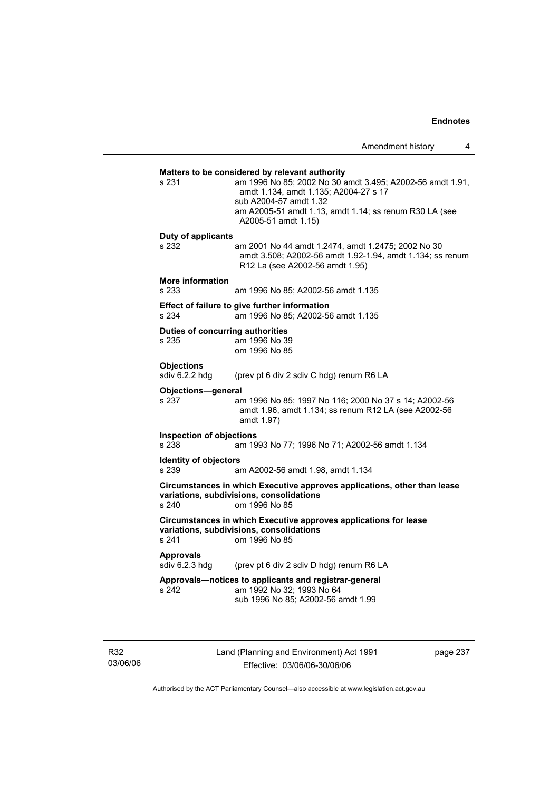**Matters to be considered by relevant authority**  s 231 am 1996 No 85; 2002 No 30 amdt 3.495; A2002-56 amdt 1.91, amdt 1.134, amdt 1.135; A2004-27 s 17 sub A2004-57 amdt 1.32 am A2005-51 amdt 1.13, amdt 1.14; ss renum R30 LA (see A2005-51 amdt 1.15) **Duty of applicants**  s 232 am 2001 No 44 amdt 1.2474, amdt 1.2475; 2002 No 30 amdt 3.508; A2002-56 amdt 1.92-1.94, amdt 1.134; ss renum R12 La (see A2002-56 amdt 1.95) **More information**  s 233 am 1996 No 85; A2002-56 amdt 1.135 **Effect of failure to give further information**  s 234 am 1996 No 85; A2002-56 amdt 1.135 **Duties of concurring authorities**  s 235 am 1996 No 39 om 1996 No 85 **Objections**<br>sdiv 6.2.2 hdg (prev pt 6 div 2 sdiv C hdg) renum R6 LA **Objections—general**  s 237 am 1996 No 85; 1997 No 116; 2000 No 37 s 14; A2002-56 amdt 1.96, amdt 1.134; ss renum R12 LA (see A2002-56 amdt 1.97) **Inspection of objections**  s 238 am 1993 No 77; 1996 No 71; A2002-56 amdt 1.134 **Identity of objectors**<br> **IS** 239 am A2002-56 amdt 1.98, amdt 1.134 **Circumstances in which Executive approves applications, other than lease variations, subdivisions, consolidations**  s 240 om 1996 No 85 **Circumstances in which Executive approves applications for lease variations, subdivisions, consolidations**  s 241 om 1996 No 85 **Approvals**  sdiv 6.2.3 hdg (prev pt 6 div 2 sdiv D hdg) renum R6 LA **Approvals—notices to applicants and registrar-general**  s 242 am 1992 No 32; 1993 No 64 sub 1996 No 85; A2002-56 amdt 1.99

R32 03/06/06 Land (Planning and Environment) Act 1991 Effective: 03/06/06-30/06/06

page 237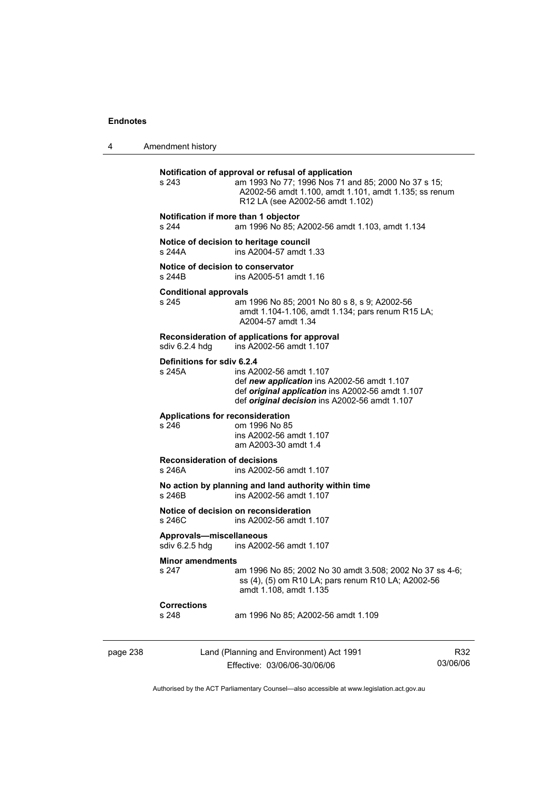4 Amendment history

|          | s 243                                                                                           | Notification of approval or refusal of application<br>am 1993 No 77; 1996 Nos 71 and 85; 2000 No 37 s 15;<br>A2002-56 amdt 1.100, amdt 1.101, amdt 1.135; ss renum<br>R12 LA (see A2002-56 amdt 1.102) |                 |
|----------|-------------------------------------------------------------------------------------------------|--------------------------------------------------------------------------------------------------------------------------------------------------------------------------------------------------------|-----------------|
|          | Notification if more than 1 objector<br>s 244<br>am 1996 No 85; A2002-56 amdt 1.103, amdt 1.134 |                                                                                                                                                                                                        |                 |
|          | s 244A                                                                                          | Notice of decision to heritage council<br>ins A2004-57 amdt 1.33                                                                                                                                       |                 |
|          | Notice of decision to conservator<br>s 244B                                                     | ins A2005-51 amdt 1.16                                                                                                                                                                                 |                 |
|          | <b>Conditional approvals</b><br>s 245                                                           | am 1996 No 85; 2001 No 80 s 8, s 9; A2002-56<br>amdt 1.104-1.106, amdt 1.134; pars renum R15 LA;<br>A2004-57 amdt 1.34                                                                                 |                 |
|          | sdiv 6.2.4 hdg                                                                                  | Reconsideration of applications for approval<br>ins A2002-56 amdt 1.107                                                                                                                                |                 |
|          | Definitions for sdiv 6.2.4<br>s 245A                                                            | ins A2002-56 amdt 1.107<br>def new application ins A2002-56 amdt 1.107<br>def original application ins A2002-56 amdt 1.107<br>def original decision ins A2002-56 amdt 1.107                            |                 |
|          | <b>Applications for reconsideration</b><br>s 246                                                | om 1996 No 85<br>ins A2002-56 amdt 1.107<br>am A2003-30 amdt 1.4                                                                                                                                       |                 |
|          | <b>Reconsideration of decisions</b><br>s 246A<br>ins A2002-56 amdt 1.107                        |                                                                                                                                                                                                        |                 |
|          | s 246B                                                                                          | No action by planning and land authority within time<br>ins A2002-56 amdt 1.107                                                                                                                        |                 |
|          | s 246C                                                                                          | Notice of decision on reconsideration<br>ins A2002-56 amdt 1.107                                                                                                                                       |                 |
|          | Approvals-miscellaneous<br>sdiv 6.2.5 hdg                                                       | ins A2002-56 amdt 1.107                                                                                                                                                                                |                 |
|          | <b>Minor amendments</b><br>s 247                                                                | am 1996 No 85; 2002 No 30 amdt 3.508; 2002 No 37 ss 4-6;<br>ss (4), (5) om R10 LA; pars renum R10 LA; A2002-56<br>amdt 1.108, amdt 1.135                                                               |                 |
|          | <b>Corrections</b><br>s 248                                                                     | am 1996 No 85; A2002-56 amdt 1.109                                                                                                                                                                     |                 |
| page 238 |                                                                                                 | Land (Planning and Environment) Act 1991<br>Effective: 03/06/06-30/06/06                                                                                                                               | R32<br>03/06/06 |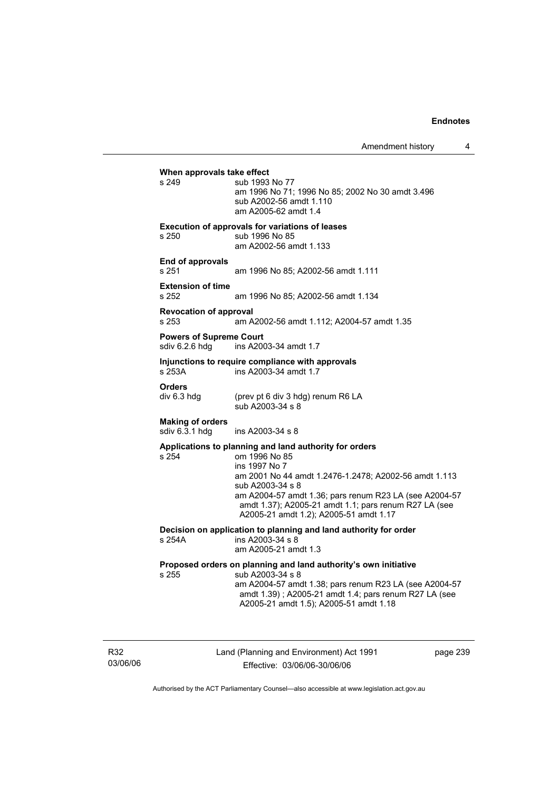Amendment history 4

**When approvals take effect**  s 249 sub 1993 No 77 am 1996 No 71; 1996 No 85; 2002 No 30 amdt 3.496 sub A2002-56 amdt 1.110 am A2005-62 amdt 1.4 **Execution of approvals for variations of leases**  s 250 sub 1996 No 85 am A2002-56 amdt 1.133 **End of approvals**  s 251 am 1996 No 85; A2002-56 amdt 1.111 **Extension of time**  am 1996 No 85; A2002-56 amdt 1.134 **Revocation of approval**  s 253 am A2002-56 amdt 1.112; A2004-57 amdt 1.35 **Powers of Supreme Court**<br>sdiv 6.2.6 hdg ins A200 ins A2003-34 amdt 1.7 **Injunctions to require compliance with approvals**  s 253A ins A2003-34 amdt 1.7 **Orders**<br>div 6.3 hdg (prev pt 6 div 3 hdg) renum R6 LA sub A2003-34 s 8 **Making of orders**  ins A2003-34 s 8 **Applications to planning and land authority for orders**  om 1996 No 85 ins 1997 No 7 am 2001 No 44 amdt 1.2476-1.2478; A2002-56 amdt 1.113 sub A2003-34 s 8 am A2004-57 amdt 1.36; pars renum R23 LA (see A2004-57 amdt 1.37); A2005-21 amdt 1.1; pars renum R27 LA (see A2005-21 amdt 1.2); A2005-51 amdt 1.17 **Decision on application to planning and land authority for order**  s 254A ins A2003-34 s 8 am A2005-21 amdt 1.3 **Proposed orders on planning and land authority's own initiative**  s 255 sub A2003-34 s 8 am A2004-57 amdt 1.38; pars renum R23 LA (see A2004-57 amdt 1.39) ; A2005-21 amdt 1.4; pars renum R27 LA (see A2005-21 amdt 1.5); A2005-51 amdt 1.18

R32 03/06/06 Land (Planning and Environment) Act 1991 Effective: 03/06/06-30/06/06

page 239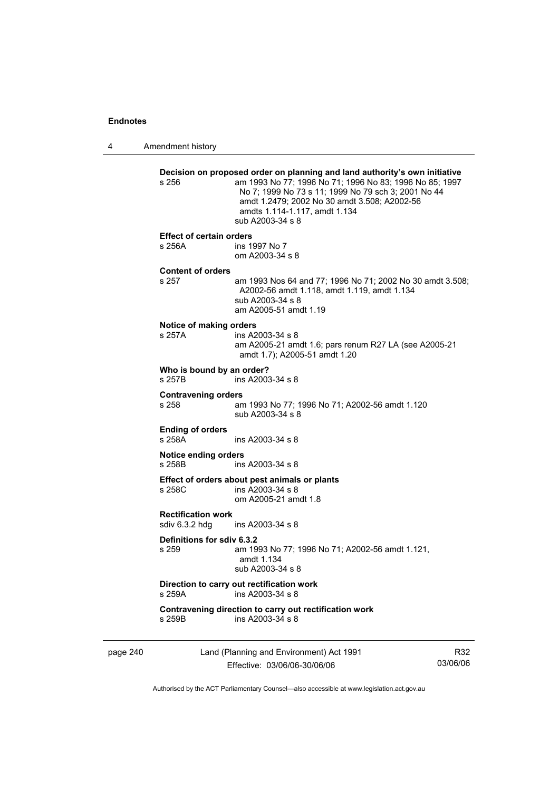4 Amendment history page 240 Land (Planning and Environment) Act 1991 Effective: 03/06/06-30/06/06 Authorised by the ACT Parliamentary Counsel—also accessible at www.legislation.act.gov.au **Decision on proposed order on planning and land authority's own initiative**  s 256 am 1993 No 77; 1996 No 71; 1996 No 83; 1996 No 85; 1997 No 7; 1999 No 73 s 11; 1999 No 79 sch 3; 2001 No 44 amdt 1.2479; 2002 No 30 amdt 3.508; A2002-56 amdts 1.114-1.117, amdt 1.134 sub A2003-34 s 8 **Effect of certain orders**  s 256A ins 1997 No 7 om A2003-34 s 8 **Content of orders**  s 257 am 1993 Nos 64 and 77; 1996 No 71; 2002 No 30 amdt 3.508; A2002-56 amdt 1.118, amdt 1.119, amdt 1.134 sub A2003-34 s 8 am A2005-51 amdt 1.19 **Notice of making orders**  ins A2003-34 s 8 am A2005-21 amdt 1.6; pars renum R27 LA (see A2005-21 amdt 1.7); A2005-51 amdt 1.20 **Who is bound by an order?**  s 257B ins A2003-34 s 8 **Contravening orders**  s 258 am 1993 No 77; 1996 No 71; A2002-56 amdt 1.120 sub A2003-34 s 8 **Ending of orders**  s 258A ins A2003-34 s 8 **Notice ending orders**  s 258B ins A2003-34 s 8 **Effect of orders about pest animals or plants**  s 258C ins A2003-34 s 8 om A2005-21 amdt 1.8 **Rectification work**  sdiv 6.3.2 hdg ins A2003-34 s 8 **Definitions for sdiv 6.3.2**  am 1993 No 77; 1996 No 71; A2002-56 amdt 1.121, amdt 1.134 sub A2003-34 s 8 **Direction to carry out rectification work**<br>s 259A ins A2003-34 s 8 ins A2003-34 s 8 **Contravening direction to carry out rectification work**  s 259B ins A2003-34 s 8

R32 03/06/06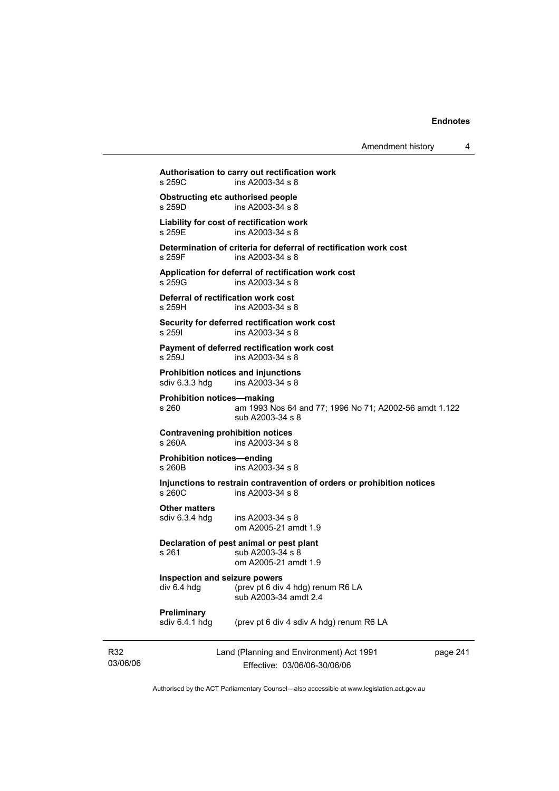Amendment history 4

**Authorisation to carry out rectification work**   $ins A2003-34 s 8$ **Obstructing etc authorised people**<br>s 259D ins A2003-34 s 8  $ins A2003-34 s 8$ **Liability for cost of rectification work**  s 259E ins A2003-34 s 8 **Determination of criteria for deferral of rectification work cost**  s 259F ins A2003-34 s 8 **Application for deferral of rectification work cost**  ins A2003-34 s 8 **Deferral of rectification work cost**  s 259H ins A2003-34 s 8 **Security for deferred rectification work cost**  s 259I ins A2003-34 s 8 **Payment of deferred rectification work cost**  s 259J ins A2003-34 s 8 **Prohibition notices and injunctions**  sdiv 6.3.3 hdg ins A2003-34 s 8 **Prohibition notices—making**  s 260 am 1993 Nos 64 and 77; 1996 No 71; A2002-56 amdt 1.122 sub A2003-34 s 8 **Contravening prohibition notices**  s 260A ins A2003-34 s 8 **Prohibition notices—ending**   $ins A2003 - 34 s 8$ **Injunctions to restrain contravention of orders or prohibition notices**  s 260C ins A2003-34 s 8 **Other matters**  sdiv 6.3.4 hdg ins A2003-34 s 8 om A2005-21 amdt 1.9 **Declaration of pest animal or pest plant**  s 261 sub A2003-34 s 8 om A2005-21 amdt 1.9 **Inspection and seizure powers**  div 6.4 hdg (prev pt 6 div 4 hdg) renum R6 LA sub A2003-34 amdt 2.4

# **Preliminary**<br>sdiv 6.4.1 hdg

(prev pt 6 div 4 sdiv A hdg) renum R6 LA

R32 03/06/06 Land (Planning and Environment) Act 1991 Effective: 03/06/06-30/06/06

page 241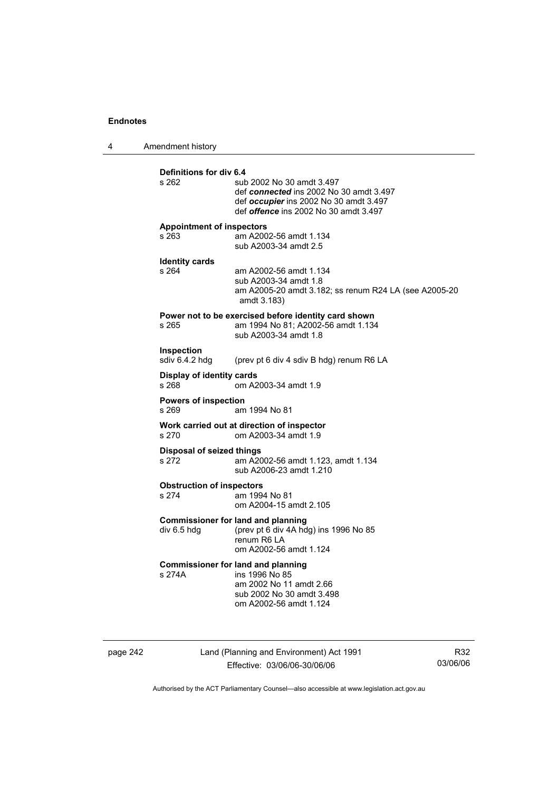4 Amendment history **Definitions for div 6.4**  sub 2002 No 30 amdt 3.497 def *connected* ins 2002 No 30 amdt 3.497 def *occupier* ins 2002 No 30 amdt 3.497 def *offence* ins 2002 No 30 amdt 3.497 **Appointment of inspectors**  s 263 am A2002-56 amdt 1.134 sub A2003-34 amdt 2.5 **Identity cards**  s 264 am A2002-56 amdt 1.134 sub A2003-34 amdt 1.8 am A2005-20 amdt 3.182; ss renum R24 LA (see A2005-20 amdt 3.183) **Power not to be exercised before identity card shown**<br>s 265 am 1994 No 81: A2002-56 amdt 1.134 am 1994 No 81; A2002-56 amdt 1.134 sub A2003-34 amdt 1.8 **Inspection**  sdiv 6.4.2 hdg (prev pt 6 div 4 sdiv B hdg) renum R6 LA **Display of identity cards**  om A2003-34 amdt 1.9 **Powers of inspection**  s 269 am 1994 No 81 **Work carried out at direction of inspector**  s 270 om A2003-34 amdt 1.9 **Disposal of seized things**  s 272 am A2002-56 amdt 1.123, amdt 1.134 sub A2006-23 amdt 1.210 **Obstruction of inspectors**  s 274 am 1994 No 81 om A2004-15 amdt 2.105 **Commissioner for land and planning**<br>div 6.5 hdg (prev pt 6 div 4A hd (prev pt 6 div 4A hdg) ins 1996 No  $85$  renum R6 LA om A2002-56 amdt 1.124 **Commissioner for land and planning**  s 274A ins 1996 No 85 am 2002 No 11 amdt 2.66 sub 2002 No 30 amdt 3.498 om A2002-56 amdt 1.124

page 242 Land (Planning and Environment) Act 1991 Effective: 03/06/06-30/06/06

R32 03/06/06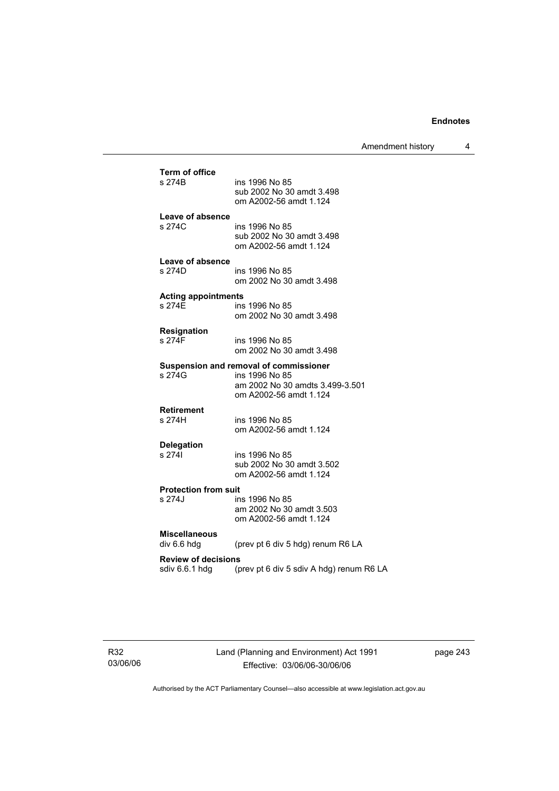Amendment history 4

| <b>Term of office</b><br>s 274B              | ins 1996 No 85<br>sub 2002 No 30 amdt 3.498<br>om A2002-56 amdt 1.124                                                 |
|----------------------------------------------|-----------------------------------------------------------------------------------------------------------------------|
| Leave of absence<br>s 274C                   | ins 1996 No 85<br>sub 2002 No 30 amdt 3.498<br>om A2002-56 amdt 1.124                                                 |
| Leave of absence<br>s 274D                   | ins 1996 No 85<br>om 2002 No 30 amdt 3.498                                                                            |
| <b>Acting appointments</b><br>s 274F         | ins 1996 No 85<br>om 2002 No 30 amdt 3.498                                                                            |
| <b>Resignation</b><br>s 274F                 | ins 1996 No 85<br>om 2002 No 30 amdt 3.498                                                                            |
| s 274G                                       | Suspension and removal of commissioner<br>ins 1996 No 85<br>am 2002 No 30 amdts 3.499-3.501<br>om A2002-56 amdt 1.124 |
| <b>Retirement</b><br>s 274H                  | ins 1996 No 85<br>om A2002-56 amdt 1.124                                                                              |
| <b>Delegation</b><br>s 2741                  | ins 1996 No 85<br>sub 2002 No 30 amdt 3.502<br>om A2002-56 amdt 1.124                                                 |
| <b>Protection from suit</b><br>s 274J        | ins 1996 No 85<br>am 2002 No 30 amdt 3.503<br>om A2002-56 amdt 1.124                                                  |
| <b>Miscellaneous</b><br>div 6.6 hdg          | (prev pt 6 div 5 hdg) renum R6 LA                                                                                     |
| <b>Review of decisions</b><br>sdiv 6.6.1 hdg | (prev pt 6 div 5 sdiv A hdg) renum R6 LA                                                                              |

page 243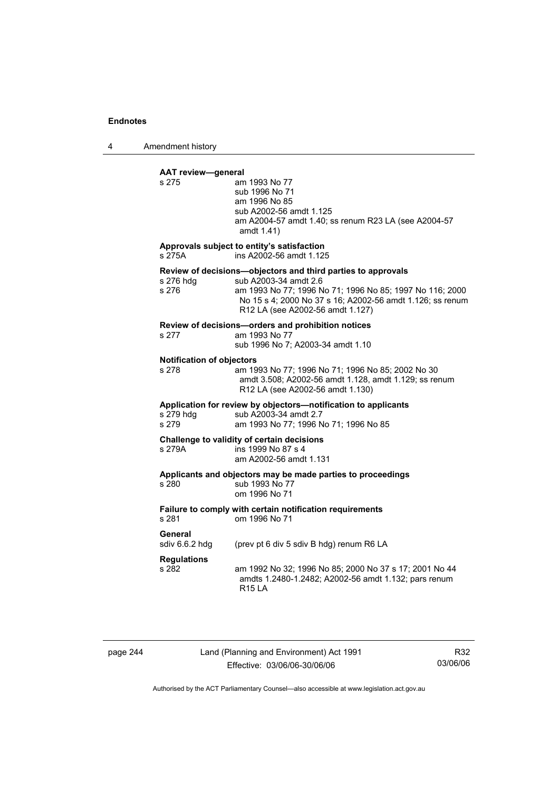4 Amendment history

## **AAT review—general**

| s 275                                     | am 1993 No 77<br>sub 1996 No 71<br>am 1996 No 85<br>sub A2002-56 amdt 1.125<br>am A2004-57 amdt 1.40; ss renum R23 LA (see A2004-57<br>amdt 1.41)                                                                                                  |
|-------------------------------------------|----------------------------------------------------------------------------------------------------------------------------------------------------------------------------------------------------------------------------------------------------|
| s 275A                                    | Approvals subject to entity's satisfaction<br>ins A2002-56 amdt 1.125                                                                                                                                                                              |
| s 276 hdg<br>s 276                        | Review of decisions-objectors and third parties to approvals<br>sub A2003-34 amdt 2.6<br>am 1993 No 77; 1996 No 71; 1996 No 85; 1997 No 116; 2000<br>No 15 s 4; 2000 No 37 s 16; A2002-56 amdt 1.126; ss renum<br>R12 LA (see A2002-56 amdt 1.127) |
| s 277                                     | Review of decisions-orders and prohibition notices<br>am 1993 No 77<br>sub 1996 No 7; A2003-34 amdt 1.10                                                                                                                                           |
| <b>Notification of objectors</b><br>s 278 | am 1993 No 77; 1996 No 71; 1996 No 85; 2002 No 30<br>amdt 3.508; A2002-56 amdt 1.128, amdt 1.129; ss renum<br>R12 LA (see A2002-56 amdt 1.130)                                                                                                     |
| s 279 hdg<br>s 279                        | Application for review by objectors-notification to applicants<br>sub A2003-34 amdt 2.7<br>am 1993 No 77; 1996 No 71; 1996 No 85                                                                                                                   |
| s 279A                                    | Challenge to validity of certain decisions<br>ins 1999 No 87 s 4<br>am A2002-56 amdt 1.131                                                                                                                                                         |
| s 280                                     | Applicants and objectors may be made parties to proceedings<br>sub 1993 No 77<br>om 1996 No 71                                                                                                                                                     |
| s 281                                     | Failure to comply with certain notification requirements<br>om 1996 No 71                                                                                                                                                                          |
| General<br>sdiv $6.6.2$ hdg               | (prev pt 6 div 5 sdiv B hdg) renum R6 LA                                                                                                                                                                                                           |
| <b>Regulations</b><br>s 282               | am 1992 No 32; 1996 No 85; 2000 No 37 s 17; 2001 No 44<br>amdts 1.2480-1.2482; A2002-56 amdt 1.132; pars renum<br><b>R15 LA</b>                                                                                                                    |

page 244 Land (Planning and Environment) Act 1991 Effective: 03/06/06-30/06/06

R32 03/06/06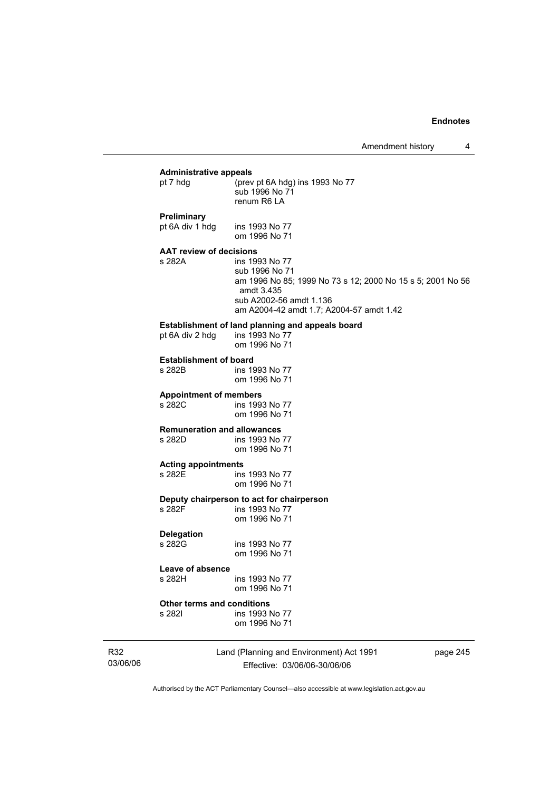### **Administrative appeals**  (prev pt 6A hdg) ins 1993 No 77

|                                | sub 1996 No 71<br>renum R6 LA                              |
|--------------------------------|------------------------------------------------------------|
| Preliminary                    |                                                            |
| pt 6A div 1 hdg                | ins 1993 No 77                                             |
|                                | om 1996 No 71                                              |
| <b>AAT review of decisions</b> |                                                            |
| s 282A                         | ins 1993 No 77                                             |
|                                | sub 1996 No 71                                             |
|                                | am 1996 No 85; 1999 No 73 s 12; 2000 No 15 s 5; 2001 No 56 |
|                                | amdt 3.435                                                 |
|                                | sub A2002-56 amdt 1.136                                    |

am A2004-42 amdt 1.7; A2004-57 amdt 1.42

# **Establishment of land planning and appeals board** pt 6A div 2 hdg ins 1993 No 77

pt 6A div 2 hdg

om 1996 No 71

**Establishment of board**  ins 1993 No 77

om 1996 No 71

# **Appointment of members**

ins 1993 No 77 om 1996 No 71

# **Remuneration and allowances**

ins 1993 No 77 om 1996 No 71

## **Acting appointments**

s 282E ins 1993 No 77 om 1996 No 71

# **Deputy chairperson to act for chairperson**

ins 1993 No 77 om 1996 No 71

## **Delegation**

ins 1993 No 77 om 1996 No 71

### **Leave of absence**

s 282H ins 1993 No 77 om 1996 No 71

# **Other terms and conditions**

ins 1993 No 77 om 1996 No 71

R32 03/06/06 Land (Planning and Environment) Act 1991 Effective: 03/06/06-30/06/06

page 245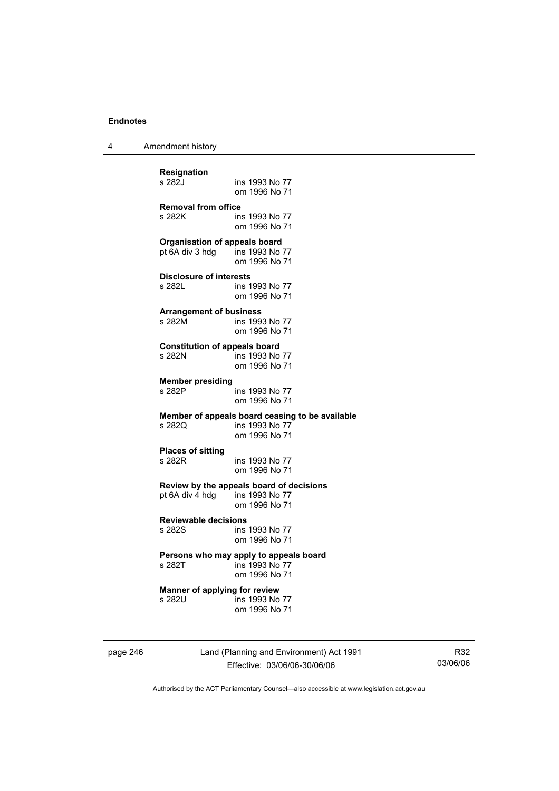4 Amendment history

| <b>Resignation</b>                                                     | ins 1993 No 77                                                                     |
|------------------------------------------------------------------------|------------------------------------------------------------------------------------|
| s 282J                                                                 | om 1996 No 71                                                                      |
| <b>Removal from office</b>                                             | ins 1993 No 77                                                                     |
| s 282K                                                                 | om 1996 No 71                                                                      |
| <b>Organisation of appeals board</b><br>pt 6A div 3 hdg ins 1993 No 77 | om 1996 No 71                                                                      |
| <b>Disclosure of interests</b>                                         | ins 1993 No 77                                                                     |
| s 282L                                                                 | om 1996 No 71                                                                      |
| <b>Arrangement of business</b>                                         | ins 1993 No 77                                                                     |
| s 282M                                                                 | om 1996 No 71                                                                      |
| <b>Constitution of appeals board</b>                                   | ins 1993 No 77                                                                     |
| s 282N                                                                 | om 1996 No 71                                                                      |
| <b>Member presiding</b>                                                | ins 1993 No 77                                                                     |
| s 282P                                                                 | om 1996 No 71                                                                      |
| s 2820                                                                 | Member of appeals board ceasing to be available<br>ins 1993 No 77<br>om 1996 No 71 |
| <b>Places of sitting</b>                                               | ins 1993 No 77                                                                     |
| s 282R                                                                 | om 1996 No 71                                                                      |
| pt 6A div 4 hdg ins 1993 No 77                                         | Review by the appeals board of decisions<br>om 1996 No 71                          |
| <b>Reviewable decisions</b>                                            | ins 1993 No 77                                                                     |
| s 282S                                                                 | om 1996 No 71                                                                      |
| s 282T                                                                 | Persons who may apply to appeals board<br>ins 1993 No 77<br>om 1996 No 71          |
| Manner of applying for review                                          | ins 1993 No 77                                                                     |
| s 282U                                                                 | om 1996 No 71                                                                      |

page 246 Land (Planning and Environment) Act 1991 Effective: 03/06/06-30/06/06

R32 03/06/06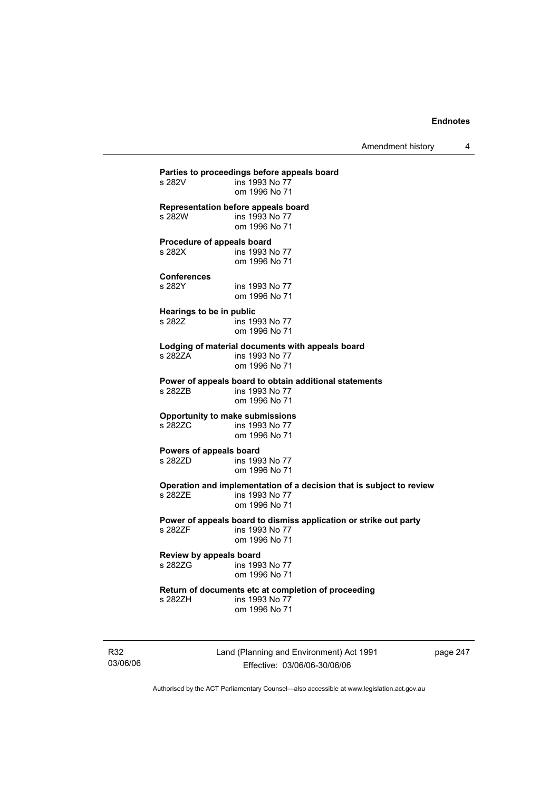Amendment history 4

**Parties to proceedings before appeals board**  ins 1993 No 77 om 1996 No 71 **Representation before appeals board**  s 282W ins 1993 No 77 om 1996 No 71 **Procedure of appeals board**  s 282X ins 1993 No 77 om 1996 No 71 **Conferences**  s 282Y ins 1993 No 77 om 1996 No 71 **Hearings to be in public**  s 282Z ins 1993 No 77 om 1996 No 71 **Lodging of material documents with appeals board**  ins 1993 No 77 om 1996 No 71 **Power of appeals board to obtain additional statements**  s 282ZB **ins 1993** No 77 om 1996 No 71 **Opportunity to make submissions**  ins 1993 No 77 om 1996 No 71 **Powers of appeals board**  ins 1993 No 77 om 1996 No 71 **Operation and implementation of a decision that is subject to review**  s 282ZE ins 1993 No 77 om 1996 No 71 **Power of appeals board to dismiss application or strike out party**  ins 1993 No 77 om 1996 No 71 **Review by appeals board**  ins 1993 No 77 om 1996 No 71 **Return of documents etc at completion of proceeding**  s 282ZH ins 1993 No 77 om 1996 No 71

R32 03/06/06 Land (Planning and Environment) Act 1991 Effective: 03/06/06-30/06/06

page 247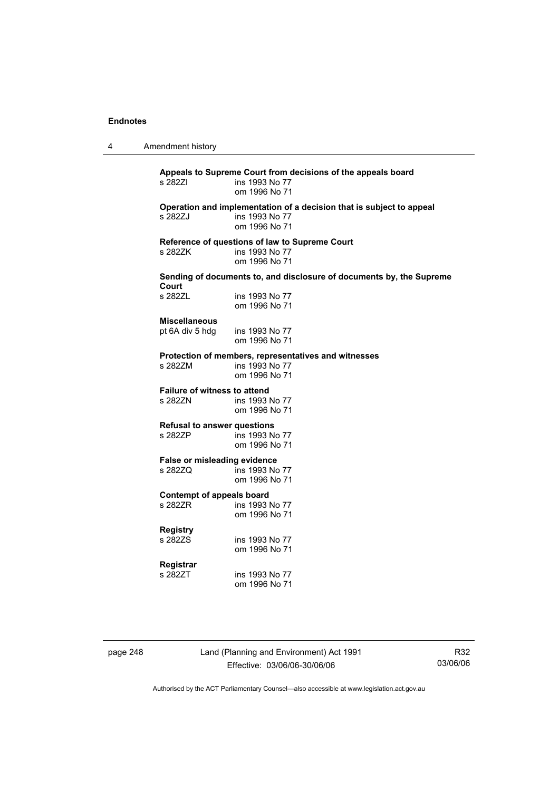4 Amendment history

**Appeals to Supreme Court from decisions of the appeals board**  ins 1993 No 77 om 1996 No 71 **Operation and implementation of a decision that is subject to appeal**  s 282ZJ ins 1993 No 77 om 1996 No 71 **Reference of questions of law to Supreme Court**  s 282ZK ins 1993 No 77 om 1996 No 71 **Sending of documents to, and disclosure of documents by, the Supreme Court**  ins 1993 No 77 om 1996 No 71 **Miscellaneous**  pt 6A div 5 hdg ins 1993 No 77 om 1996 No 71 **Protection of members, representatives and witnesses**  s 282ZM ins 1993 No 77 om 1996 No 71 **Failure of witness to attend**  s 282ZN ins 1993 No 77 om 1996 No 71 **Refusal to answer questions**  s 282ZP ins 1993 No 77 om 1996 No 71 **False or misleading evidence**  ins 1993 No 77 om 1996 No 71 **Contempt of appeals board**  s 282ZR ins 1993 No 77 om 1996 No 71 **Registry**  ins 1993 No 77 om 1996 No 71 **Registrar**  s 282ZT ins 1993 No 77 om 1996 No 71

page 248 Land (Planning and Environment) Act 1991 Effective: 03/06/06-30/06/06

R32 03/06/06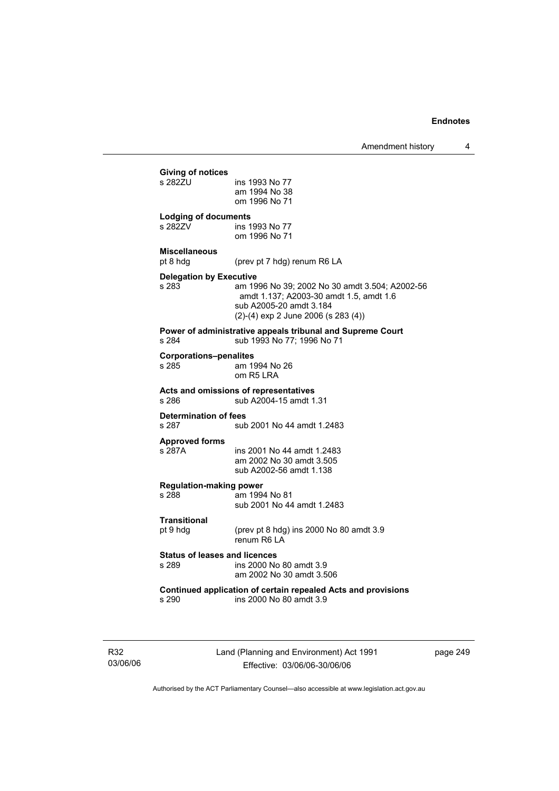|                       | <b>Giving of notices</b>                      |                                                                                                                                                             |
|-----------------------|-----------------------------------------------|-------------------------------------------------------------------------------------------------------------------------------------------------------------|
|                       | s 2827U                                       | ins 1993 No 77<br>am 1994 No 38<br>om 1996 No 71                                                                                                            |
|                       | <b>Lodging of documents</b>                   |                                                                                                                                                             |
|                       | s 282ZV                                       | ins 1993 No 77<br>om 1996 No 71                                                                                                                             |
|                       | <b>Miscellaneous</b><br>pt 8 hdg              | (prev pt 7 hdg) renum R6 LA                                                                                                                                 |
|                       | <b>Delegation by Executive</b>                |                                                                                                                                                             |
|                       | s 283                                         | am 1996 No 39; 2002 No 30 amdt 3.504; A2002-56<br>amdt 1.137; A2003-30 amdt 1.5, amdt 1.6<br>sub A2005-20 amdt 3.184<br>(2)-(4) exp 2 June 2006 (s 283 (4)) |
|                       | s 284                                         | Power of administrative appeals tribunal and Supreme Court<br>sub 1993 No 77; 1996 No 71                                                                    |
|                       | <b>Corporations-penalites</b><br>s 285        | am 1994 No 26<br>om R5 LRA                                                                                                                                  |
|                       | s 286                                         | Acts and omissions of representatives<br>sub A2004-15 amdt 1.31                                                                                             |
|                       | <b>Determination of fees</b><br>s 287         | sub 2001 No 44 amdt 1.2483                                                                                                                                  |
| <b>Approved forms</b> |                                               |                                                                                                                                                             |
|                       | s 287A                                        | ins 2001 No 44 amdt 1.2483<br>am 2002 No 30 amdt 3.505<br>sub A2002-56 amdt 1.138                                                                           |
|                       | <b>Regulation-making power</b>                |                                                                                                                                                             |
|                       | s 288                                         | am 1994 No 81<br>sub 2001 No 44 amdt 1.2483                                                                                                                 |
|                       | <b>Transitional</b>                           |                                                                                                                                                             |
|                       | pt 9 hdg                                      | (prev pt 8 hdg) ins 2000 No 80 amdt 3.9<br>renum R6   A                                                                                                     |
|                       | <b>Status of leases and licences</b><br>s 289 | ins 2000 No 80 amdt 3.9<br>am 2002 No 30 amdt 3.506                                                                                                         |
|                       | s 290                                         | Continued application of certain repealed Acts and provisions<br>ins 2000 No 80 amdt 3.9                                                                    |
|                       |                                               |                                                                                                                                                             |

R32 03/06/06 Land (Planning and Environment) Act 1991 Effective: 03/06/06-30/06/06

page 249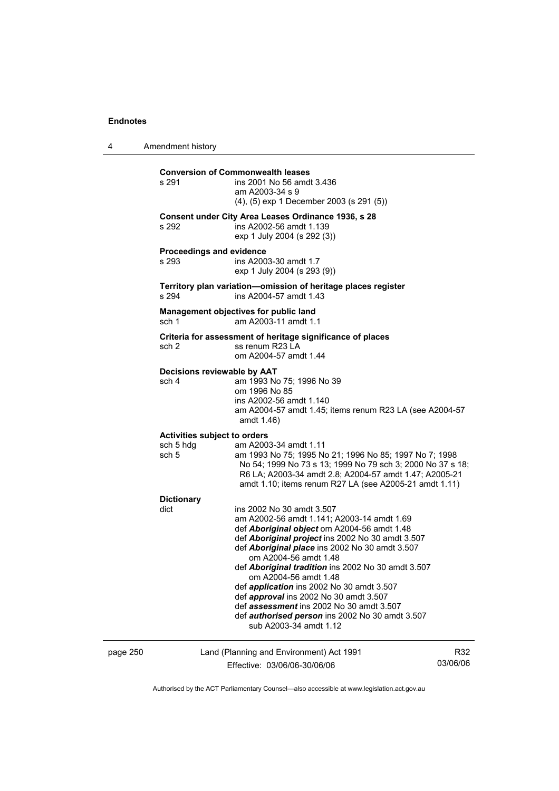4 Amendment history page 250 Land (Planning and Environment) Act 1991 R32 **Conversion of Commonwealth leases**  s 291 ins 2001 No 56 amdt 3.436 am A2003-34 s 9 (4), (5) exp 1 December 2003 (s 291 (5)) **Consent under City Area Leases Ordinance 1936, s 28**  s 292 ins A2002-56 amdt 1.139 exp 1 July 2004 (s 292 (3)) **Proceedings and evidence**  s 293 ins A2003-30 amdt 1.7 exp 1 July 2004 (s 293 (9)) **Territory plan variation—omission of heritage places register**  s 294 ins A2004-57 amdt 1.43 **Management objectives for public land**  sch 1 am A2003-11 amdt 1.1 **Criteria for assessment of heritage significance of places**  sch 2 ss renum R23 LA om A2004-57 amdt 1.44 **Decisions reviewable by AAT**  sch 4 am 1993 No 75; 1996 No 39 om 1996 No 85 ins A2002-56 amdt 1.140 am A2004-57 amdt 1.45; items renum R23 LA (see A2004-57 amdt 1.46) **Activities subject to orders**  sch 5 hdg am A2003-34 amdt 1.11 sch 5 am 1993 No 75; 1995 No 21; 1996 No 85; 1997 No 7; 1998 No 54; 1999 No 73 s 13; 1999 No 79 sch 3; 2000 No 37 s 18; R6 LA; A2003-34 amdt 2.8; A2004-57 amdt 1.47; A2005-21 amdt 1.10; items renum R27 LA (see A2005-21 amdt 1.11) **Dictionary**  ins 2002 No 30 amdt 3.507 am A2002-56 amdt 1.141; A2003-14 amdt 1.69 def *Aboriginal object* om A2004-56 amdt 1.48 def *Aboriginal project* ins 2002 No 30 amdt 3.507 def *Aboriginal place* ins 2002 No 30 amdt 3.507 om A2004-56 amdt 1.48 def *Aboriginal tradition* ins 2002 No 30 amdt 3.507 om A2004-56 amdt 1.48 def *application* ins 2002 No 30 amdt 3.507 def *approval* ins 2002 No 30 amdt 3.507 def *assessment* ins 2002 No 30 amdt 3.507 def *authorised person* ins 2002 No 30 amdt 3.507 sub A2003-34 amdt 1.12

Effective: 03/06/06-30/06/06

03/06/06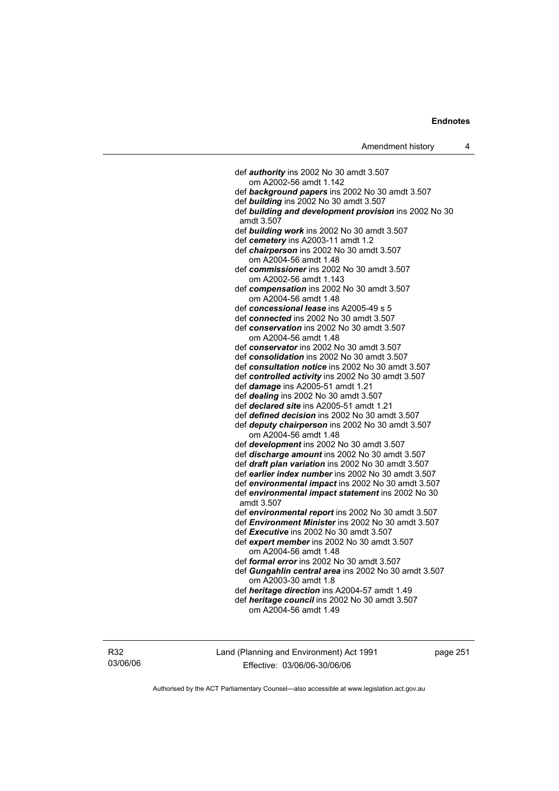def *authority* ins 2002 No 30 amdt 3.507 om A2002-56 amdt 1.142 def *background papers* ins 2002 No 30 amdt 3.507 def *building* ins 2002 No 30 amdt 3.507 def *building and development provision* ins 2002 No 30 amdt 3.507 def *building work* ins 2002 No 30 amdt 3.507 def *cemetery* ins A2003-11 amdt 1.2 def *chairperson* ins 2002 No 30 amdt 3.507 om A2004-56 amdt 1.48 def *commissioner* ins 2002 No 30 amdt 3.507 om A2002-56 amdt 1.143 def *compensation* ins 2002 No 30 amdt 3.507 om A2004-56 amdt 1.48 def *concessional lease* ins A2005-49 s 5 def *connected* ins 2002 No 30 amdt 3.507 def *conservation* ins 2002 No 30 amdt 3.507 om A2004-56 amdt 1.48 def *conservator* ins 2002 No 30 amdt 3.507 def *consolidation* ins 2002 No 30 amdt 3.507 def *consultation notice* ins 2002 No 30 amdt 3.507 def *controlled activity* ins 2002 No 30 amdt 3.507 def *damage* ins A2005-51 amdt 1.21 def *dealing* ins 2002 No 30 amdt 3.507 def *declared site* ins A2005-51 amdt 1.21 def *defined decision* ins 2002 No 30 amdt 3.507 def *deputy chairperson* ins 2002 No 30 amdt 3.507 om A2004-56 amdt 1.48 def *development* ins 2002 No 30 amdt 3.507 def *discharge amount* ins 2002 No 30 amdt 3.507 def *draft plan variation* ins 2002 No 30 amdt 3.507 def *earlier index number* ins 2002 No 30 amdt 3.507 def *environmental impact* ins 2002 No 30 amdt 3.507 def *environmental impact statement* ins 2002 No 30 amdt 3.507 def *environmental report* ins 2002 No 30 amdt 3.507 def *Environment Minister* ins 2002 No 30 amdt 3.507 def *Executive* ins 2002 No 30 amdt 3.507 def *expert member* ins 2002 No 30 amdt 3.507 om A2004-56 amdt 1.48 def *formal error* ins 2002 No 30 amdt 3.507 def *Gungahlin central area* ins 2002 No 30 amdt 3.507 om A2003-30 amdt 1.8 def *heritage direction* ins A2004-57 amdt 1.49 def *heritage council* ins 2002 No 30 amdt 3.507 om A2004-56 amdt 1.49

R32 03/06/06 Land (Planning and Environment) Act 1991 Effective: 03/06/06-30/06/06

page 251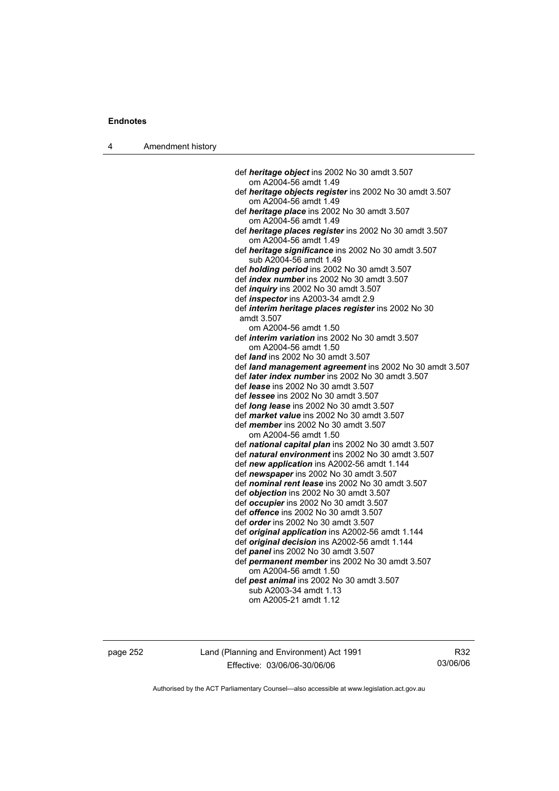4 Amendment history

 def *heritage object* ins 2002 No 30 amdt 3.507 om A2004-56 amdt 1.49 def *heritage objects register* ins 2002 No 30 amdt 3.507 om A2004-56 amdt 1.49 def *heritage place* ins 2002 No 30 amdt 3.507 om A2004-56 amdt 1.49 def *heritage places register* ins 2002 No 30 amdt 3.507 om A2004-56 amdt 1.49 def *heritage significance* ins 2002 No 30 amdt 3.507 sub A2004-56 amdt 1.49 def *holding period* ins 2002 No 30 amdt 3.507 def *index number* ins 2002 No 30 amdt 3.507 def *inquiry* ins 2002 No 30 amdt 3.507 def *inspector* ins A2003-34 amdt 2.9 def *interim heritage places register* ins 2002 No 30 amdt 3.507 om A2004-56 amdt 1.50 def *interim variation* ins 2002 No 30 amdt 3.507 om A2004-56 amdt 1.50 def *land* ins 2002 No 30 amdt 3.507 def *land management agreement* ins 2002 No 30 amdt 3.507 def *later index number* ins 2002 No 30 amdt 3.507 def *lease* ins 2002 No 30 amdt 3.507 def *lessee* ins 2002 No 30 amdt 3.507 def *long lease* ins 2002 No 30 amdt 3.507 def *market value* ins 2002 No 30 amdt 3.507 def *member* ins 2002 No 30 amdt 3.507 om A2004-56 amdt 1.50 def *national capital plan* ins 2002 No 30 amdt 3.507 def *natural environment* ins 2002 No 30 amdt 3.507 def *new application* ins A2002-56 amdt 1.144 def *newspaper* ins 2002 No 30 amdt 3.507 def *nominal rent lease* ins 2002 No 30 amdt 3.507 def *objection* ins 2002 No 30 amdt 3.507 def *occupier* ins 2002 No 30 amdt 3.507 def *offence* ins 2002 No 30 amdt 3.507 def *order* ins 2002 No 30 amdt 3.507 def *original application* ins A2002-56 amdt 1.144 def *original decision* ins A2002-56 amdt 1.144 def *panel* ins 2002 No 30 amdt 3.507 def *permanent member* ins 2002 No 30 amdt 3.507 om A2004-56 amdt 1.50 def *pest animal* ins 2002 No 30 amdt 3.507 sub A2003-34 amdt 1.13 om A2005-21 amdt 1.12

page 252 Land (Planning and Environment) Act 1991 Effective: 03/06/06-30/06/06

R32 03/06/06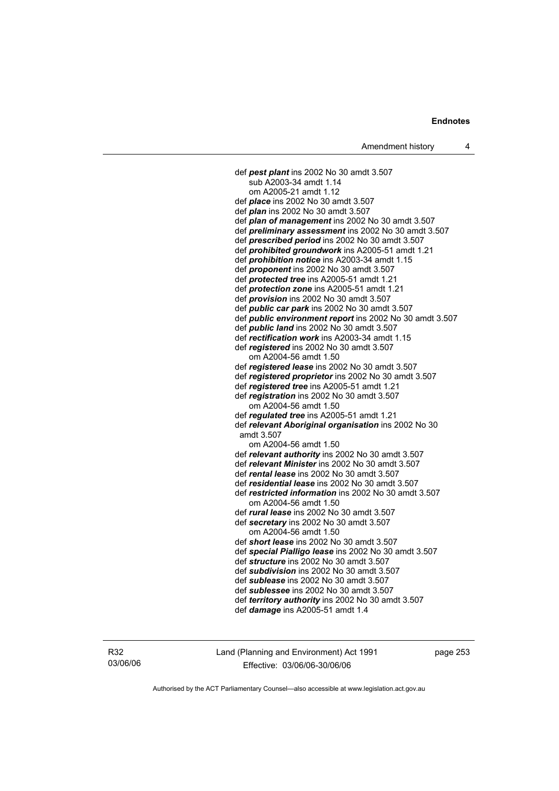def *pest plant* ins 2002 No 30 amdt 3.507 sub A2003-34 amdt 1.14 om A2005-21 amdt 1.12 def *place* ins 2002 No 30 amdt 3.507 def *plan* ins 2002 No 30 amdt 3.507 def *plan of management* ins 2002 No 30 amdt 3.507 def *preliminary assessment* ins 2002 No 30 amdt 3.507 def *prescribed period* ins 2002 No 30 amdt 3.507 def *prohibited groundwork* ins A2005-51 amdt 1.21 def *prohibition notice* ins A2003-34 amdt 1.15 def *proponent* ins 2002 No 30 amdt 3.507 def *protected tree* ins A2005-51 amdt 1.21 def *protection zone* ins A2005-51 amdt 1.21 def *provision* ins 2002 No 30 amdt 3.507 def *public car park* ins 2002 No 30 amdt 3.507 def *public environment report* ins 2002 No 30 amdt 3.507 def *public land* ins 2002 No 30 amdt 3.507 def *rectification work* ins A2003-34 amdt 1.15 def *registered* ins 2002 No 30 amdt 3.507 om A2004-56 amdt 1.50 def *registered lease* ins 2002 No 30 amdt 3.507 def *registered proprietor* ins 2002 No 30 amdt 3.507 def *registered tree* ins A2005-51 amdt 1.21 def *registration* ins 2002 No 30 amdt 3.507 om A2004-56 amdt 1.50 def *regulated tree* ins A2005-51 amdt 1.21 def *relevant Aboriginal organisation* ins 2002 No 30 amdt 3.507 om A2004-56 amdt 1.50 def *relevant authority* ins 2002 No 30 amdt 3.507 def *relevant Minister* ins 2002 No 30 amdt 3.507 def *rental lease* ins 2002 No 30 amdt 3.507 def *residential lease* ins 2002 No 30 amdt 3.507 def *restricted information* ins 2002 No 30 amdt 3.507 om A2004-56 amdt 1.50 def *rural lease* ins 2002 No 30 amdt 3.507 def *secretary* ins 2002 No 30 amdt 3.507 om A2004-56 amdt 1.50 def *short lease* ins 2002 No 30 amdt 3.507 def *special Pialligo lease* ins 2002 No 30 amdt 3.507 def *structure* ins 2002 No 30 amdt 3.507 def *subdivision* ins 2002 No 30 amdt 3.507 def *sublease* ins 2002 No 30 amdt 3.507 def *sublessee* ins 2002 No 30 amdt 3.507 def *territory authority* ins 2002 No 30 amdt 3.507 def *damage* ins A2005-51 amdt 1.4

R32 03/06/06 Land (Planning and Environment) Act 1991 Effective: 03/06/06-30/06/06

page 253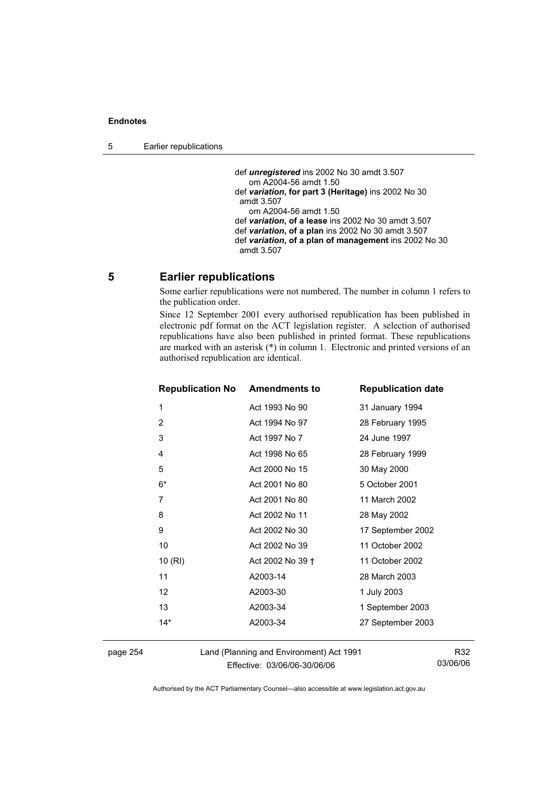def *unregistered* ins 2002 No 30 amdt 3.507 om A2004-56 amdt 1.50 def *variation***, for part 3 (Heritage)** ins 2002 No 30 amdt 3.507 om A2004-56 amdt 1.50 def *variation***, of a lease** ins 2002 No 30 amdt 3.507 def *variation***, of a plan** ins 2002 No 30 amdt 3.507 def *variation***, of a plan of management** ins 2002 No 30 amdt 3.507

## **5 Earlier republications**

Some earlier republications were not numbered. The number in column 1 refers to the publication order.

Since 12 September 2001 every authorised republication has been published in electronic pdf format on the ACT legislation register. A selection of authorised republications have also been published in printed format. These republications are marked with an asterisk (\*) in column 1. Electronic and printed versions of an authorised republication are identical.

| <b>Republication No Amendments to</b> |                  | <b>Republication date</b> |
|---------------------------------------|------------------|---------------------------|
| 1                                     | Act 1993 No 90   | 31 January 1994           |
| $\overline{2}$                        | Act 1994 No 97   | 28 February 1995          |
| 3                                     | Act 1997 No 7    | 24 June 1997              |
| 4                                     | Act 1998 No 65   | 28 February 1999          |
| 5                                     | Act 2000 No 15   | 30 May 2000               |
| 6*                                    | Act 2001 No 80   | 5 October 2001            |
| 7                                     | Act 2001 No 80   | 11 March 2002             |
| 8                                     | Act 2002 No 11   | 28 May 2002               |
| 9                                     | Act 2002 No 30   | 17 September 2002         |
| 10                                    | Act 2002 No 39   | 11 October 2002           |
| 10(RI)                                | Act 2002 No 39 + | 11 October 2002           |
| 11                                    | A2003-14         | 28 March 2003             |
| $12 \overline{ }$                     | A2003-30         | 1 July 2003               |
| 13                                    | A2003-34         | 1 September 2003          |
| $14*$                                 | A2003-34         | 27 September 2003         |
|                                       |                  |                           |

page 254 Land (Planning and Environment) Act 1991 Effective: 03/06/06-30/06/06

R32 03/06/06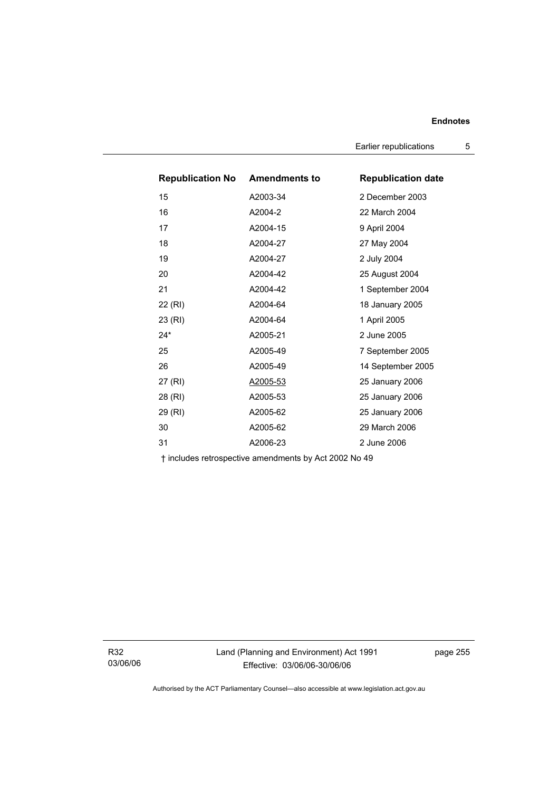Earlier republications 5

| <b>Republication No Amendments to</b> |          | <b>Republication date</b> |
|---------------------------------------|----------|---------------------------|
| 15                                    | A2003-34 | 2 December 2003           |
| 16                                    | A2004-2  | 22 March 2004             |
| 17                                    | A2004-15 | 9 April 2004              |
| 18                                    | A2004-27 | 27 May 2004               |
| 19                                    | A2004-27 | 2 July 2004               |
| 20                                    | A2004-42 | 25 August 2004            |
| 21                                    | A2004-42 | 1 September 2004          |
| 22 (RI)                               | A2004-64 | 18 January 2005           |
| 23 (RI)                               | A2004-64 | 1 April 2005              |
| $24*$                                 | A2005-21 | 2 June 2005               |
| 25                                    | A2005-49 | 7 September 2005          |
| 26                                    | A2005-49 | 14 September 2005         |
| 27 (RI)                               | A2005-53 | 25 January 2006           |
| 28 (RI)                               | A2005-53 | 25 January 2006           |
| 29 (RI)                               | A2005-62 | 25 January 2006           |
| 30                                    | A2005-62 | 29 March 2006             |
| 31                                    | A2006-23 | 2 June 2006               |

† includes retrospective amendments by Act 2002 No 49

R32 03/06/06 Land (Planning and Environment) Act 1991 Effective: 03/06/06-30/06/06

page 255